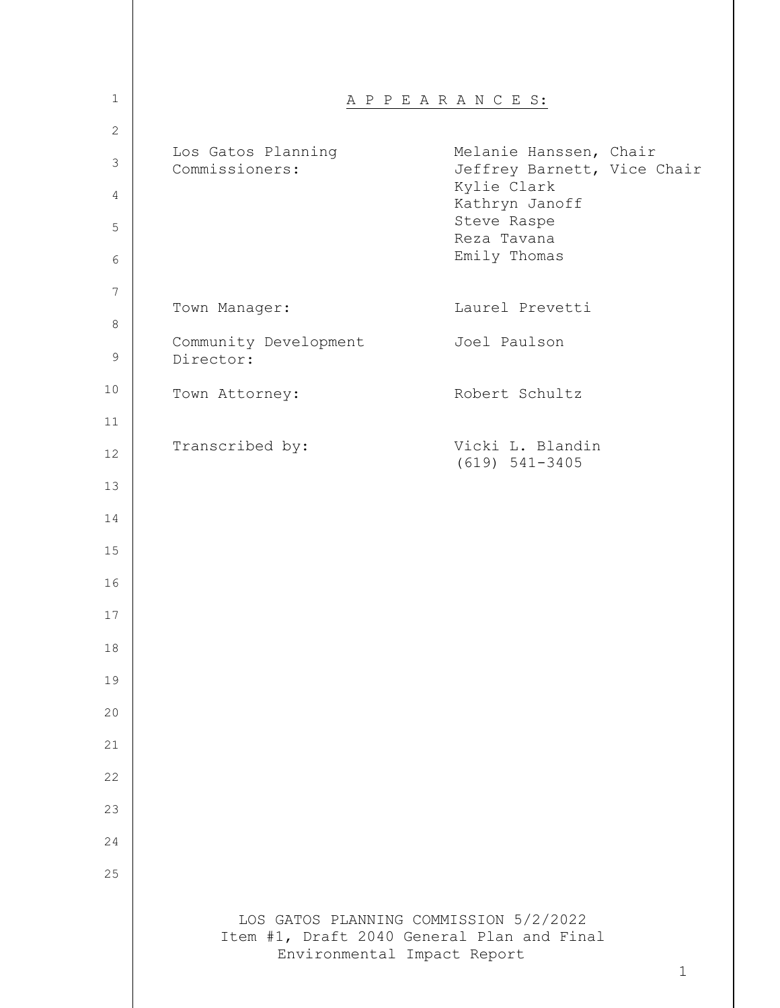| $\mathbf{1}$   |                                      | A P P E A R A N C E S:                                                                              |
|----------------|--------------------------------------|-----------------------------------------------------------------------------------------------------|
| $\overline{c}$ |                                      |                                                                                                     |
| $\mathfrak{Z}$ | Los Gatos Planning<br>Commissioners: | Melanie Hanssen, Chair<br>Jeffrey Barnett, Vice Chair<br>Kylie Clark                                |
| 4<br>5         |                                      | Kathryn Janoff<br>Steve Raspe                                                                       |
| 6              |                                      | Reza Tavana<br>Emily Thomas                                                                         |
| 7              |                                      |                                                                                                     |
| 8              | Town Manager:                        | Laurel Prevetti                                                                                     |
| $\mathsf 9$    | Community Development<br>Director:   | Joel Paulson                                                                                        |
| 10             | Town Attorney:                       | Robert Schultz                                                                                      |
| 11             |                                      |                                                                                                     |
| 12             | Transcribed by:                      | Vicki L. Blandin<br>$(619) 541 - 3405$                                                              |
| 13             |                                      |                                                                                                     |
| 14             |                                      |                                                                                                     |
| 15             |                                      |                                                                                                     |
| 16             |                                      |                                                                                                     |
| 17             |                                      |                                                                                                     |
| 18             |                                      |                                                                                                     |
| 19             |                                      |                                                                                                     |
| 20             |                                      |                                                                                                     |
| 21             |                                      |                                                                                                     |
| 22             |                                      |                                                                                                     |
| 23             |                                      |                                                                                                     |
| 24             |                                      |                                                                                                     |
| 25             |                                      |                                                                                                     |
|                |                                      |                                                                                                     |
|                | Environmental Impact Report          | LOS GATOS PLANNING COMMISSION 5/2/2022<br>Item #1, Draft 2040 General Plan and Final<br>$\mathbf 1$ |
|                |                                      |                                                                                                     |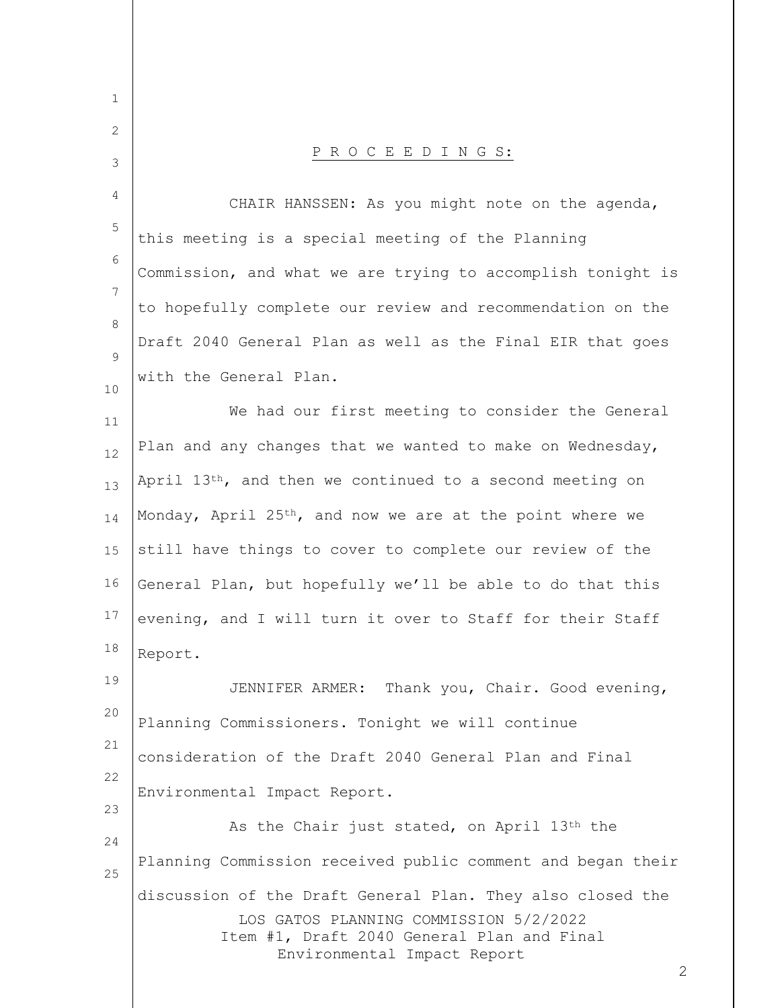| $\mathbf 1$ |                                                                                                                                                                                        |
|-------------|----------------------------------------------------------------------------------------------------------------------------------------------------------------------------------------|
| 2           |                                                                                                                                                                                        |
| 3           | PROCEEDINGS:                                                                                                                                                                           |
| 4           | CHAIR HANSSEN: As you might note on the agenda,                                                                                                                                        |
| 5           | this meeting is a special meeting of the Planning                                                                                                                                      |
| 6           | Commission, and what we are trying to accomplish tonight is                                                                                                                            |
| 7<br>8      | to hopefully complete our review and recommendation on the                                                                                                                             |
| 9           | Draft 2040 General Plan as well as the Final EIR that goes                                                                                                                             |
| 10          | with the General Plan.                                                                                                                                                                 |
| 11          | We had our first meeting to consider the General                                                                                                                                       |
| 12          | Plan and any changes that we wanted to make on Wednesday,                                                                                                                              |
| 13          | April 13th, and then we continued to a second meeting on                                                                                                                               |
| 14          | Monday, April $25th$ , and now we are at the point where we                                                                                                                            |
| 15          | still have things to cover to complete our review of the                                                                                                                               |
| 16          | General Plan, but hopefully we'll be able to do that this                                                                                                                              |
| 17          | evening, and I will turn it over to Staff for their Staff                                                                                                                              |
| 18          | Report.                                                                                                                                                                                |
| 19          | JENNIFER ARMER: Thank you, Chair. Good evening,                                                                                                                                        |
| 20<br>21    | Planning Commissioners. Tonight we will continue                                                                                                                                       |
| 22          | consideration of the Draft 2040 General Plan and Final                                                                                                                                 |
| 23          | Environmental Impact Report.                                                                                                                                                           |
| 24          | As the Chair just stated, on April 13th the                                                                                                                                            |
| 25          | Planning Commission received public comment and began their                                                                                                                            |
|             | discussion of the Draft General Plan. They also closed the<br>LOS GATOS PLANNING COMMISSION 5/2/2022<br>Item #1, Draft 2040 General Plan and Final<br>Environmental Impact Report<br>2 |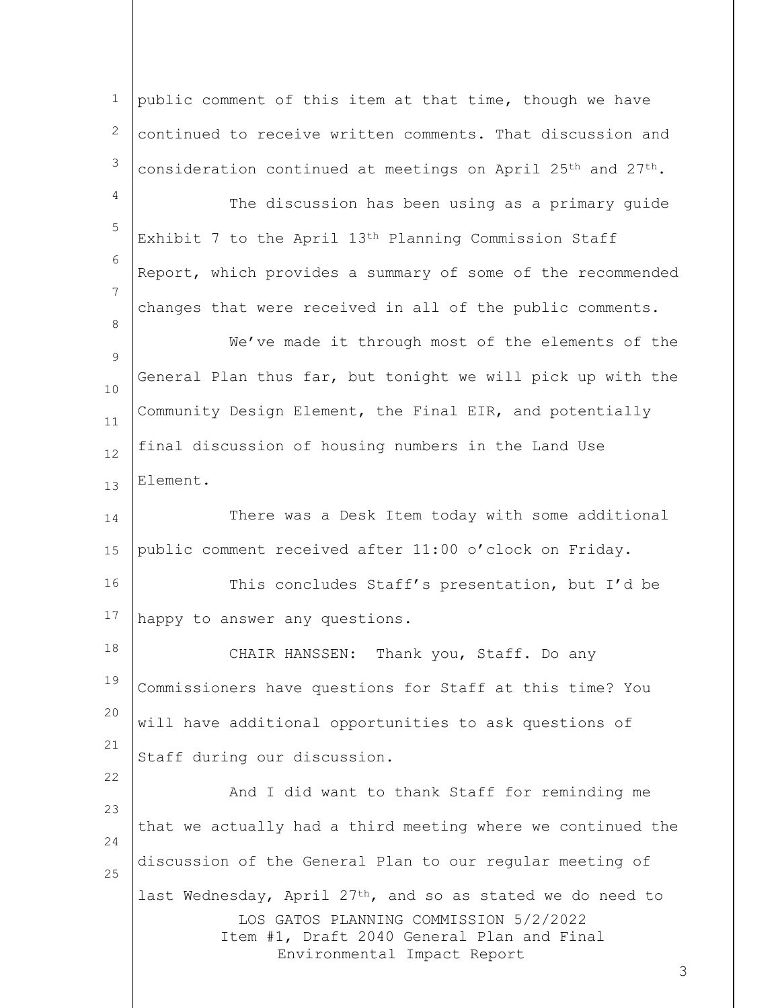LOS GATOS PLANNING COMMISSION 5/2/2022 Item #1, Draft 2040 General Plan and Final Environmental Impact Report 1 2 3 4 5 6 7 8 9 10 11 12 13 14 15 16 17 18 19 20 21 22 23 24 25 public comment of this item at that time, though we have continued to receive written comments. That discussion and consideration continued at meetings on April 25<sup>th</sup> and  $27<sup>th</sup>$ . The discussion has been using as a primary guide Exhibit 7 to the April 13th Planning Commission Staff Report, which provides a summary of some of the recommended changes that were received in all of the public comments. We've made it through most of the elements of the General Plan thus far, but tonight we will pick up with the Community Design Element, the Final EIR, and potentially final discussion of housing numbers in the Land Use Element. There was a Desk Item today with some additional public comment received after 11:00 o'clock on Friday. This concludes Staff's presentation, but I'd be happy to answer any questions. CHAIR HANSSEN: Thank you, Staff. Do any Commissioners have questions for Staff at this time? You will have additional opportunities to ask questions of Staff during our discussion. And I did want to thank Staff for reminding me that we actually had a third meeting where we continued the discussion of the General Plan to our regular meeting of last Wednesday, April  $27<sup>th</sup>$ , and so as stated we do need to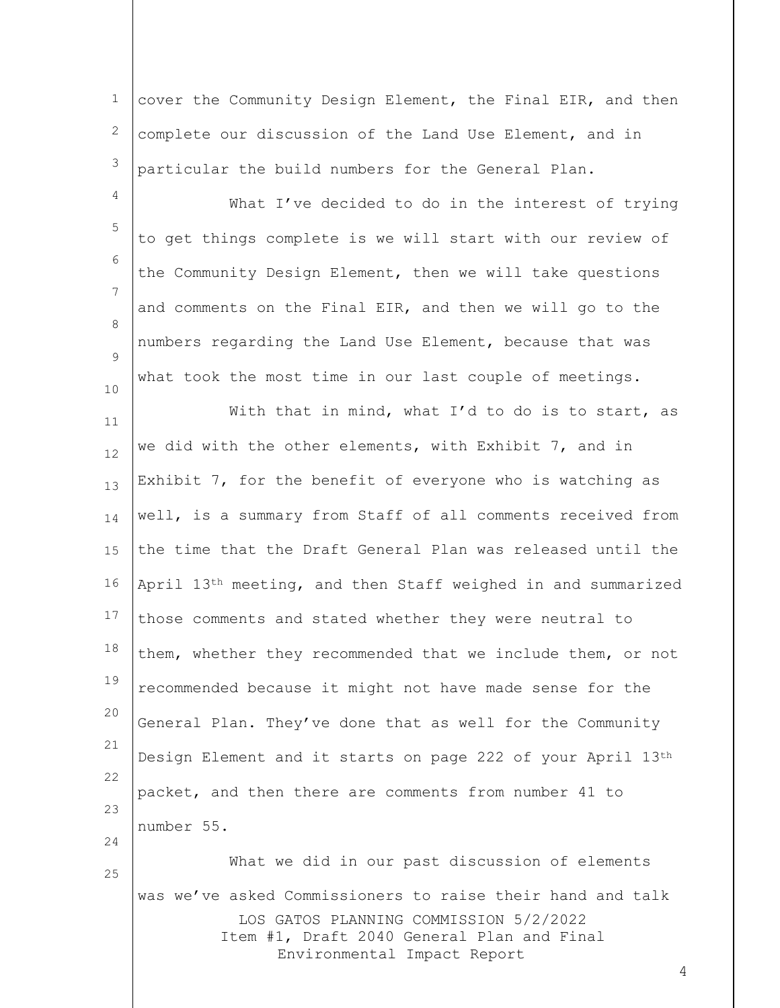1 2 3 cover the Community Design Element, the Final EIR, and then complete our discussion of the Land Use Element, and in particular the build numbers for the General Plan.

4 5 6 7 8  $\mathsf{Q}$ 10 What I've decided to do in the interest of trying to get things complete is we will start with our review of the Community Design Element, then we will take questions and comments on the Final EIR, and then we will go to the numbers regarding the Land Use Element, because that was what took the most time in our last couple of meetings.

11 12 13 14 15 16 17 18 19 20 21 22 23 24 25 With that in mind, what I'd to do is to start, as we did with the other elements, with Exhibit 7, and in Exhibit 7, for the benefit of everyone who is watching as well, is a summary from Staff of all comments received from the time that the Draft General Plan was released until the April 13th meeting, and then Staff weighed in and summarized those comments and stated whether they were neutral to them, whether they recommended that we include them, or not recommended because it might not have made sense for the General Plan. They've done that as well for the Community Design Element and it starts on page 222 of your April 13th packet, and then there are comments from number 41 to number 55. What we did in our past discussion of elements

LOS GATOS PLANNING COMMISSION 5/2/2022 Item #1, Draft 2040 General Plan and Final Environmental Impact Report was we've asked Commissioners to raise their hand and talk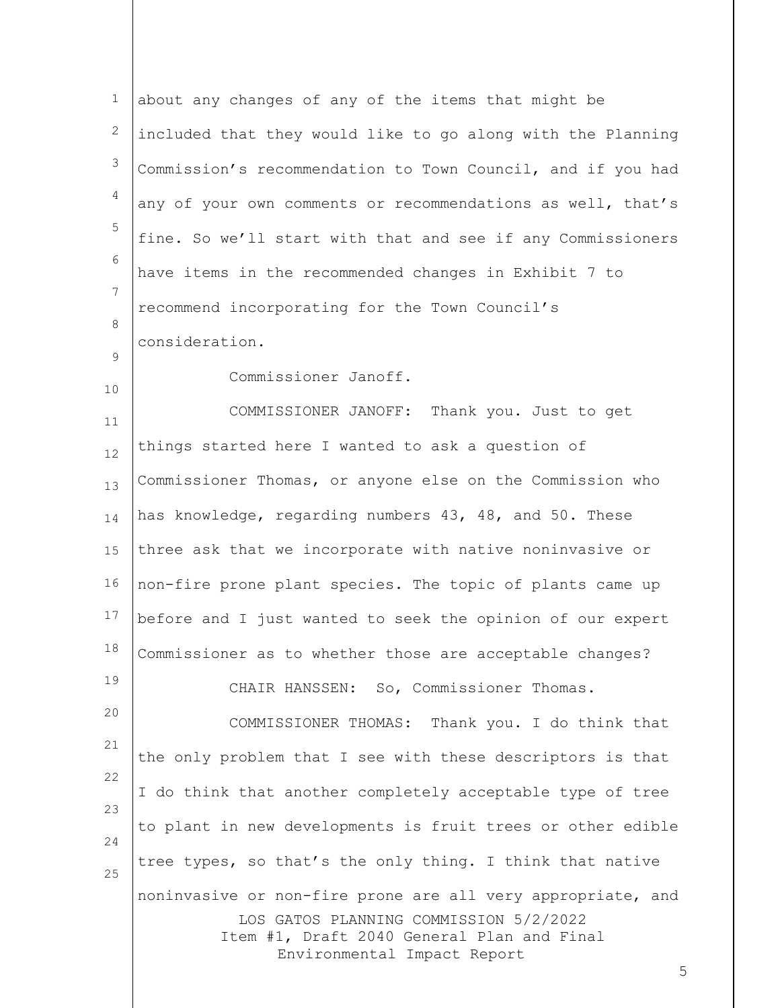| $\mathbf 1$ | about any changes of any of the items that might be                                                                 |
|-------------|---------------------------------------------------------------------------------------------------------------------|
| 2           | included that they would like to go along with the Planning                                                         |
| 3           | Commission's recommendation to Town Council, and if you had                                                         |
| 4           | any of your own comments or recommendations as well, that's                                                         |
| 5           | fine. So we'll start with that and see if any Commissioners                                                         |
| 6           | have items in the recommended changes in Exhibit 7 to                                                               |
| 7           | recommend incorporating for the Town Council's                                                                      |
| 8           | consideration.                                                                                                      |
| 9           | Commissioner Janoff.                                                                                                |
| 10          | COMMISSIONER JANOFF: Thank you. Just to get                                                                         |
| 11<br>12    | things started here I wanted to ask a question of                                                                   |
| 13          | Commissioner Thomas, or anyone else on the Commission who                                                           |
| 14          | has knowledge, regarding numbers 43, 48, and 50. These                                                              |
| 15          | three ask that we incorporate with native noninvasive or                                                            |
| 16          | non-fire prone plant species. The topic of plants came up                                                           |
| 17          | before and I just wanted to seek the opinion of our expert                                                          |
| 18          | Commissioner as to whether those are acceptable changes?                                                            |
| 19          | CHAIR HANSSEN: So, Commissioner Thomas.                                                                             |
| 20          | COMMISSIONER THOMAS: Thank you. I do think that                                                                     |
| 21          | the only problem that I see with these descriptors is that                                                          |
| 22          | I do think that another completely acceptable type of tree                                                          |
| 23          |                                                                                                                     |
| 24          | to plant in new developments is fruit trees or other edible                                                         |
| 25          | tree types, so that's the only thing. I think that native                                                           |
|             | noninvasive or non-fire prone are all very appropriate, and                                                         |
|             | LOS GATOS PLANNING COMMISSION 5/2/2022<br>Item #1, Draft 2040 General Plan and Final<br>Environmental Impact Report |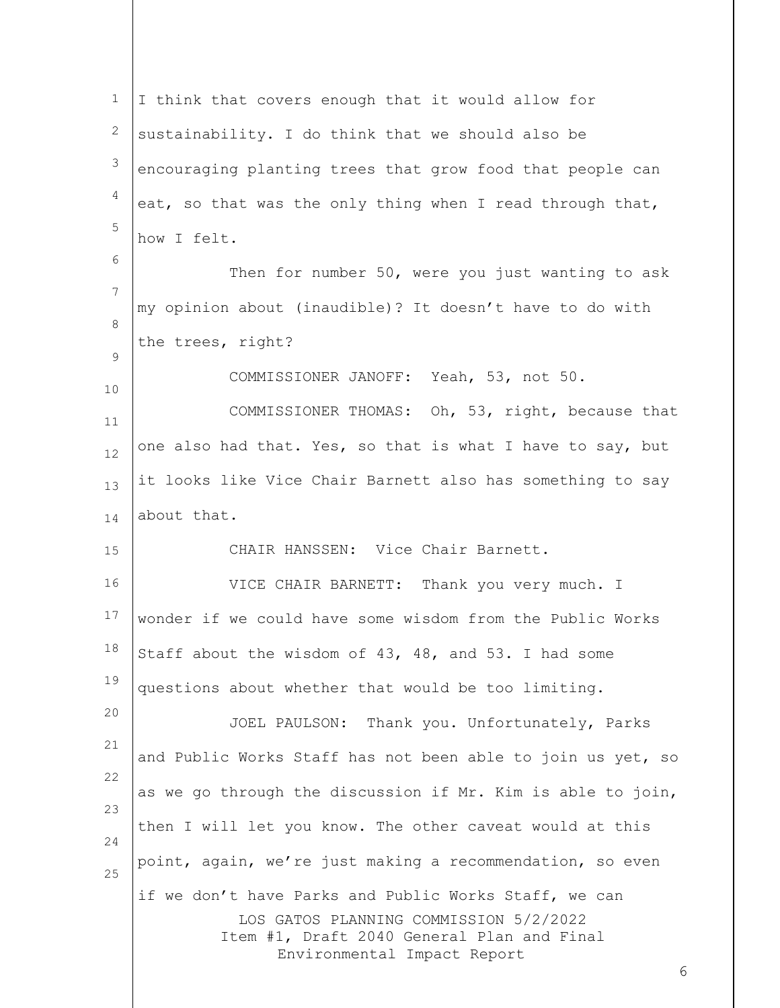| $\mathbf 1$ | I think that covers enough that it would allow for                                                                                                                                |
|-------------|-----------------------------------------------------------------------------------------------------------------------------------------------------------------------------------|
| 2           | sustainability. I do think that we should also be                                                                                                                                 |
| 3           | encouraging planting trees that grow food that people can                                                                                                                         |
| 4           | eat, so that was the only thing when I read through that,                                                                                                                         |
| 5           | how I felt.                                                                                                                                                                       |
| 6           | Then for number 50, were you just wanting to ask                                                                                                                                  |
| 7           | my opinion about (inaudible)? It doesn't have to do with                                                                                                                          |
| 8           | the trees, right?                                                                                                                                                                 |
| 9           | COMMISSIONER JANOFF: Yeah, 53, not 50.                                                                                                                                            |
| 10          | COMMISSIONER THOMAS: Oh, 53, right, because that                                                                                                                                  |
| 11          | one also had that. Yes, so that is what I have to say, but                                                                                                                        |
| 12          | it looks like Vice Chair Barnett also has something to say                                                                                                                        |
| 13<br>14    | about that.                                                                                                                                                                       |
| 15          | CHAIR HANSSEN: Vice Chair Barnett.                                                                                                                                                |
| 16          | VICE CHAIR BARNETT: Thank you very much. I                                                                                                                                        |
| 17          |                                                                                                                                                                                   |
| 18          | wonder if we could have some wisdom from the Public Works                                                                                                                         |
| 19          | Staff about the wisdom of 43, 48, and 53. I had some                                                                                                                              |
| 20          | questions about whether that would be too limiting.                                                                                                                               |
| 21          | JOEL PAULSON: Thank you. Unfortunately, Parks                                                                                                                                     |
| 22          | and Public Works Staff has not been able to join us yet, so                                                                                                                       |
| 23          | as we go through the discussion if Mr. Kim is able to join,                                                                                                                       |
| 24          | then I will let you know. The other caveat would at this                                                                                                                          |
| 25          | point, again, we're just making a recommendation, so even                                                                                                                         |
|             | if we don't have Parks and Public Works Staff, we can<br>LOS GATOS PLANNING COMMISSION 5/2/2022<br>Item #1, Draft 2040 General Plan and Final<br>Environmental Impact Report<br>6 |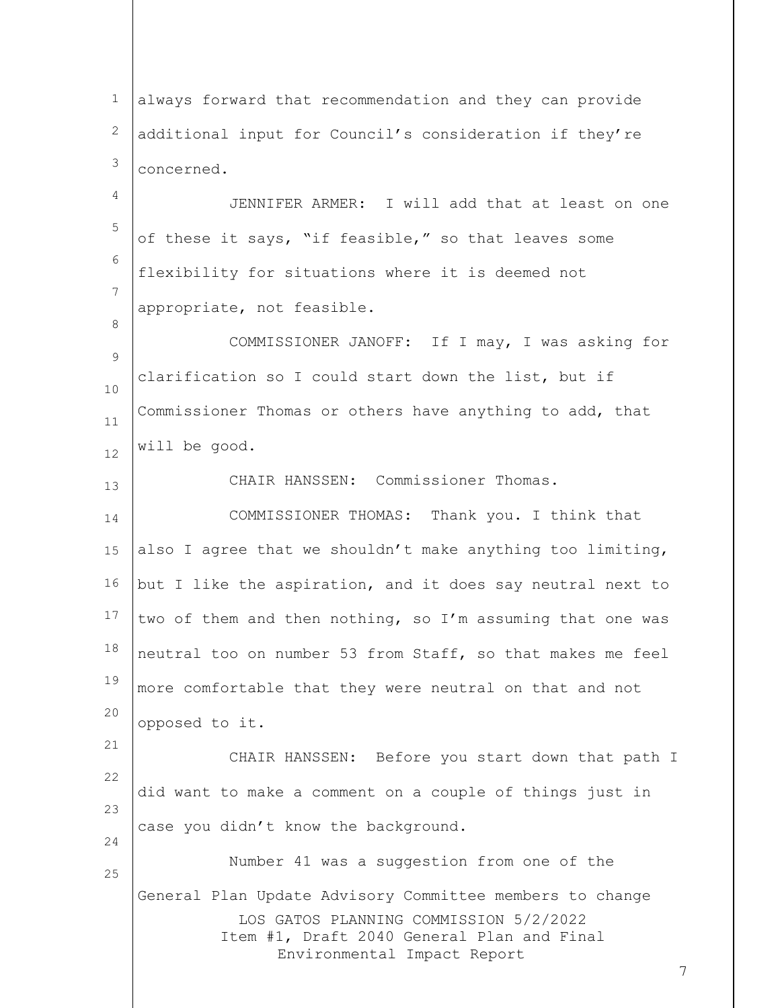LOS GATOS PLANNING COMMISSION 5/2/2022 Item #1, Draft 2040 General Plan and Final Environmental Impact Report 1 2 3 4 5 6 7 8 9 10 11 12 13 14 15 16 17 18 19 20 21 22 23 24 25 always forward that recommendation and they can provide additional input for Council's consideration if they're concerned. JENNIFER ARMER: I will add that at least on one of these it says, "if feasible," so that leaves some flexibility for situations where it is deemed not appropriate, not feasible. COMMISSIONER JANOFF: If I may, I was asking for clarification so I could start down the list, but if Commissioner Thomas or others have anything to add, that will be good. CHAIR HANSSEN: Commissioner Thomas. COMMISSIONER THOMAS: Thank you. I think that also I agree that we shouldn't make anything too limiting, but I like the aspiration, and it does say neutral next to two of them and then nothing, so I'm assuming that one was neutral too on number 53 from Staff, so that makes me feel more comfortable that they were neutral on that and not opposed to it. CHAIR HANSSEN: Before you start down that path I did want to make a comment on a couple of things just in case you didn't know the background. Number 41 was a suggestion from one of the General Plan Update Advisory Committee members to change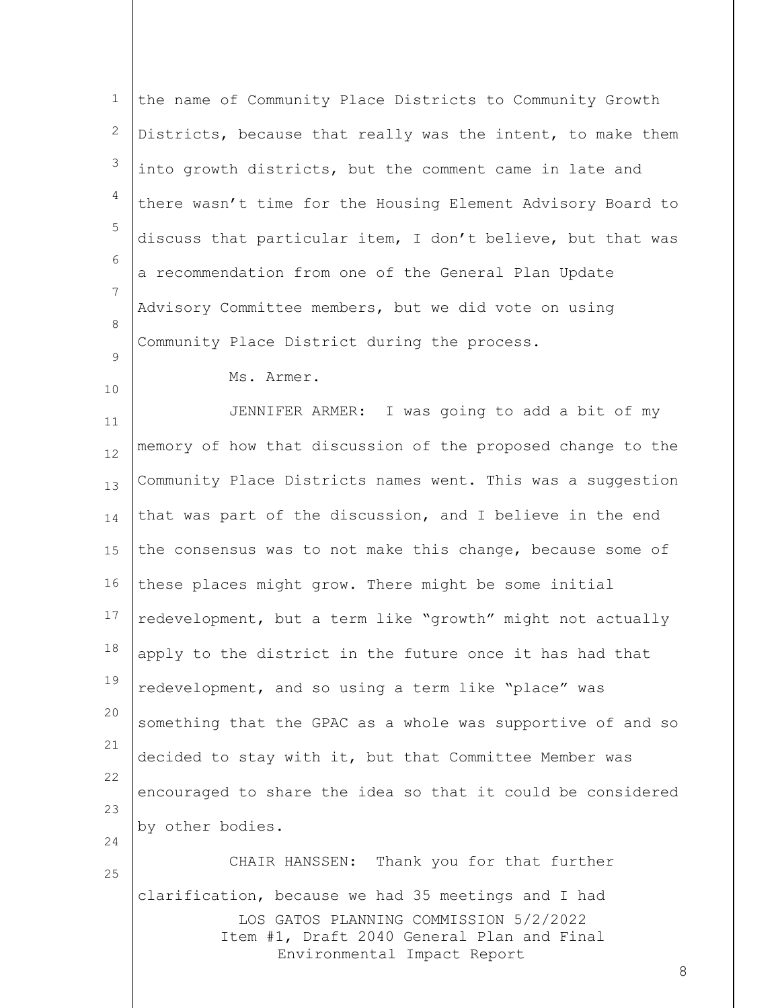| $\mathbf 1$    | the name of Community Place Districts to Community Growth                                     |
|----------------|-----------------------------------------------------------------------------------------------|
| 2              | Districts, because that really was the intent, to make them                                   |
| 3              | into growth districts, but the comment came in late and                                       |
| 4              | there wasn't time for the Housing Element Advisory Board to                                   |
| 5              | discuss that particular item, I don't believe, but that was                                   |
| 6              | a recommendation from one of the General Plan Update                                          |
| $\overline{7}$ | Advisory Committee members, but we did vote on using                                          |
| 8              | Community Place District during the process.                                                  |
| 9<br>10        | Ms. Armer.                                                                                    |
| 11             | JENNIFER ARMER: I was going to add a bit of my                                                |
| 12             | memory of how that discussion of the proposed change to the                                   |
| 13             | Community Place Districts names went. This was a suggestion                                   |
| 14             | that was part of the discussion, and I believe in the end                                     |
| 15             | the consensus was to not make this change, because some of                                    |
| 16             | these places might grow. There might be some initial                                          |
| 17             | redevelopment, but a term like "growth" might not actually                                    |
| 18             | apply to the district in the future once it has had that                                      |
| 19             | redevelopment, and so using a term like "place" was                                           |
| 20             | something that the GPAC as a whole was supportive of and so                                   |
| 21             | decided to stay with it, but that Committee Member was                                        |
| 22             | encouraged to share the idea so that it could be considered                                   |
| 23             | by other bodies.                                                                              |
| 24<br>25       | CHAIR HANSSEN: Thank you for that further                                                     |
|                | clarification, because we had 35 meetings and I had<br>LOS GATOS PLANNING COMMISSION 5/2/2022 |
|                | Item #1, Draft 2040 General Plan and Final<br>Environmental Impact Report<br>8                |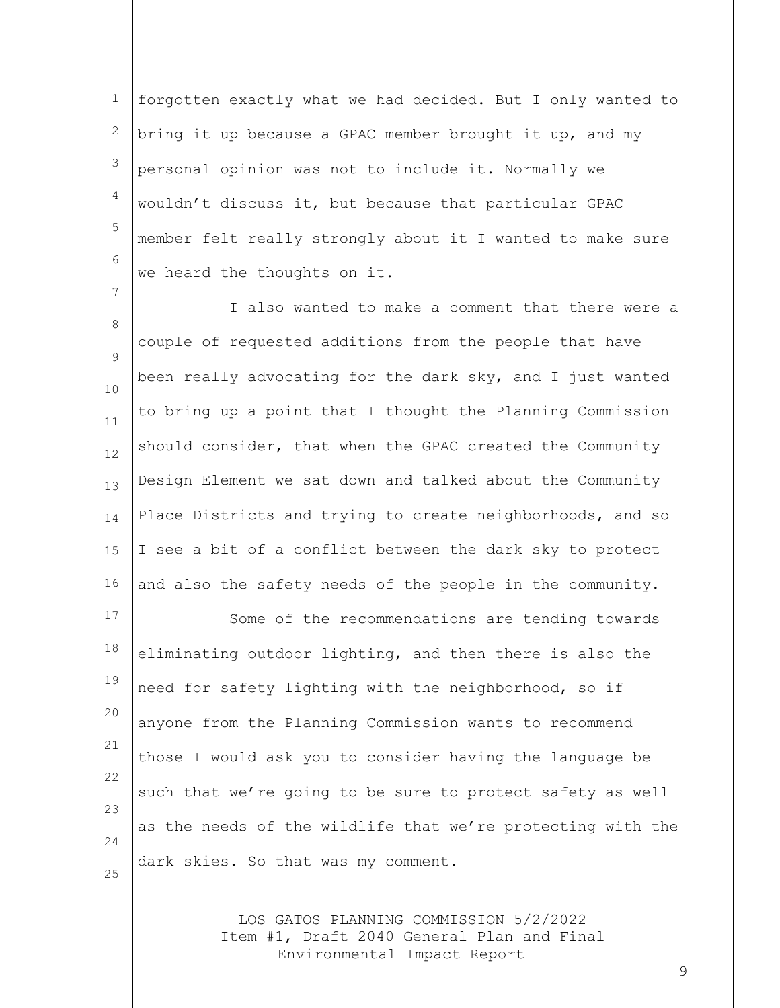1 2 3 4 5 6 forgotten exactly what we had decided. But I only wanted to bring it up because a GPAC member brought it up, and my personal opinion was not to include it. Normally we wouldn't discuss it, but because that particular GPAC member felt really strongly about it I wanted to make sure we heard the thoughts on it.

7

8 9 10 11 12 13 14 15 16 I also wanted to make a comment that there were a couple of requested additions from the people that have been really advocating for the dark sky, and I just wanted to bring up a point that I thought the Planning Commission should consider, that when the GPAC created the Community Design Element we sat down and talked about the Community Place Districts and trying to create neighborhoods, and so I see a bit of a conflict between the dark sky to protect and also the safety needs of the people in the community.

17 18 19 20 21 22 23 24 25 Some of the recommendations are tending towards eliminating outdoor lighting, and then there is also the need for safety lighting with the neighborhood, so if anyone from the Planning Commission wants to recommend those I would ask you to consider having the language be such that we're going to be sure to protect safety as well as the needs of the wildlife that we're protecting with the dark skies. So that was my comment.

> LOS GATOS PLANNING COMMISSION 5/2/2022 Item #1, Draft 2040 General Plan and Final Environmental Impact Report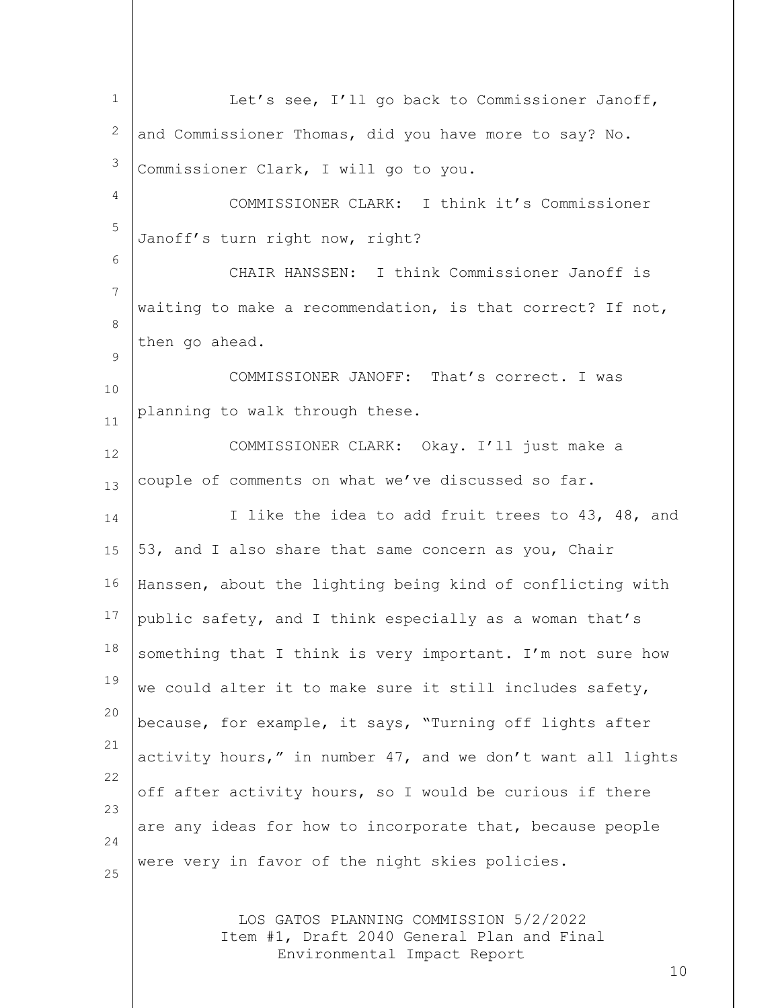| $\mathbf{1}$   | Let's see, I'll go back to Commissioner Janoff,                                                                     |
|----------------|---------------------------------------------------------------------------------------------------------------------|
| 2              | and Commissioner Thomas, did you have more to say? No.                                                              |
| 3              | Commissioner Clark, I will go to you.                                                                               |
| 4              | COMMISSIONER CLARK: I think it's Commissioner                                                                       |
| 5              | Janoff's turn right now, right?                                                                                     |
| 6              | CHAIR HANSSEN: I think Commissioner Janoff is                                                                       |
| $\overline{7}$ | waiting to make a recommendation, is that correct? If not,                                                          |
| 8              | then go ahead.                                                                                                      |
| 9              | COMMISSIONER JANOFF: That's correct. I was                                                                          |
| 10<br>11       | planning to walk through these.                                                                                     |
| 12             | COMMISSIONER CLARK: Okay. I'll just make a                                                                          |
| 13             | couple of comments on what we've discussed so far.                                                                  |
| 14             | I like the idea to add fruit trees to 43, 48, and                                                                   |
| 15             | 53, and I also share that same concern as you, Chair                                                                |
| 16             | Hanssen, about the lighting being kind of conflicting with                                                          |
| 17             | public safety, and I think especially as a woman that's                                                             |
| 18             | something that I think is very important. I'm not sure how                                                          |
| 19             | we could alter it to make sure it still includes safety,                                                            |
| 20             | because, for example, it says, "Turning off lights after                                                            |
| 21             | activity hours," in number 47, and we don't want all lights                                                         |
| 22             | off after activity hours, so I would be curious if there                                                            |
| 23             | are any ideas for how to incorporate that, because people                                                           |
| 24<br>25       | were very in favor of the night skies policies.                                                                     |
|                |                                                                                                                     |
|                | LOS GATOS PLANNING COMMISSION 5/2/2022<br>Item #1, Draft 2040 General Plan and Final<br>Environmental Impact Report |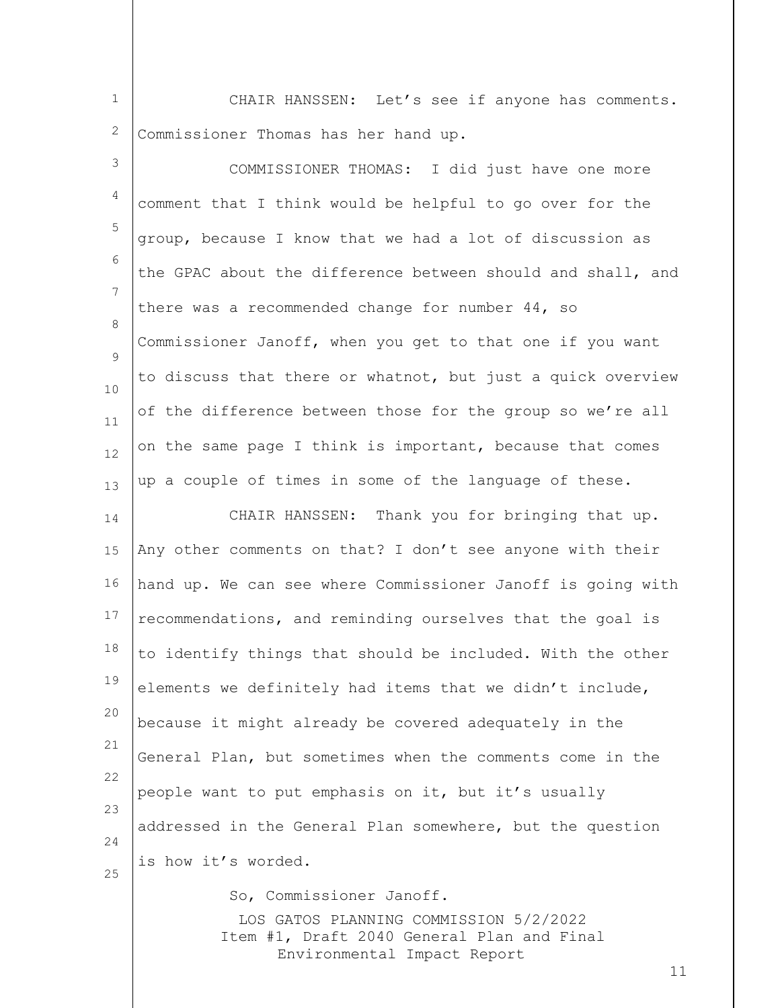1 2 CHAIR HANSSEN: Let's see if anyone has comments. Commissioner Thomas has her hand up.

| 3                   | COMMISSIONER THOMAS: I did just have one more                                                                       |
|---------------------|---------------------------------------------------------------------------------------------------------------------|
| 4                   | comment that I think would be helpful to go over for the                                                            |
| 5                   | group, because I know that we had a lot of discussion as                                                            |
| 6                   | the GPAC about the difference between should and shall, and                                                         |
| $\overline{7}$<br>8 | there was a recommended change for number 44, so                                                                    |
| 9                   | Commissioner Janoff, when you get to that one if you want                                                           |
| 10                  | to discuss that there or whatnot, but just a quick overview                                                         |
| 11                  | of the difference between those for the group so we're all                                                          |
| 12                  | on the same page I think is important, because that comes                                                           |
| 13                  | up a couple of times in some of the language of these.                                                              |
| 14                  | CHAIR HANSSEN: Thank you for bringing that up.                                                                      |
| 15                  | Any other comments on that? I don't see anyone with their                                                           |
| 16                  | hand up. We can see where Commissioner Janoff is going with                                                         |
| 17                  | recommendations, and reminding ourselves that the goal is                                                           |
| 18                  | to identify things that should be included. With the other                                                          |
| 19                  | elements we definitely had items that we didn't include,                                                            |
| 20                  | because it might already be covered adequately in the                                                               |
| 21                  | General Plan, but sometimes when the comments come in the                                                           |
| 22<br>23            | people want to put emphasis on it, but it's usually                                                                 |
| 24                  | addressed in the General Plan somewhere, but the question                                                           |
| 25                  | is how it's worded.                                                                                                 |
|                     | So, Commissioner Janoff.                                                                                            |
|                     | LOS GATOS PLANNING COMMISSION 5/2/2022<br>Item #1, Draft 2040 General Plan and Final<br>Environmental Impact Report |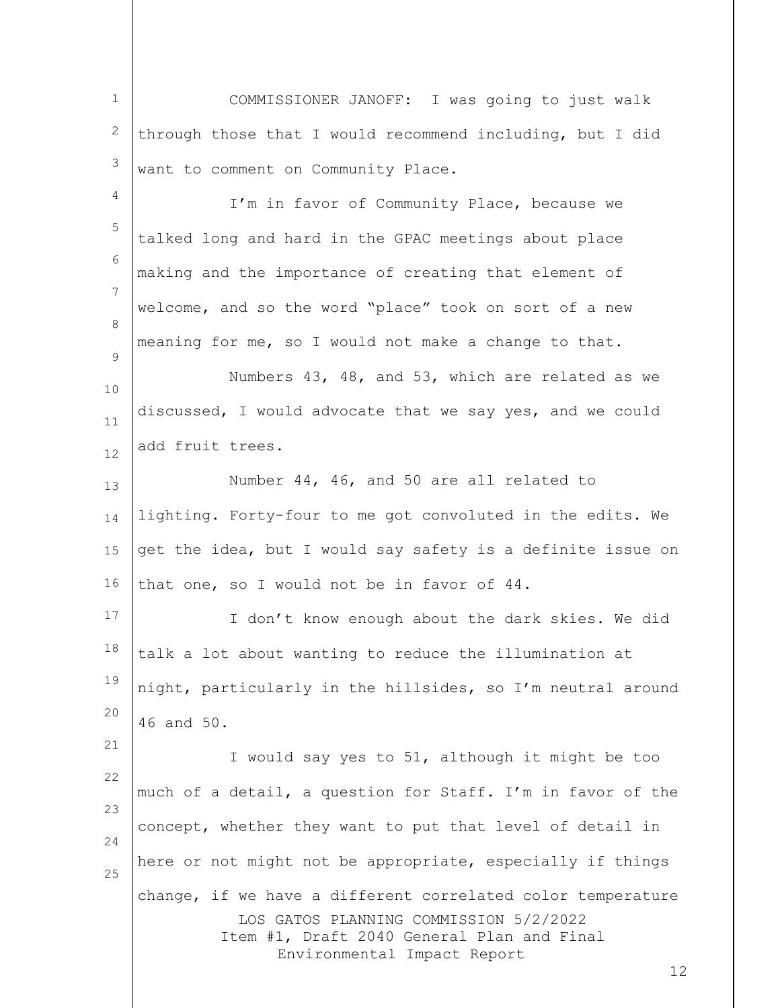1 2 3 4 5 6 COMMISSIONER JANOFF: I was going to just walk through those that I would recommend including, but I did want to comment on Community Place. I'm in favor of Community Place, because we talked long and hard in the GPAC meetings about place

7 8 welcome, and so the word "place" took on sort of a new meaning for me, so I would not make a change to that.

making and the importance of creating that element of

 $\mathsf{Q}$ 

21

10 11 12 Numbers 43, 48, and 53, which are related as we discussed, I would advocate that we say yes, and we could add fruit trees.

13 14 15 16 Number 44, 46, and 50 are all related to lighting. Forty-four to me got convoluted in the edits. We get the idea, but I would say safety is a definite issue on that one, so I would not be in favor of 44.

17 18 19 20 I don't know enough about the dark skies. We did talk a lot about wanting to reduce the illumination at night, particularly in the hillsides, so I'm neutral around 46 and 50.

LOS GATOS PLANNING COMMISSION 5/2/2022 Item #1, Draft 2040 General Plan and Final Environmental Impact Report 22 23 24 25 I would say yes to 51, although it might be too much of a detail, a question for Staff. I'm in favor of the concept, whether they want to put that level of detail in here or not might not be appropriate, especially if things change, if we have a different correlated color temperature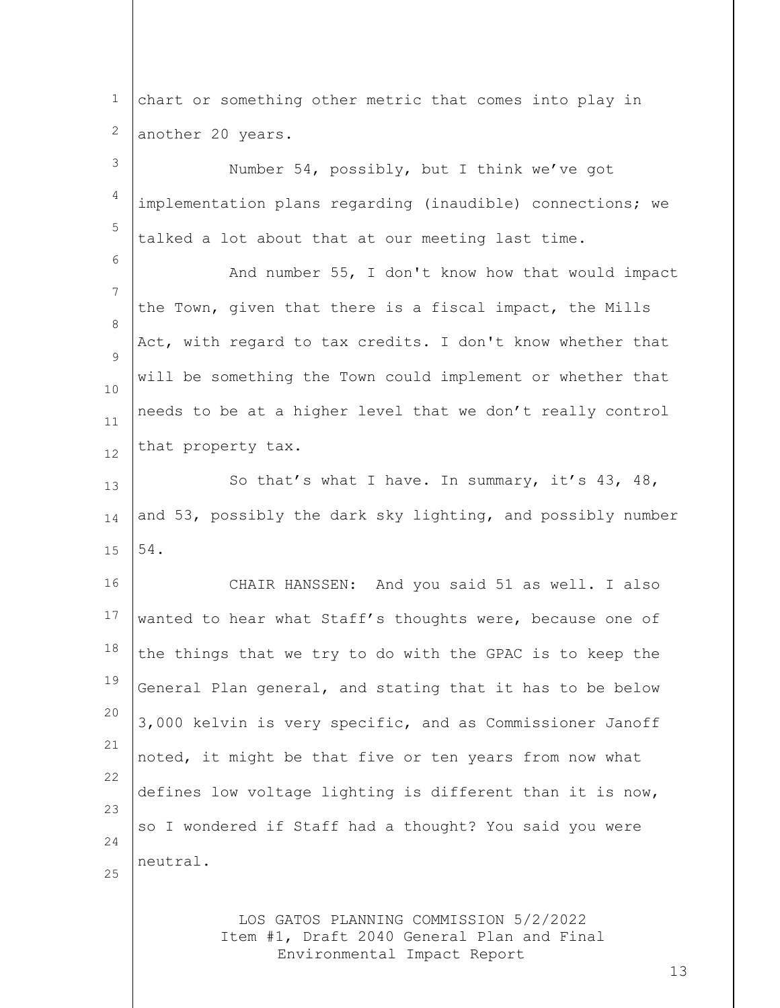1 2 chart or something other metric that comes into play in another 20 years.

3 4 5 6 7 8  $\mathsf{Q}$ 10 11 12 13 14 15 16 17 18 19 20 21 22 23 24 25 Number 54, possibly, but I think we've got implementation plans regarding (inaudible) connections; we talked a lot about that at our meeting last time. And number 55, I don't know how that would impact the Town, given that there is a fiscal impact, the Mills Act, with regard to tax credits. I don't know whether that will be something the Town could implement or whether that needs to be at a higher level that we don't really control that property tax. So that's what I have. In summary, it's 43, 48, and 53, possibly the dark sky lighting, and possibly number 54. CHAIR HANSSEN: And you said 51 as well. I also wanted to hear what Staff's thoughts were, because one of the things that we try to do with the GPAC is to keep the General Plan general, and stating that it has to be below 3,000 kelvin is very specific, and as Commissioner Janoff noted, it might be that five or ten years from now what defines low voltage lighting is different than it is now, so I wondered if Staff had a thought? You said you were neutral.

> LOS GATOS PLANNING COMMISSION 5/2/2022 Item #1, Draft 2040 General Plan and Final Environmental Impact Report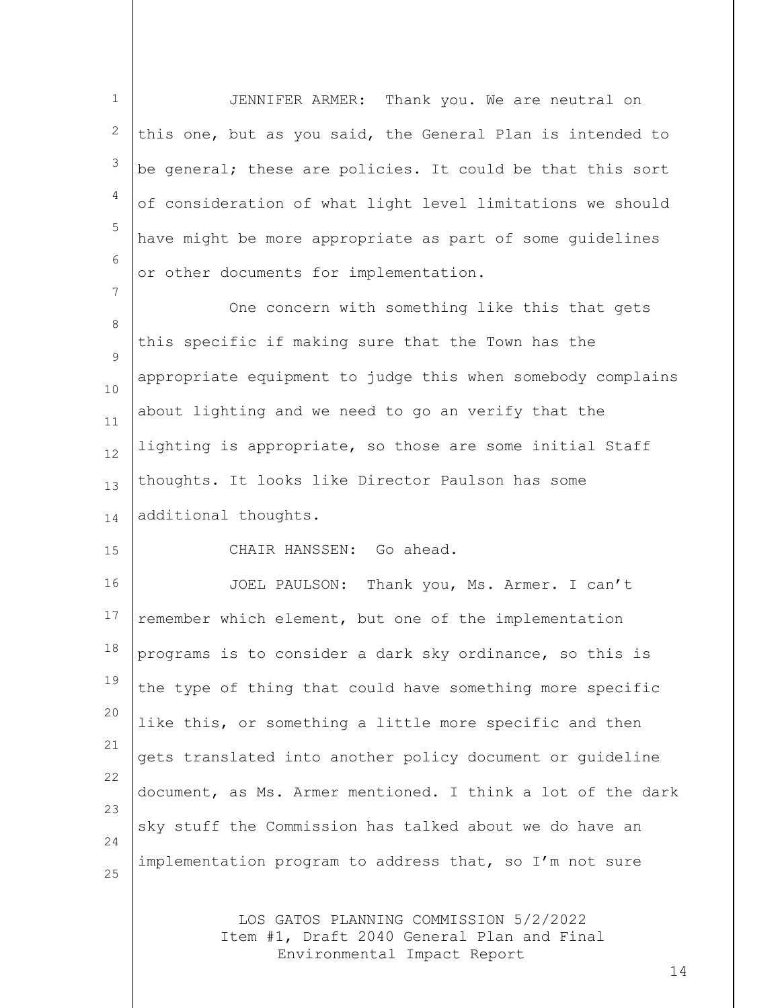1 2 3 4 5 6 7 8  $\mathsf{Q}$ 10 11 12 13 JENNIFER ARMER: Thank you. We are neutral on this one, but as you said, the General Plan is intended to be general; these are policies. It could be that this sort of consideration of what light level limitations we should have might be more appropriate as part of some guidelines or other documents for implementation. One concern with something like this that gets this specific if making sure that the Town has the appropriate equipment to judge this when somebody complains about lighting and we need to go an verify that the lighting is appropriate, so those are some initial Staff thoughts. It looks like Director Paulson has some

14 additional thoughts.

15

CHAIR HANSSEN: Go ahead.

16 17 18 19 20 21 22 23 24 25 JOEL PAULSON: Thank you, Ms. Armer. I can't remember which element, but one of the implementation programs is to consider a dark sky ordinance, so this is the type of thing that could have something more specific like this, or something a little more specific and then gets translated into another policy document or guideline document, as Ms. Armer mentioned. I think a lot of the dark sky stuff the Commission has talked about we do have an implementation program to address that, so I'm not sure

> LOS GATOS PLANNING COMMISSION 5/2/2022 Item #1, Draft 2040 General Plan and Final Environmental Impact Report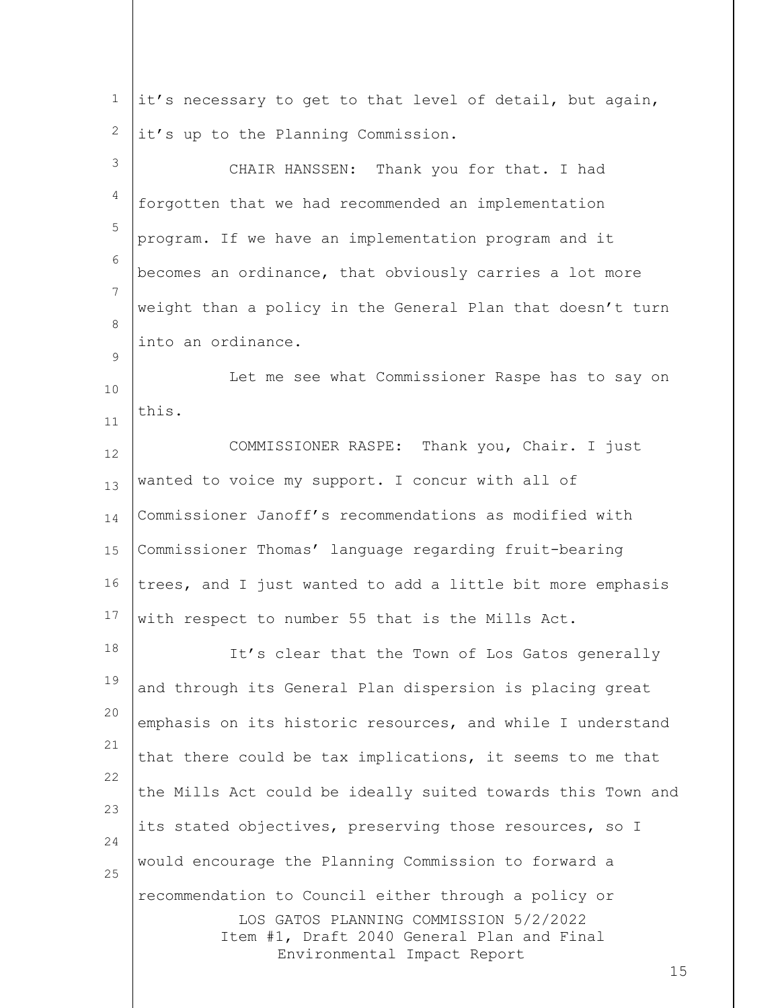| $\mathbf 1$    | it's necessary to get to that level of detail, but again,                            |
|----------------|--------------------------------------------------------------------------------------|
| 2              | it's up to the Planning Commission.                                                  |
| $\mathcal{S}$  | CHAIR HANSSEN: Thank you for that. I had                                             |
| $\overline{4}$ | forgotten that we had recommended an implementation                                  |
| 5              | program. If we have an implementation program and it                                 |
| 6              | becomes an ordinance, that obviously carries a lot more                              |
| 7              | weight than a policy in the General Plan that doesn't turn                           |
| 8              | into an ordinance.                                                                   |
| 9<br>10        | Let me see what Commissioner Raspe has to say on                                     |
| $11\,$         | this.                                                                                |
| 12             | COMMISSIONER RASPE: Thank you, Chair. I just                                         |
| 13             | wanted to voice my support. I concur with all of                                     |
| 14             | Commissioner Janoff's recommendations as modified with                               |
| 15             | Commissioner Thomas' language regarding fruit-bearing                                |
| 16             | trees, and I just wanted to add a little bit more emphasis                           |
| 17             | with respect to number 55 that is the Mills Act.                                     |
| 18             | It's clear that the Town of Los Gatos generally                                      |
| 19             | and through its General Plan dispersion is placing great                             |
| 20             | emphasis on its historic resources, and while I understand                           |
| 21             | that there could be tax implications, it seems to me that                            |
| 22             | the Mills Act could be ideally suited towards this Town and                          |
| 23<br>24       | its stated objectives, preserving those resources, so I                              |
| 25             | would encourage the Planning Commission to forward a                                 |
|                | recommendation to Council either through a policy or                                 |
|                | LOS GATOS PLANNING COMMISSION 5/2/2022<br>Item #1, Draft 2040 General Plan and Final |
|                | Environmental Impact Report<br>15                                                    |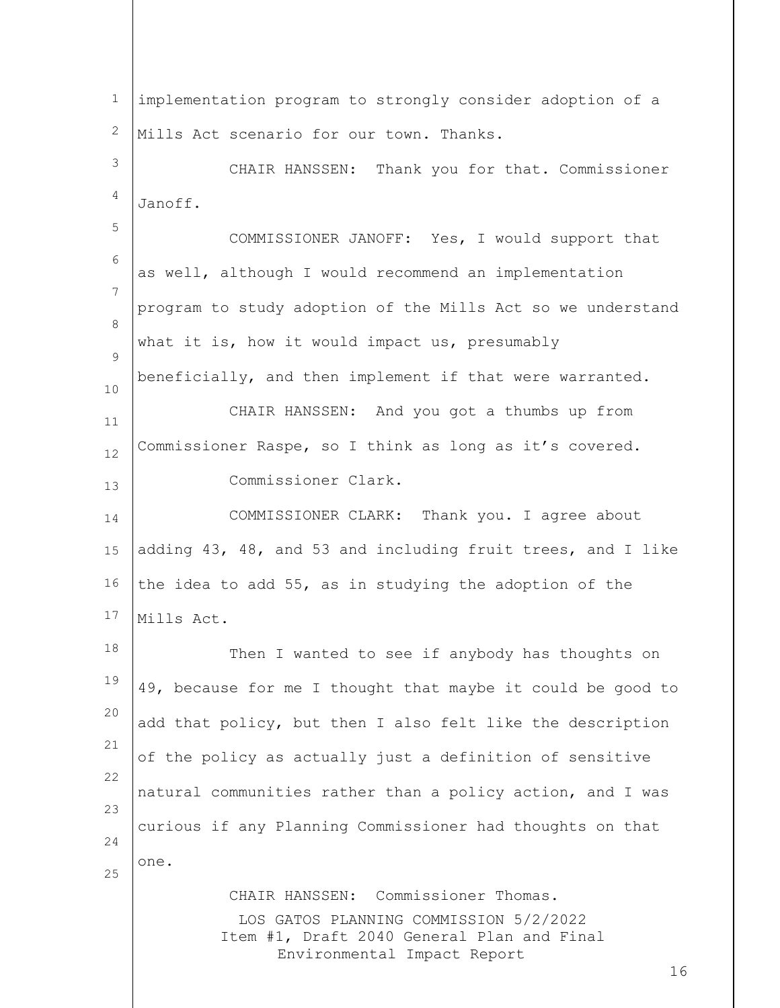LOS GATOS PLANNING COMMISSION 5/2/2022 Item #1, Draft 2040 General Plan and Final Environmental Impact Report 16 1 2 3 4 5 6 7 8  $\mathsf{Q}$ 10 11 12 13 14 15 16 17 18 19 20 21 22 23 24 25 implementation program to strongly consider adoption of a Mills Act scenario for our town. Thanks. CHAIR HANSSEN: Thank you for that. Commissioner Janoff. COMMISSIONER JANOFF: Yes, I would support that as well, although I would recommend an implementation program to study adoption of the Mills Act so we understand what it is, how it would impact us, presumably beneficially, and then implement if that were warranted. CHAIR HANSSEN: And you got a thumbs up from Commissioner Raspe, so I think as long as it's covered. Commissioner Clark. COMMISSIONER CLARK: Thank you. I agree about adding 43, 48, and 53 and including fruit trees, and I like the idea to add 55, as in studying the adoption of the Mills Act. Then I wanted to see if anybody has thoughts on 49, because for me I thought that maybe it could be good to add that policy, but then I also felt like the description of the policy as actually just a definition of sensitive natural communities rather than a policy action, and I was curious if any Planning Commissioner had thoughts on that one. CHAIR HANSSEN: Commissioner Thomas.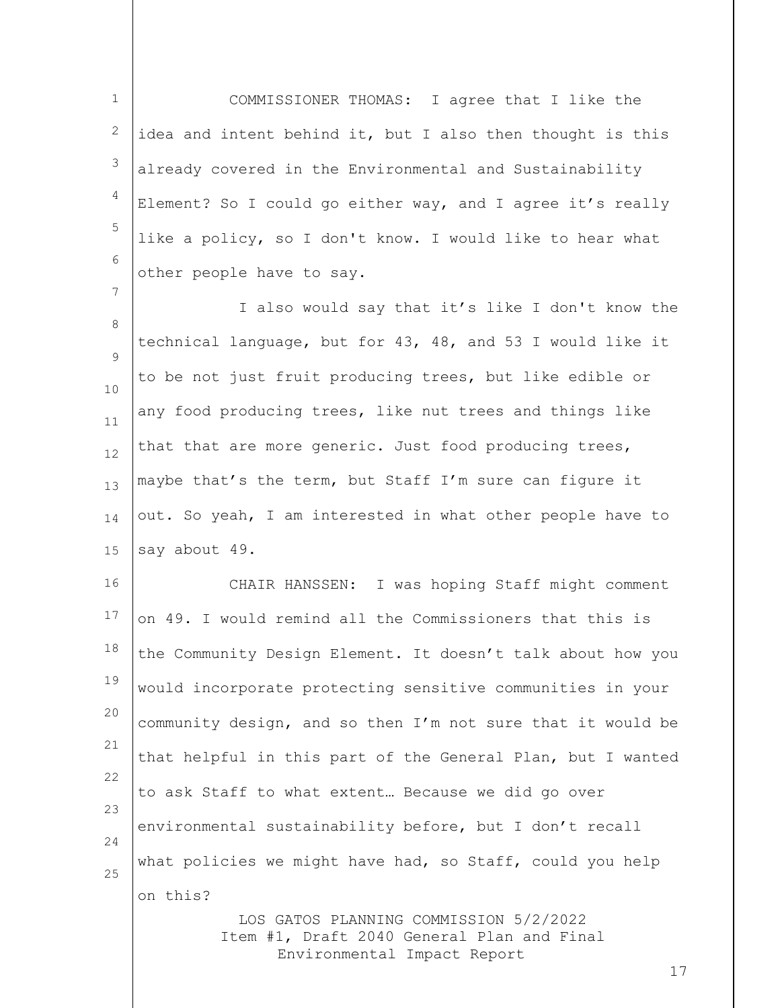1 2 3 4 5 6 COMMISSIONER THOMAS: I agree that I like the idea and intent behind it, but I also then thought is this already covered in the Environmental and Sustainability Element? So I could go either way, and I agree it's really like a policy, so I don't know. I would like to hear what other people have to say.

7

8  $\mathsf{Q}$ 10 11 12 13 14 15 I also would say that it's like I don't know the technical language, but for 43, 48, and 53 I would like it to be not just fruit producing trees, but like edible or any food producing trees, like nut trees and things like that that are more generic. Just food producing trees, maybe that's the term, but Staff I'm sure can figure it out. So yeah, I am interested in what other people have to say about 49.

16 17 18 19 20 21 22 23 24 25 CHAIR HANSSEN: I was hoping Staff might comment on 49. I would remind all the Commissioners that this is the Community Design Element. It doesn't talk about how you would incorporate protecting sensitive communities in your community design, and so then I'm not sure that it would be that helpful in this part of the General Plan, but I wanted to ask Staff to what extent… Because we did go over environmental sustainability before, but I don't recall what policies we might have had, so Staff, could you help on this?

> LOS GATOS PLANNING COMMISSION 5/2/2022 Item #1, Draft 2040 General Plan and Final Environmental Impact Report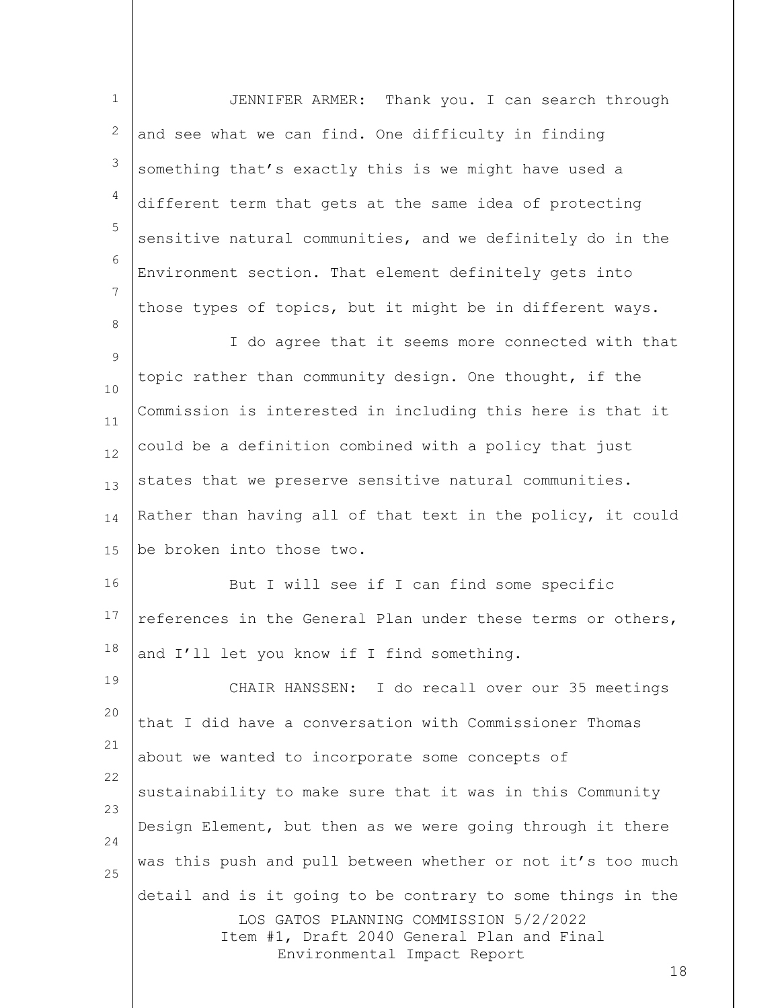| $\mathbf 1$       | JENNIFER ARMER: Thank you. I can search through                                                                                                                                          |
|-------------------|------------------------------------------------------------------------------------------------------------------------------------------------------------------------------------------|
| 2                 | and see what we can find. One difficulty in finding                                                                                                                                      |
| 3                 | something that's exactly this is we might have used a                                                                                                                                    |
| 4                 | different term that gets at the same idea of protecting                                                                                                                                  |
| 5                 | sensitive natural communities, and we definitely do in the                                                                                                                               |
| 6                 | Environment section. That element definitely gets into                                                                                                                                   |
| $\overline{7}$    | those types of topics, but it might be in different ways.                                                                                                                                |
| 8                 | I do agree that it seems more connected with that                                                                                                                                        |
| $\mathsf 9$<br>10 | topic rather than community design. One thought, if the                                                                                                                                  |
| 11                | Commission is interested in including this here is that it                                                                                                                               |
| 12                | could be a definition combined with a policy that just                                                                                                                                   |
| 13                | states that we preserve sensitive natural communities.                                                                                                                                   |
| 14                | Rather than having all of that text in the policy, it could                                                                                                                              |
| 15                | be broken into those two.                                                                                                                                                                |
| 16                | But I will see if I can find some specific                                                                                                                                               |
| 17                | references in the General Plan under these terms or others,                                                                                                                              |
| 18                | and I'll let you know if I find something.                                                                                                                                               |
| 19                | CHAIR HANSSEN: I do recall over our 35 meetings                                                                                                                                          |
| 20                | that I did have a conversation with Commissioner Thomas                                                                                                                                  |
| 21                | about we wanted to incorporate some concepts of                                                                                                                                          |
| 22                | sustainability to make sure that it was in this Community                                                                                                                                |
| 23<br>24          | Design Element, but then as we were going through it there                                                                                                                               |
| 25                | was this push and pull between whether or not it's too much                                                                                                                              |
|                   | detail and is it going to be contrary to some things in the<br>LOS GATOS PLANNING COMMISSION 5/2/2022<br>Item #1, Draft 2040 General Plan and Final<br>Environmental Impact Report<br>18 |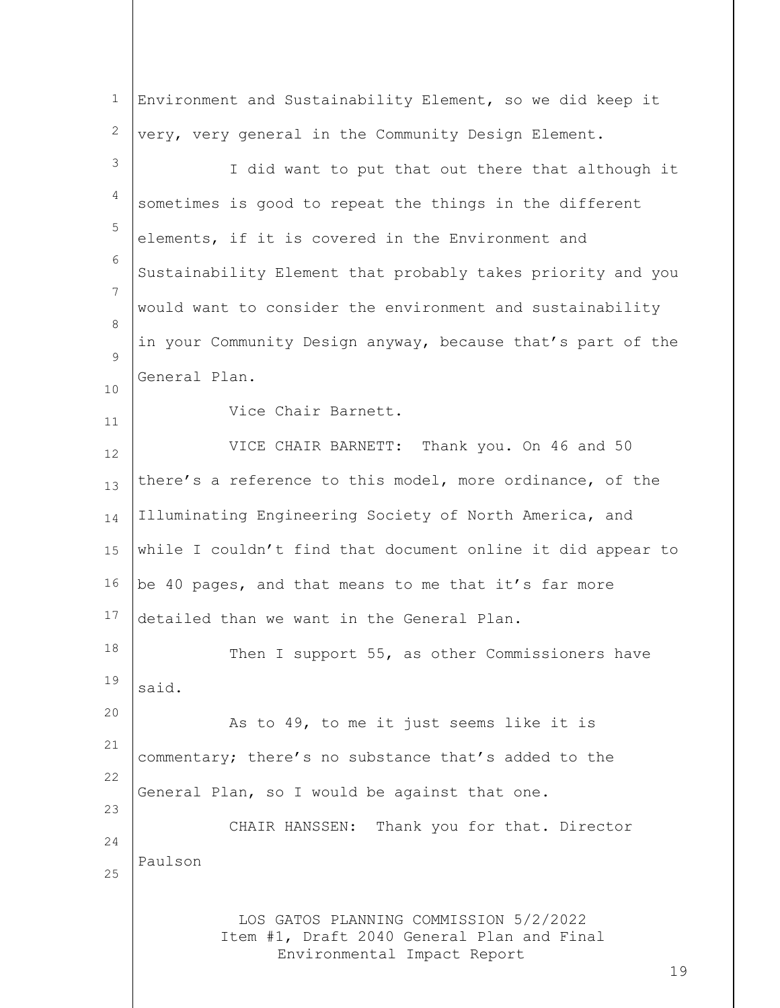| $\mathbf 1$ | Environment and Sustainability Element, so we did keep it                                                                 |
|-------------|---------------------------------------------------------------------------------------------------------------------------|
| 2           | very, very general in the Community Design Element.                                                                       |
| 3           | I did want to put that out there that although it                                                                         |
| 4           | sometimes is good to repeat the things in the different                                                                   |
| 5           | elements, if it is covered in the Environment and                                                                         |
| 6           | Sustainability Element that probably takes priority and you                                                               |
| 7           | would want to consider the environment and sustainability                                                                 |
| 8           | in your Community Design anyway, because that's part of the                                                               |
| 9           | General Plan.                                                                                                             |
| 10          | Vice Chair Barnett.                                                                                                       |
| 11          | VICE CHAIR BARNETT: Thank you. On 46 and 50                                                                               |
| 12          | there's a reference to this model, more ordinance, of the                                                                 |
| 13          |                                                                                                                           |
| 14          | Illuminating Engineering Society of North America, and                                                                    |
| 15          | while I couldn't find that document online it did appear to                                                               |
| 16          | be 40 pages, and that means to me that it's far more                                                                      |
| 17          | detailed than we want in the General Plan.                                                                                |
| 18          | Then I support 55, as other Commissioners have                                                                            |
| 19          | said.                                                                                                                     |
| 20          | As to 49, to me it just seems like it is                                                                                  |
| 21          | commentary; there's no substance that's added to the                                                                      |
| 22          | General Plan, so I would be against that one.                                                                             |
| 23          | CHAIR HANSSEN: Thank you for that. Director                                                                               |
| 24          | Paulson                                                                                                                   |
| 25          |                                                                                                                           |
|             | LOS GATOS PLANNING COMMISSION 5/2/2022<br>Item #1, Draft 2040 General Plan and Final<br>Environmental Impact Report<br>19 |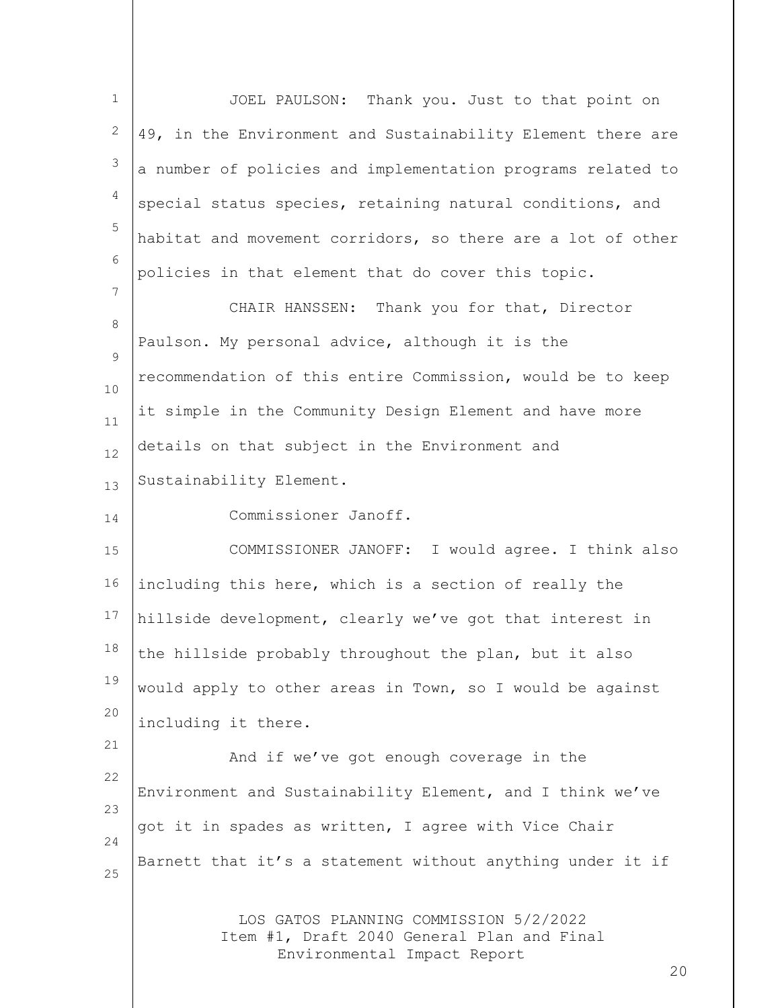LOS GATOS PLANNING COMMISSION 5/2/2022 Item #1, Draft 2040 General Plan and Final Environmental Impact Report 1 2 3 4 5 6 7 8  $\mathsf{Q}$ 10 11 12 13 14 15 16 17 18 19 20 21 22 23 24 25 JOEL PAULSON: Thank you. Just to that point on 49, in the Environment and Sustainability Element there are a number of policies and implementation programs related to special status species, retaining natural conditions, and habitat and movement corridors, so there are a lot of other policies in that element that do cover this topic. CHAIR HANSSEN: Thank you for that, Director Paulson. My personal advice, although it is the recommendation of this entire Commission, would be to keep it simple in the Community Design Element and have more details on that subject in the Environment and Sustainability Element. Commissioner Janoff. COMMISSIONER JANOFF: I would agree. I think also including this here, which is a section of really the hillside development, clearly we've got that interest in the hillside probably throughout the plan, but it also would apply to other areas in Town, so I would be against including it there. And if we've got enough coverage in the Environment and Sustainability Element, and I think we've got it in spades as written, I agree with Vice Chair Barnett that it's a statement without anything under it if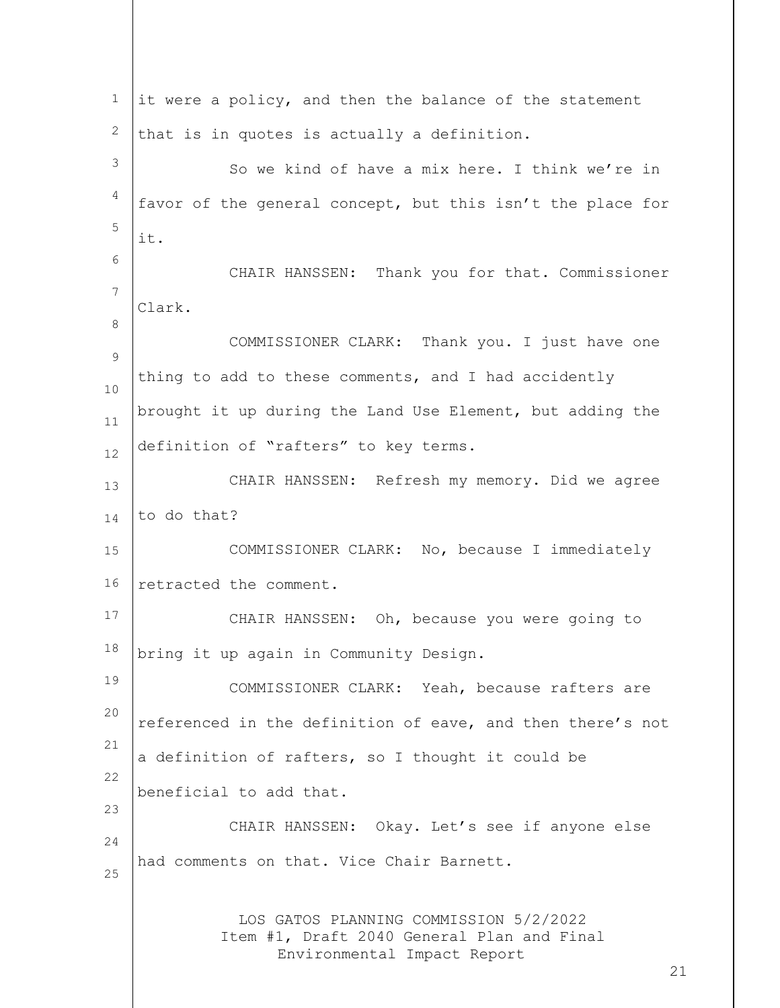| $\mathbf{1}$   | it were a policy, and then the balance of the statement                                                                   |
|----------------|---------------------------------------------------------------------------------------------------------------------------|
| 2              | that is in quotes is actually a definition.                                                                               |
| 3              | So we kind of have a mix here. I think we're in                                                                           |
| $\overline{4}$ | favor of the general concept, but this isn't the place for                                                                |
| 5              | it.                                                                                                                       |
| 6              | CHAIR HANSSEN: Thank you for that. Commissioner                                                                           |
| $\overline{7}$ | Clark.                                                                                                                    |
| 8              | COMMISSIONER CLARK: Thank you. I just have one                                                                            |
| $\mathcal{G}$  | thing to add to these comments, and I had accidently                                                                      |
| 10             | brought it up during the Land Use Element, but adding the                                                                 |
| 11             | definition of "rafters" to key terms.                                                                                     |
| 12             | CHAIR HANSSEN: Refresh my memory. Did we agree                                                                            |
| 13<br>14       | to do that?                                                                                                               |
|                | COMMISSIONER CLARK: No, because I immediately                                                                             |
| 15             |                                                                                                                           |
| 16             | retracted the comment.                                                                                                    |
| 17             | CHAIR HANSSEN: Oh, because you were going to                                                                              |
| $18\,$         | bring it up again in Community Design.                                                                                    |
| 19             | COMMISSIONER CLARK: Yeah, because rafters are                                                                             |
| 20             | referenced in the definition of eave, and then there's not                                                                |
| 21             | a definition of rafters, so I thought it could be                                                                         |
| 22<br>23       | beneficial to add that.                                                                                                   |
| 24             | CHAIR HANSSEN: Okay. Let's see if anyone else                                                                             |
| 25             | had comments on that. Vice Chair Barnett.                                                                                 |
|                | LOS GATOS PLANNING COMMISSION 5/2/2022<br>Item #1, Draft 2040 General Plan and Final<br>Environmental Impact Report<br>21 |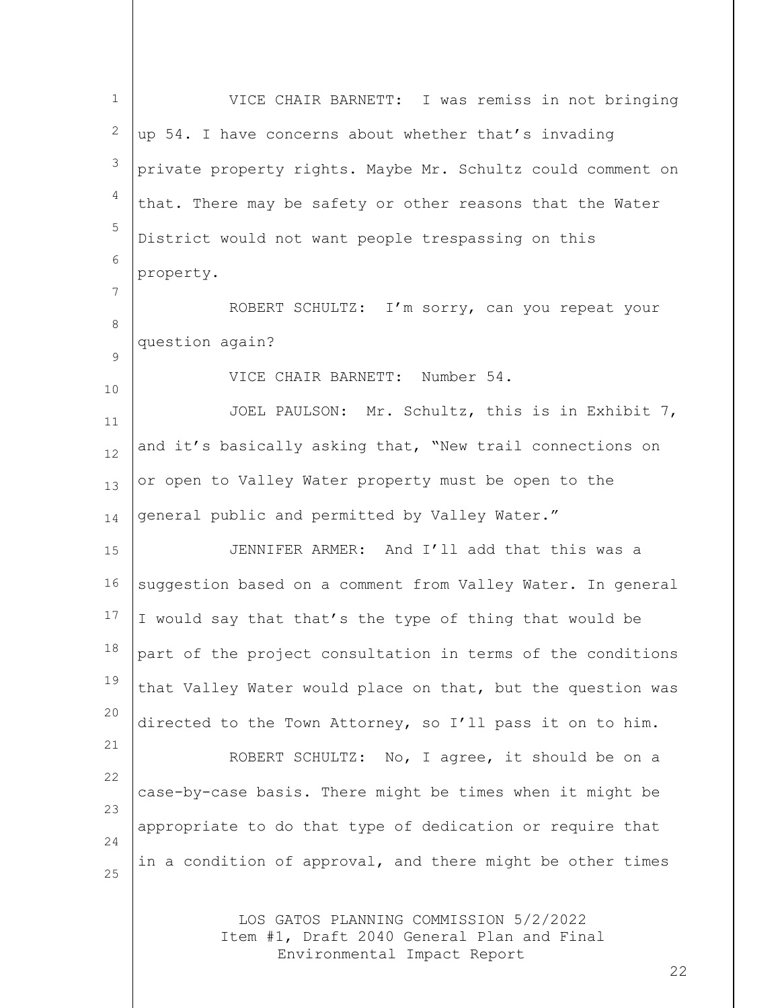LOS GATOS PLANNING COMMISSION 5/2/2022 Item #1, Draft 2040 General Plan and Final 1 2 3 4 5 6 7 8  $\mathsf{Q}$ 10 11 12 13 14 15 16 17 18 19 20 21 22 23 24 25 VICE CHAIR BARNETT: I was remiss in not bringing up 54. I have concerns about whether that's invading private property rights. Maybe Mr. Schultz could comment on that. There may be safety or other reasons that the Water District would not want people trespassing on this property. ROBERT SCHULTZ: I'm sorry, can you repeat your question again? VICE CHAIR BARNETT: Number 54. JOEL PAULSON: Mr. Schultz, this is in Exhibit 7, and it's basically asking that, "New trail connections on or open to Valley Water property must be open to the general public and permitted by Valley Water." JENNIFER ARMER: And I'll add that this was a suggestion based on a comment from Valley Water. In general I would say that that's the type of thing that would be part of the project consultation in terms of the conditions that Valley Water would place on that, but the question was directed to the Town Attorney, so I'll pass it on to him. ROBERT SCHULTZ: No, I agree, it should be on a case-by-case basis. There might be times when it might be appropriate to do that type of dedication or require that in a condition of approval, and there might be other times

Environmental Impact Report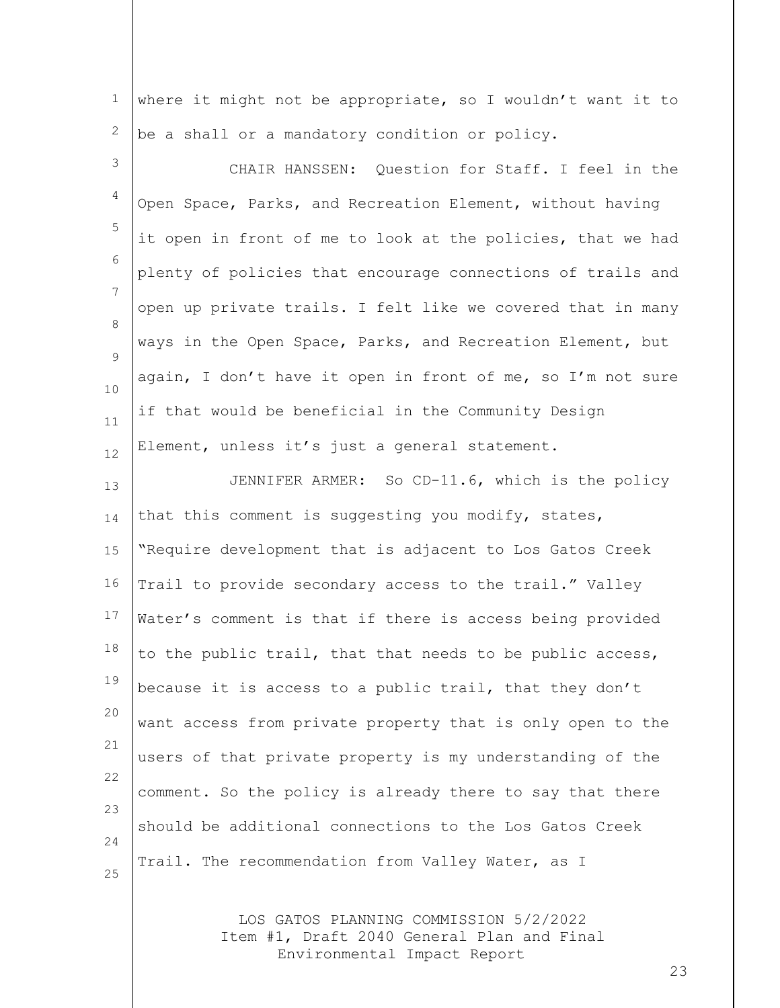1 2 where it might not be appropriate, so I wouldn't want it to be a shall or a mandatory condition or policy.

3 4 5 6 7 8  $\mathsf{Q}$ 10 11 12 CHAIR HANSSEN: Question for Staff. I feel in the Open Space, Parks, and Recreation Element, without having it open in front of me to look at the policies, that we had plenty of policies that encourage connections of trails and open up private trails. I felt like we covered that in many ways in the Open Space, Parks, and Recreation Element, but again, I don't have it open in front of me, so I'm not sure if that would be beneficial in the Community Design Element, unless it's just a general statement.

13 14 15 16 17 18 19 20 21 22 23 24 25 JENNIFER ARMER: So CD-11.6, which is the policy that this comment is suggesting you modify, states, "Require development that is adjacent to Los Gatos Creek Trail to provide secondary access to the trail." Valley Water's comment is that if there is access being provided to the public trail, that that needs to be public access, because it is access to a public trail, that they don't want access from private property that is only open to the users of that private property is my understanding of the comment. So the policy is already there to say that there should be additional connections to the Los Gatos Creek Trail. The recommendation from Valley Water, as I

> LOS GATOS PLANNING COMMISSION 5/2/2022 Item #1, Draft 2040 General Plan and Final Environmental Impact Report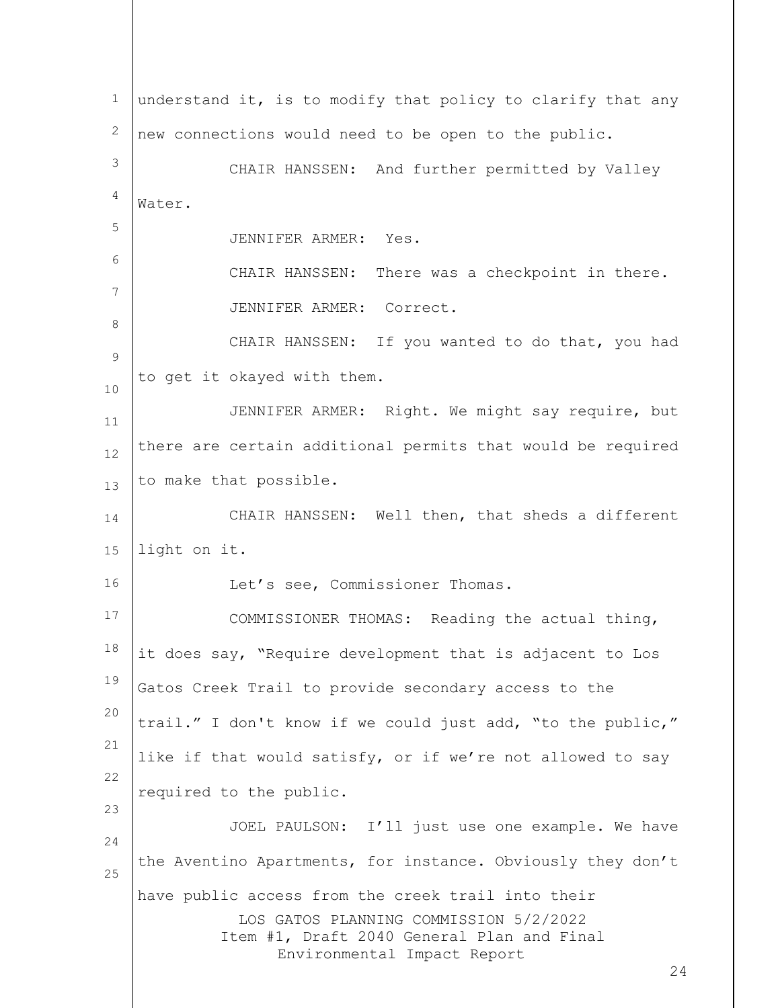LOS GATOS PLANNING COMMISSION 5/2/2022 Item #1, Draft 2040 General Plan and Final Environmental Impact Report 24 1 2 3 4 5 6 7 8 9 10 11 12 13 14 15 16 17 18 19 20 21 22 23 24 25 understand it, is to modify that policy to clarify that any new connections would need to be open to the public. CHAIR HANSSEN: And further permitted by Valley Water. JENNIFER ARMER: Yes. CHAIR HANSSEN: There was a checkpoint in there. JENNIFER ARMER: Correct. CHAIR HANSSEN: If you wanted to do that, you had to get it okayed with them. JENNIFER ARMER: Right. We might say require, but there are certain additional permits that would be required to make that possible. CHAIR HANSSEN: Well then, that sheds a different light on it. Let's see, Commissioner Thomas. COMMISSIONER THOMAS: Reading the actual thing, it does say, "Require development that is adjacent to Los Gatos Creek Trail to provide secondary access to the trail." I don't know if we could just add, "to the public," like if that would satisfy, or if we're not allowed to say required to the public. JOEL PAULSON: I'll just use one example. We have the Aventino Apartments, for instance. Obviously they don't have public access from the creek trail into their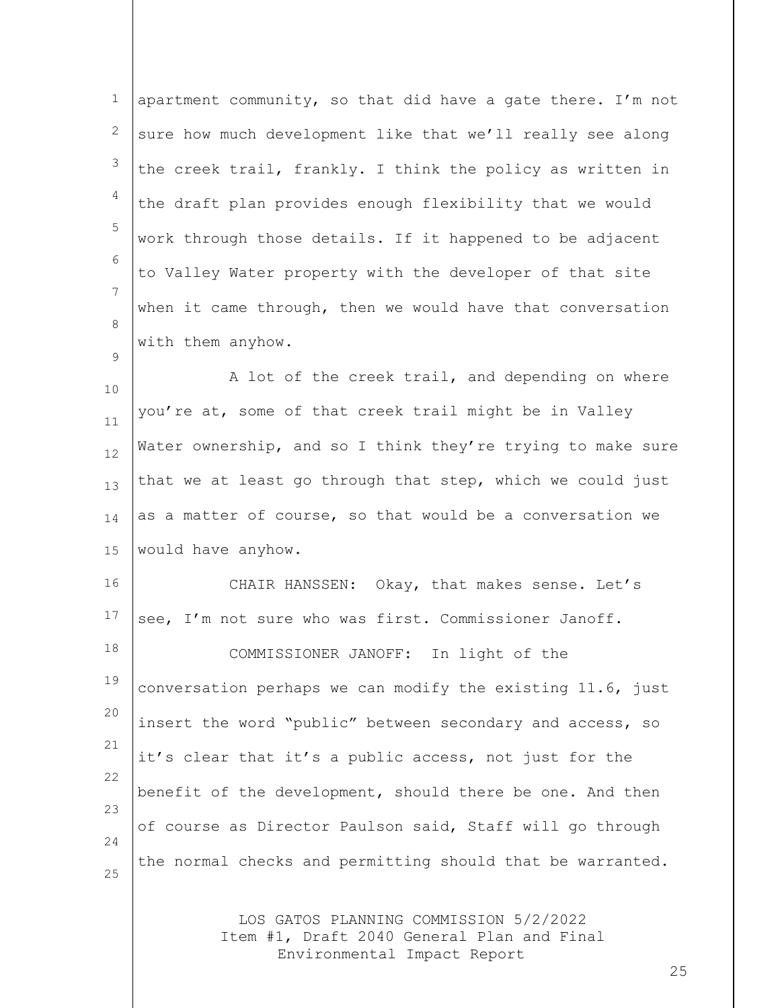| $\mathbf{1}$   | apartment community, so that did have a gate there. I'm not                                                         |
|----------------|---------------------------------------------------------------------------------------------------------------------|
| $\mathbf{2}$   | sure how much development like that we'll really see along                                                          |
| 3              | the creek trail, frankly. I think the policy as written in                                                          |
| $\overline{4}$ | the draft plan provides enough flexibility that we would                                                            |
| 5              | work through those details. If it happened to be adjacent                                                           |
| 6              | to Valley Water property with the developer of that site                                                            |
| 7              | when it came through, then we would have that conversation                                                          |
| 8              | with them anyhow.                                                                                                   |
| 9              | A lot of the creek trail, and depending on where                                                                    |
| 10             | you're at, some of that creek trail might be in Valley                                                              |
| 11<br>12       | Water ownership, and so I think they're trying to make sure                                                         |
| 13             | that we at least go through that step, which we could just                                                          |
| 14             | as a matter of course, so that would be a conversation we                                                           |
| 15             | would have anyhow.                                                                                                  |
| 16             | CHAIR HANSSEN: Okay, that makes sense. Let's                                                                        |
| 17             | see, I'm not sure who was first. Commissioner Janoff.                                                               |
| 18             | COMMISSIONER JANOFF: In light of the                                                                                |
| 19             | conversation perhaps we can modify the existing 11.6, just                                                          |
| 20             | insert the word "public" between secondary and access, so                                                           |
| 21             | it's clear that it's a public access, not just for the                                                              |
| 22             | benefit of the development, should there be one. And then                                                           |
| 23             |                                                                                                                     |
| 24             | of course as Director Paulson said, Staff will go through                                                           |
| 25             | the normal checks and permitting should that be warranted.                                                          |
|                | LOS GATOS PLANNING COMMISSION 5/2/2022<br>Item #1, Draft 2040 General Plan and Final<br>Environmental Impact Report |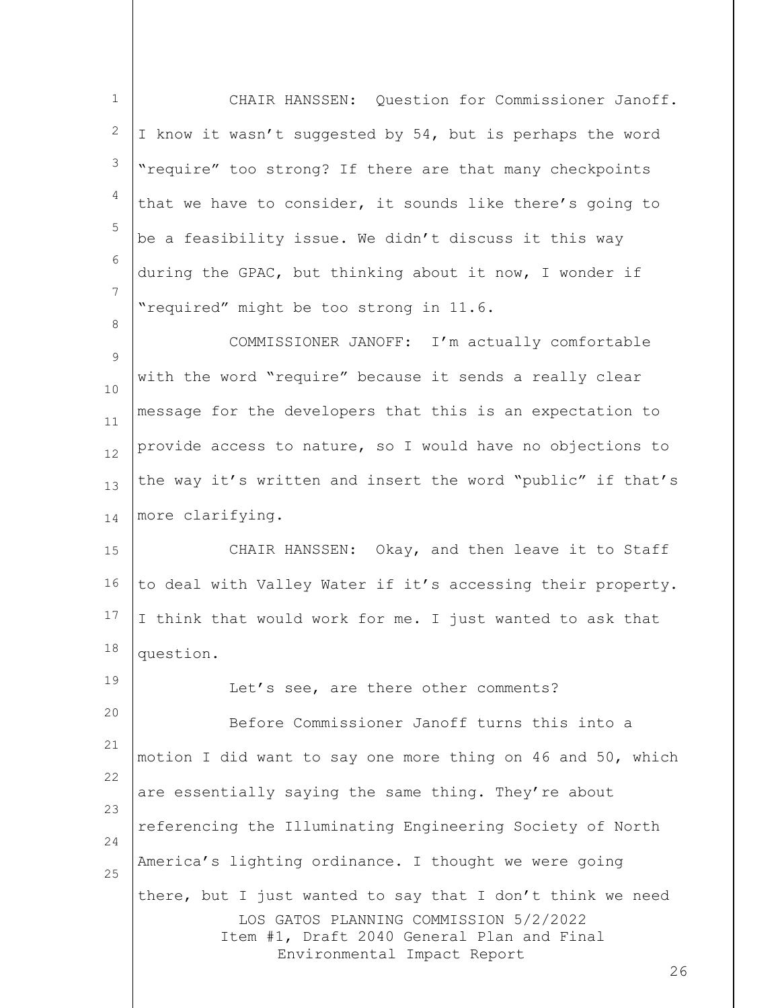1 2 3 4 5 6 7 8 CHAIR HANSSEN: Question for Commissioner Janoff. I know it wasn't suggested by 54, but is perhaps the word "require" too strong? If there are that many checkpoints that we have to consider, it sounds like there's going to be a feasibility issue. We didn't discuss it this way during the GPAC, but thinking about it now, I wonder if "required" might be too strong in 11.6.

 $\mathsf{Q}$ 10 11 12 13 14 COMMISSIONER JANOFF: I'm actually comfortable with the word "require" because it sends a really clear message for the developers that this is an expectation to provide access to nature, so I would have no objections to the way it's written and insert the word "public" if that's more clarifying.

15 16 17 18 CHAIR HANSSEN: Okay, and then leave it to Staff to deal with Valley Water if it's accessing their property. I think that would work for me. I just wanted to ask that question.

LOS GATOS PLANNING COMMISSION 5/2/2022 Item #1, Draft 2040 General Plan and Final Environmental Impact Report 19 20 21 22 23 24 25 Let's see, are there other comments? Before Commissioner Janoff turns this into a motion I did want to say one more thing on 46 and 50, which are essentially saying the same thing. They're about referencing the Illuminating Engineering Society of North America's lighting ordinance. I thought we were going there, but I just wanted to say that I don't think we need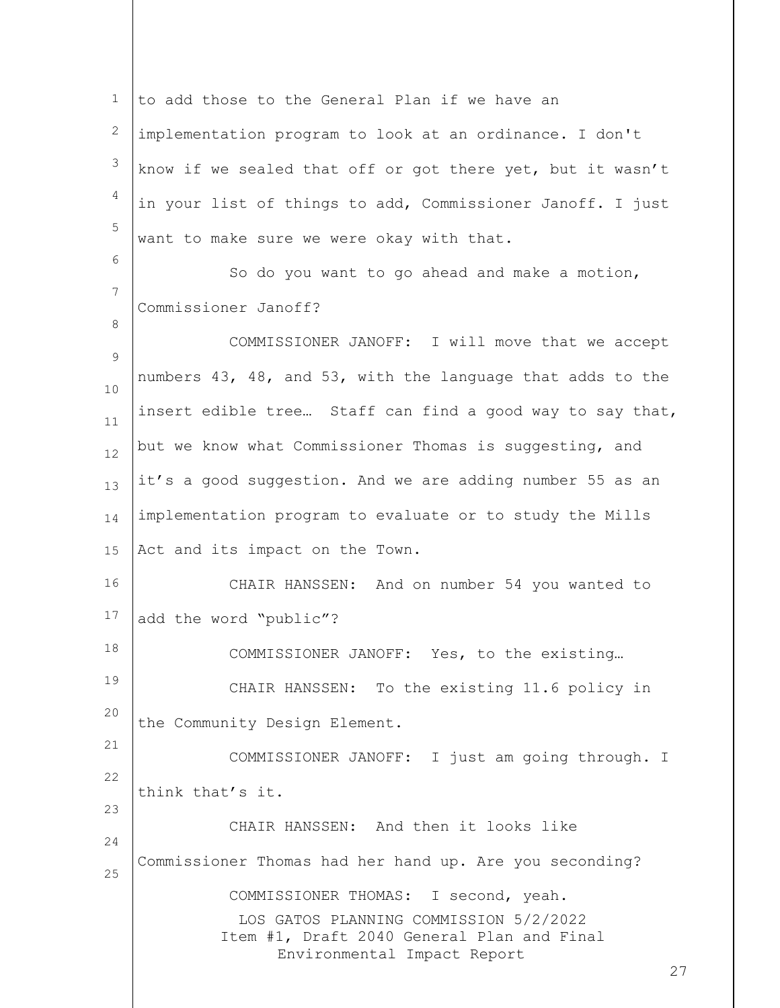LOS GATOS PLANNING COMMISSION 5/2/2022 Item #1, Draft 2040 General Plan and Final Environmental Impact Report 27 1 2 3 4 5 6 7 8  $\mathsf{Q}$ 10 11 12 13 14 15 16 17 18 19 20 21 22 23 24 25 to add those to the General Plan if we have an implementation program to look at an ordinance. I don't know if we sealed that off or got there yet, but it wasn't in your list of things to add, Commissioner Janoff. I just want to make sure we were okay with that. So do you want to go ahead and make a motion, Commissioner Janoff? COMMISSIONER JANOFF: I will move that we accept numbers 43, 48, and 53, with the language that adds to the insert edible tree… Staff can find a good way to say that, but we know what Commissioner Thomas is suggesting, and it's a good suggestion. And we are adding number 55 as an implementation program to evaluate or to study the Mills Act and its impact on the Town. CHAIR HANSSEN: And on number 54 you wanted to add the word "public"? COMMISSIONER JANOFF: Yes, to the existing… CHAIR HANSSEN: To the existing 11.6 policy in the Community Design Element. COMMISSIONER JANOFF: I just am going through. I think that's it. CHAIR HANSSEN: And then it looks like Commissioner Thomas had her hand up. Are you seconding? COMMISSIONER THOMAS: I second, yeah.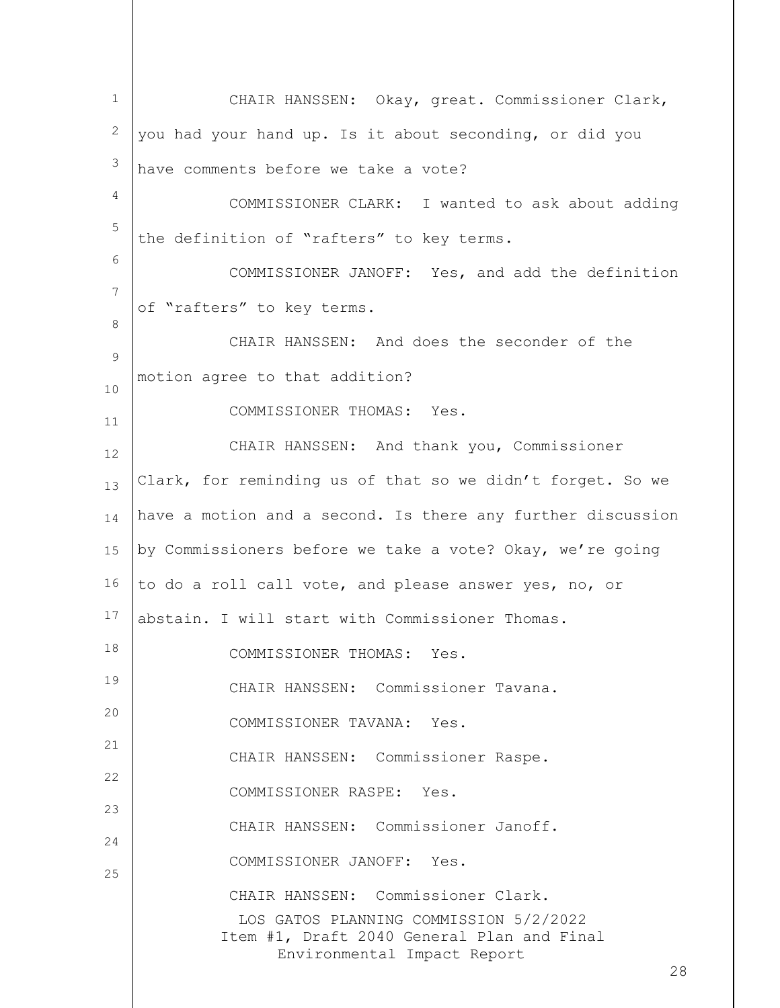LOS GATOS PLANNING COMMISSION 5/2/2022 Item #1, Draft 2040 General Plan and Final Environmental Impact Report 28 1 2 3 4 5 6 7 8 9 10 11 12 13 14 15 16 17 18 19 20 21 22 23 24 25 CHAIR HANSSEN: Okay, great. Commissioner Clark, you had your hand up. Is it about seconding, or did you have comments before we take a vote? COMMISSIONER CLARK: I wanted to ask about adding the definition of "rafters" to key terms. COMMISSIONER JANOFF: Yes, and add the definition of "rafters" to key terms. CHAIR HANSSEN: And does the seconder of the motion agree to that addition? COMMISSIONER THOMAS: Yes. CHAIR HANSSEN: And thank you, Commissioner Clark, for reminding us of that so we didn't forget. So we have a motion and a second. Is there any further discussion by Commissioners before we take a vote? Okay, we're going to do a roll call vote, and please answer yes, no, or abstain. I will start with Commissioner Thomas. COMMISSIONER THOMAS: Yes. CHAIR HANSSEN: Commissioner Tavana. COMMISSIONER TAVANA: Yes. CHAIR HANSSEN: Commissioner Raspe. COMMISSIONER RASPE: Yes. CHAIR HANSSEN: Commissioner Janoff. COMMISSIONER JANOFF: Yes. CHAIR HANSSEN: Commissioner Clark.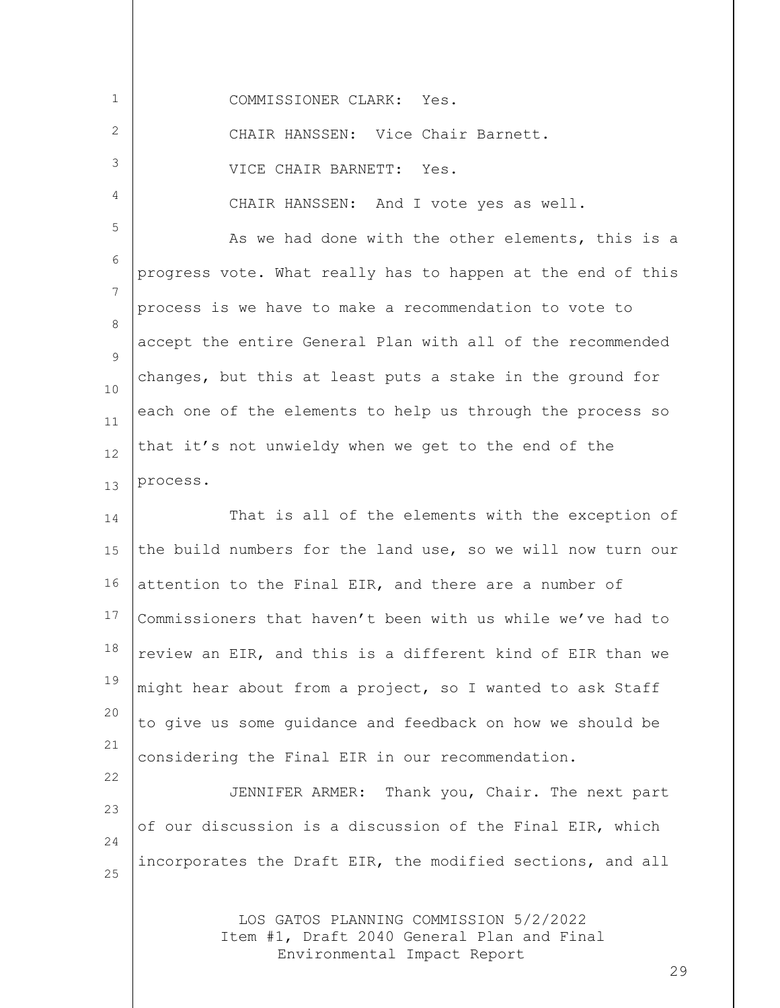| 1      | COMMISSIONER CLARK: Yes.                                    |
|--------|-------------------------------------------------------------|
| 2      | CHAIR HANSSEN: Vice Chair Barnett.                          |
| 3      | VICE CHAIR BARNETT: Yes.                                    |
| 4      | CHAIR HANSSEN: And I vote yes as well.                      |
| 5      | As we had done with the other elements, this is a           |
| 6      | progress vote. What really has to happen at the end of this |
| 7      | process is we have to make a recommendation to vote to      |
| 8      | accept the entire General Plan with all of the recommended  |
| 9      | changes, but this at least puts a stake in the ground for   |
| 10     | each one of the elements to help us through the process so  |
| 11     | that it's not unwieldy when we get to the end of the        |
| 12     | process.                                                    |
| 13     |                                                             |
| 14     | That is all of the elements with the exception of           |
| 15     | the build numbers for the land use, so we will now turn our |
| 16     | attention to the Final EIR, and there are a number of       |
| 17     | Commissioners that haven't been with us while we've had to  |
| $18\,$ | review an EIR, and this is a different kind of EIR than we  |
| 19     | might hear about from a project, so I wanted to ask Staff   |
| 20     | to give us some quidance and feedback on how we should be   |
| 21     | considering the Final EIR in our recommendation.            |
| 22     | JENNIFER ARMER: Thank you, Chair. The next part             |
| 23     | of our discussion is a discussion of the Final EIR, which   |
| 24     |                                                             |

incorporates the Draft EIR, the modified sections, and all

25

LOS GATOS PLANNING COMMISSION 5/2/2022 Item #1, Draft 2040 General Plan and Final Environmental Impact Report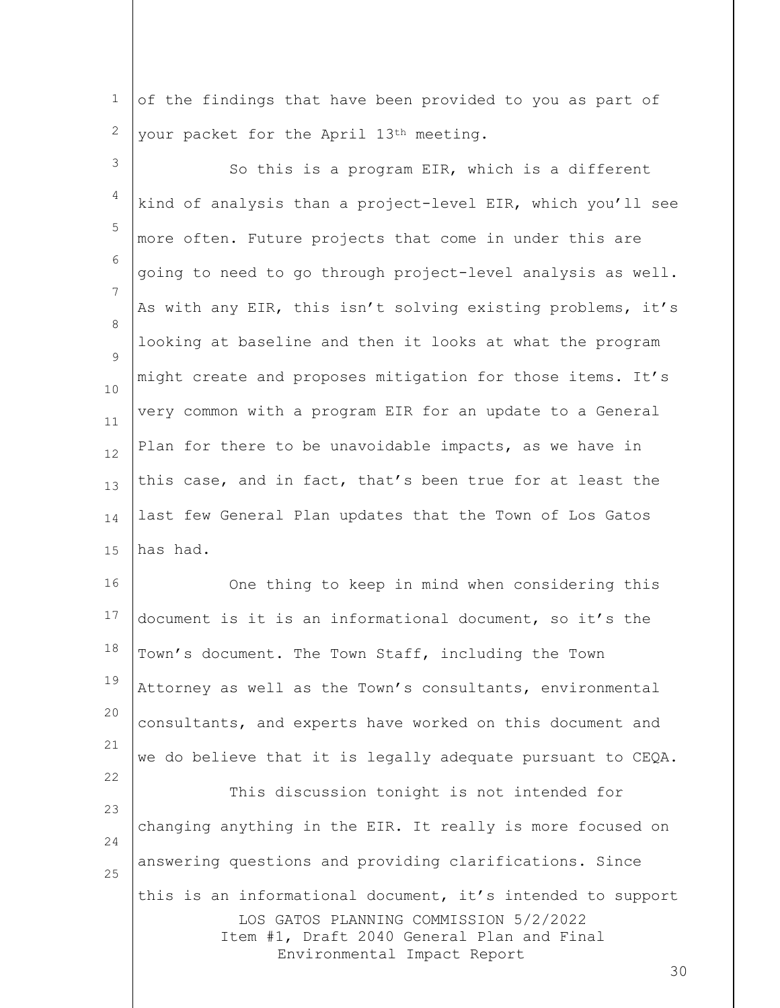1 2 of the findings that have been provided to you as part of your packet for the April 13th meeting.

3 4 5 6 7 8  $\mathsf{Q}$ 10 11 12 13 14 15 So this is a program EIR, which is a different kind of analysis than a project-level EIR, which you'll see more often. Future projects that come in under this are going to need to go through project-level analysis as well. As with any EIR, this isn't solving existing problems, it's looking at baseline and then it looks at what the program might create and proposes mitigation for those items. It's very common with a program EIR for an update to a General Plan for there to be unavoidable impacts, as we have in this case, and in fact, that's been true for at least the last few General Plan updates that the Town of Los Gatos has had.

16 17 18 19 20 21 One thing to keep in mind when considering this document is it is an informational document, so it's the Town's document. The Town Staff, including the Town Attorney as well as the Town's consultants, environmental consultants, and experts have worked on this document and we do believe that it is legally adequate pursuant to CEQA.

22

LOS GATOS PLANNING COMMISSION 5/2/2022 Item #1, Draft 2040 General Plan and Final Environmental Impact Report 23 24 25 This discussion tonight is not intended for changing anything in the EIR. It really is more focused on answering questions and providing clarifications. Since this is an informational document, it's intended to support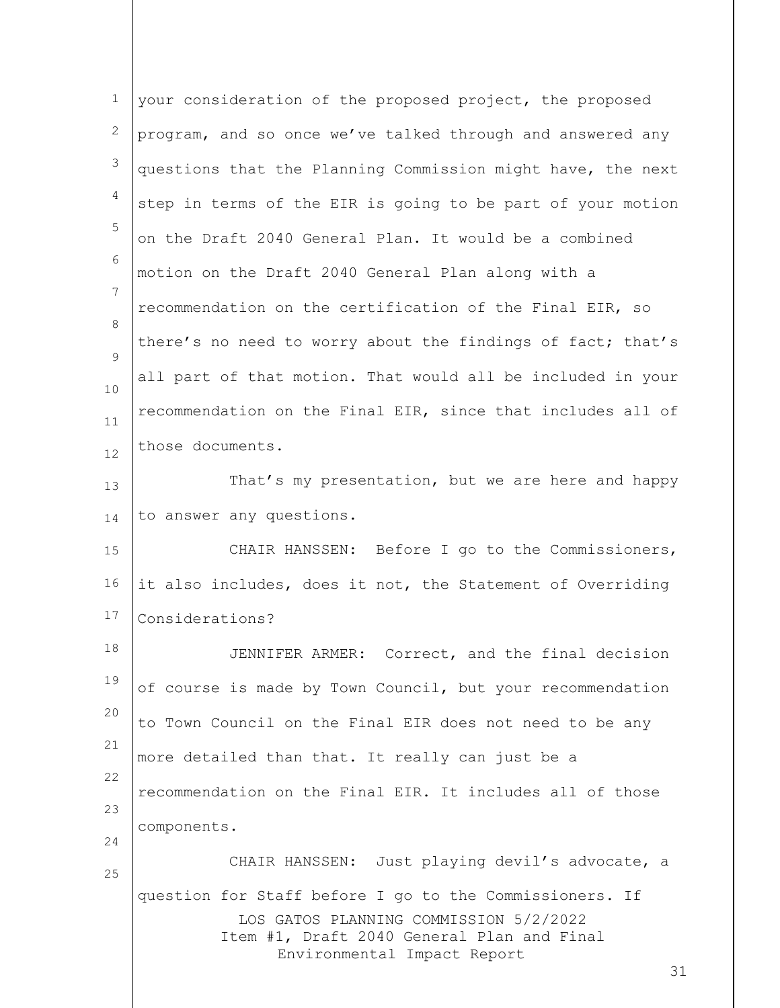| 1            | your consideration of the proposed project, the proposed                                                                                                                             |
|--------------|--------------------------------------------------------------------------------------------------------------------------------------------------------------------------------------|
| $\mathbf{2}$ | program, and so once we've talked through and answered any                                                                                                                           |
| 3            | questions that the Planning Commission might have, the next                                                                                                                          |
| 4            | step in terms of the EIR is going to be part of your motion                                                                                                                          |
| 5            | on the Draft 2040 General Plan. It would be a combined                                                                                                                               |
| 6            | motion on the Draft 2040 General Plan along with a                                                                                                                                   |
| 7            | recommendation on the certification of the Final EIR, so                                                                                                                             |
| 8<br>9       | there's no need to worry about the findings of fact; that's                                                                                                                          |
| 10           | all part of that motion. That would all be included in your                                                                                                                          |
| 11           | recommendation on the Final EIR, since that includes all of                                                                                                                          |
| 12           | those documents.                                                                                                                                                                     |
| 13           | That's my presentation, but we are here and happy                                                                                                                                    |
| 14           | to answer any questions.                                                                                                                                                             |
| 15           | CHAIR HANSSEN: Before I go to the Commissioners,                                                                                                                                     |
| 16           | it also includes, does it not, the Statement of Overriding                                                                                                                           |
| 17           | Considerations?                                                                                                                                                                      |
| 18           | JENNIFER ARMER: Correct, and the final decision                                                                                                                                      |
| 19           | of course is made by Town Council, but your recommendation                                                                                                                           |
| 20           | to Town Council on the Final EIR does not need to be any                                                                                                                             |
| 21           | more detailed than that. It really can just be a                                                                                                                                     |
| 22           | recommendation on the Final EIR. It includes all of those                                                                                                                            |
| 23<br>24     | components.                                                                                                                                                                          |
| 25           | CHAIR HANSSEN: Just playing devil's advocate, a                                                                                                                                      |
|              | question for Staff before I go to the Commissioners. If<br>LOS GATOS PLANNING COMMISSION 5/2/2022<br>Item #1, Draft 2040 General Plan and Final<br>Environmental Impact Report<br>31 |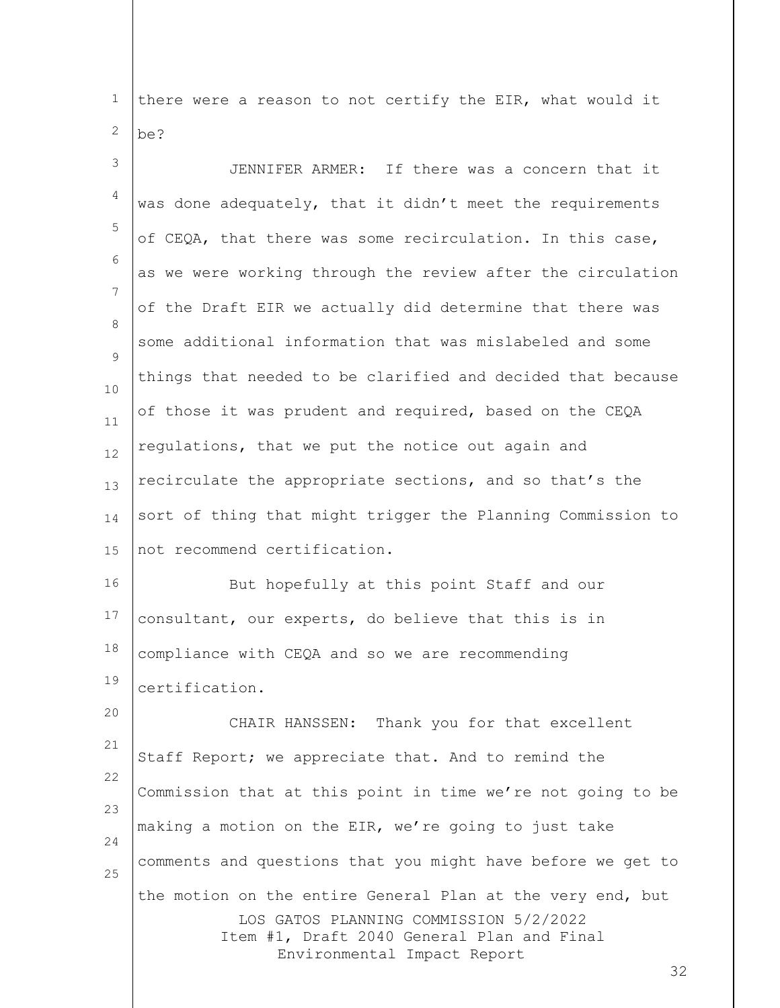1 2 there were a reason to not certify the EIR, what would it be?

| 3              | JENNIFER ARMER: If there was a concern that it                                                                                                                                    |
|----------------|-----------------------------------------------------------------------------------------------------------------------------------------------------------------------------------|
| 4              | was done adequately, that it didn't meet the requirements                                                                                                                         |
| 5              | of CEQA, that there was some recirculation. In this case,                                                                                                                         |
| 6              | as we were working through the review after the circulation                                                                                                                       |
| $\overline{7}$ | of the Draft EIR we actually did determine that there was                                                                                                                         |
| 8<br>9         | some additional information that was mislabeled and some                                                                                                                          |
| 10             | things that needed to be clarified and decided that because                                                                                                                       |
| 11             | of those it was prudent and required, based on the CEQA                                                                                                                           |
| 12             | regulations, that we put the notice out again and                                                                                                                                 |
| 13             | recirculate the appropriate sections, and so that's the                                                                                                                           |
| 14             | sort of thing that might trigger the Planning Commission to                                                                                                                       |
| 15             | not recommend certification.                                                                                                                                                      |
| 16             | But hopefully at this point Staff and our                                                                                                                                         |
| 17             | consultant, our experts, do believe that this is in                                                                                                                               |
| 18             | compliance with CEQA and so we are recommending                                                                                                                                   |
| 19             | certification.                                                                                                                                                                    |
| 20             | Thank you for that excellent<br>CHAIR HANSSEN:                                                                                                                                    |
| 21             | Staff Report; we appreciate that. And to remind the                                                                                                                               |
| 22<br>23       | Commission that at this point in time we're not going to be                                                                                                                       |
| 24             | making a motion on the EIR, we're going to just take                                                                                                                              |
| 25             | comments and questions that you might have before we get to                                                                                                                       |
|                | the motion on the entire General Plan at the very end, but<br>LOS GATOS PLANNING COMMISSION 5/2/2022<br>Item #1, Draft 2040 General Plan and Final<br>Environmental Impact Report |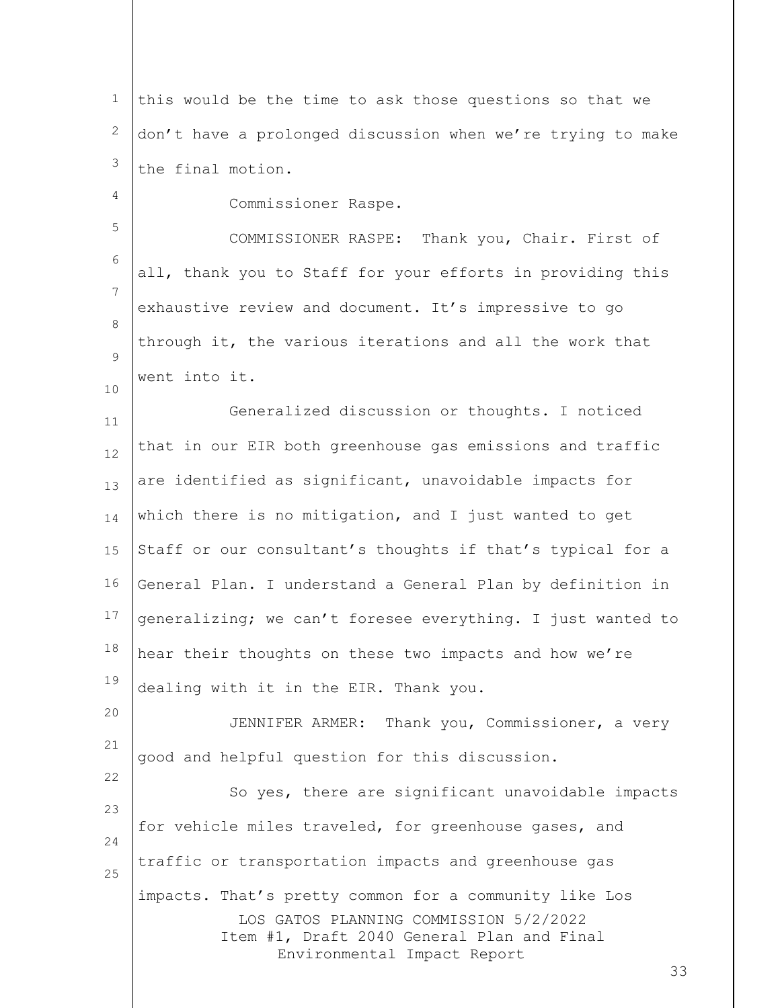1 2 3 this would be the time to ask those questions so that we don't have a prolonged discussion when we're trying to make the final motion.

4 5 6 7 8  $\mathsf{Q}$ 10 11 12 13 Commissioner Raspe. COMMISSIONER RASPE: Thank you, Chair. First of all, thank you to Staff for your efforts in providing this exhaustive review and document. It's impressive to go through it, the various iterations and all the work that went into it. Generalized discussion or thoughts. I noticed that in our EIR both greenhouse gas emissions and traffic are identified as significant, unavoidable impacts for

14 15 16 17 18 19 which there is no mitigation, and I just wanted to get Staff or our consultant's thoughts if that's typical for a General Plan. I understand a General Plan by definition in generalizing; we can't foresee everything. I just wanted to hear their thoughts on these two impacts and how we're dealing with it in the EIR. Thank you.

20 21 JENNIFER ARMER: Thank you, Commissioner, a very good and helpful question for this discussion.

22

LOS GATOS PLANNING COMMISSION 5/2/2022 Item #1, Draft 2040 General Plan and Final Environmental Impact Report 23 24 25 So yes, there are significant unavoidable impacts for vehicle miles traveled, for greenhouse gases, and traffic or transportation impacts and greenhouse gas impacts. That's pretty common for a community like Los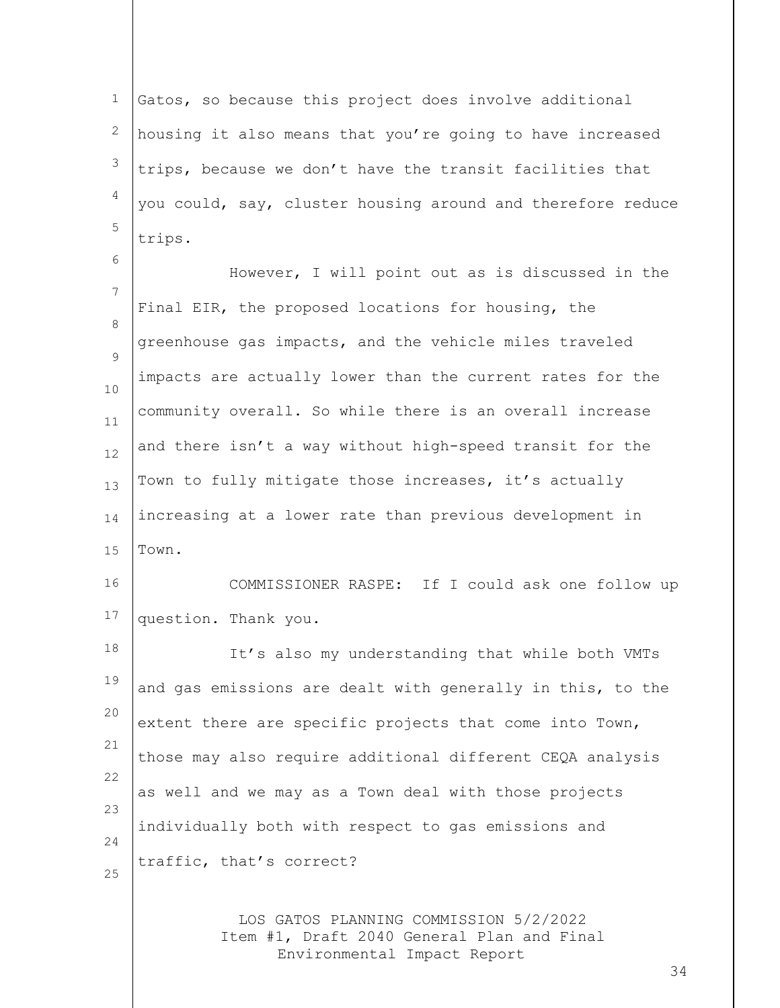1 2 3 4 5 Gatos, so because this project does involve additional housing it also means that you're going to have increased trips, because we don't have the transit facilities that you could, say, cluster housing around and therefore reduce trips.

6 7 8  $\mathsf{Q}$ 10 11 12 13 14 15 However, I will point out as is discussed in the Final EIR, the proposed locations for housing, the greenhouse gas impacts, and the vehicle miles traveled impacts are actually lower than the current rates for the community overall. So while there is an overall increase and there isn't a way without high-speed transit for the Town to fully mitigate those increases, it's actually increasing at a lower rate than previous development in Town.

16 17 COMMISSIONER RASPE: If I could ask one follow up question. Thank you.

18 19 20 21 22 23 24 25 It's also my understanding that while both VMTs and gas emissions are dealt with generally in this, to the extent there are specific projects that come into Town, those may also require additional different CEQA analysis as well and we may as a Town deal with those projects individually both with respect to gas emissions and traffic, that's correct?

> LOS GATOS PLANNING COMMISSION 5/2/2022 Item #1, Draft 2040 General Plan and Final Environmental Impact Report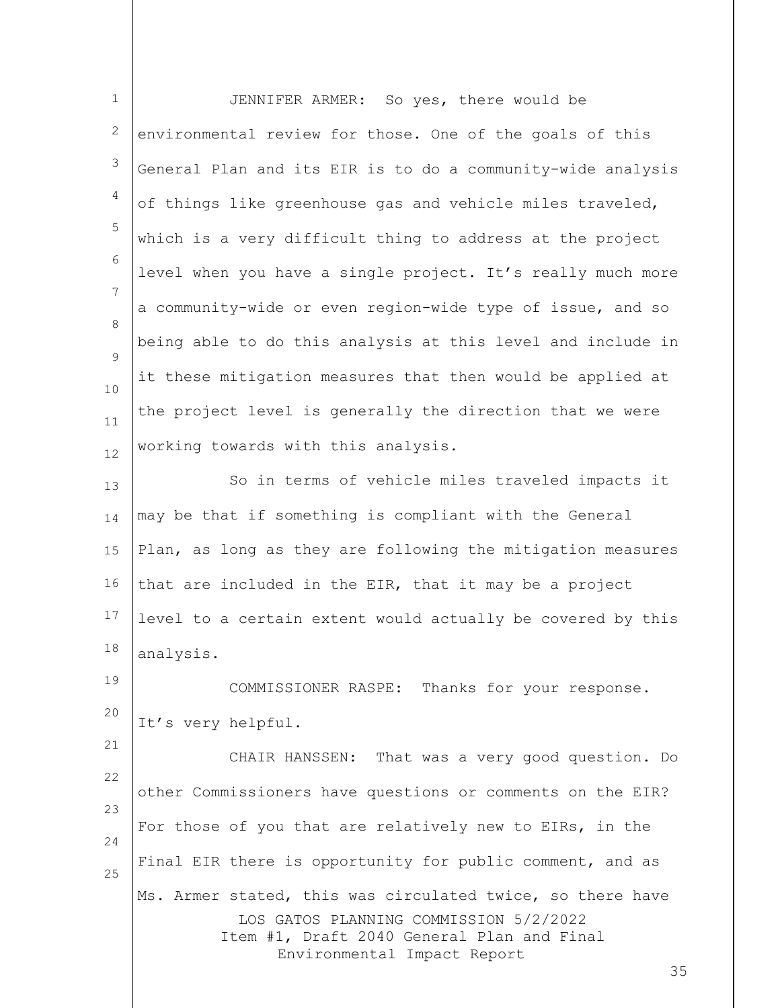| $\mathbf 1$ | JENNIFER ARMER: So yes, there would be                                                                                                                                                  |
|-------------|-----------------------------------------------------------------------------------------------------------------------------------------------------------------------------------------|
| 2           | environmental review for those. One of the goals of this                                                                                                                                |
| 3           | General Plan and its EIR is to do a community-wide analysis                                                                                                                             |
| 4           | of things like greenhouse gas and vehicle miles traveled,                                                                                                                               |
| 5           | which is a very difficult thing to address at the project                                                                                                                               |
| 6           | level when you have a single project. It's really much more                                                                                                                             |
| 7           | a community-wide or even region-wide type of issue, and so                                                                                                                              |
| 8<br>9      | being able to do this analysis at this level and include in                                                                                                                             |
| 10          | it these mitigation measures that then would be applied at                                                                                                                              |
| 11          | the project level is generally the direction that we were                                                                                                                               |
| 12          | working towards with this analysis.                                                                                                                                                     |
| 13          | So in terms of vehicle miles traveled impacts it                                                                                                                                        |
| 14          | may be that if something is compliant with the General                                                                                                                                  |
| 15          | Plan, as long as they are following the mitigation measures                                                                                                                             |
| 16          | that are included in the EIR, that it may be a project                                                                                                                                  |
| 17          | level to a certain extent would actually be covered by this                                                                                                                             |
| 18          | analysis.                                                                                                                                                                               |
| 19          | COMMISSIONER RASPE: Thanks for your response.                                                                                                                                           |
| 20          | It's very helpful.                                                                                                                                                                      |
| 21          | CHAIR HANSSEN: That was a very good question. Do                                                                                                                                        |
| 22<br>23    | other Commissioners have questions or comments on the EIR?                                                                                                                              |
| 24          | For those of you that are relatively new to EIRs, in the                                                                                                                                |
| 25          | Final EIR there is opportunity for public comment, and as                                                                                                                               |
|             | Ms. Armer stated, this was circulated twice, so there have<br>LOS GATOS PLANNING COMMISSION 5/2/2022<br>Item #1, Draft 2040 General Plan and Final<br>Environmental Impact Report<br>35 |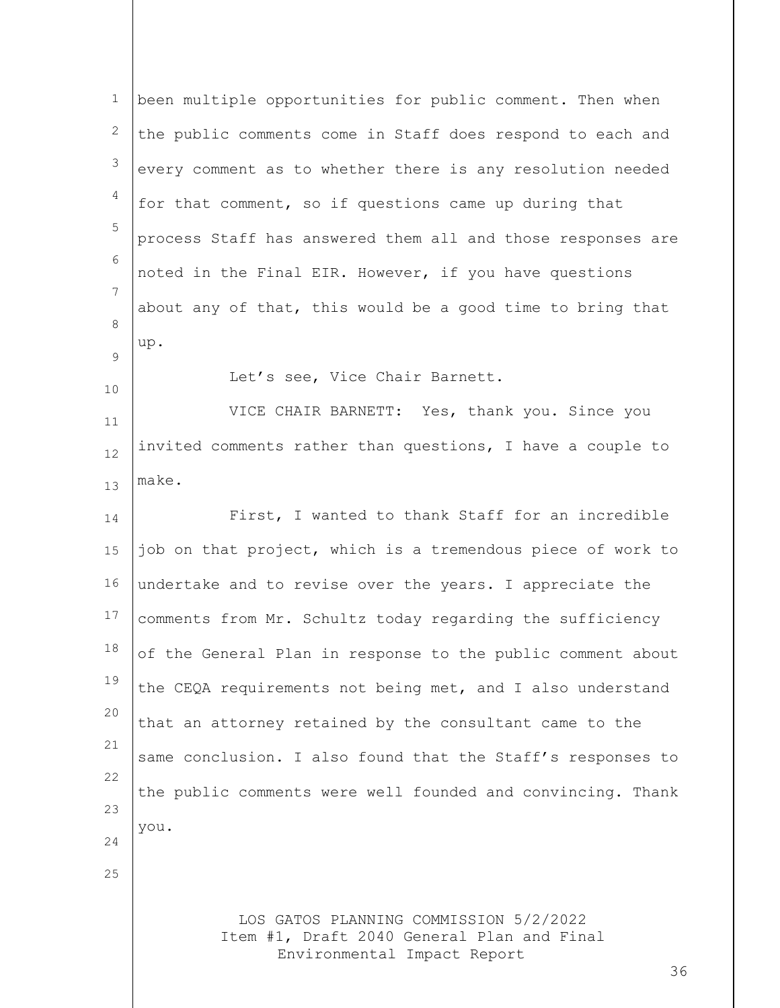| $\mathbf 1$ | been multiple opportunities for public comment. Then when                            |
|-------------|--------------------------------------------------------------------------------------|
| 2           | the public comments come in Staff does respond to each and                           |
| 3           | every comment as to whether there is any resolution needed                           |
| 4           | for that comment, so if questions came up during that                                |
| 5           | process Staff has answered them all and those responses are                          |
| 6           | noted in the Final EIR. However, if you have questions                               |
| 7           | about any of that, this would be a good time to bring that                           |
| 8<br>9      | up.                                                                                  |
| 10          | Let's see, Vice Chair Barnett.                                                       |
| 11          | VICE CHAIR BARNETT: Yes, thank you. Since you                                        |
| 12          | invited comments rather than questions, I have a couple to                           |
| 13          | make.                                                                                |
| 14          | First, I wanted to thank Staff for an incredible                                     |
| 15          | job on that project, which is a tremendous piece of work to                          |
| 16          | undertake and to revise over the years. I appreciate the                             |
| 17          | comments from Mr. Schultz today regarding the sufficiency                            |
| 18          | of the General Plan in response to the public comment about                          |
| 19          | the CEQA requirements not being met, and I also understand                           |
| 20          | that an attorney retained by the consultant came to the                              |
| 21          | same conclusion. I also found that the Staff's responses to                          |
| 22          | the public comments were well founded and convincing. Thank                          |
| 23<br>24    | you.                                                                                 |
| 25          |                                                                                      |
|             |                                                                                      |
|             | LOS GATOS PLANNING COMMISSION 5/2/2022<br>Item #1, Draft 2040 General Plan and Final |
|             | Environmental Impact Report<br>36                                                    |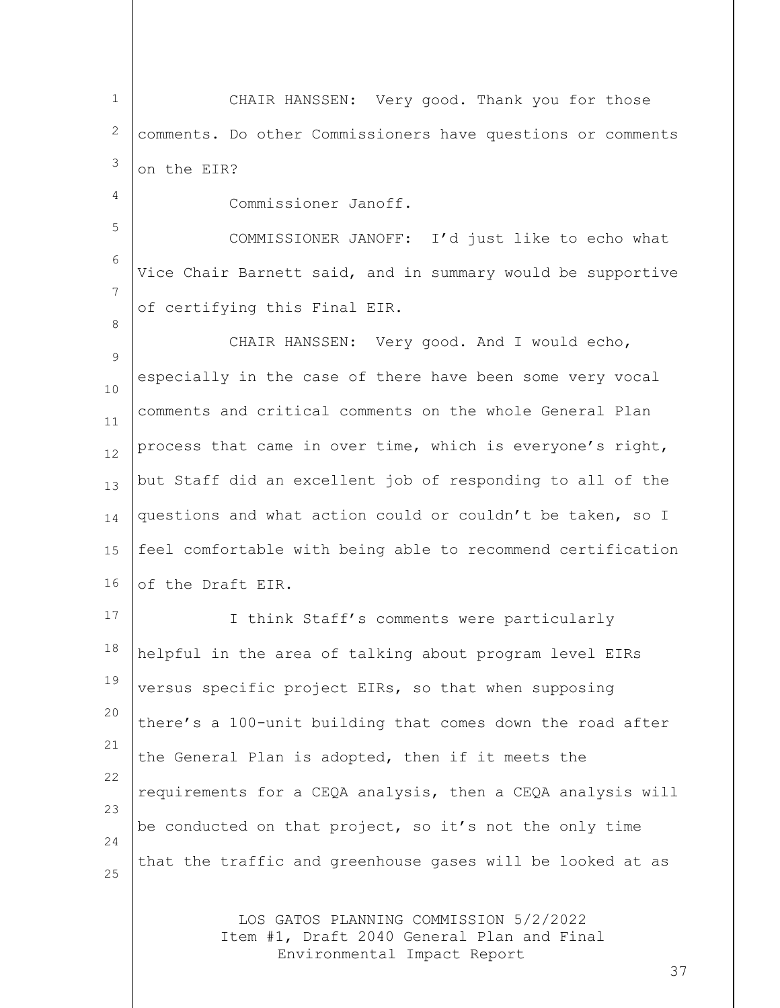1 2 3 CHAIR HANSSEN: Very good. Thank you for those comments. Do other Commissioners have questions or comments on the EIR?

Commissioner Janoff.

4

8

5 6 7 COMMISSIONER JANOFF: I'd just like to echo what Vice Chair Barnett said, and in summary would be supportive of certifying this Final EIR.

 $\mathsf{Q}$ 10 11 12 13 14 15 16 CHAIR HANSSEN: Very good. And I would echo, especially in the case of there have been some very vocal comments and critical comments on the whole General Plan process that came in over time, which is everyone's right, but Staff did an excellent job of responding to all of the questions and what action could or couldn't be taken, so I feel comfortable with being able to recommend certification of the Draft EIR.

17 18 19 20 21 22 23 24 25 I think Staff's comments were particularly helpful in the area of talking about program level EIRs versus specific project EIRs, so that when supposing there's a 100-unit building that comes down the road after the General Plan is adopted, then if it meets the requirements for a CEQA analysis, then a CEQA analysis will be conducted on that project, so it's not the only time that the traffic and greenhouse gases will be looked at as

> LOS GATOS PLANNING COMMISSION 5/2/2022 Item #1, Draft 2040 General Plan and Final Environmental Impact Report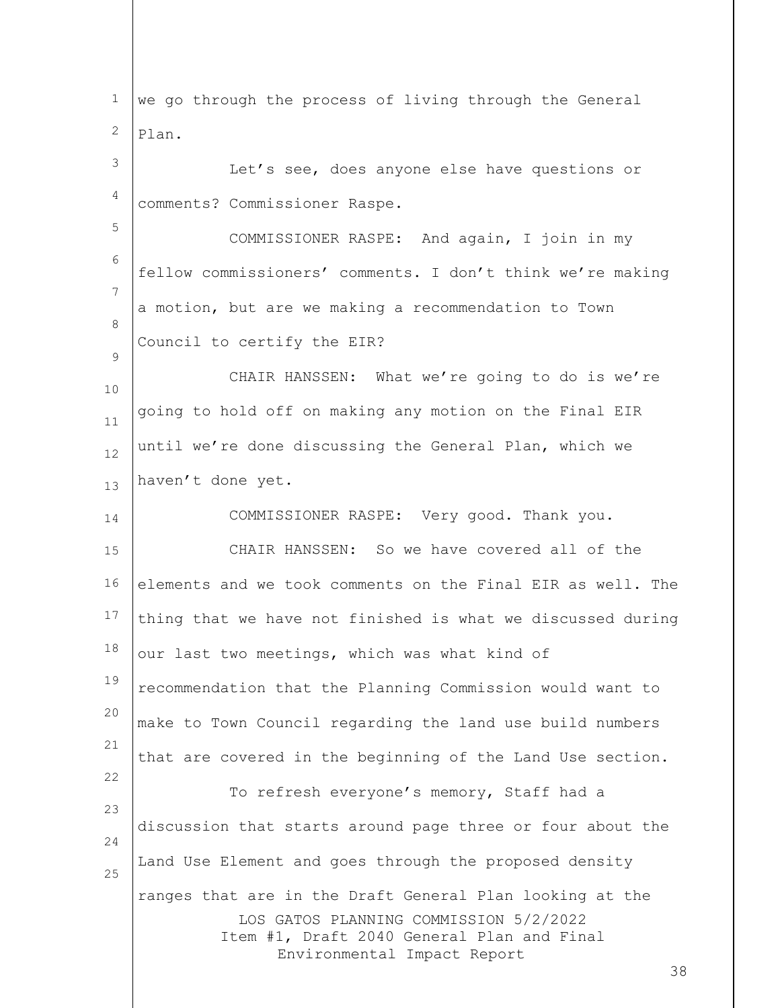LOS GATOS PLANNING COMMISSION 5/2/2022 Item #1, Draft 2040 General Plan and Final Environmental Impact Report 38 1 2 3 4 5 6 7 8  $\mathsf{Q}$ 10 11 12 13 14 15 16 17 18 19 20 21 22  $23$ 24 25 we go through the process of living through the General Plan. Let's see, does anyone else have questions or comments? Commissioner Raspe. COMMISSIONER RASPE: And again, I join in my fellow commissioners' comments. I don't think we're making a motion, but are we making a recommendation to Town Council to certify the EIR? CHAIR HANSSEN: What we're going to do is we're going to hold off on making any motion on the Final EIR until we're done discussing the General Plan, which we haven't done yet. COMMISSIONER RASPE: Very good. Thank you. CHAIR HANSSEN: So we have covered all of the elements and we took comments on the Final EIR as well. The thing that we have not finished is what we discussed during our last two meetings, which was what kind of recommendation that the Planning Commission would want to make to Town Council regarding the land use build numbers that are covered in the beginning of the Land Use section. To refresh everyone's memory, Staff had a discussion that starts around page three or four about the Land Use Element and goes through the proposed density ranges that are in the Draft General Plan looking at the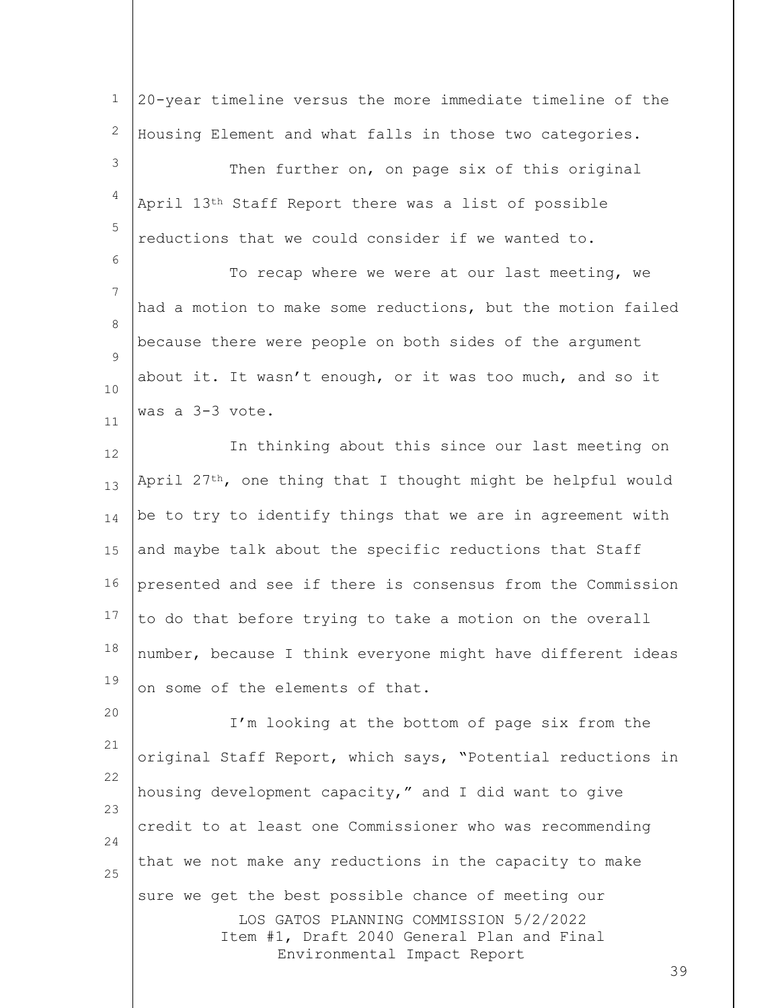LOS GATOS PLANNING COMMISSION 5/2/2022 Item #1, Draft 2040 General Plan and Final Environmental Impact Report 1 2 3 4 5 6 7 8  $\mathsf{Q}$ 10 11 12 13 14 15 16 17 18 19 20 21 22 23 24 25 20-year timeline versus the more immediate timeline of the Housing Element and what falls in those two categories. Then further on, on page six of this original April 13th Staff Report there was a list of possible reductions that we could consider if we wanted to. To recap where we were at our last meeting, we had a motion to make some reductions, but the motion failed because there were people on both sides of the argument about it. It wasn't enough, or it was too much, and so it was a 3-3 vote. In thinking about this since our last meeting on April  $27<sup>th</sup>$ , one thing that I thought might be helpful would be to try to identify things that we are in agreement with and maybe talk about the specific reductions that Staff presented and see if there is consensus from the Commission to do that before trying to take a motion on the overall number, because I think everyone might have different ideas on some of the elements of that. I'm looking at the bottom of page six from the original Staff Report, which says, "Potential reductions in housing development capacity," and I did want to give credit to at least one Commissioner who was recommending that we not make any reductions in the capacity to make sure we get the best possible chance of meeting our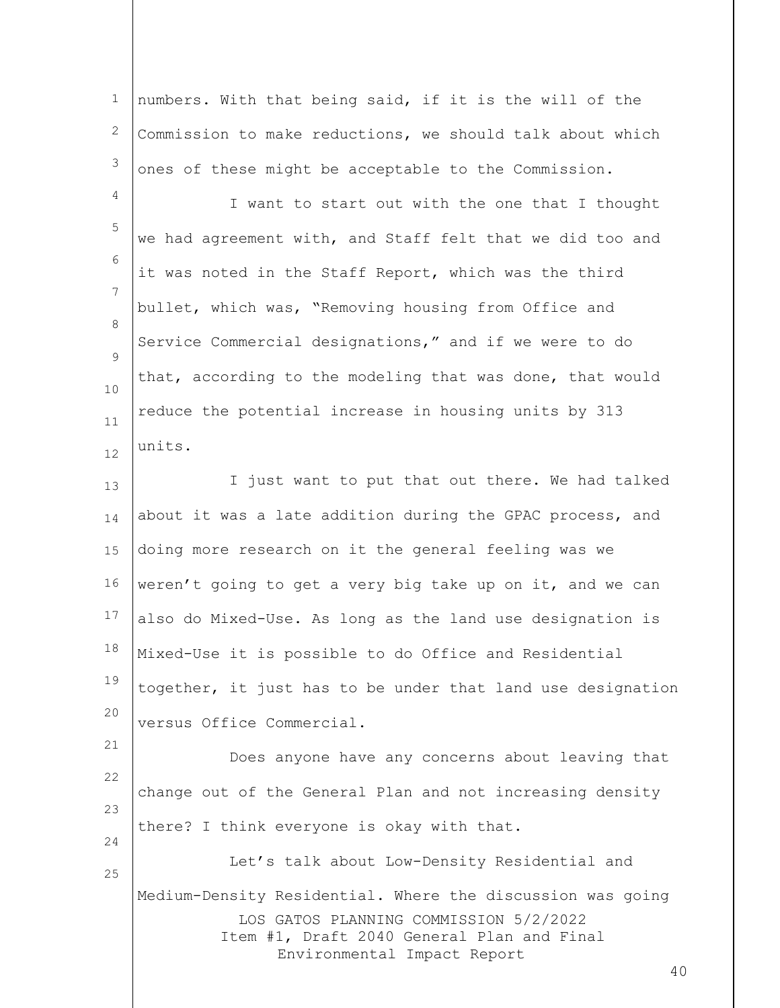LOS GATOS PLANNING COMMISSION 5/2/2022 Item #1, Draft 2040 General Plan and Final Environmental Impact Report 40 1 2 3 4 5 6 7 8  $\mathsf{Q}$ 10 11 12 13 14 15 16 17 18 19 20 21 22 23 24 25 numbers. With that being said, if it is the will of the Commission to make reductions, we should talk about which ones of these might be acceptable to the Commission. I want to start out with the one that I thought we had agreement with, and Staff felt that we did too and it was noted in the Staff Report, which was the third bullet, which was, "Removing housing from Office and Service Commercial designations," and if we were to do that, according to the modeling that was done, that would reduce the potential increase in housing units by 313 units. I just want to put that out there. We had talked about it was a late addition during the GPAC process, and doing more research on it the general feeling was we weren't going to get a very big take up on it, and we can also do Mixed-Use. As long as the land use designation is Mixed-Use it is possible to do Office and Residential together, it just has to be under that land use designation versus Office Commercial. Does anyone have any concerns about leaving that change out of the General Plan and not increasing density there? I think everyone is okay with that. Let's talk about Low-Density Residential and Medium-Density Residential. Where the discussion was going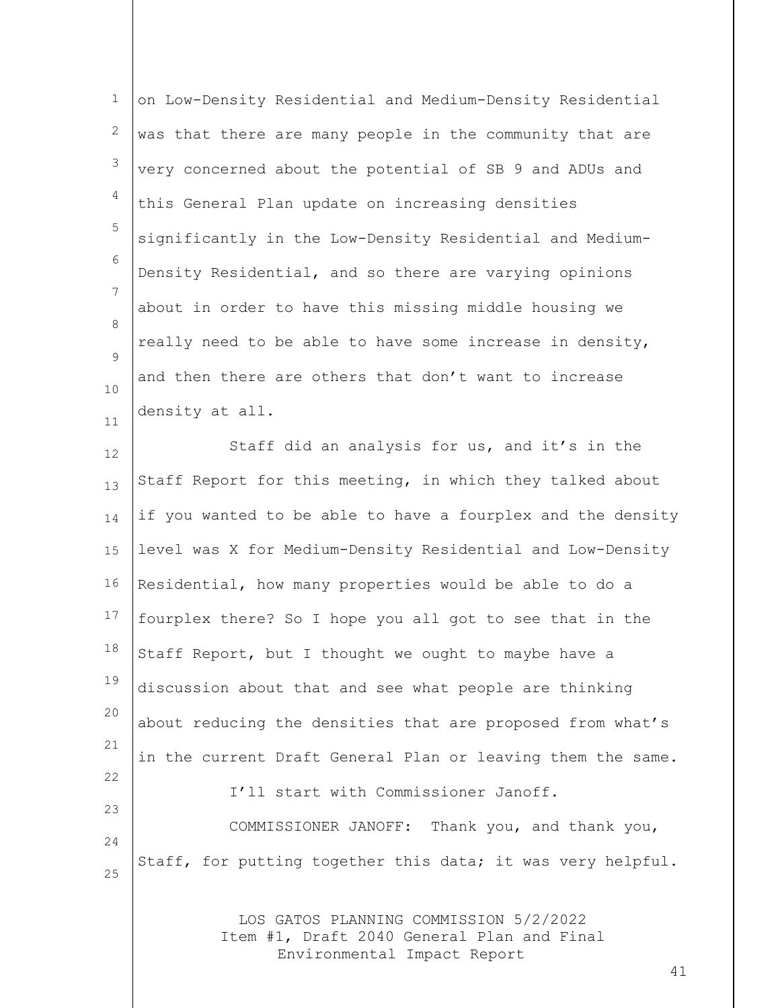| $1\,$          | on Low-Density Residential and Medium-Density Residential                                                           |
|----------------|---------------------------------------------------------------------------------------------------------------------|
| 2              | was that there are many people in the community that are                                                            |
| 3              | very concerned about the potential of SB 9 and ADUs and                                                             |
| 4              | this General Plan update on increasing densities                                                                    |
| 5              | significantly in the Low-Density Residential and Medium-                                                            |
| 6              | Density Residential, and so there are varying opinions                                                              |
| $\overline{7}$ | about in order to have this missing middle housing we                                                               |
| 8              | really need to be able to have some increase in density,                                                            |
| 9<br>10        | and then there are others that don't want to increase                                                               |
| 11             | density at all.                                                                                                     |
| 12             | Staff did an analysis for us, and it's in the                                                                       |
| 13             | Staff Report for this meeting, in which they talked about                                                           |
| 14             | if you wanted to be able to have a fourplex and the density                                                         |
| 15             | level was X for Medium-Density Residential and Low-Density                                                          |
| 16             | Residential, how many properties would be able to do a                                                              |
| 17             | fourplex there? So I hope you all got to see that in the                                                            |
| 18             | Staff Report, but I thought we ought to maybe have a                                                                |
| 19             | discussion about that and see what people are thinking                                                              |
| 20             | about reducing the densities that are proposed from what's                                                          |
| 21             | in the current Draft General Plan or leaving them the same.                                                         |
| 22             | I'll start with Commissioner Janoff.                                                                                |
| 23<br>24       | COMMISSIONER JANOFF: Thank you, and thank you,                                                                      |
| 25             | Staff, for putting together this data; it was very helpful.                                                         |
|                | LOS GATOS PLANNING COMMISSION 5/2/2022<br>Item #1, Draft 2040 General Plan and Final<br>Environmental Impact Report |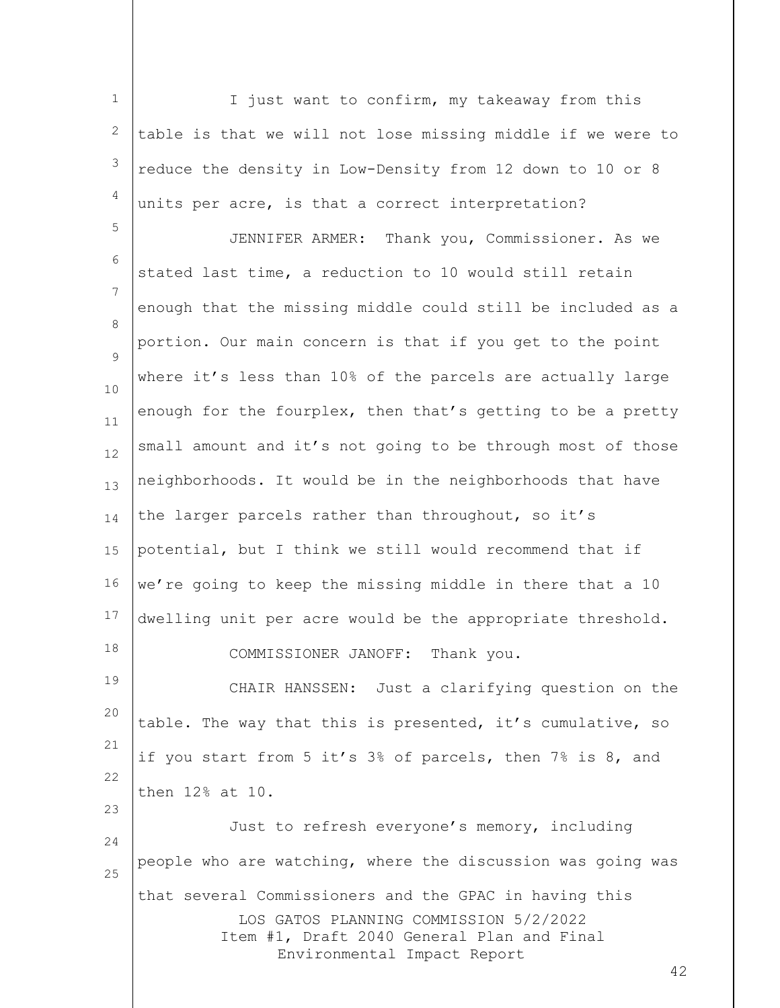1 2 3 4 I just want to confirm, my takeaway from this table is that we will not lose missing middle if we were to reduce the density in Low-Density from 12 down to 10 or 8 units per acre, is that a correct interpretation?

5 6 7 8  $\mathsf{Q}$ 10 11 12 13 14 15 16 17 18 JENNIFER ARMER: Thank you, Commissioner. As we stated last time, a reduction to 10 would still retain enough that the missing middle could still be included as a portion. Our main concern is that if you get to the point where it's less than 10% of the parcels are actually large enough for the fourplex, then that's getting to be a pretty small amount and it's not going to be through most of those neighborhoods. It would be in the neighborhoods that have the larger parcels rather than throughout, so it's potential, but I think we still would recommend that if we're going to keep the missing middle in there that a 10 dwelling unit per acre would be the appropriate threshold. COMMISSIONER JANOFF: Thank you.

19 20 21 22 CHAIR HANSSEN: Just a clarifying question on the table. The way that this is presented, it's cumulative, so if you start from 5 it's 3% of parcels, then 7% is 8, and then 12% at 10.

23

LOS GATOS PLANNING COMMISSION 5/2/2022 Item #1, Draft 2040 General Plan and Final Environmental Impact Report 24 25 Just to refresh everyone's memory, including people who are watching, where the discussion was going was that several Commissioners and the GPAC in having this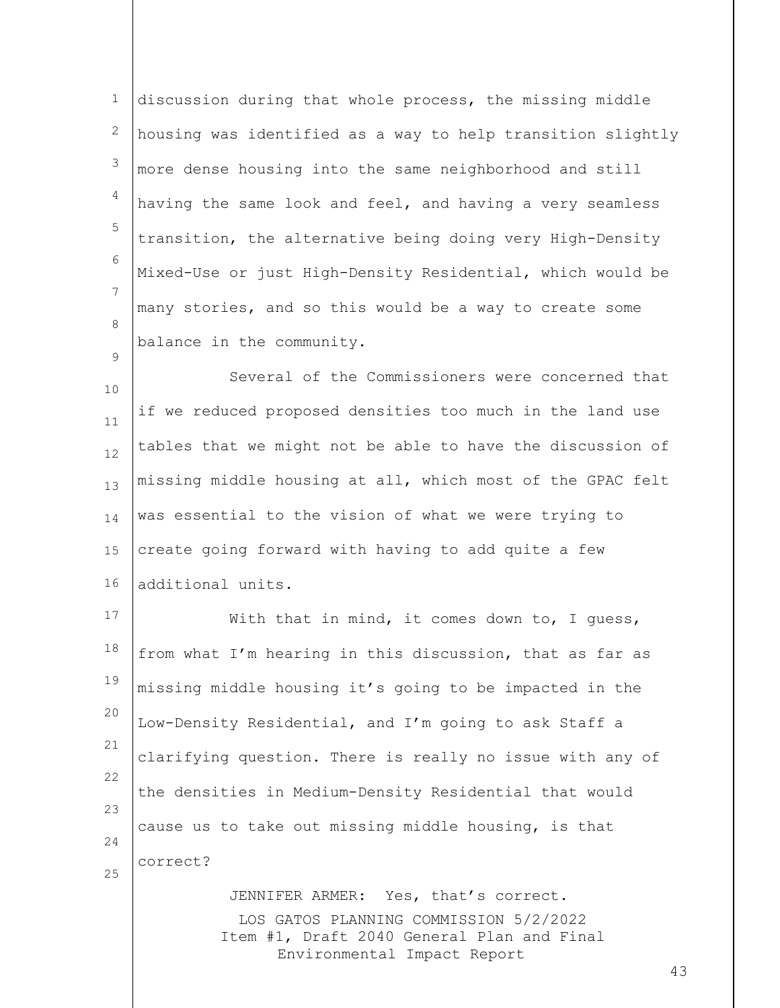1 2 3 4 5 6 7 8  $\mathsf{Q}$ discussion during that whole process, the missing middle housing was identified as a way to help transition slightly more dense housing into the same neighborhood and still having the same look and feel, and having a very seamless transition, the alternative being doing very High-Density Mixed-Use or just High-Density Residential, which would be many stories, and so this would be a way to create some balance in the community.

10 11 12 13 14 15 16 Several of the Commissioners were concerned that if we reduced proposed densities too much in the land use tables that we might not be able to have the discussion of missing middle housing at all, which most of the GPAC felt was essential to the vision of what we were trying to create going forward with having to add quite a few additional units.

17 18 19 20 21 22 23 24 25 With that in mind, it comes down to, I quess, from what I'm hearing in this discussion, that as far as missing middle housing it's going to be impacted in the Low-Density Residential, and I'm going to ask Staff a clarifying question. There is really no issue with any of the densities in Medium-Density Residential that would cause us to take out missing middle housing, is that correct? JENNIFER ARMER: Yes, that's correct.

LOS GATOS PLANNING COMMISSION 5/2/2022 Item #1, Draft 2040 General Plan and Final Environmental Impact Report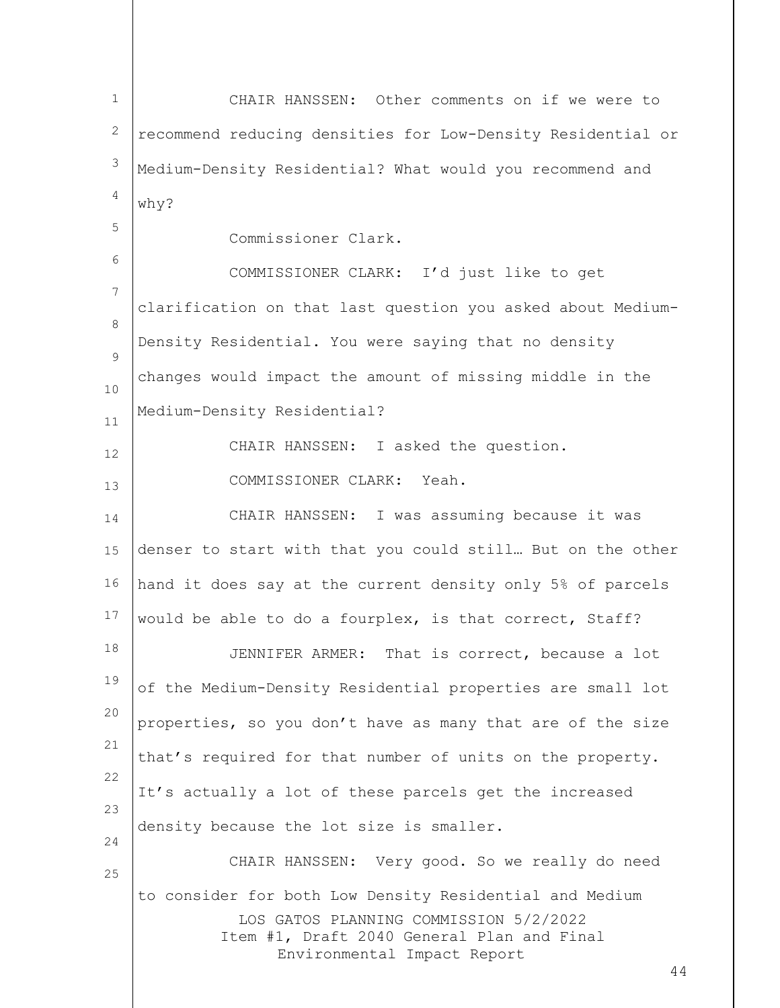| $\mathbf{1}$   | CHAIR HANSSEN: Other comments on if we were to              |
|----------------|-------------------------------------------------------------|
| 2              | recommend reducing densities for Low-Density Residential or |
| 3              | Medium-Density Residential? What would you recommend and    |
| $\overline{4}$ | why?                                                        |
| 5              | Commissioner Clark.                                         |
| 6              | COMMISSIONER CLARK: I'd just like to get                    |
| 7              | clarification on that last question you asked about Medium- |
| 8              | Density Residential. You were saying that no density        |
| 9              |                                                             |
| 10             | changes would impact the amount of missing middle in the    |
| 11             | Medium-Density Residential?                                 |
| 12             | CHAIR HANSSEN: I asked the question.                        |
| 13             | COMMISSIONER CLARK: Yeah.                                   |
| 14             | CHAIR HANSSEN: I was assuming because it was                |
| 15             | denser to start with that you could still But on the other  |
| 16             | hand it does say at the current density only 5% of parcels  |
| 17             | would be able to do a fourplex, is that correct, Staff?     |
| 18             | JENNIFER ARMER: That is correct, because a lot              |
| 19             | of the Medium-Density Residential properties are small lot  |
| 20             | properties, so you don't have as many that are of the size  |
| 21             | that's required for that number of units on the property.   |
| 22             | It's actually a lot of these parcels get the increased      |
| 23             | density because the lot size is smaller.                    |
| 24<br>25       | CHAIR HANSSEN: Very good. So we really do need              |
|                | to consider for both Low Density Residential and Medium     |
|                | LOS GATOS PLANNING COMMISSION 5/2/2022                      |
|                | Item #1, Draft 2040 General Plan and Final                  |
|                | Environmental Impact Report<br>44                           |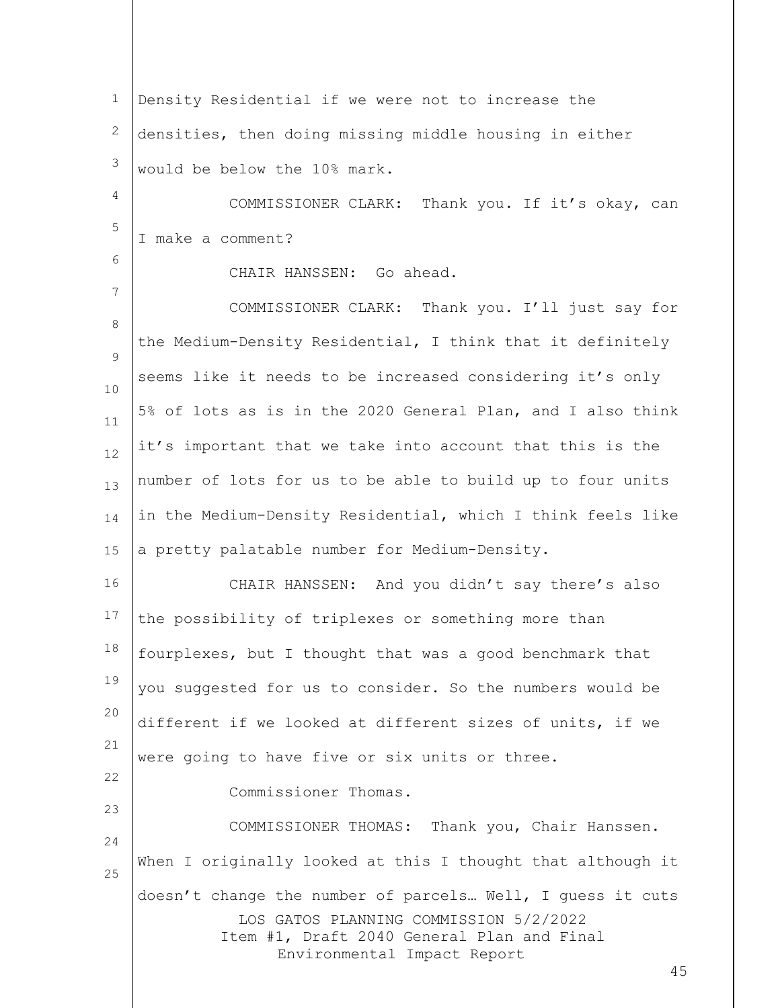LOS GATOS PLANNING COMMISSION 5/2/2022 Item #1, Draft 2040 General Plan and Final Environmental Impact Report 1 2 3 4 5 6 7 8  $\mathsf{Q}$ 10 11 12 13 14 15 16 17 18 19 20 21 22 23 24 25 Density Residential if we were not to increase the densities, then doing missing middle housing in either would be below the 10% mark. COMMISSIONER CLARK: Thank you. If it's okay, can I make a comment? CHAIR HANSSEN: Go ahead. COMMISSIONER CLARK: Thank you. I'll just say for the Medium-Density Residential, I think that it definitely seems like it needs to be increased considering it's only 5% of lots as is in the 2020 General Plan, and I also think it's important that we take into account that this is the number of lots for us to be able to build up to four units in the Medium-Density Residential, which I think feels like a pretty palatable number for Medium-Density. CHAIR HANSSEN: And you didn't say there's also the possibility of triplexes or something more than fourplexes, but I thought that was a good benchmark that you suggested for us to consider. So the numbers would be different if we looked at different sizes of units, if we were going to have five or six units or three. Commissioner Thomas. COMMISSIONER THOMAS: Thank you, Chair Hanssen. When I originally looked at this I thought that although it doesn't change the number of parcels… Well, I guess it cuts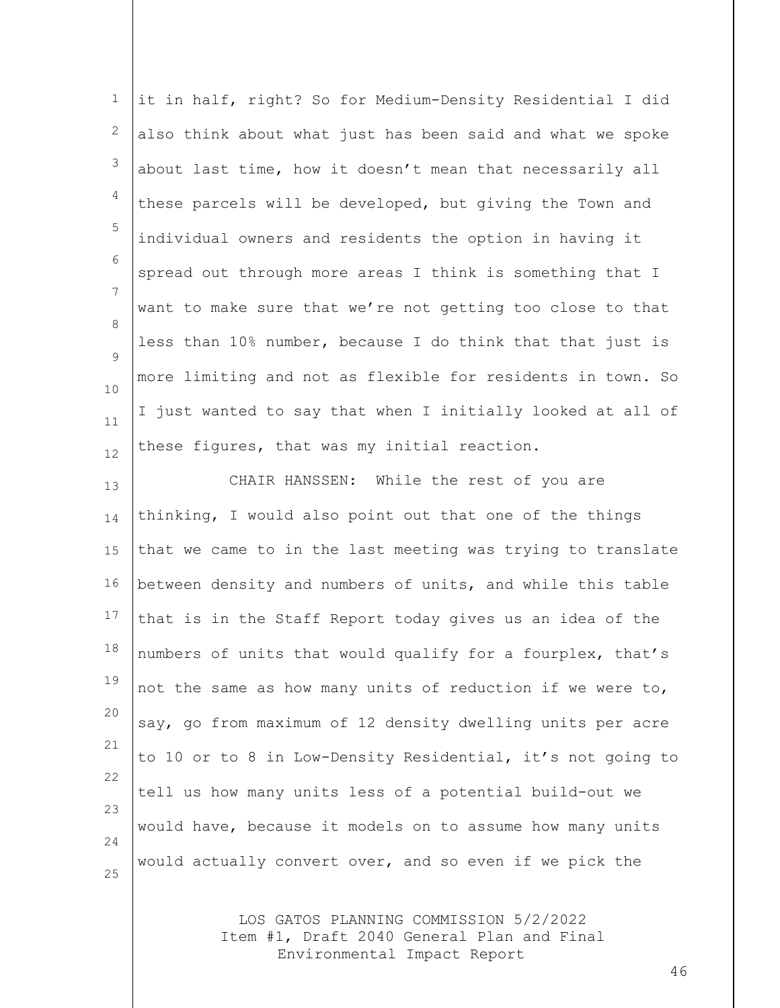1 2 3 4 5 6 7 8  $\mathsf{Q}$ 10 11 12 it in half, right? So for Medium-Density Residential I did also think about what just has been said and what we spoke about last time, how it doesn't mean that necessarily all these parcels will be developed, but giving the Town and individual owners and residents the option in having it spread out through more areas I think is something that I want to make sure that we're not getting too close to that less than 10% number, because I do think that that just is more limiting and not as flexible for residents in town. So I just wanted to say that when I initially looked at all of these figures, that was my initial reaction.

13 14 15 16 17 18 19 20 21 22 23 24 25 CHAIR HANSSEN: While the rest of you are thinking, I would also point out that one of the things that we came to in the last meeting was trying to translate between density and numbers of units, and while this table that is in the Staff Report today gives us an idea of the numbers of units that would qualify for a fourplex, that's not the same as how many units of reduction if we were to, say, go from maximum of 12 density dwelling units per acre to 10 or to 8 in Low-Density Residential, it's not going to tell us how many units less of a potential build-out we would have, because it models on to assume how many units would actually convert over, and so even if we pick the

> LOS GATOS PLANNING COMMISSION 5/2/2022 Item #1, Draft 2040 General Plan and Final Environmental Impact Report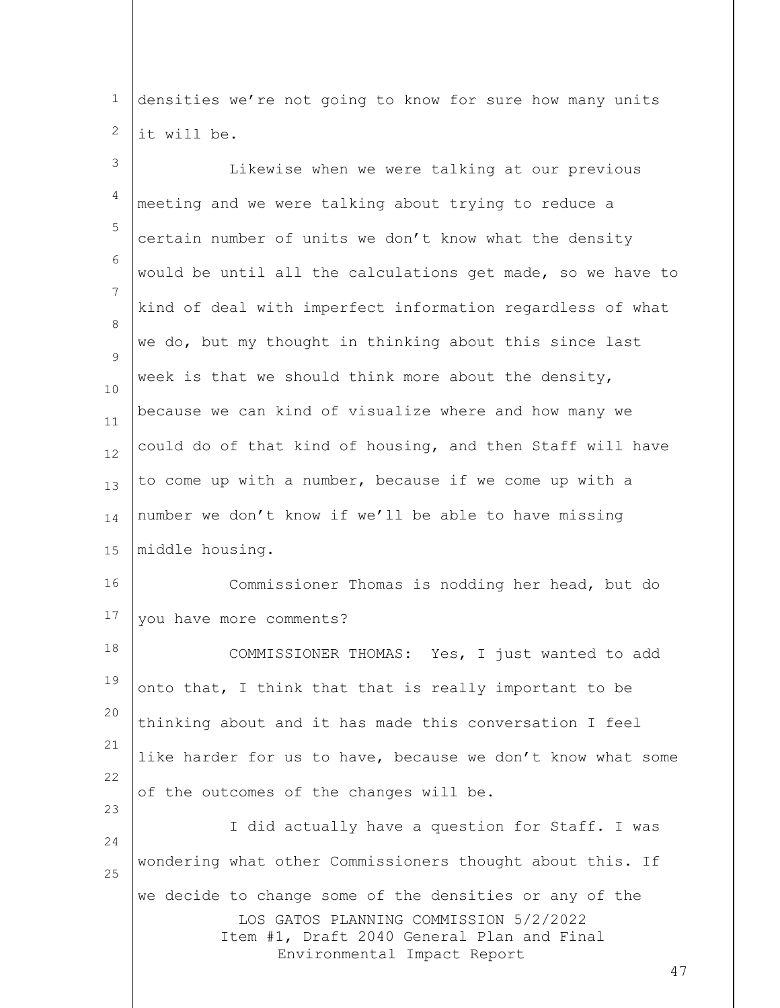1 2 densities we're not going to know for sure how many units it will be.

LOS GATOS PLANNING COMMISSION 5/2/2022 Item #1, Draft 2040 General Plan and Final Environmental Impact Report 3 4 5 6 7 8  $\mathsf{Q}$ 10 11 12 13 14 15 16 17 18 19 20 21 22 23 24 25 Likewise when we were talking at our previous meeting and we were talking about trying to reduce a certain number of units we don't know what the density would be until all the calculations get made, so we have to kind of deal with imperfect information regardless of what we do, but my thought in thinking about this since last week is that we should think more about the density, because we can kind of visualize where and how many we could do of that kind of housing, and then Staff will have to come up with a number, because if we come up with a number we don't know if we'll be able to have missing middle housing. Commissioner Thomas is nodding her head, but do you have more comments? COMMISSIONER THOMAS: Yes, I just wanted to add onto that, I think that that is really important to be thinking about and it has made this conversation I feel like harder for us to have, because we don't know what some of the outcomes of the changes will be. I did actually have a question for Staff. I was wondering what other Commissioners thought about this. If we decide to change some of the densities or any of the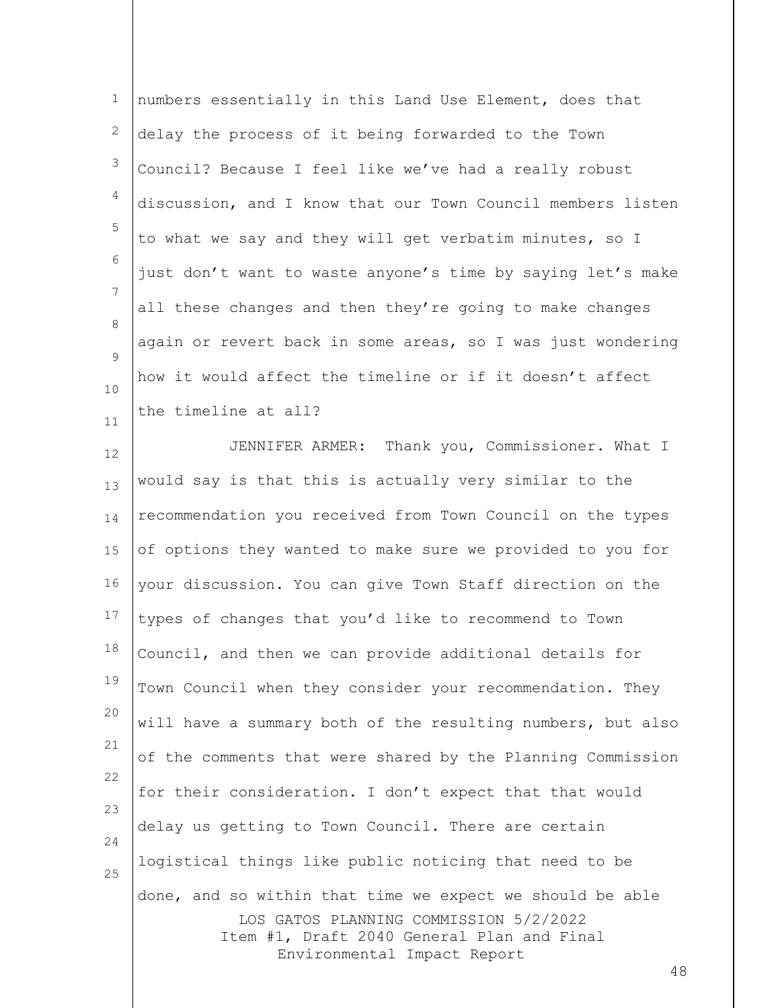| $\mathbf 1$     | numbers essentially in this Land Use Element, does that                                                                                                                                |
|-----------------|----------------------------------------------------------------------------------------------------------------------------------------------------------------------------------------|
| 2               | delay the process of it being forwarded to the Town                                                                                                                                    |
| 3               | Council? Because I feel like we've had a really robust                                                                                                                                 |
| 4               | discussion, and I know that our Town Council members listen                                                                                                                            |
| 5               | to what we say and they will get verbatim minutes, so I                                                                                                                                |
| 6               | just don't want to waste anyone's time by saying let's make                                                                                                                            |
| $7\phantom{.0}$ | all these changes and then they're going to make changes                                                                                                                               |
| 8               | again or revert back in some areas, so I was just wondering                                                                                                                            |
| 9<br>10         | how it would affect the timeline or if it doesn't affect                                                                                                                               |
| 11              | the timeline at all?                                                                                                                                                                   |
| 12              | JENNIFER ARMER: Thank you, Commissioner. What I                                                                                                                                        |
| 13              | would say is that this is actually very similar to the                                                                                                                                 |
| 14              | recommendation you received from Town Council on the types                                                                                                                             |
| 15              | of options they wanted to make sure we provided to you for                                                                                                                             |
| 16              | your discussion. You can give Town Staff direction on the                                                                                                                              |
| 17              | types of changes that you'd like to recommend to Town                                                                                                                                  |
| 18              | Council, and then we can provide additional details for                                                                                                                                |
| 19              | Town Council when they consider your recommendation. They                                                                                                                              |
| 20              | will have a summary both of the resulting numbers, but also                                                                                                                            |
| 21              | of the comments that were shared by the Planning Commission                                                                                                                            |
| 22              | for their consideration. I don't expect that that would                                                                                                                                |
| 23              | delay us getting to Town Council. There are certain                                                                                                                                    |
| 24<br>25        | logistical things like public noticing that need to be                                                                                                                                 |
|                 | done, and so within that time we expect we should be able<br>LOS GATOS PLANNING COMMISSION 5/2/2022<br>Item #1, Draft 2040 General Plan and Final<br>Environmental Impact Report<br>48 |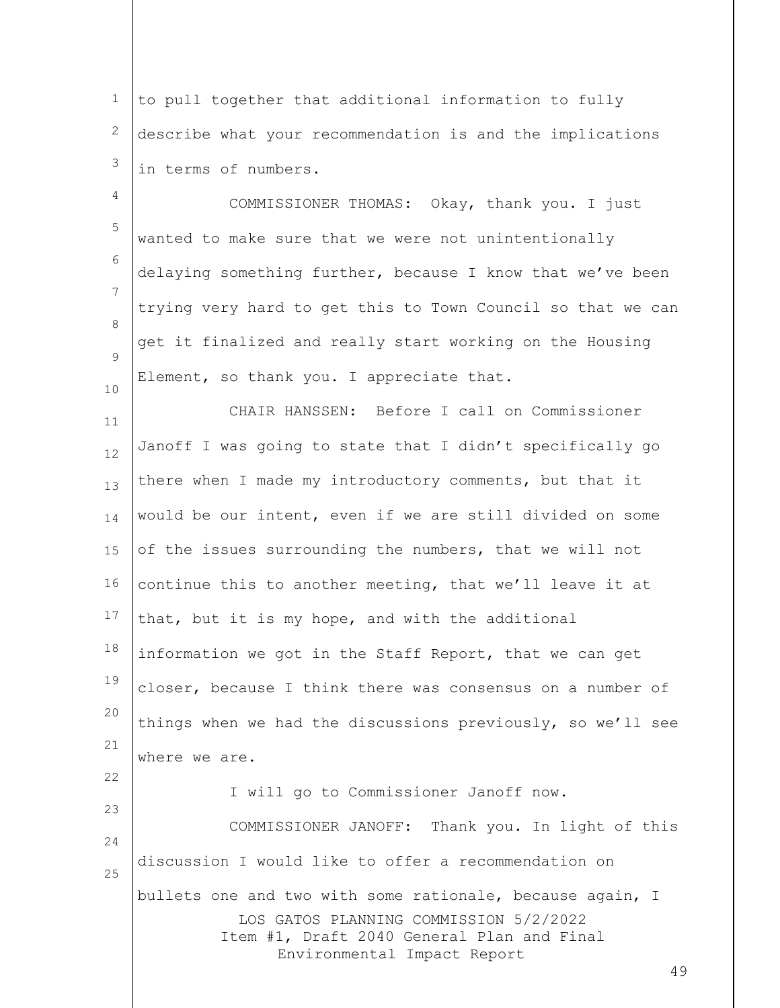1 2 3 to pull together that additional information to fully describe what your recommendation is and the implications in terms of numbers.

4 5 6 7 8  $\mathsf{Q}$ 10 COMMISSIONER THOMAS: Okay, thank you. I just wanted to make sure that we were not unintentionally delaying something further, because I know that we've been trying very hard to get this to Town Council so that we can get it finalized and really start working on the Housing Element, so thank you. I appreciate that.

11 12 13 14 15 16 17 18 19 20 21 22 23 24 25 CHAIR HANSSEN: Before I call on Commissioner Janoff I was going to state that I didn't specifically go there when I made my introductory comments, but that it would be our intent, even if we are still divided on some of the issues surrounding the numbers, that we will not continue this to another meeting, that we'll leave it at that, but it is my hope, and with the additional information we got in the Staff Report, that we can get closer, because I think there was consensus on a number of things when we had the discussions previously, so we'll see where we are. I will go to Commissioner Janoff now. COMMISSIONER JANOFF: Thank you. In light of this discussion I would like to offer a recommendation on bullets one and two with some rationale, because again, I

> LOS GATOS PLANNING COMMISSION 5/2/2022 Item #1, Draft 2040 General Plan and Final Environmental Impact Report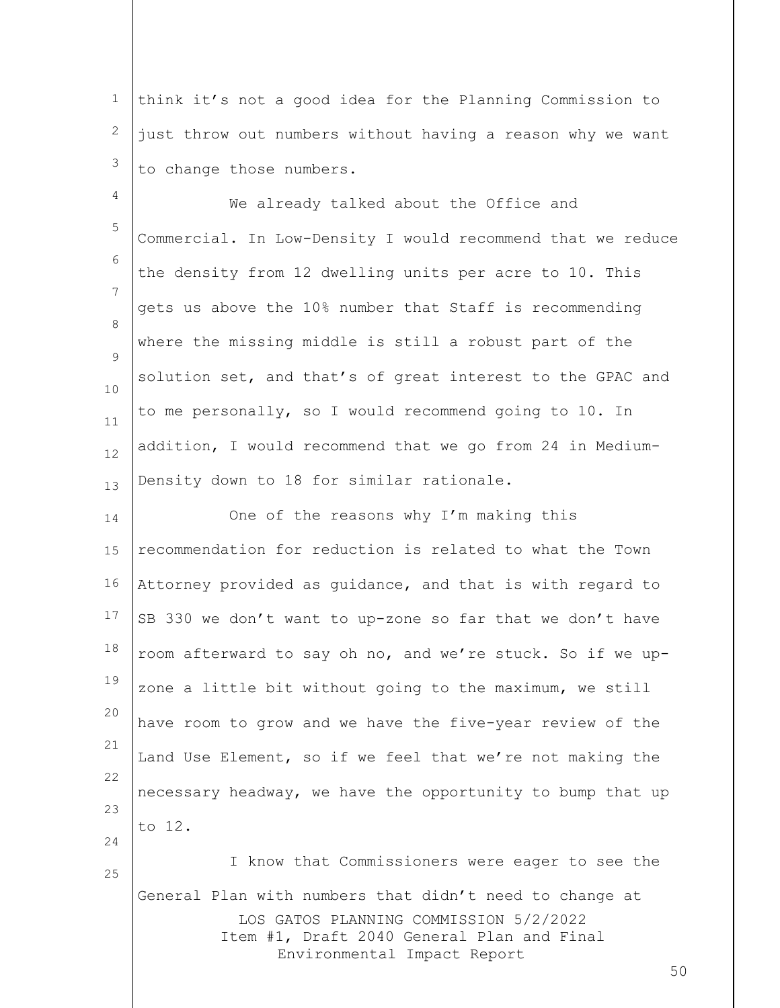1 2 3 think it's not a good idea for the Planning Commission to just throw out numbers without having a reason why we want to change those numbers.

4 5 6 7 8  $\mathsf{Q}$ 10 11 12 13 We already talked about the Office and Commercial. In Low-Density I would recommend that we reduce the density from 12 dwelling units per acre to 10. This gets us above the 10% number that Staff is recommending where the missing middle is still a robust part of the solution set, and that's of great interest to the GPAC and to me personally, so I would recommend going to 10. In addition, I would recommend that we go from 24 in Medium-Density down to 18 for similar rationale.

14 15 16 17 18 19 20 21 22 23 24 25 One of the reasons why I'm making this recommendation for reduction is related to what the Town Attorney provided as guidance, and that is with regard to SB 330 we don't want to up-zone so far that we don't have room afterward to say oh no, and we're stuck. So if we upzone a little bit without going to the maximum, we still have room to grow and we have the five-year review of the Land Use Element, so if we feel that we're not making the necessary headway, we have the opportunity to bump that up to 12. I know that Commissioners were eager to see the

LOS GATOS PLANNING COMMISSION 5/2/2022 Item #1, Draft 2040 General Plan and Final Environmental Impact Report General Plan with numbers that didn't need to change at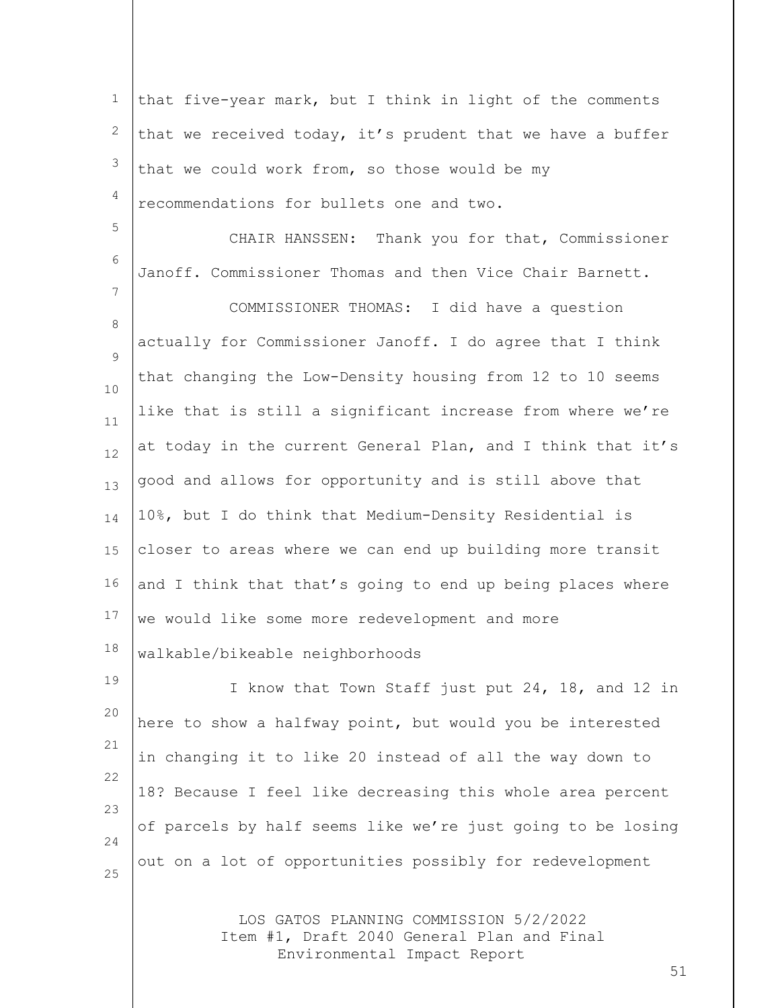LOS GATOS PLANNING COMMISSION 5/2/2022 Item #1, Draft 2040 General Plan and Final 1 2 3 4 5 6 7 8 9 10 11 12 13 14 15 16 17 18 19 20 21 22 23 24 25 that five-year mark, but I think in light of the comments that we received today, it's prudent that we have a buffer that we could work from, so those would be my recommendations for bullets one and two. CHAIR HANSSEN: Thank you for that, Commissioner Janoff. Commissioner Thomas and then Vice Chair Barnett. COMMISSIONER THOMAS: I did have a question actually for Commissioner Janoff. I do agree that I think that changing the Low-Density housing from 12 to 10 seems like that is still a significant increase from where we're at today in the current General Plan, and I think that it's good and allows for opportunity and is still above that 10%, but I do think that Medium-Density Residential is closer to areas where we can end up building more transit and I think that that's going to end up being places where we would like some more redevelopment and more walkable/bikeable neighborhoods I know that Town Staff just put 24, 18, and 12 in here to show a halfway point, but would you be interested in changing it to like 20 instead of all the way down to 18? Because I feel like decreasing this whole area percent of parcels by half seems like we're just going to be losing out on a lot of opportunities possibly for redevelopment

Environmental Impact Report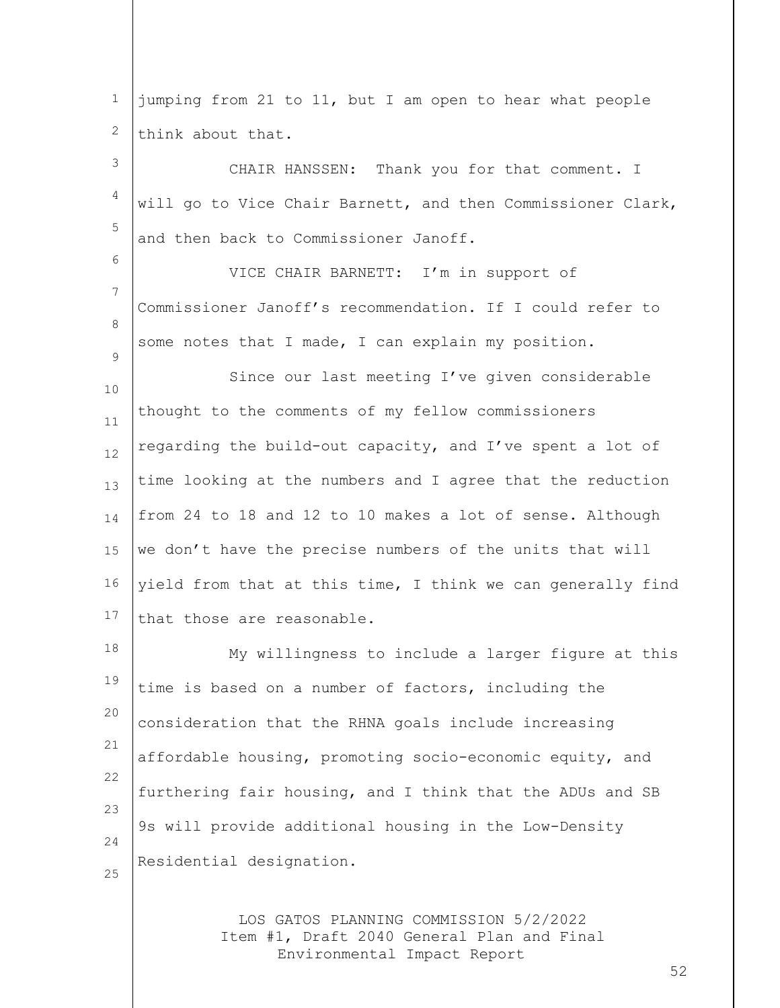| $\mathbf 1$ | jumping from 21 to 11, but I am open to hear what people    |
|-------------|-------------------------------------------------------------|
| 2           | think about that.                                           |
| 3           | CHAIR HANSSEN: Thank you for that comment. I                |
| 4           | will go to Vice Chair Barnett, and then Commissioner Clark, |
| 5           | and then back to Commissioner Janoff.                       |
| 6           | VICE CHAIR BARNETT: I'm in support of                       |
| 7           | Commissioner Janoff's recommendation. If I could refer to   |
| 8           | some notes that I made, I can explain my position.          |
| 9<br>10     | Since our last meeting I've given considerable              |
| 11          | thought to the comments of my fellow commissioners          |
| 12          | regarding the build-out capacity, and I've spent a lot of   |
| 13          | time looking at the numbers and I agree that the reduction  |
| 14          | from 24 to 18 and 12 to 10 makes a lot of sense. Although   |
| 15          | we don't have the precise numbers of the units that will    |
| 16          | yield from that at this time, I think we can generally find |
| 17          | that those are reasonable.                                  |
| 18          | My willingness to include a larger figure at this           |
| 19          | time is based on a number of factors, including the         |
| 20          | consideration that the RHNA goals include increasing        |
| 21          | affordable housing, promoting socio-economic equity, and    |
| 22          | furthering fair housing, and I think that the ADUs and SB   |
| 23<br>24    | 9s will provide additional housing in the Low-Density       |
| 25          | Residential designation.                                    |
|             |                                                             |
|             |                                                             |

LOS GATOS PLANNING COMMISSION 5/2/2022 Item #1, Draft 2040 General Plan and Final Environmental Impact Report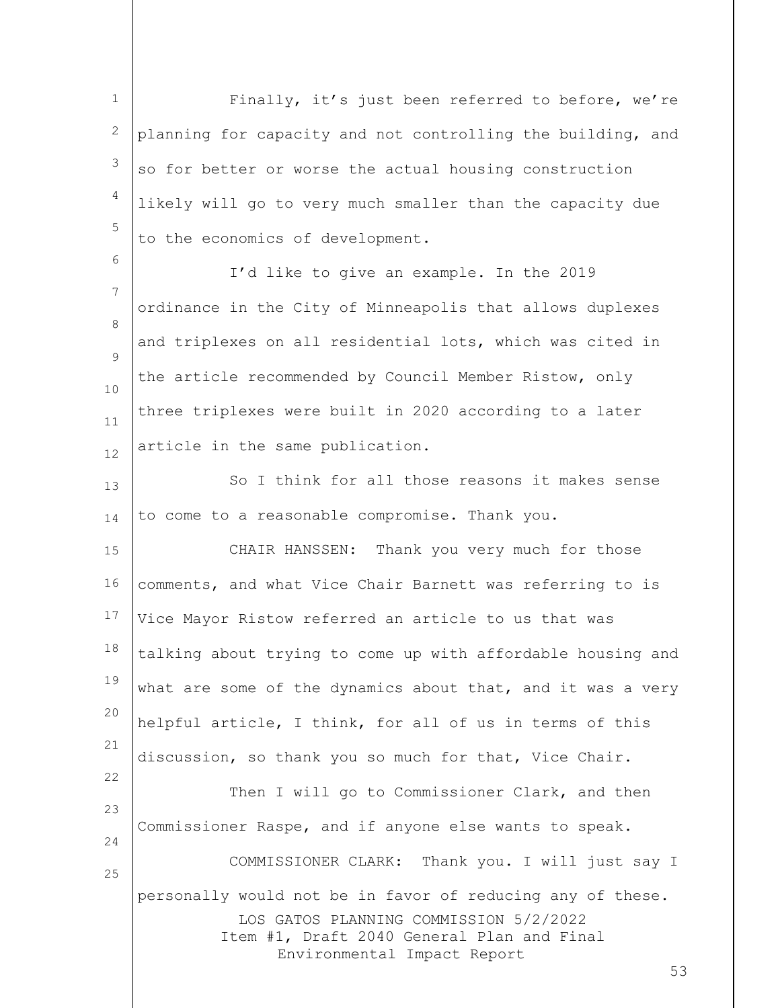1 2 3 4 5 Finally, it's just been referred to before, we're planning for capacity and not controlling the building, and so for better or worse the actual housing construction likely will go to very much smaller than the capacity due to the economics of development.

7 8  $\mathsf{Q}$ 10 11 12 I'd like to give an example. In the 2019 ordinance in the City of Minneapolis that allows duplexes and triplexes on all residential lots, which was cited in the article recommended by Council Member Ristow, only three triplexes were built in 2020 according to a later article in the same publication.

6

13 14 So I think for all those reasons it makes sense to come to a reasonable compromise. Thank you.

15 16 17 18 19 20 21 22 CHAIR HANSSEN: Thank you very much for those comments, and what Vice Chair Barnett was referring to is Vice Mayor Ristow referred an article to us that was talking about trying to come up with affordable housing and what are some of the dynamics about that, and it was a very helpful article, I think, for all of us in terms of this discussion, so thank you so much for that, Vice Chair.

LOS GATOS PLANNING COMMISSION 5/2/2022 Item #1, Draft 2040 General Plan and Final Environmental Impact Report 23 24 25 Then I will go to Commissioner Clark, and then Commissioner Raspe, and if anyone else wants to speak. COMMISSIONER CLARK: Thank you. I will just say I personally would not be in favor of reducing any of these.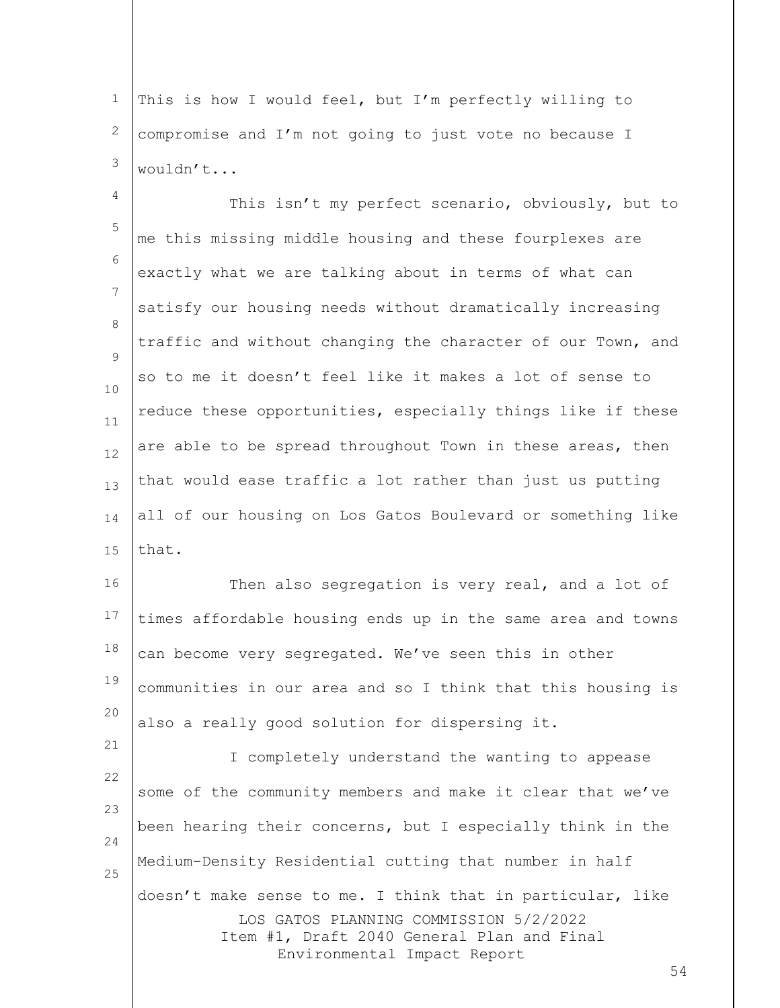1 2 3 This is how I would feel, but I'm perfectly willing to compromise and I'm not going to just vote no because I wouldn't...

4 5 6 7 8  $\mathsf{Q}$ 10 11 12 13 14 15 This isn't my perfect scenario, obviously, but to me this missing middle housing and these fourplexes are exactly what we are talking about in terms of what can satisfy our housing needs without dramatically increasing traffic and without changing the character of our Town, and so to me it doesn't feel like it makes a lot of sense to reduce these opportunities, especially things like if these are able to be spread throughout Town in these areas, then that would ease traffic a lot rather than just us putting all of our housing on Los Gatos Boulevard or something like that.

16 17 18 19 20 Then also segregation is very real, and a lot of times affordable housing ends up in the same area and towns can become very segregated. We've seen this in other communities in our area and so I think that this housing is also a really good solution for dispersing it.

21

LOS GATOS PLANNING COMMISSION 5/2/2022 Item #1, Draft 2040 General Plan and Final Environmental Impact Report 22 23 24 25 I completely understand the wanting to appease some of the community members and make it clear that we've been hearing their concerns, but I especially think in the Medium-Density Residential cutting that number in half doesn't make sense to me. I think that in particular, like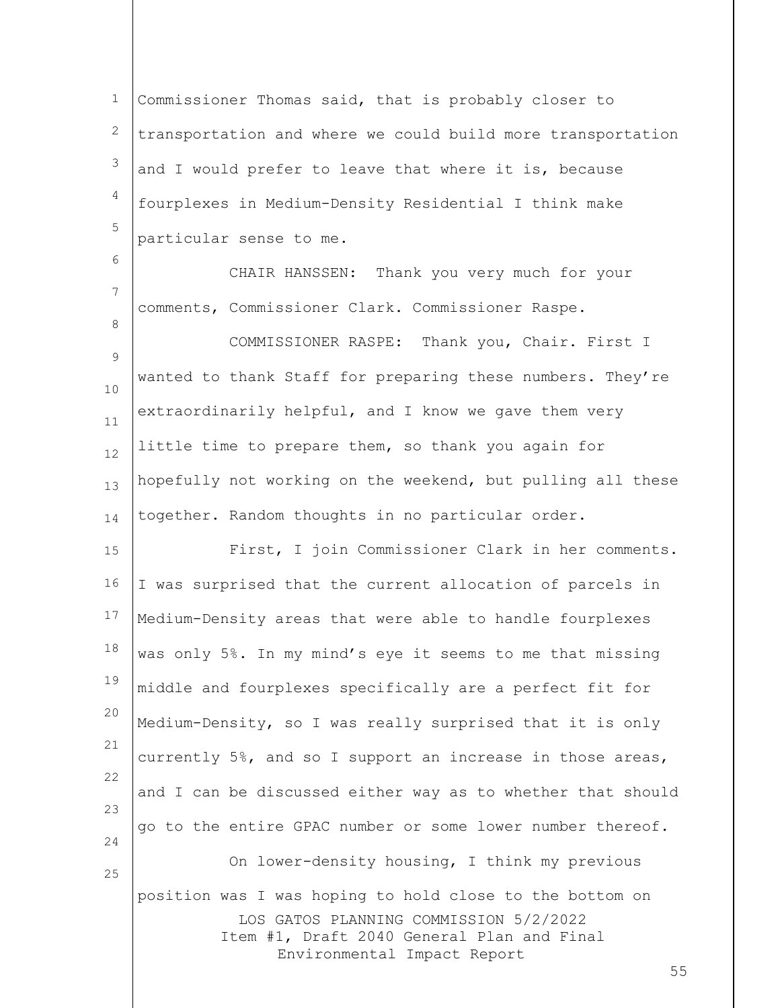1 2 3 4 5 Commissioner Thomas said, that is probably closer to transportation and where we could build more transportation and I would prefer to leave that where it is, because fourplexes in Medium-Density Residential I think make particular sense to me.

6 7 8 9 10 11 12 13 14 CHAIR HANSSEN: Thank you very much for your comments, Commissioner Clark. Commissioner Raspe. COMMISSIONER RASPE: Thank you, Chair. First I wanted to thank Staff for preparing these numbers. They're extraordinarily helpful, and I know we gave them very little time to prepare them, so thank you again for hopefully not working on the weekend, but pulling all these together. Random thoughts in no particular order.

LOS GATOS PLANNING COMMISSION 5/2/2022 Item #1, Draft 2040 General Plan and Final Environmental Impact Report 15 16 17 18 19 20 21 22 23 24 25 First, I join Commissioner Clark in her comments. I was surprised that the current allocation of parcels in Medium-Density areas that were able to handle fourplexes was only 5%. In my mind's eye it seems to me that missing middle and fourplexes specifically are a perfect fit for Medium-Density, so I was really surprised that it is only currently 5%, and so I support an increase in those areas, and I can be discussed either way as to whether that should go to the entire GPAC number or some lower number thereof. On lower-density housing, I think my previous position was I was hoping to hold close to the bottom on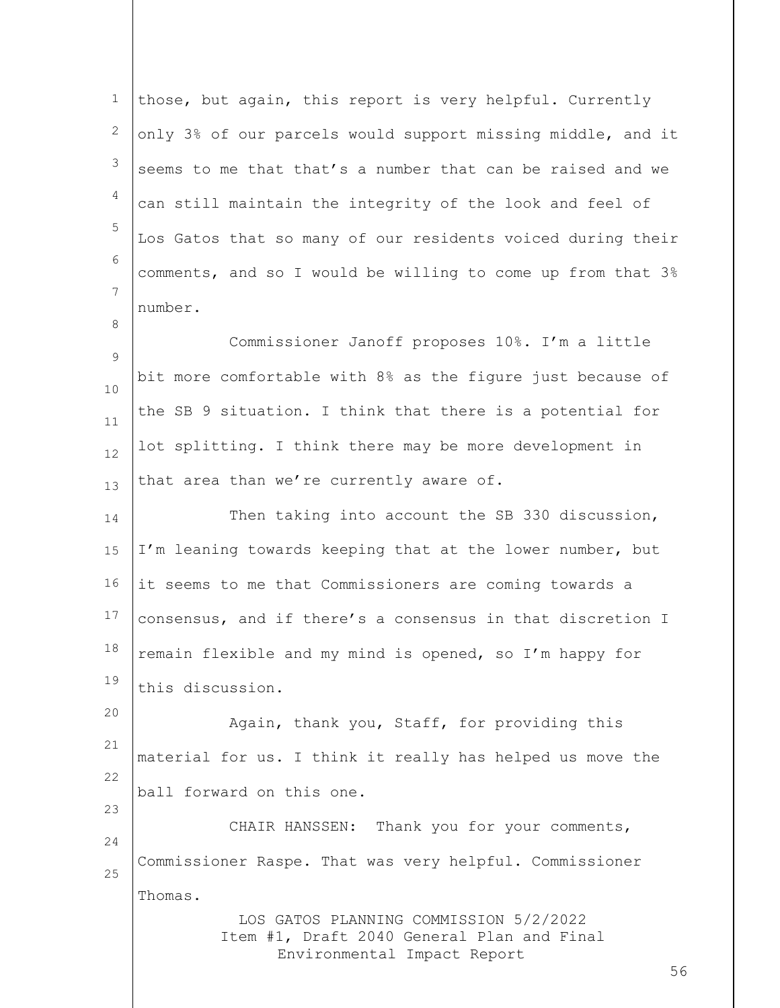LOS GATOS PLANNING COMMISSION 5/2/2022 Item #1, Draft 2040 General Plan and Final Environmental Impact Report 1 2 3 4 5 6 7 8 9 10 11 12 13 14 15 16 17 18 19 20 21 22 23 24 25 those, but again, this report is very helpful. Currently only 3% of our parcels would support missing middle, and it seems to me that that's a number that can be raised and we can still maintain the integrity of the look and feel of Los Gatos that so many of our residents voiced during their comments, and so I would be willing to come up from that 3% number. Commissioner Janoff proposes 10%. I'm a little bit more comfortable with 8% as the figure just because of the SB 9 situation. I think that there is a potential for lot splitting. I think there may be more development in that area than we're currently aware of. Then taking into account the SB 330 discussion, I'm leaning towards keeping that at the lower number, but it seems to me that Commissioners are coming towards a consensus, and if there's a consensus in that discretion I remain flexible and my mind is opened, so I'm happy for this discussion. Again, thank you, Staff, for providing this material for us. I think it really has helped us move the ball forward on this one. CHAIR HANSSEN: Thank you for your comments, Commissioner Raspe. That was very helpful. Commissioner Thomas.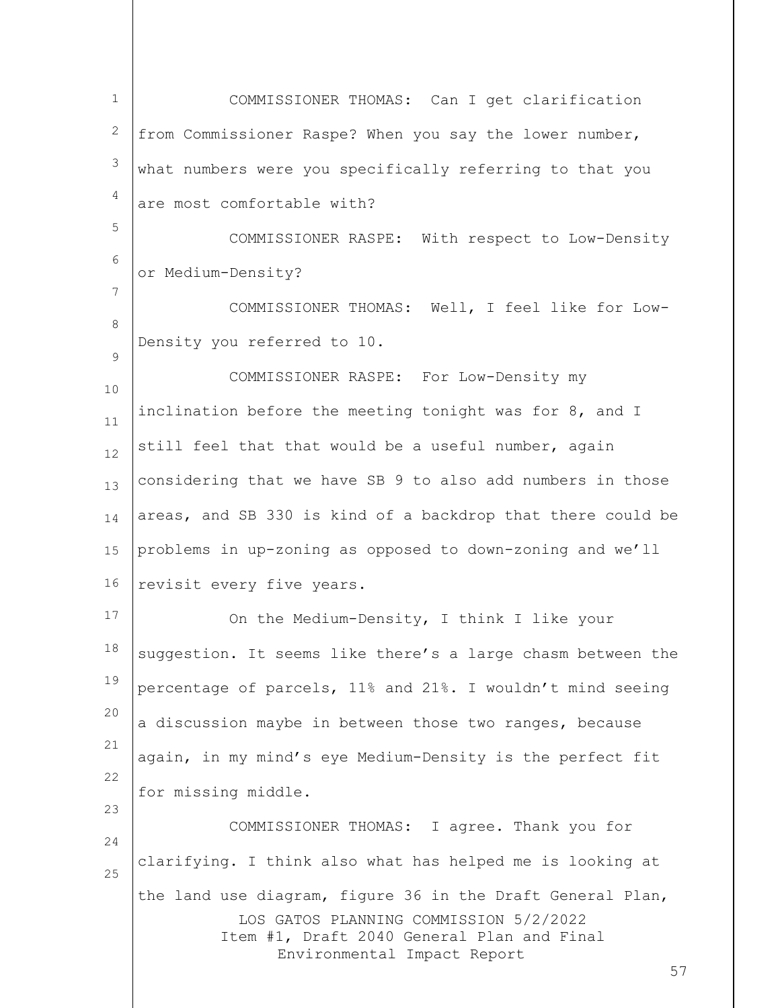| $\mathbf{1}$ | COMMISSIONER THOMAS: Can I get clarification                                                                                                                                            |
|--------------|-----------------------------------------------------------------------------------------------------------------------------------------------------------------------------------------|
| 2            | from Commissioner Raspe? When you say the lower number,                                                                                                                                 |
| 3            | what numbers were you specifically referring to that you                                                                                                                                |
| 4            | are most comfortable with?                                                                                                                                                              |
| 5            | COMMISSIONER RASPE: With respect to Low-Density                                                                                                                                         |
| 6            | or Medium-Density?                                                                                                                                                                      |
| 7            | COMMISSIONER THOMAS: Well, I feel like for Low-                                                                                                                                         |
| $\,8\,$      | Density you referred to 10.                                                                                                                                                             |
| 9            | COMMISSIONER RASPE: For Low-Density my                                                                                                                                                  |
| 10<br>$11\,$ | inclination before the meeting tonight was for 8, and I                                                                                                                                 |
| 12           | still feel that that would be a useful number, again                                                                                                                                    |
| 13           | considering that we have SB 9 to also add numbers in those                                                                                                                              |
| 14           | areas, and SB 330 is kind of a backdrop that there could be                                                                                                                             |
| 15           | problems in up-zoning as opposed to down-zoning and we'll                                                                                                                               |
| 16           | revisit every five years.                                                                                                                                                               |
| 17           | On the Medium-Density, I think I like your                                                                                                                                              |
| 18           | suggestion. It seems like there's a large chasm between the                                                                                                                             |
| 19           | percentage of parcels, 11% and 21%. I wouldn't mind seeing                                                                                                                              |
| 20           | a discussion maybe in between those two ranges, because                                                                                                                                 |
| 21           | again, in my mind's eye Medium-Density is the perfect fit                                                                                                                               |
| 22           | for missing middle.                                                                                                                                                                     |
| 23           | COMMISSIONER THOMAS: I agree. Thank you for                                                                                                                                             |
| 24<br>25     | clarifying. I think also what has helped me is looking at                                                                                                                               |
|              | the land use diagram, figure 36 in the Draft General Plan,<br>LOS GATOS PLANNING COMMISSION 5/2/2022<br>Item #1, Draft 2040 General Plan and Final<br>Environmental Impact Report<br>57 |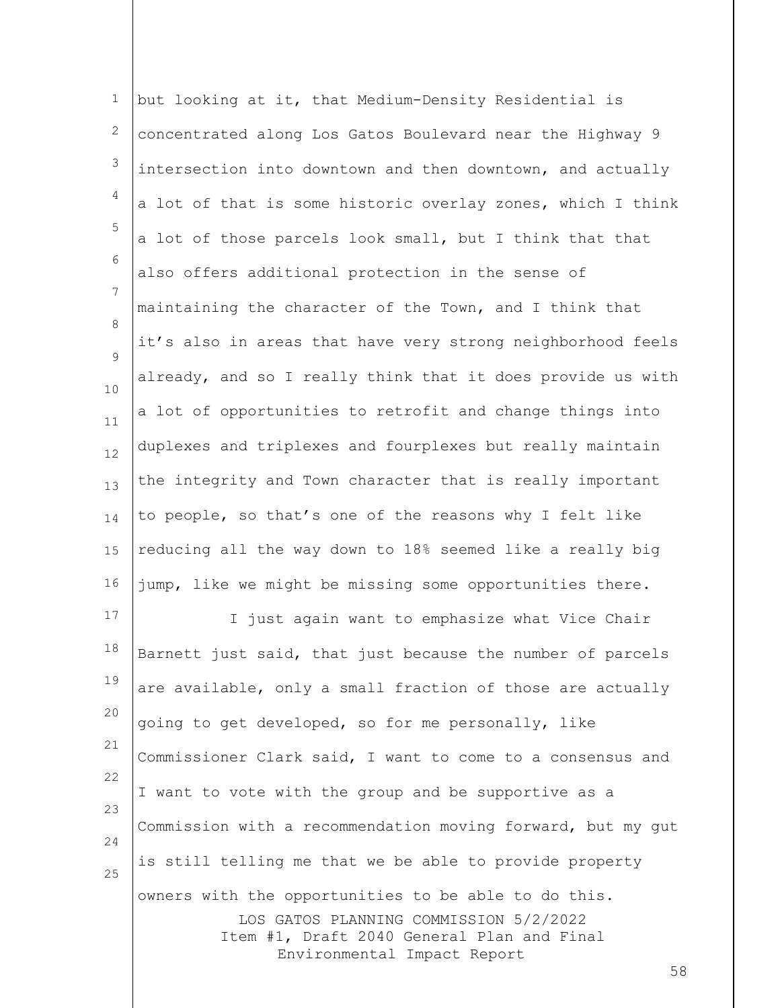| $1\,$    | but looking at it, that Medium-Density Residential is                                |
|----------|--------------------------------------------------------------------------------------|
| 2        | concentrated along Los Gatos Boulevard near the Highway 9                            |
| 3        | intersection into downtown and then downtown, and actually                           |
| 4        | a lot of that is some historic overlay zones, which I think                          |
| 5        | a lot of those parcels look small, but I think that that                             |
| 6        | also offers additional protection in the sense of                                    |
| 7        | maintaining the character of the Town, and I think that                              |
| 8<br>9   | it's also in areas that have very strong neighborhood feels                          |
| $10$     | already, and so I really think that it does provide us with                          |
| $11\,$   | a lot of opportunities to retrofit and change things into                            |
| 12       | duplexes and triplexes and fourplexes but really maintain                            |
| 13       | the integrity and Town character that is really important                            |
| 14       | to people, so that's one of the reasons why I felt like                              |
| 15       | reducing all the way down to 18% seemed like a really big                            |
| 16       | jump, like we might be missing some opportunities there.                             |
| 17       | I just again want to emphasize what Vice Chair                                       |
| 18       | Barnett just said, that just because the number of parcels                           |
| 19       | are available, only a small fraction of those are actually                           |
| 20       | going to get developed, so for me personally, like                                   |
| 21       | Commissioner Clark said, I want to come to a consensus and                           |
| 22<br>23 | I want to vote with the group and be supportive as a                                 |
| 24       | Commission with a recommendation moving forward, but my gut                          |
| 25       | is still telling me that we be able to provide property                              |
|          | owners with the opportunities to be able to do this.                                 |
|          | LOS GATOS PLANNING COMMISSION 5/2/2022<br>Item #1, Draft 2040 General Plan and Final |
|          | Environmental Impact Report<br>58                                                    |
|          |                                                                                      |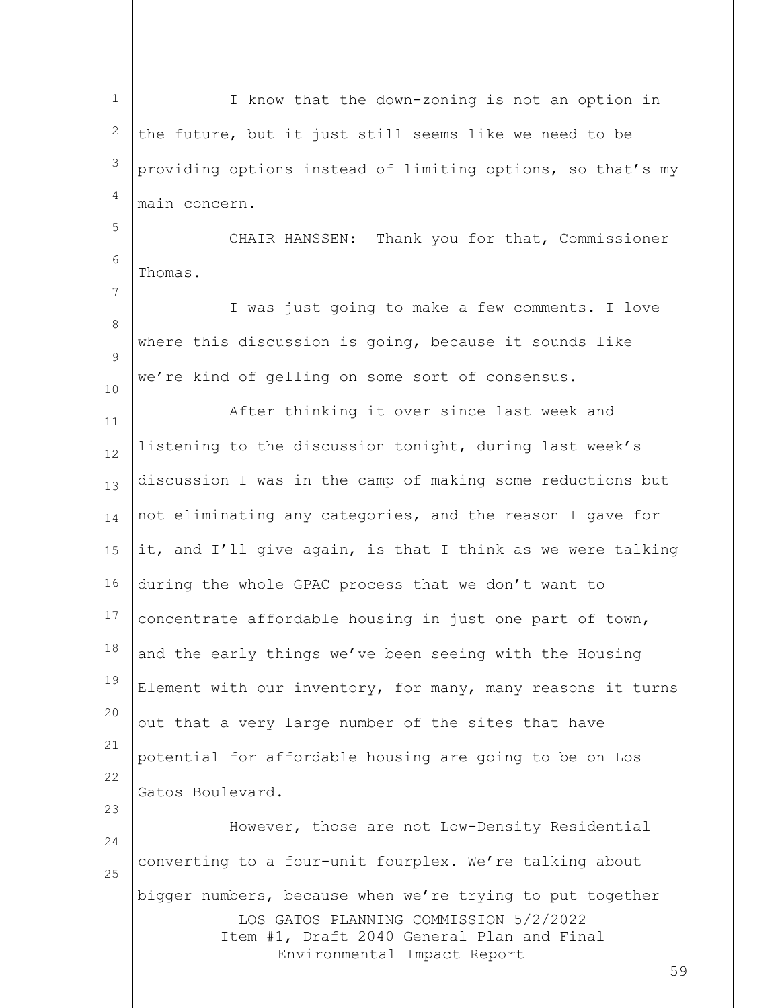LOS GATOS PLANNING COMMISSION 5/2/2022 Item #1, Draft 2040 General Plan and Final Environmental Impact Report 59 1 2 3 4 5 6 7 8  $\mathsf{Q}$ 10 11 12 13 14 15 16 17 18 19 20 21 22 23 24 25 I know that the down-zoning is not an option in the future, but it just still seems like we need to be providing options instead of limiting options, so that's my main concern. CHAIR HANSSEN: Thank you for that, Commissioner Thomas. I was just going to make a few comments. I love where this discussion is going, because it sounds like we're kind of gelling on some sort of consensus. After thinking it over since last week and listening to the discussion tonight, during last week's discussion I was in the camp of making some reductions but not eliminating any categories, and the reason I gave for it, and I'll give again, is that I think as we were talking during the whole GPAC process that we don't want to concentrate affordable housing in just one part of town, and the early things we've been seeing with the Housing Element with our inventory, for many, many reasons it turns out that a very large number of the sites that have potential for affordable housing are going to be on Los Gatos Boulevard. However, those are not Low-Density Residential converting to a four-unit fourplex. We're talking about bigger numbers, because when we're trying to put together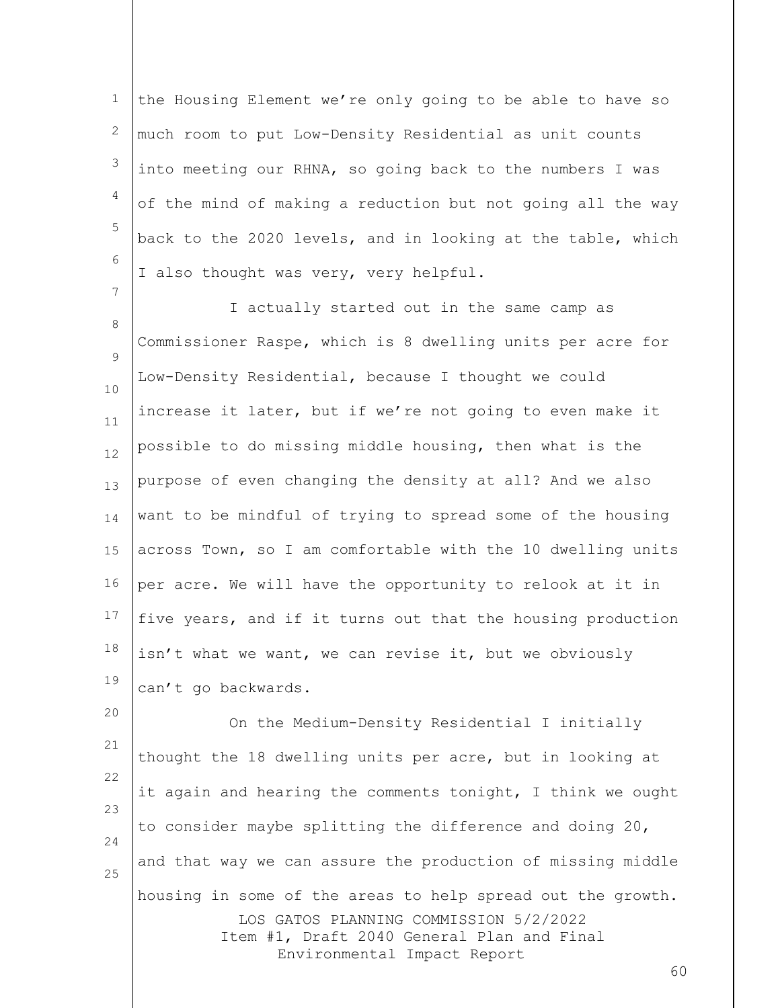1 2 3 4 5 6 the Housing Element we're only going to be able to have so much room to put Low-Density Residential as unit counts into meeting our RHNA, so going back to the numbers I was of the mind of making a reduction but not going all the way back to the 2020 levels, and in looking at the table, which I also thought was very, very helpful.

7

8  $\mathsf{Q}$ 10 11 12 13 14 15 16 17 18 19 I actually started out in the same camp as Commissioner Raspe, which is 8 dwelling units per acre for Low-Density Residential, because I thought we could increase it later, but if we're not going to even make it possible to do missing middle housing, then what is the purpose of even changing the density at all? And we also want to be mindful of trying to spread some of the housing across Town, so I am comfortable with the 10 dwelling units per acre. We will have the opportunity to relook at it in five years, and if it turns out that the housing production isn't what we want, we can revise it, but we obviously can't go backwards.

LOS GATOS PLANNING COMMISSION 5/2/2022 Item #1, Draft 2040 General Plan and Final Environmental Impact Report 20 21 22 23 24 25 On the Medium-Density Residential I initially thought the 18 dwelling units per acre, but in looking at it again and hearing the comments tonight, I think we ought to consider maybe splitting the difference and doing 20, and that way we can assure the production of missing middle housing in some of the areas to help spread out the growth.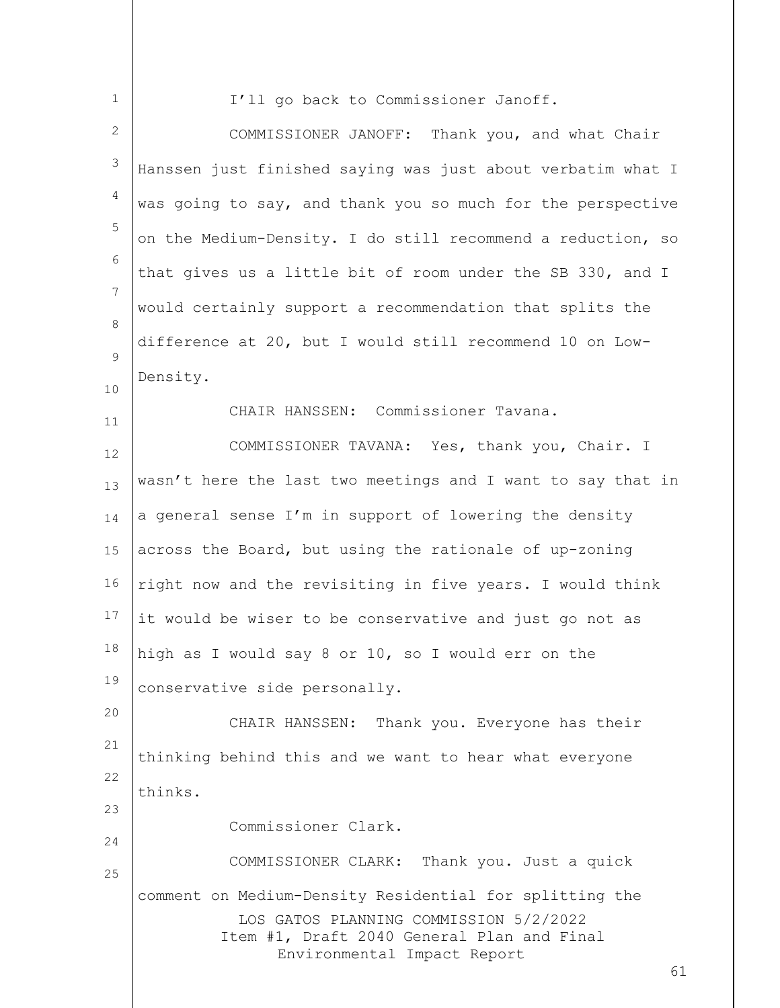| I'll go back to Commissioner Janoff.                        |                                            |
|-------------------------------------------------------------|--------------------------------------------|
| COMMISSIONER JANOFF: Thank you, and what Chair              |                                            |
| Hanssen just finished saying was just about verbatim what I |                                            |
| was going to say, and thank you so much for the perspective |                                            |
| on the Medium-Density. I do still recommend a reduction, so |                                            |
| that gives us a little bit of room under the SB 330, and I  |                                            |
| would certainly support a recommendation that splits the    |                                            |
| difference at 20, but I would still recommend 10 on Low-    |                                            |
| Density.                                                    |                                            |
| CHAIR HANSSEN: Commissioner Tavana.                         |                                            |
| COMMISSIONER TAVANA: Yes, thank you, Chair. I               |                                            |
| wasn't here the last two meetings and I want to say that in |                                            |
| a general sense I'm in support of lowering the density      |                                            |
| across the Board, but using the rationale of up-zoning      |                                            |
| right now and the revisiting in five years. I would think   |                                            |
| it would be wiser to be conservative and just go not as     |                                            |
| high as I would say 8 or 10, so I would err on the          |                                            |
| conservative side personally.                               |                                            |
| CHAIR HANSSEN: Thank you. Everyone has their                |                                            |
| thinking behind this and we want to hear what everyone      |                                            |
| thinks.                                                     |                                            |
| Commissioner Clark.                                         |                                            |
| COMMISSIONER CLARK: Thank you. Just a quick                 |                                            |
| comment on Medium-Density Residential for splitting the     |                                            |
| LOS GATOS PLANNING COMMISSION 5/2/2022                      |                                            |
| Environmental Impact Report                                 | 61                                         |
|                                                             | Item #1, Draft 2040 General Plan and Final |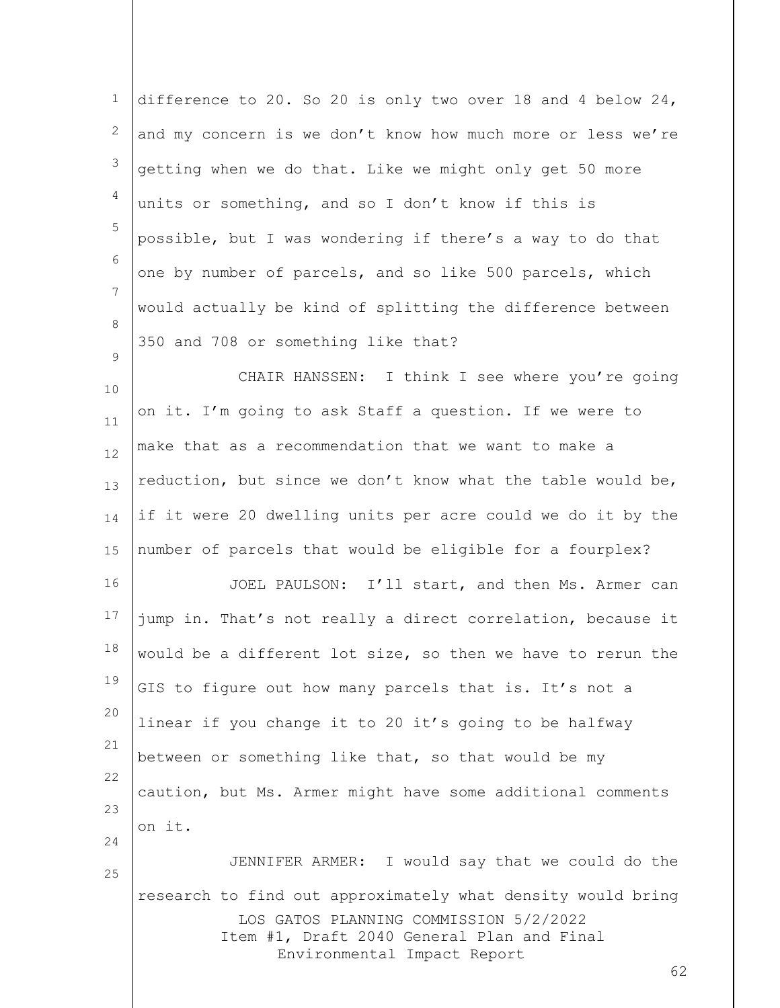| $\mathbf 1$ | difference to 20. So 20 is only two over 18 and 4 below 24,                                                                                                                              |
|-------------|------------------------------------------------------------------------------------------------------------------------------------------------------------------------------------------|
| 2           | and my concern is we don't know how much more or less we're                                                                                                                              |
| 3           | getting when we do that. Like we might only get 50 more                                                                                                                                  |
| 4           | units or something, and so I don't know if this is                                                                                                                                       |
| 5           | possible, but I was wondering if there's a way to do that                                                                                                                                |
| 6           | one by number of parcels, and so like 500 parcels, which                                                                                                                                 |
| 7           | would actually be kind of splitting the difference between                                                                                                                               |
| 8           | 350 and 708 or something like that?                                                                                                                                                      |
| 9<br>10     | CHAIR HANSSEN: I think I see where you're going                                                                                                                                          |
| 11          | on it. I'm going to ask Staff a question. If we were to                                                                                                                                  |
| 12          | make that as a recommendation that we want to make a                                                                                                                                     |
| 13          | reduction, but since we don't know what the table would be,                                                                                                                              |
| 14          | if it were 20 dwelling units per acre could we do it by the                                                                                                                              |
| 15          | number of parcels that would be eligible for a fourplex?                                                                                                                                 |
| 16          | JOEL PAULSON: I'll start, and then Ms. Armer can                                                                                                                                         |
| 17          | jump in. That's not really a direct correlation, because it                                                                                                                              |
| 18          | would be a different lot size, so then we have to rerun the                                                                                                                              |
| 19          | GIS to figure out how many parcels that is. It's not a                                                                                                                                   |
| 20          | linear if you change it to 20 it's going to be halfway                                                                                                                                   |
| 21          | between or something like that, so that would be my                                                                                                                                      |
| 22          | caution, but Ms. Armer might have some additional comments                                                                                                                               |
| 23<br>24    | on it.                                                                                                                                                                                   |
| 25          | JENNIFER ARMER: I would say that we could do the                                                                                                                                         |
|             | research to find out approximately what density would bring<br>LOS GATOS PLANNING COMMISSION 5/2/2022<br>Item #1, Draft 2040 General Plan and Final<br>Environmental Impact Report<br>62 |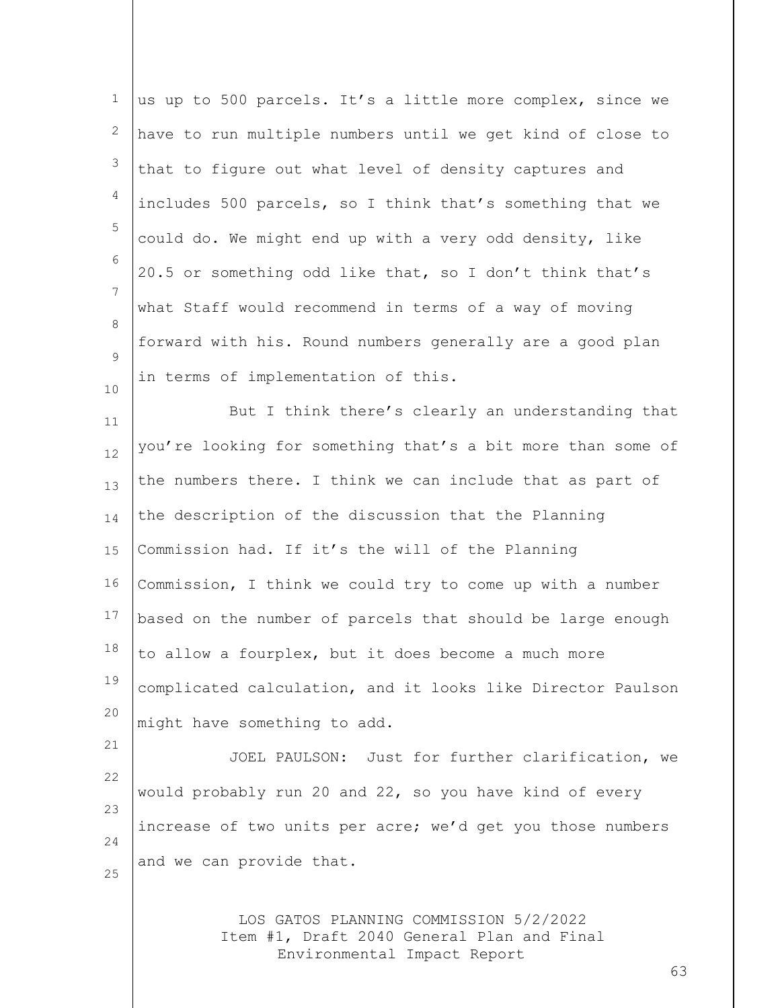| $\mathbf 1$ | us up to 500 parcels. It's a little more complex, since we                           |
|-------------|--------------------------------------------------------------------------------------|
| 2           | have to run multiple numbers until we get kind of close to                           |
| 3           | that to figure out what level of density captures and                                |
| 4           | includes 500 parcels, so I think that's something that we                            |
| 5           | could do. We might end up with a very odd density, like                              |
| 6           | 20.5 or something odd like that, so I don't think that's                             |
| 7           | what Staff would recommend in terms of a way of moving                               |
| 8           | forward with his. Round numbers generally are a good plan                            |
| 9<br>10     | in terms of implementation of this.                                                  |
| 11          | But I think there's clearly an understanding that                                    |
| 12          | you're looking for something that's a bit more than some of                          |
| 13          | the numbers there. I think we can include that as part of                            |
| 14          | the description of the discussion that the Planning                                  |
| 15          | Commission had. If it's the will of the Planning                                     |
| 16          | Commission, I think we could try to come up with a number                            |
| 17          | based on the number of parcels that should be large enough                           |
| 18          | to allow a fourplex, but it does become a much more                                  |
| 19          | complicated calculation, and it looks like Director Paulson                          |
| 20          | might have something to add.                                                         |
| 21          | JOEL PAULSON: Just for further clarification, we                                     |
| 22          | would probably run 20 and 22, so you have kind of every                              |
| 23          | increase of two units per acre; we'd get you those numbers                           |
| 24<br>25    | and we can provide that.                                                             |
|             |                                                                                      |
|             | LOS GATOS PLANNING COMMISSION 5/2/2022<br>Item #1, Draft 2040 General Plan and Final |

Environmental Impact Report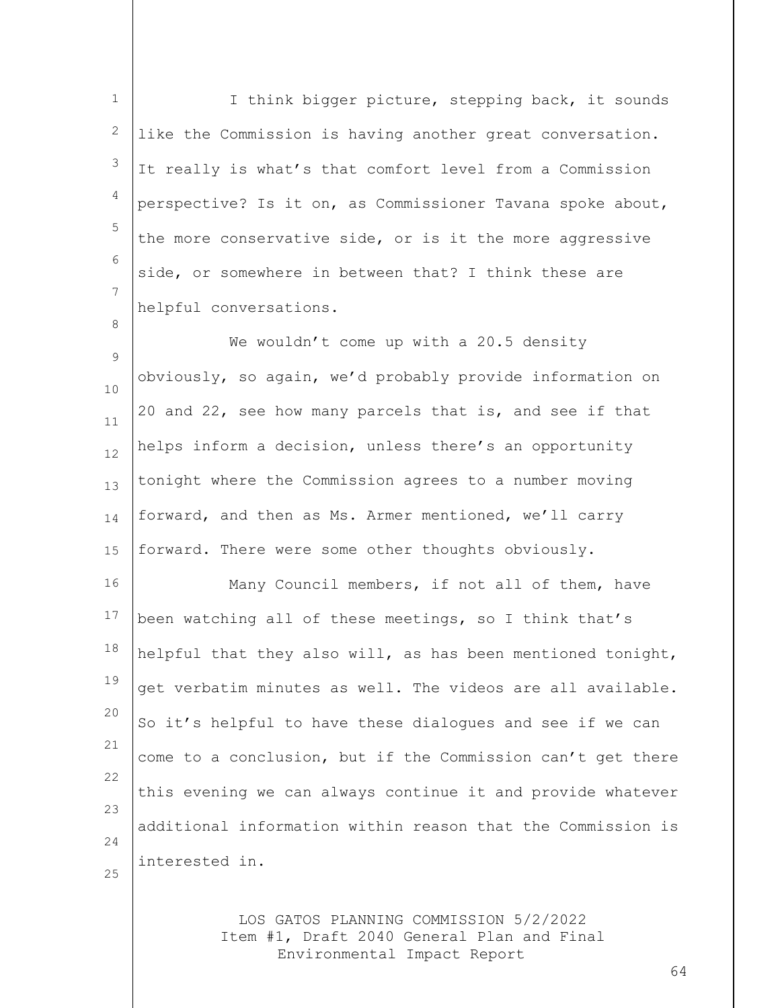1 2 3 4 5 6 7 I think bigger picture, stepping back, it sounds like the Commission is having another great conversation. It really is what's that comfort level from a Commission perspective? Is it on, as Commissioner Tavana spoke about, the more conservative side, or is it the more aggressive side, or somewhere in between that? I think these are helpful conversations.

 $\mathsf{Q}$ 10 11 12 13 14 15 We wouldn't come up with a 20.5 density obviously, so again, we'd probably provide information on 20 and 22, see how many parcels that is, and see if that helps inform a decision, unless there's an opportunity tonight where the Commission agrees to a number moving forward, and then as Ms. Armer mentioned, we'll carry forward. There were some other thoughts obviously.

16 17 18 19 20 21 22 23 24 Many Council members, if not all of them, have been watching all of these meetings, so I think that's helpful that they also will, as has been mentioned tonight, get verbatim minutes as well. The videos are all available. So it's helpful to have these dialogues and see if we can come to a conclusion, but if the Commission can't get there this evening we can always continue it and provide whatever additional information within reason that the Commission is interested in.

25

8

LOS GATOS PLANNING COMMISSION 5/2/2022 Item #1, Draft 2040 General Plan and Final Environmental Impact Report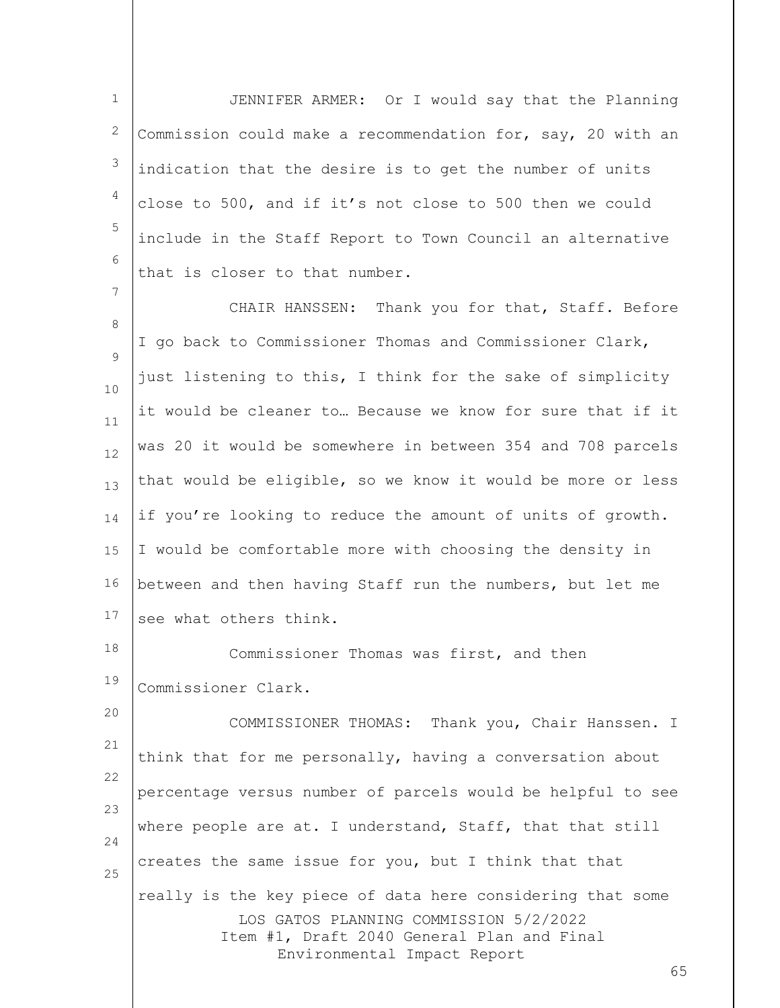1 2 3 4 5 6 JENNIFER ARMER: Or I would say that the Planning Commission could make a recommendation for, say, 20 with an indication that the desire is to get the number of units close to 500, and if it's not close to 500 then we could include in the Staff Report to Town Council an alternative that is closer to that number.

7

8 9 10 11 12 13 14 15 16 17 CHAIR HANSSEN: Thank you for that, Staff. Before I go back to Commissioner Thomas and Commissioner Clark, just listening to this, I think for the sake of simplicity it would be cleaner to… Because we know for sure that if it was 20 it would be somewhere in between 354 and 708 parcels that would be eligible, so we know it would be more or less if you're looking to reduce the amount of units of growth. I would be comfortable more with choosing the density in between and then having Staff run the numbers, but let me see what others think.

18 19 Commissioner Thomas was first, and then Commissioner Clark.

LOS GATOS PLANNING COMMISSION 5/2/2022 Item #1, Draft 2040 General Plan and Final Environmental Impact Report 20 21 22 23 24 25 COMMISSIONER THOMAS: Thank you, Chair Hanssen. I think that for me personally, having a conversation about percentage versus number of parcels would be helpful to see where people are at. I understand, Staff, that that still creates the same issue for you, but I think that that really is the key piece of data here considering that some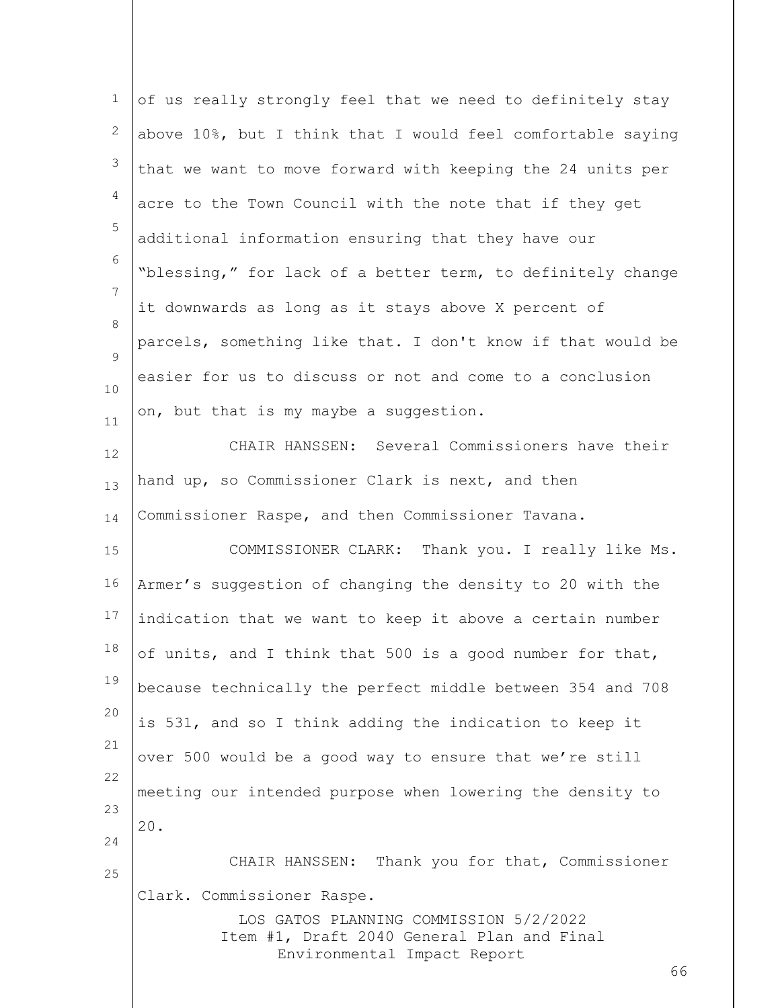| $\mathbf 1$  | of us really strongly feel that we need to definitely stay                                                                |
|--------------|---------------------------------------------------------------------------------------------------------------------------|
| $\mathbf{2}$ | above 10%, but I think that I would feel comfortable saying                                                               |
| 3            | that we want to move forward with keeping the 24 units per                                                                |
| 4            | acre to the Town Council with the note that if they get                                                                   |
| 5            | additional information ensuring that they have our                                                                        |
| 6            | "blessing," for lack of a better term, to definitely change                                                               |
| 7            | it downwards as long as it stays above X percent of                                                                       |
| 8            | parcels, something like that. I don't know if that would be                                                               |
| 9            | easier for us to discuss or not and come to a conclusion                                                                  |
| 10<br>11     | on, but that is my maybe a suggestion.                                                                                    |
| 12           | CHAIR HANSSEN: Several Commissioners have their                                                                           |
| 13           | hand up, so Commissioner Clark is next, and then                                                                          |
| 14           | Commissioner Raspe, and then Commissioner Tavana.                                                                         |
| 15           | COMMISSIONER CLARK: Thank you. I really like Ms.                                                                          |
| 16           | Armer's suggestion of changing the density to 20 with the                                                                 |
| 17           | indication that we want to keep it above a certain number                                                                 |
| 18           | of units, and I think that 500 is a good number for that,                                                                 |
| 19           | because technically the perfect middle between 354 and 708                                                                |
| 20           | is 531, and so I think adding the indication to keep it                                                                   |
| 21           | over 500 would be a good way to ensure that we're still                                                                   |
| 22           | meeting our intended purpose when lowering the density to                                                                 |
| 23           | 20.                                                                                                                       |
| 24           | CHAIR HANSSEN: Thank you for that, Commissioner                                                                           |
| 25           | Clark. Commissioner Raspe.                                                                                                |
|              | LOS GATOS PLANNING COMMISSION 5/2/2022<br>Item #1, Draft 2040 General Plan and Final<br>Environmental Impact Report<br>66 |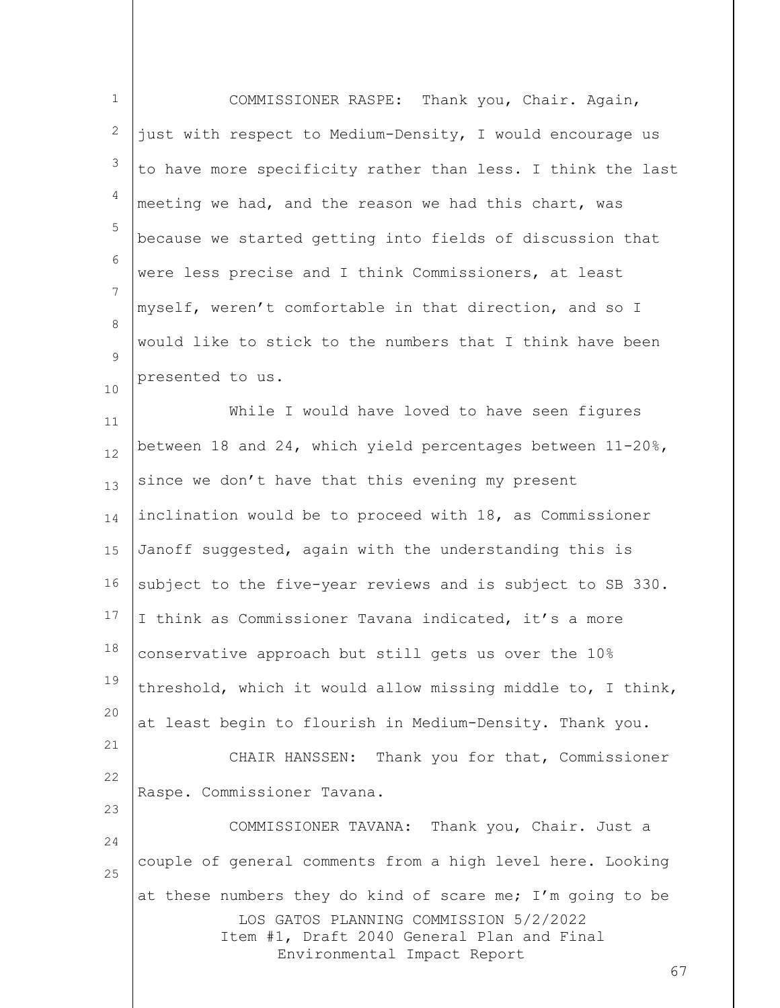| $\mathbf 1$    | COMMISSIONER RASPE: Thank you, Chair. Again,                                         |
|----------------|--------------------------------------------------------------------------------------|
| 2              | just with respect to Medium-Density, I would encourage us                            |
| 3              | to have more specificity rather than less. I think the last                          |
| $\overline{4}$ | meeting we had, and the reason we had this chart, was                                |
| 5              | because we started getting into fields of discussion that                            |
| 6              | were less precise and I think Commissioners, at least                                |
| 7              | myself, weren't comfortable in that direction, and so I                              |
| 8              | would like to stick to the numbers that I think have been                            |
| 9<br>10        | presented to us.                                                                     |
| 11             | While I would have loved to have seen figures                                        |
| 12             | between 18 and 24, which yield percentages between $11-20$ %,                        |
| 13             | since we don't have that this evening my present                                     |
| 14             | inclination would be to proceed with 18, as Commissioner                             |
| 15             | Janoff suggested, again with the understanding this is                               |
| 16             | subject to the five-year reviews and is subject to SB 330.                           |
| 17             | I think as Commissioner Tavana indicated, it's a more                                |
| 18             | conservative approach but still gets us over the 10%                                 |
| 19             | threshold, which it would allow missing middle to, I think,                          |
| 20             | at least begin to flourish in Medium-Density. Thank you.                             |
| 21             | CHAIR HANSSEN: Thank you for that, Commissioner                                      |
| 22             | Raspe. Commissioner Tavana.                                                          |
| 23<br>24       | COMMISSIONER TAVANA: Thank you, Chair. Just a                                        |
| 25             | couple of general comments from a high level here. Looking                           |
|                | at these numbers they do kind of scare me; I'm going to be                           |
|                | LOS GATOS PLANNING COMMISSION 5/2/2022<br>Item #1, Draft 2040 General Plan and Final |
|                | Environmental Impact Report<br>67                                                    |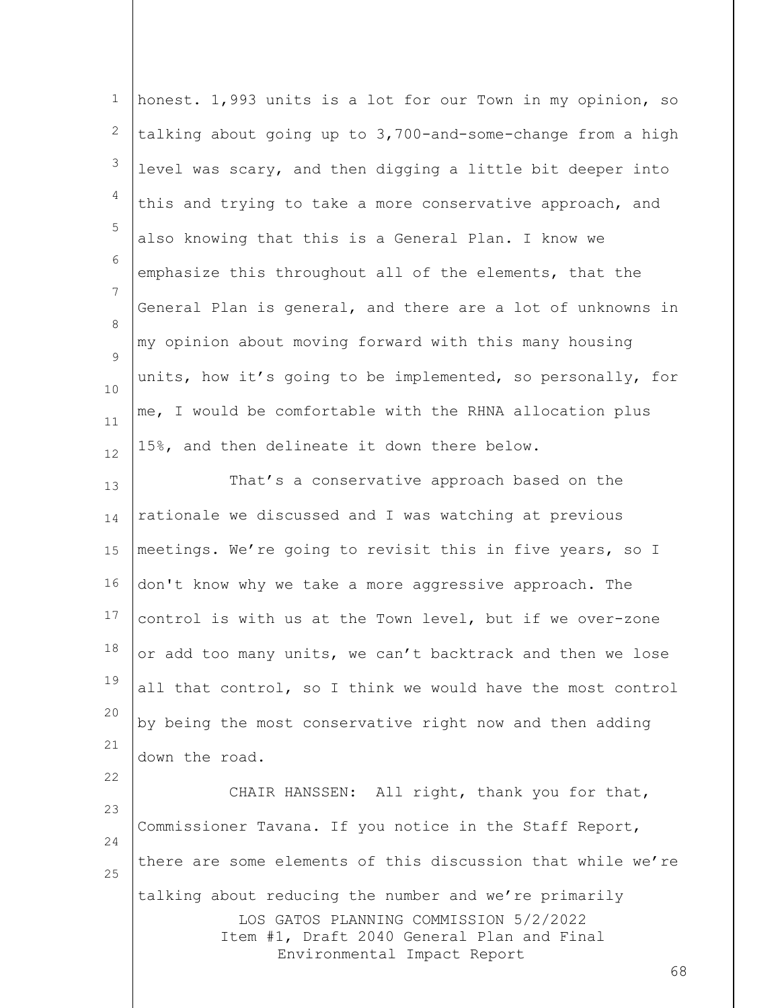| $\mathbf{1}$ | honest. 1,993 units is a lot for our Town in my opinion, so                                                                                                                        |
|--------------|------------------------------------------------------------------------------------------------------------------------------------------------------------------------------------|
| $\mathbf{2}$ | talking about going up to 3,700-and-some-change from a high                                                                                                                        |
| 3            | level was scary, and then digging a little bit deeper into                                                                                                                         |
| 4            | this and trying to take a more conservative approach, and                                                                                                                          |
| 5            | also knowing that this is a General Plan. I know we                                                                                                                                |
| 6            | emphasize this throughout all of the elements, that the                                                                                                                            |
| 7            | General Plan is general, and there are a lot of unknowns in                                                                                                                        |
| 8<br>9       | my opinion about moving forward with this many housing                                                                                                                             |
| 10           | units, how it's going to be implemented, so personally, for                                                                                                                        |
| 11           | me, I would be comfortable with the RHNA allocation plus                                                                                                                           |
| 12           | 15%, and then delineate it down there below.                                                                                                                                       |
| 13           | That's a conservative approach based on the                                                                                                                                        |
| 14           | rationale we discussed and I was watching at previous                                                                                                                              |
| 15           | meetings. We're going to revisit this in five years, so I                                                                                                                          |
| 16           | don't know why we take a more aggressive approach. The                                                                                                                             |
| 17           | control is with us at the Town level, but if we over-zone                                                                                                                          |
| 18           | or add too many units, we can't backtrack and then we lose                                                                                                                         |
| 19           | all that control, so I think we would have the most control                                                                                                                        |
| 20           | by being the most conservative right now and then adding                                                                                                                           |
| 21           | down the road.                                                                                                                                                                     |
| 22           | CHAIR HANSSEN: All right, thank you for that,                                                                                                                                      |
| 23           | Commissioner Tavana. If you notice in the Staff Report,                                                                                                                            |
| 24<br>25     | there are some elements of this discussion that while we're                                                                                                                        |
|              | talking about reducing the number and we're primarily<br>LOS GATOS PLANNING COMMISSION 5/2/2022<br>Item #1, Draft 2040 General Plan and Final<br>Environmental Impact Report<br>68 |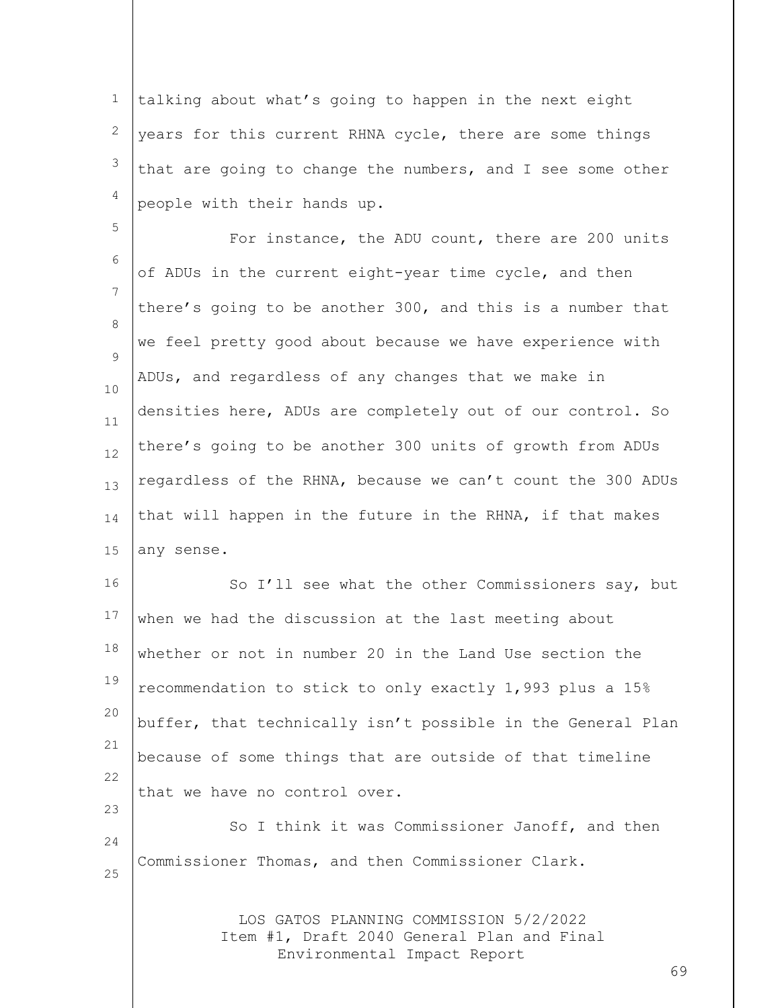1 2 3 4 talking about what's going to happen in the next eight years for this current RHNA cycle, there are some things that are going to change the numbers, and I see some other people with their hands up.

5

6 7 8  $\mathsf{Q}$ 10 11 12 13 14 15 For instance, the ADU count, there are 200 units of ADUs in the current eight-year time cycle, and then there's going to be another 300, and this is a number that we feel pretty good about because we have experience with ADUs, and regardless of any changes that we make in densities here, ADUs are completely out of our control. So there's going to be another 300 units of growth from ADUs regardless of the RHNA, because we can't count the 300 ADUs that will happen in the future in the RHNA, if that makes any sense.

16 17 18 19 20 21 22 23 So I'll see what the other Commissioners say, but when we had the discussion at the last meeting about whether or not in number 20 in the Land Use section the recommendation to stick to only exactly 1,993 plus a 15% buffer, that technically isn't possible in the General Plan because of some things that are outside of that timeline that we have no control over.

24 25 So I think it was Commissioner Janoff, and then Commissioner Thomas, and then Commissioner Clark.

> LOS GATOS PLANNING COMMISSION 5/2/2022 Item #1, Draft 2040 General Plan and Final Environmental Impact Report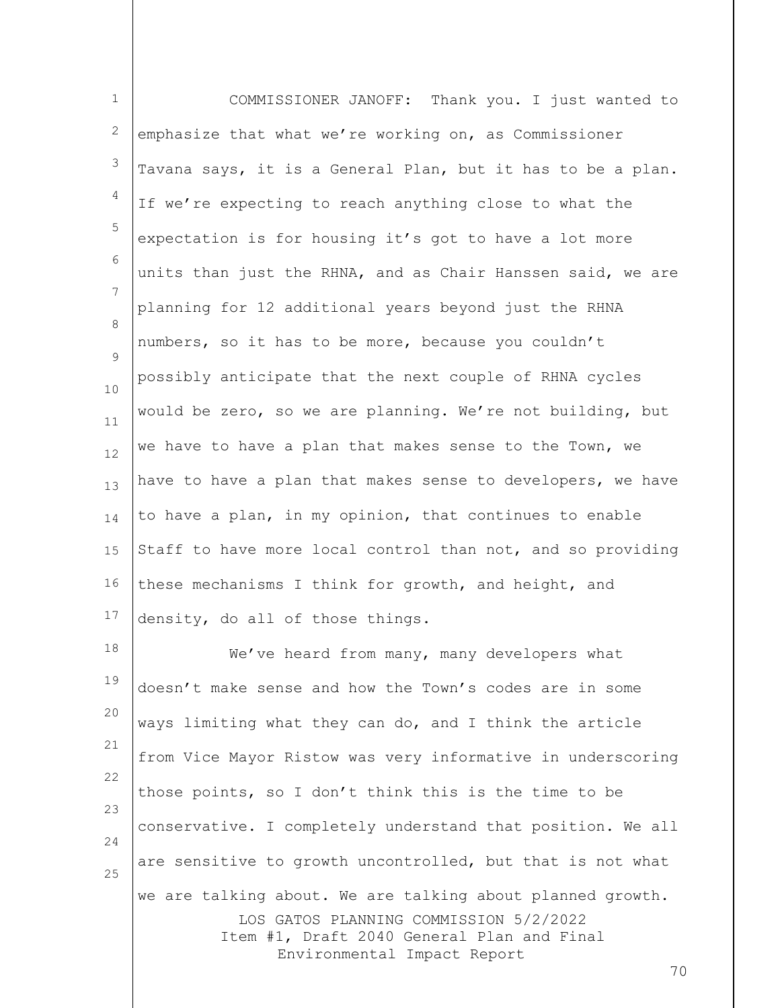| $1\,$        | COMMISSIONER JANOFF: Thank you. I just wanted to                                                                    |
|--------------|---------------------------------------------------------------------------------------------------------------------|
| $\mathbf{2}$ | emphasize that what we're working on, as Commissioner                                                               |
| 3            | Tavana says, it is a General Plan, but it has to be a plan.                                                         |
| 4            | If we're expecting to reach anything close to what the                                                              |
| 5            | expectation is for housing it's got to have a lot more                                                              |
| 6            | units than just the RHNA, and as Chair Hanssen said, we are                                                         |
| 7            | planning for 12 additional years beyond just the RHNA                                                               |
| 8<br>9       | numbers, so it has to be more, because you couldn't                                                                 |
| 10           | possibly anticipate that the next couple of RHNA cycles                                                             |
| 11           | would be zero, so we are planning. We're not building, but                                                          |
| 12           | we have to have a plan that makes sense to the Town, we                                                             |
| 13           | have to have a plan that makes sense to developers, we have                                                         |
| 14           | to have a plan, in my opinion, that continues to enable                                                             |
| 15           | Staff to have more local control than not, and so providing                                                         |
| 16           | these mechanisms I think for growth, and height, and                                                                |
| 17           | density, do all of those things.                                                                                    |
| 18           | We've heard from many, many developers what                                                                         |
| 19           | doesn't make sense and how the Town's codes are in some                                                             |
| 20           | ways limiting what they can do, and I think the article                                                             |
| 21           | from Vice Mayor Ristow was very informative in underscoring                                                         |
| 22<br>23     | those points, so I don't think this is the time to be                                                               |
| 24           | conservative. I completely understand that position. We all                                                         |
| 25           | are sensitive to growth uncontrolled, but that is not what                                                          |
|              | we are talking about. We are talking about planned growth.                                                          |
|              | LOS GATOS PLANNING COMMISSION 5/2/2022<br>Item #1, Draft 2040 General Plan and Final<br>Environmental Impact Report |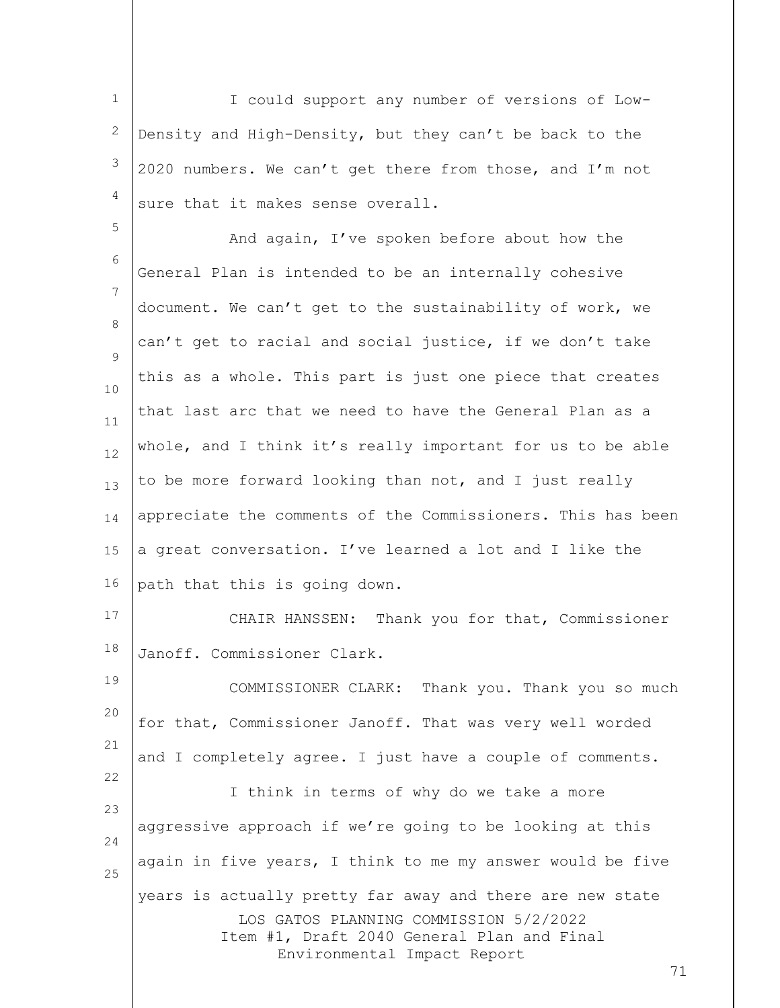1 2 3 4 I could support any number of versions of Low-Density and High-Density, but they can't be back to the 2020 numbers. We can't get there from those, and I'm not sure that it makes sense overall.

5 6 7 8  $\mathsf{Q}$ 10 11 12 13 14 15 16 And again, I've spoken before about how the General Plan is intended to be an internally cohesive document. We can't get to the sustainability of work, we can't get to racial and social justice, if we don't take this as a whole. This part is just one piece that creates that last arc that we need to have the General Plan as a whole, and I think it's really important for us to be able to be more forward looking than not, and I just really appreciate the comments of the Commissioners. This has been a great conversation. I've learned a lot and I like the path that this is going down.

17 18 CHAIR HANSSEN: Thank you for that, Commissioner Janoff. Commissioner Clark.

LOS GATOS PLANNING COMMISSION 5/2/2022 Item #1, Draft 2040 General Plan and Final Environmental Impact Report 19 20 21 22 23 24 25 COMMISSIONER CLARK: Thank you. Thank you so much for that, Commissioner Janoff. That was very well worded and I completely agree. I just have a couple of comments. I think in terms of why do we take a more aggressive approach if we're going to be looking at this again in five years, I think to me my answer would be five years is actually pretty far away and there are new state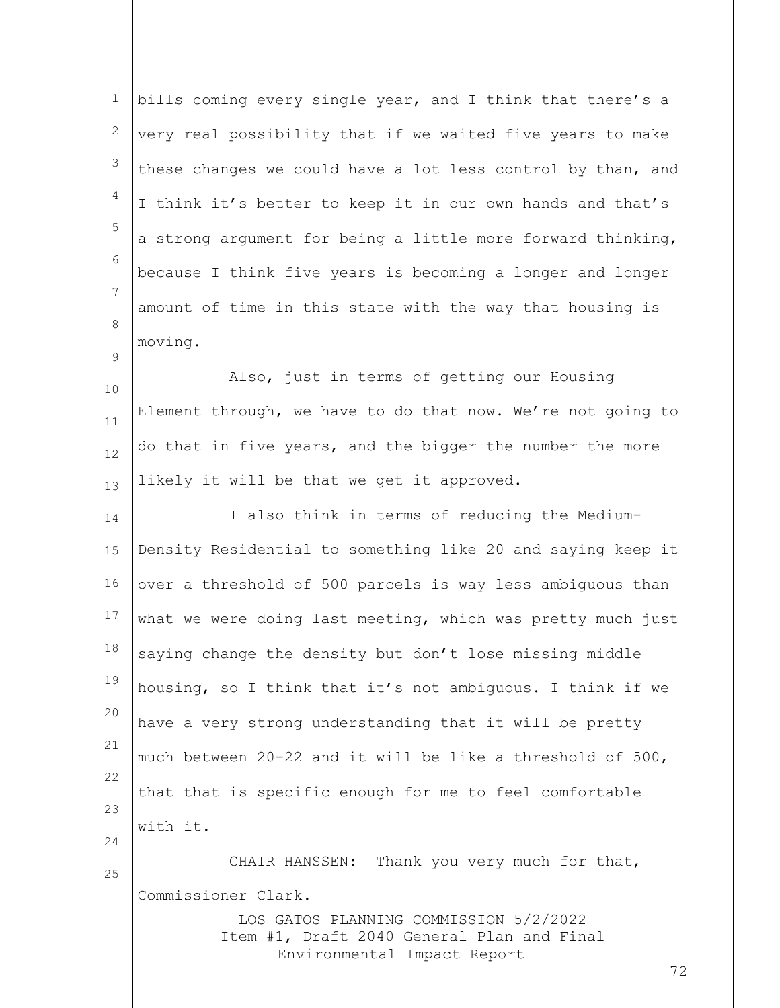| $\mathbf 1$ | bills coming every single year, and I think that there's a  |
|-------------|-------------------------------------------------------------|
| 2           | very real possibility that if we waited five years to make  |
| 3           | these changes we could have a lot less control by than, and |
| 4           | I think it's better to keep it in our own hands and that's  |
| 5           | a strong argument for being a little more forward thinking, |
| 6           | because I think five years is becoming a longer and longer  |
| 7           | amount of time in this state with the way that housing is   |
| 8           | moving.                                                     |
| 9           | Also, just in terms of getting our Housing                  |
| 10          | Element through, we have to do that now. We're not going to |
| 11<br>12    | do that in five years, and the bigger the number the more   |
| 13          | likely it will be that we get it approved.                  |
| 14          | I also think in terms of reducing the Medium-               |
| 15          | Density Residential to something like 20 and saying keep it |
| 16          | over a threshold of 500 parcels is way less ambiguous than  |
| 17          | what we were doing last meeting, which was pretty much just |
| 18          | saying change the density but don't lose missing middle     |
| 19          | housing, so I think that it's not ambiguous. I think if we  |
| 20          | have a very strong understanding that it will be pretty     |
| 21          | much between 20-22 and it will be like a threshold of 500,  |
| 22          | that that is specific enough for me to feel comfortable     |
| 23          | with it.                                                    |
| 24          | CHAIR HANSSEN: Thank you very much for that,                |
| 25          | Commissioner Clark.                                         |
|             | LOS GATOS PLANNING COMMISSION 5/2/2022                      |
|             | Item #1, Draft 2040 General Plan and Final                  |
|             | Environmental Impact Report                                 |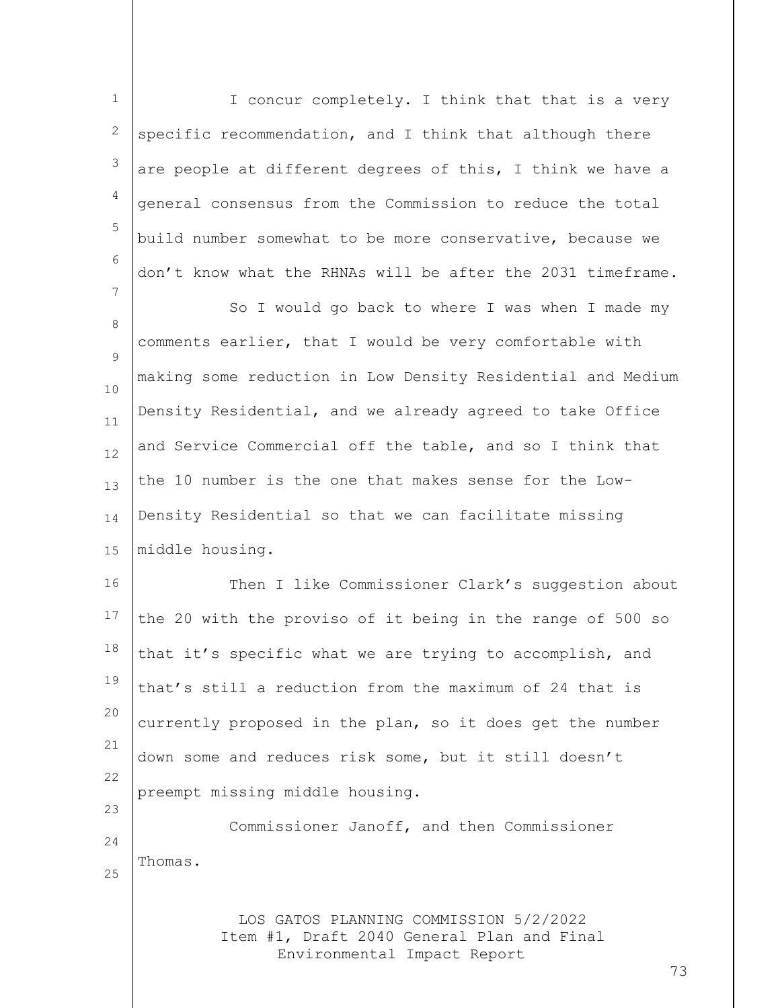LOS GATOS PLANNING COMMISSION 5/2/2022 Item #1, Draft 2040 General Plan and Final Environmental Impact Report 73 1 2 3 4 5 6 7 8  $\mathsf{Q}$ 10 11 12 13 14 15 16 17 18 19 20 21 22 23 24 25 I concur completely. I think that that is a very specific recommendation, and I think that although there are people at different degrees of this, I think we have a general consensus from the Commission to reduce the total build number somewhat to be more conservative, because we don't know what the RHNAs will be after the 2031 timeframe. So I would go back to where I was when I made my comments earlier, that I would be very comfortable with making some reduction in Low Density Residential and Medium Density Residential, and we already agreed to take Office and Service Commercial off the table, and so I think that the 10 number is the one that makes sense for the Low-Density Residential so that we can facilitate missing middle housing. Then I like Commissioner Clark's suggestion about the 20 with the proviso of it being in the range of 500 so that it's specific what we are trying to accomplish, and that's still a reduction from the maximum of 24 that is currently proposed in the plan, so it does get the number down some and reduces risk some, but it still doesn't preempt missing middle housing. Commissioner Janoff, and then Commissioner Thomas.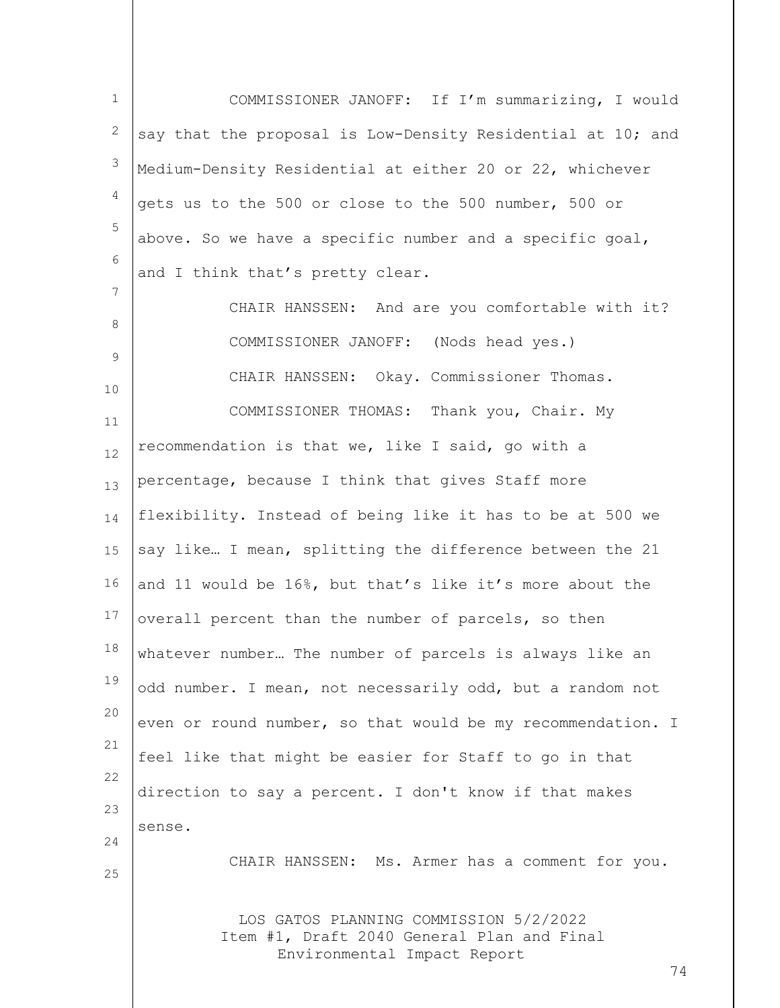LOS GATOS PLANNING COMMISSION 5/2/2022 Item #1, Draft 2040 General Plan and Final Environmental Impact Report 74 1 2 3 4 5 6 7 8 9 10 11 12 13 14 15 16 17 18 19 20 21 22 23 24 25 COMMISSIONER JANOFF: If I'm summarizing, I would say that the proposal is Low-Density Residential at 10; and Medium-Density Residential at either 20 or 22, whichever gets us to the 500 or close to the 500 number, 500 or above. So we have a specific number and a specific goal, and I think that's pretty clear. CHAIR HANSSEN: And are you comfortable with it? COMMISSIONER JANOFF: (Nods head yes.) CHAIR HANSSEN: Okay. Commissioner Thomas. COMMISSIONER THOMAS: Thank you, Chair. My recommendation is that we, like I said, go with a percentage, because I think that gives Staff more flexibility. Instead of being like it has to be at 500 we say like… I mean, splitting the difference between the 21 and 11 would be 16%, but that's like it's more about the overall percent than the number of parcels, so then whatever number… The number of parcels is always like an odd number. I mean, not necessarily odd, but a random not even or round number, so that would be my recommendation. I feel like that might be easier for Staff to go in that direction to say a percent. I don't know if that makes sense. CHAIR HANSSEN: Ms. Armer has a comment for you.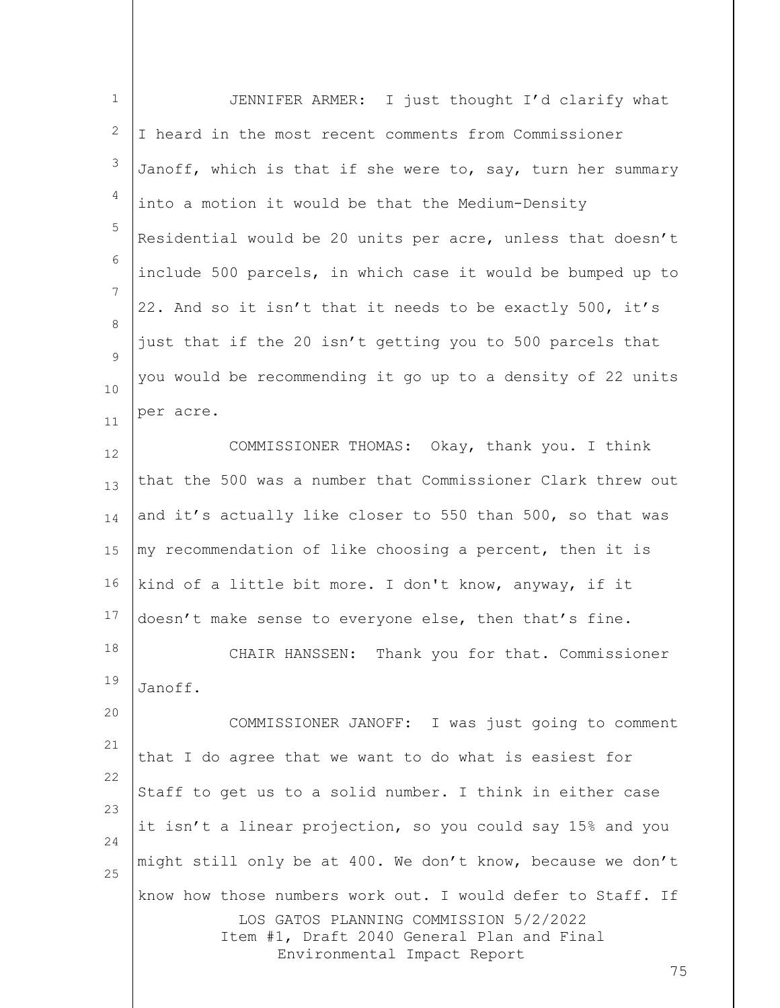| $\mathbf 1$ | JENNIFER ARMER: I just thought I'd clarify what                                                       |
|-------------|-------------------------------------------------------------------------------------------------------|
| 2           | I heard in the most recent comments from Commissioner                                                 |
| 3           | Janoff, which is that if she were to, say, turn her summary                                           |
| 4           | into a motion it would be that the Medium-Density                                                     |
| 5           | Residential would be 20 units per acre, unless that doesn't                                           |
| 6           | include 500 parcels, in which case it would be bumped up to                                           |
| 7           | 22. And so it isn't that it needs to be exactly 500, it's                                             |
| 8           | just that if the 20 isn't getting you to 500 parcels that                                             |
| 9<br>10     | you would be recommending it go up to a density of 22 units                                           |
| 11          | per acre.                                                                                             |
| 12          | COMMISSIONER THOMAS: Okay, thank you. I think                                                         |
| 13          | that the 500 was a number that Commissioner Clark threw out                                           |
| 14          | and it's actually like closer to 550 than 500, so that was                                            |
| 15          | my recommendation of like choosing a percent, then it is                                              |
| 16          | kind of a little bit more. I don't know, anyway, if it                                                |
| 17          | doesn't make sense to everyone else, then that's fine.                                                |
| 18          | CHAIR HANSSEN: Thank you for that. Commissioner                                                       |
| 19          | Janoff.                                                                                               |
| 20          | COMMISSIONER JANOFF: I was just going to comment                                                      |
| 21          | that I do agree that we want to do what is easiest for                                                |
| 22          | Staff to get us to a solid number. I think in either case                                             |
| 23<br>24    | it isn't a linear projection, so you could say 15% and you                                            |
| 25          | might still only be at 400. We don't know, because we don't                                           |
|             | know how those numbers work out. I would defer to Staff. If<br>LOS GATOS PLANNING COMMISSION 5/2/2022 |
|             | Item #1, Draft 2040 General Plan and Final<br>Environmental Impact Report                             |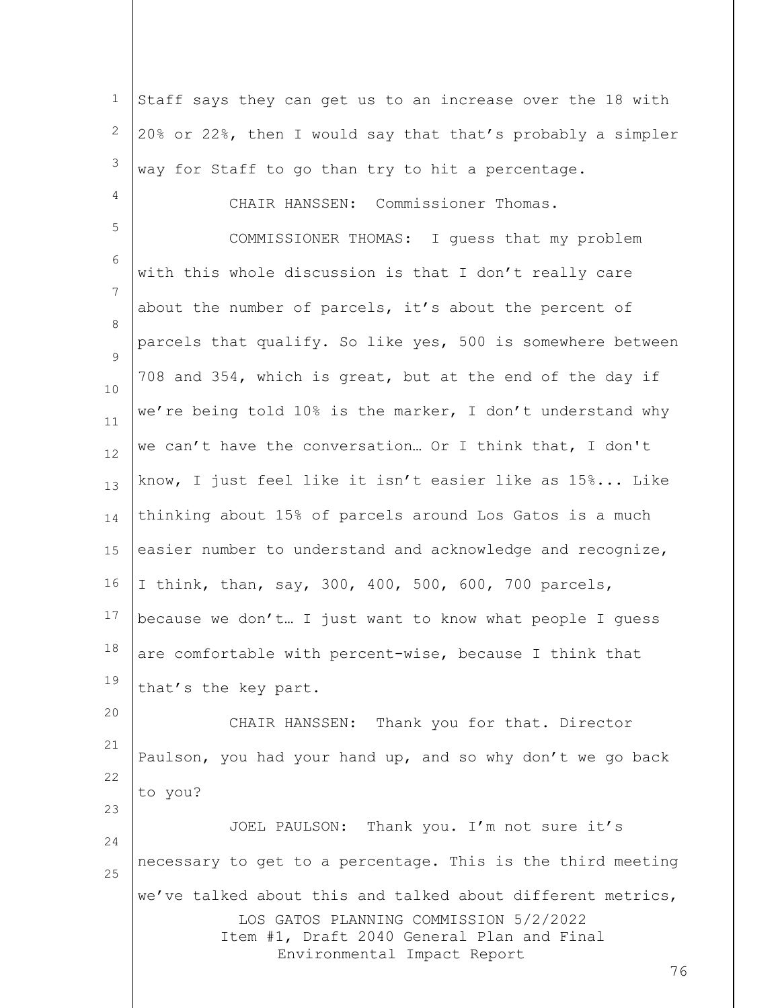1 2 3 Staff says they can get us to an increase over the 18 with 20% or 22%, then I would say that that's probably a simpler way for Staff to go than try to hit a percentage.

4

23

5 6 7 8  $\mathsf{Q}$ 10 11 12 13 14 15 16 17 18 19 CHAIR HANSSEN: Commissioner Thomas. COMMISSIONER THOMAS: I guess that my problem with this whole discussion is that I don't really care about the number of parcels, it's about the percent of parcels that qualify. So like yes, 500 is somewhere between 708 and 354, which is great, but at the end of the day if we're being told 10% is the marker, I don't understand why we can't have the conversation… Or I think that, I don't know, I just feel like it isn't easier like as 15%... Like thinking about 15% of parcels around Los Gatos is a much easier number to understand and acknowledge and recognize, I think, than, say, 300, 400, 500, 600, 700 parcels, because we don't… I just want to know what people I guess are comfortable with percent-wise, because I think that that's the key part.

20 21 22 CHAIR HANSSEN: Thank you for that. Director Paulson, you had your hand up, and so why don't we go back to you?

LOS GATOS PLANNING COMMISSION 5/2/2022 Item #1, Draft 2040 General Plan and Final Environmental Impact Report 24 25 JOEL PAULSON: Thank you. I'm not sure it's necessary to get to a percentage. This is the third meeting we've talked about this and talked about different metrics,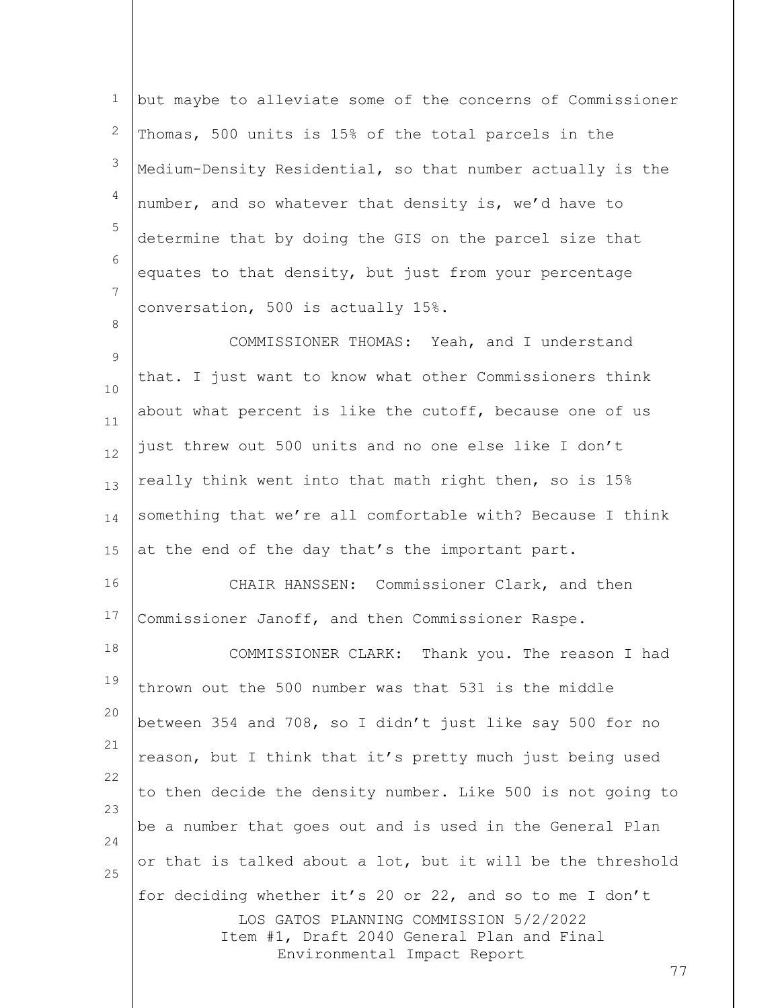1 2 3 4 5 6 7 but maybe to alleviate some of the concerns of Commissioner Thomas, 500 units is 15% of the total parcels in the Medium-Density Residential, so that number actually is the number, and so whatever that density is, we'd have to determine that by doing the GIS on the parcel size that equates to that density, but just from your percentage conversation, 500 is actually 15%.

9 10 11 12 13 14 15 COMMISSIONER THOMAS: Yeah, and I understand that. I just want to know what other Commissioners think about what percent is like the cutoff, because one of us just threw out 500 units and no one else like I don't really think went into that math right then, so is 15% something that we're all comfortable with? Because I think at the end of the day that's the important part.

8

16 17 CHAIR HANSSEN: Commissioner Clark, and then Commissioner Janoff, and then Commissioner Raspe.

LOS GATOS PLANNING COMMISSION 5/2/2022 Item #1, Draft 2040 General Plan and Final Environmental Impact Report 18 19 20 21 22 23 24 25 COMMISSIONER CLARK: Thank you. The reason I had thrown out the 500 number was that 531 is the middle between 354 and 708, so I didn't just like say 500 for no reason, but I think that it's pretty much just being used to then decide the density number. Like 500 is not going to be a number that goes out and is used in the General Plan or that is talked about a lot, but it will be the threshold for deciding whether it's 20 or 22, and so to me I don't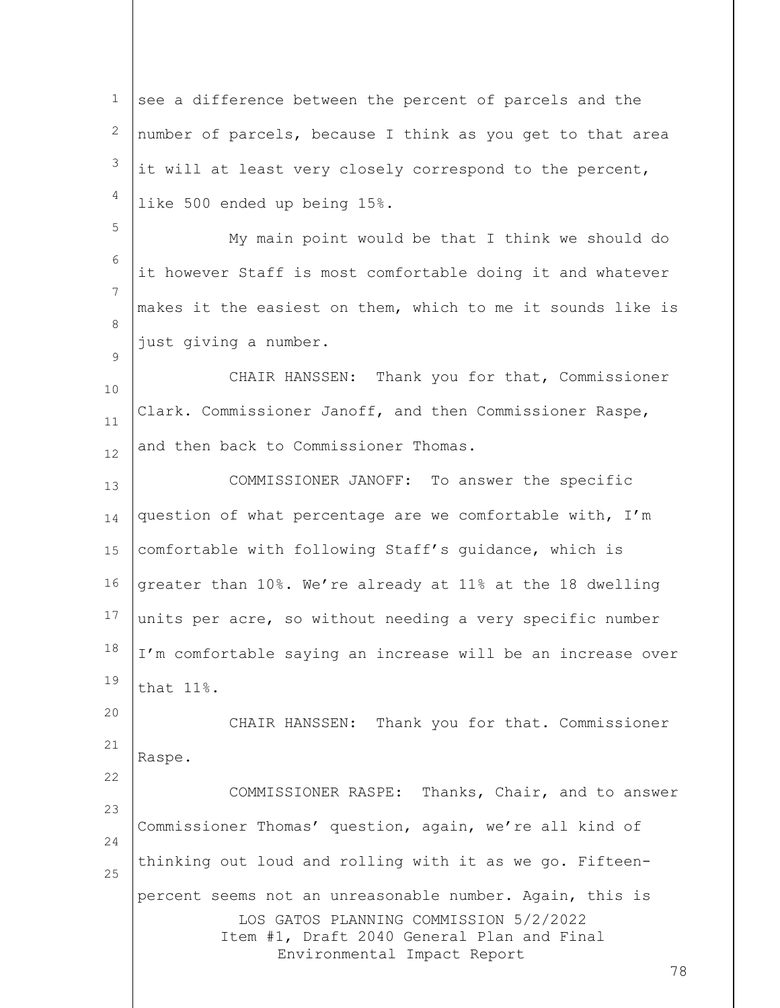LOS GATOS PLANNING COMMISSION 5/2/2022 Item #1, Draft 2040 General Plan and Final Environmental Impact Report 1 2 3 4 5 6 7 8  $\mathsf{Q}$ 10 11 12 13 14 15 16 17 18 19 20 21 22 23 24 25 see a difference between the percent of parcels and the number of parcels, because I think as you get to that area it will at least very closely correspond to the percent, like 500 ended up being 15%. My main point would be that I think we should do it however Staff is most comfortable doing it and whatever makes it the easiest on them, which to me it sounds like is just giving a number. CHAIR HANSSEN: Thank you for that, Commissioner Clark. Commissioner Janoff, and then Commissioner Raspe, and then back to Commissioner Thomas. COMMISSIONER JANOFF: To answer the specific question of what percentage are we comfortable with, I'm comfortable with following Staff's guidance, which is greater than 10%. We're already at 11% at the 18 dwelling units per acre, so without needing a very specific number I'm comfortable saying an increase will be an increase over that 11%. CHAIR HANSSEN: Thank you for that. Commissioner Raspe. COMMISSIONER RASPE: Thanks, Chair, and to answer Commissioner Thomas' question, again, we're all kind of thinking out loud and rolling with it as we go. Fifteenpercent seems not an unreasonable number. Again, this is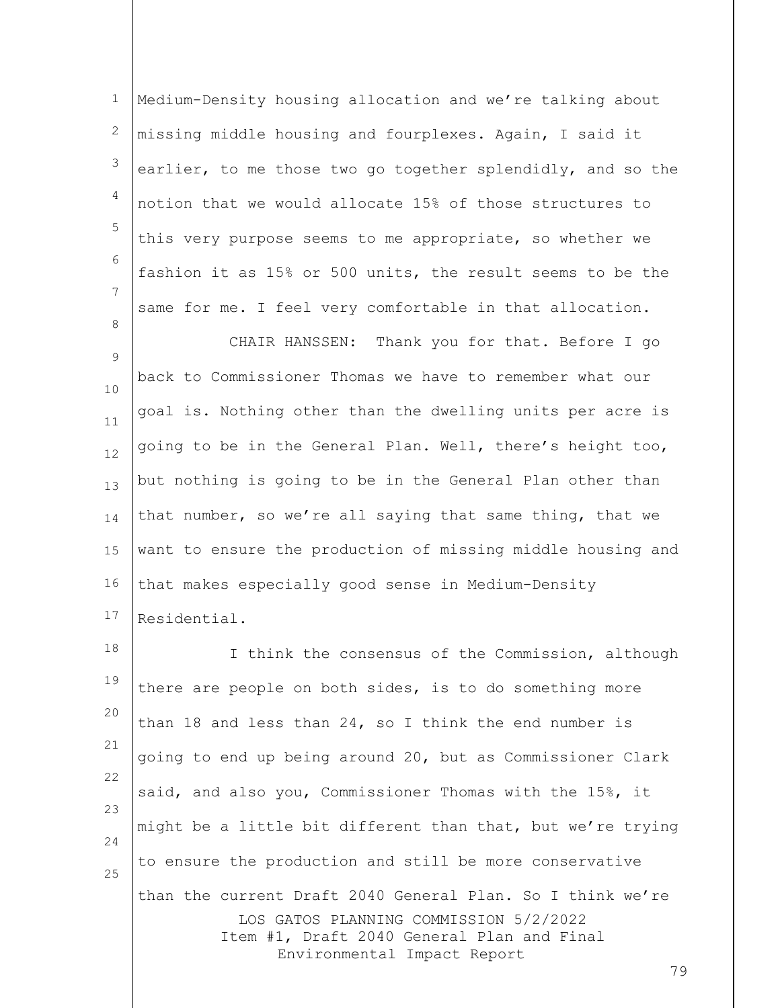1 2 3 4 5 6 7 8 Medium-Density housing allocation and we're talking about missing middle housing and fourplexes. Again, I said it earlier, to me those two go together splendidly, and so the notion that we would allocate 15% of those structures to this very purpose seems to me appropriate, so whether we fashion it as 15% or 500 units, the result seems to be the same for me. I feel very comfortable in that allocation.

 $\mathsf{Q}$ 10 11 12 13 14 15 16 17 CHAIR HANSSEN: Thank you for that. Before I go back to Commissioner Thomas we have to remember what our goal is. Nothing other than the dwelling units per acre is going to be in the General Plan. Well, there's height too, but nothing is going to be in the General Plan other than that number, so we're all saying that same thing, that we want to ensure the production of missing middle housing and that makes especially good sense in Medium-Density Residential.

LOS GATOS PLANNING COMMISSION 5/2/2022 Item #1, Draft 2040 General Plan and Final Environmental Impact Report 18 19 20 21 22 23 24 25 I think the consensus of the Commission, although there are people on both sides, is to do something more than 18 and less than 24, so I think the end number is going to end up being around 20, but as Commissioner Clark said, and also you, Commissioner Thomas with the 15%, it might be a little bit different than that, but we're trying to ensure the production and still be more conservative than the current Draft 2040 General Plan. So I think we're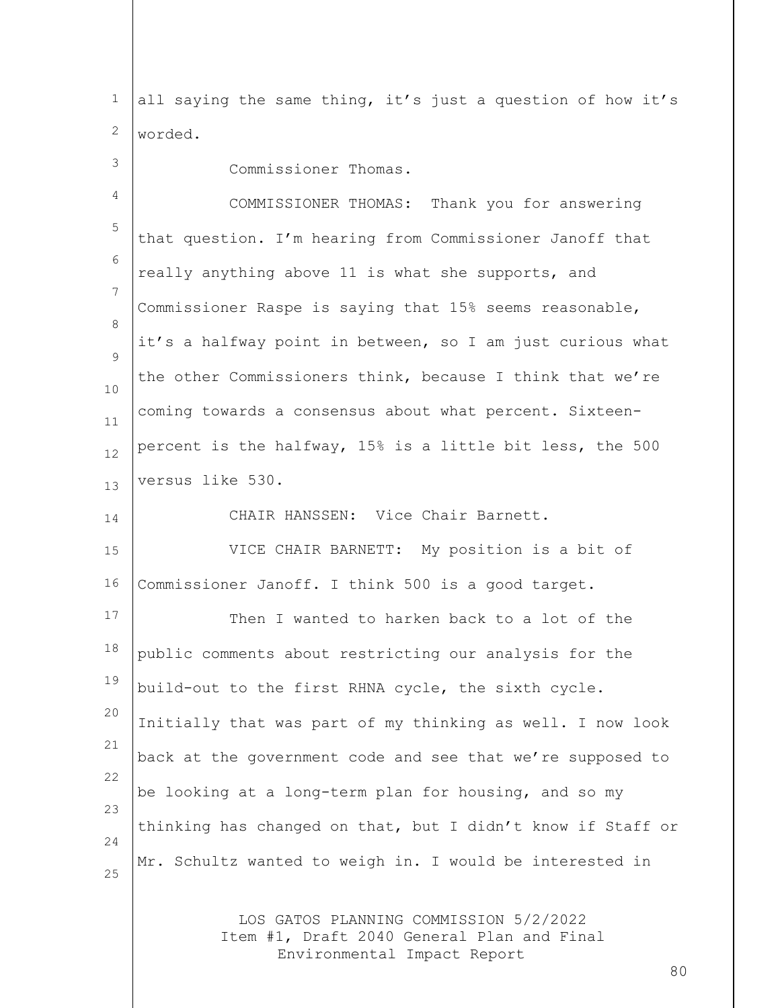1 2 all saying the same thing, it's just a question of how it's worded.

| 3              | Commissioner Thomas.                                                                 |
|----------------|--------------------------------------------------------------------------------------|
| 4              | COMMISSIONER THOMAS: Thank you for answering                                         |
| 5              | that question. I'm hearing from Commissioner Janoff that                             |
| 6              | really anything above 11 is what she supports, and                                   |
| $\overline{7}$ | Commissioner Raspe is saying that 15% seems reasonable,                              |
| 8              | it's a halfway point in between, so I am just curious what                           |
| 9<br>10        | the other Commissioners think, because I think that we're                            |
| 11             | coming towards a consensus about what percent. Sixteen-                              |
| 12             | percent is the halfway, 15% is a little bit less, the 500                            |
| 13             | versus like 530.                                                                     |
| 14             | CHAIR HANSSEN: Vice Chair Barnett.                                                   |
| 15             | VICE CHAIR BARNETT: My position is a bit of                                          |
| 16             | Commissioner Janoff. I think 500 is a good target.                                   |
| 17             | Then I wanted to harken back to a lot of the                                         |
| 18             | public comments about restricting our analysis for the                               |
| 19             | build-out to the first RHNA cycle, the sixth cycle.                                  |
| 20             | Initially that was part of my thinking as well. I now look                           |
| 21             | back at the government code and see that we're supposed to                           |
| 22             | be looking at a long-term plan for housing, and so my                                |
| 23             | thinking has changed on that, but I didn't know if Staff or                          |
| 24             | Mr. Schultz wanted to weigh in. I would be interested in                             |
| 25             |                                                                                      |
|                | LOS GATOS PLANNING COMMISSION 5/2/2022<br>Item #1, Draft 2040 General Plan and Final |

Environmental Impact Report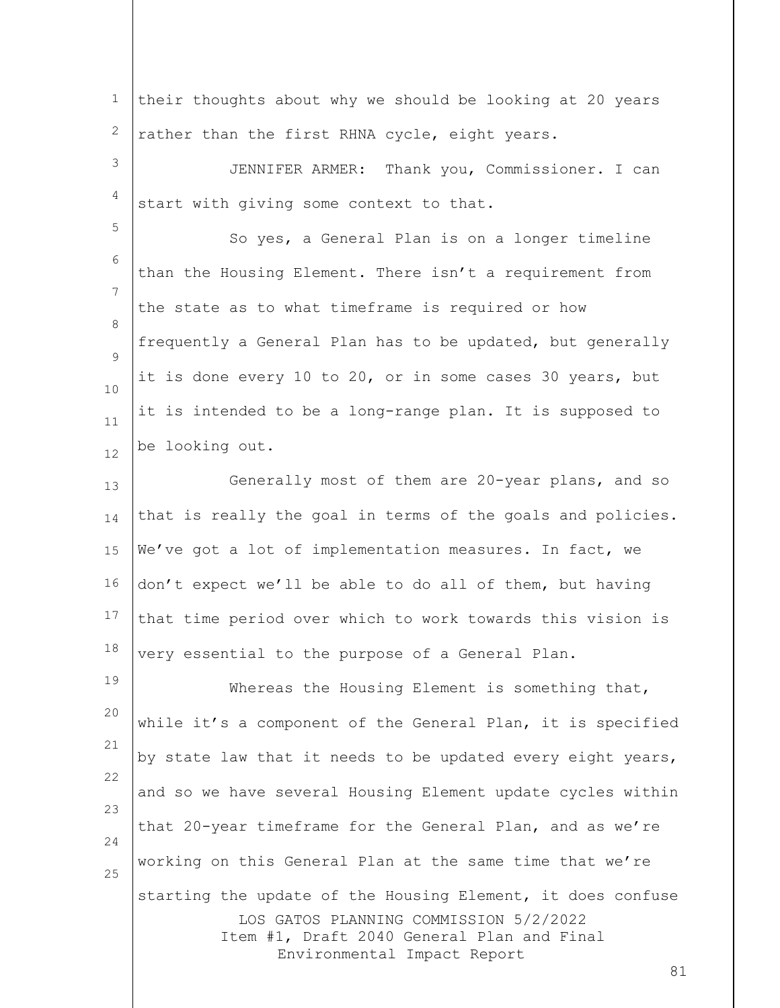1 2 3 4 5 6 7 8  $\mathsf{Q}$ 10 11 12 13 14 15 16 17 18 19 20 21 22 their thoughts about why we should be looking at 20 years rather than the first RHNA cycle, eight years. JENNIFER ARMER: Thank you, Commissioner. I can start with giving some context to that. So yes, a General Plan is on a longer timeline than the Housing Element. There isn't a requirement from the state as to what timeframe is required or how frequently a General Plan has to be updated, but generally it is done every 10 to 20, or in some cases 30 years, but it is intended to be a long-range plan. It is supposed to be looking out. Generally most of them are 20-year plans, and so that is really the goal in terms of the goals and policies. We've got a lot of implementation measures. In fact, we don't expect we'll be able to do all of them, but having that time period over which to work towards this vision is very essential to the purpose of a General Plan. Whereas the Housing Element is something that, while it's a component of the General Plan, it is specified by state law that it needs to be updated every eight years,

LOS GATOS PLANNING COMMISSION 5/2/2022 Item #1, Draft 2040 General Plan and Final Environmental Impact Report that 20-year timeframe for the General Plan, and as we're working on this General Plan at the same time that we're starting the update of the Housing Element, it does confuse

and so we have several Housing Element update cycles within

23

24

25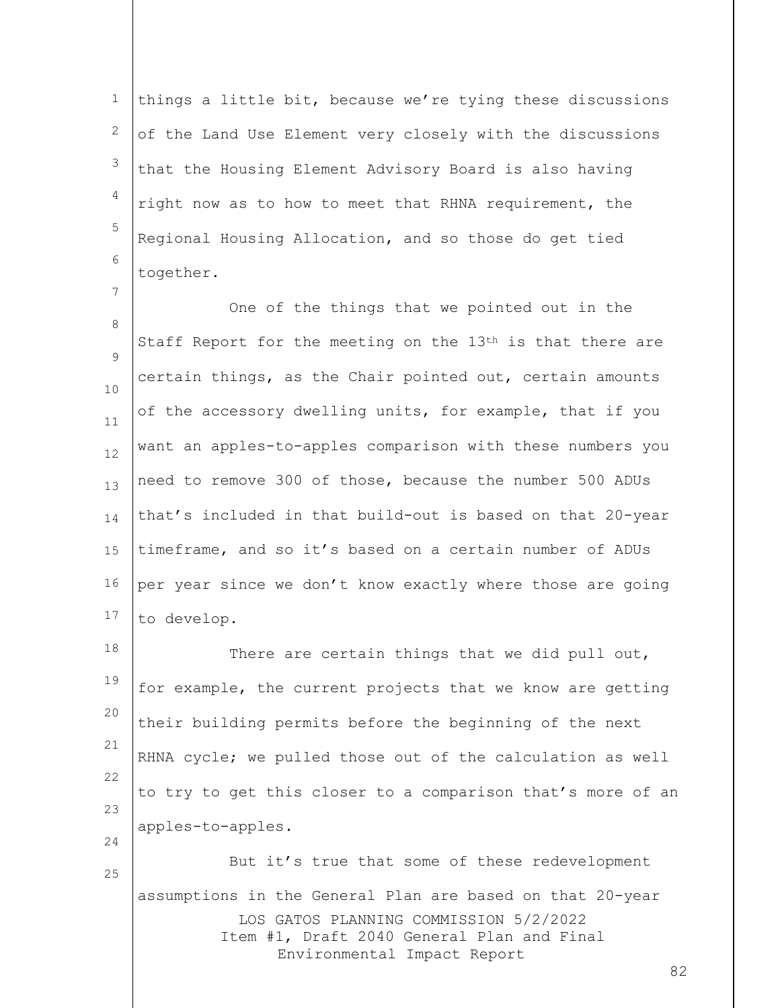1 2 3 4 5 6 things a little bit, because we're tying these discussions of the Land Use Element very closely with the discussions that the Housing Element Advisory Board is also having right now as to how to meet that RHNA requirement, the Regional Housing Allocation, and so those do get tied together.

7

25

8  $\mathsf{Q}$ 10 11 12 13 14 15 16 17 One of the things that we pointed out in the Staff Report for the meeting on the  $13<sup>th</sup>$  is that there are certain things, as the Chair pointed out, certain amounts of the accessory dwelling units, for example, that if you want an apples-to-apples comparison with these numbers you need to remove 300 of those, because the number 500 ADUs that's included in that build-out is based on that 20-year timeframe, and so it's based on a certain number of ADUs per year since we don't know exactly where those are going to develop.

18 19 20 21 22 23 24 There are certain things that we did pull out, for example, the current projects that we know are getting their building permits before the beginning of the next RHNA cycle; we pulled those out of the calculation as well to try to get this closer to a comparison that's more of an apples-to-apples.

LOS GATOS PLANNING COMMISSION 5/2/2022 Item #1, Draft 2040 General Plan and Final Environmental Impact Report But it's true that some of these redevelopment assumptions in the General Plan are based on that 20-year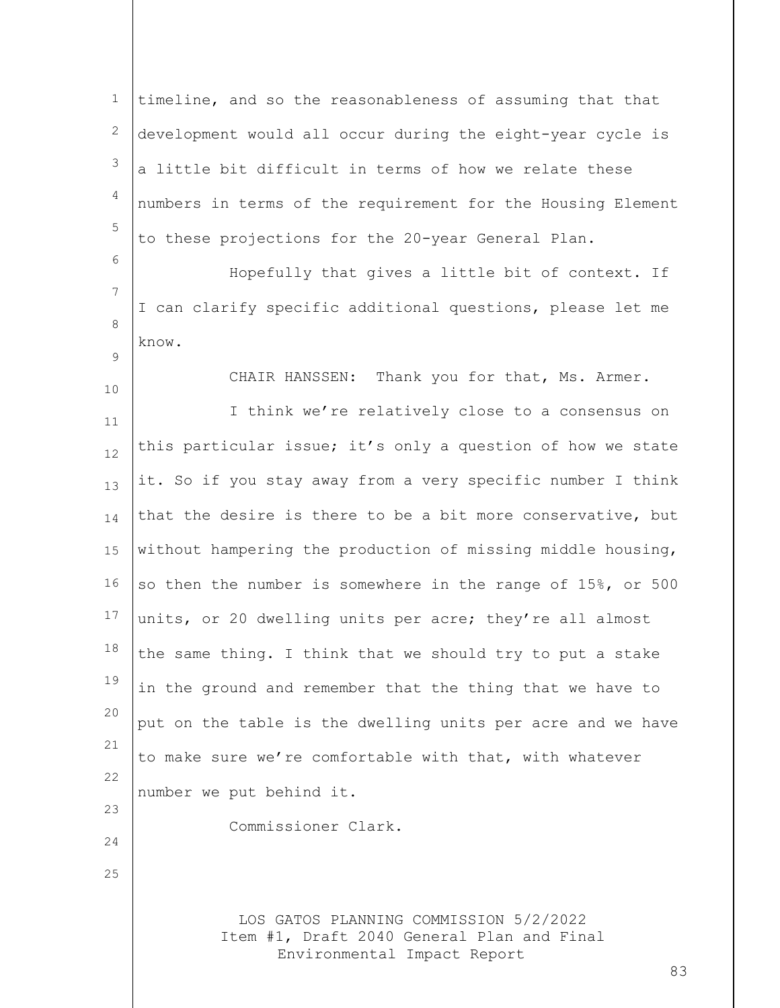1 2 3 4 5 6 7 timeline, and so the reasonableness of assuming that that development would all occur during the eight-year cycle is a little bit difficult in terms of how we relate these numbers in terms of the requirement for the Housing Element to these projections for the 20-year General Plan. Hopefully that gives a little bit of context. If I can clarify specific additional questions, please let me

8  $\mathsf{Q}$ 

know.

10

24

25

CHAIR HANSSEN: Thank you for that, Ms. Armer.

11 12 13 14 15 16 17 18 19 20 21 22 23 I think we're relatively close to a consensus on this particular issue; it's only a question of how we state it. So if you stay away from a very specific number I think that the desire is there to be a bit more conservative, but without hampering the production of missing middle housing, so then the number is somewhere in the range of 15%, or 500 units, or 20 dwelling units per acre; they're all almost the same thing. I think that we should try to put a stake in the ground and remember that the thing that we have to put on the table is the dwelling units per acre and we have to make sure we're comfortable with that, with whatever number we put behind it.

Commissioner Clark.

LOS GATOS PLANNING COMMISSION 5/2/2022 Item #1, Draft 2040 General Plan and Final Environmental Impact Report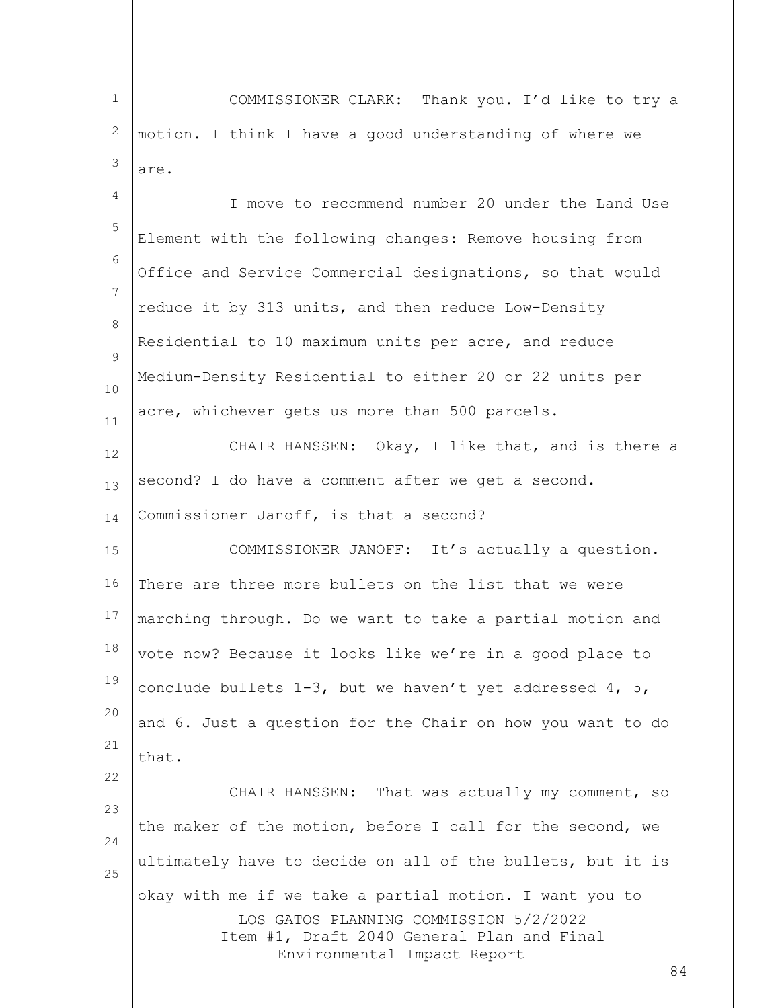LOS GATOS PLANNING COMMISSION 5/2/2022 Item #1, Draft 2040 General Plan and Final Environmental Impact Report 84 1 2 3 4 5 6 7 8  $\mathsf{Q}$ 10 11 12 13 14 15 16 17 18 19 20 21 22 23 24 25 COMMISSIONER CLARK: Thank you. I'd like to try a motion. I think I have a good understanding of where we are. I move to recommend number 20 under the Land Use Element with the following changes: Remove housing from Office and Service Commercial designations, so that would reduce it by 313 units, and then reduce Low-Density Residential to 10 maximum units per acre, and reduce Medium-Density Residential to either 20 or 22 units per acre, whichever gets us more than 500 parcels. CHAIR HANSSEN: Okay, I like that, and is there a second? I do have a comment after we get a second. Commissioner Janoff, is that a second? COMMISSIONER JANOFF: It's actually a question. There are three more bullets on the list that we were marching through. Do we want to take a partial motion and vote now? Because it looks like we're in a good place to conclude bullets  $1-3$ , but we haven't yet addressed  $4$ ,  $5$ , and 6. Just a question for the Chair on how you want to do that. CHAIR HANSSEN: That was actually my comment, so the maker of the motion, before I call for the second, we ultimately have to decide on all of the bullets, but it is okay with me if we take a partial motion. I want you to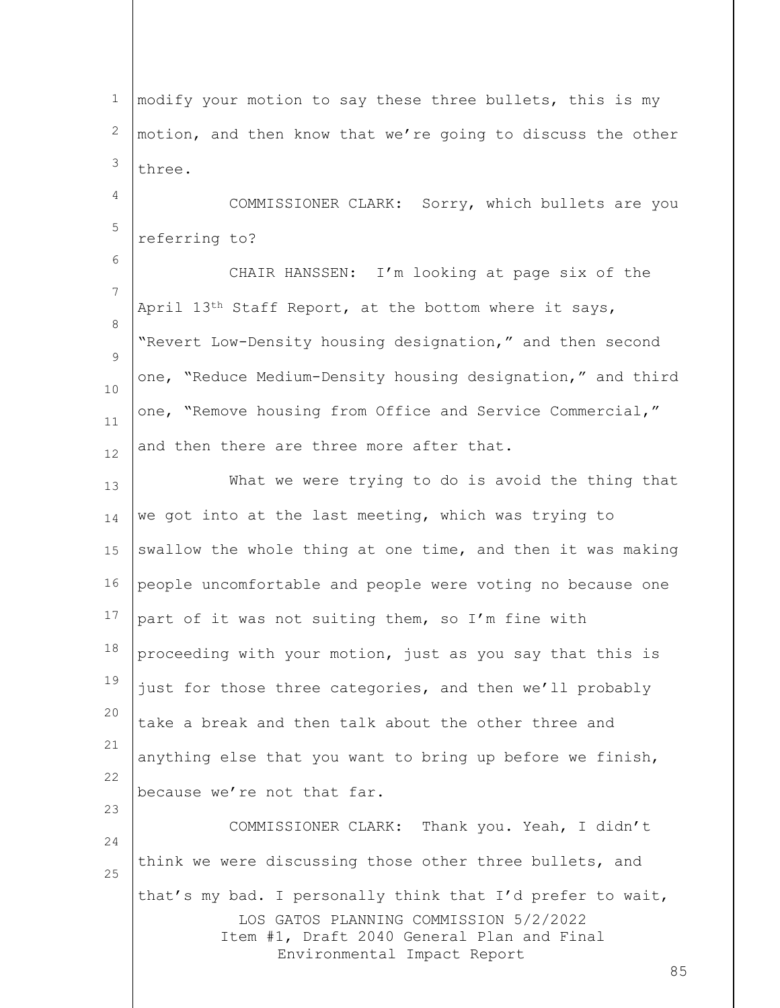LOS GATOS PLANNING COMMISSION 5/2/2022 Item #1, Draft 2040 General Plan and Final Environmental Impact Report 85 1 2 3 4 5 6 7 8  $\mathsf{Q}$ 10 11 12 13 14 15 16 17 18 19 20 21 22 23 24 25 modify your motion to say these three bullets, this is my motion, and then know that we're going to discuss the other three. COMMISSIONER CLARK: Sorry, which bullets are you referring to? CHAIR HANSSEN: I'm looking at page six of the April 13th Staff Report, at the bottom where it says, "Revert Low-Density housing designation," and then second one, "Reduce Medium-Density housing designation," and third one, "Remove housing from Office and Service Commercial," and then there are three more after that. What we were trying to do is avoid the thing that we got into at the last meeting, which was trying to swallow the whole thing at one time, and then it was making people uncomfortable and people were voting no because one part of it was not suiting them, so I'm fine with proceeding with your motion, just as you say that this is just for those three categories, and then we'll probably take a break and then talk about the other three and anything else that you want to bring up before we finish, because we're not that far. COMMISSIONER CLARK: Thank you. Yeah, I didn't think we were discussing those other three bullets, and that's my bad. I personally think that I'd prefer to wait,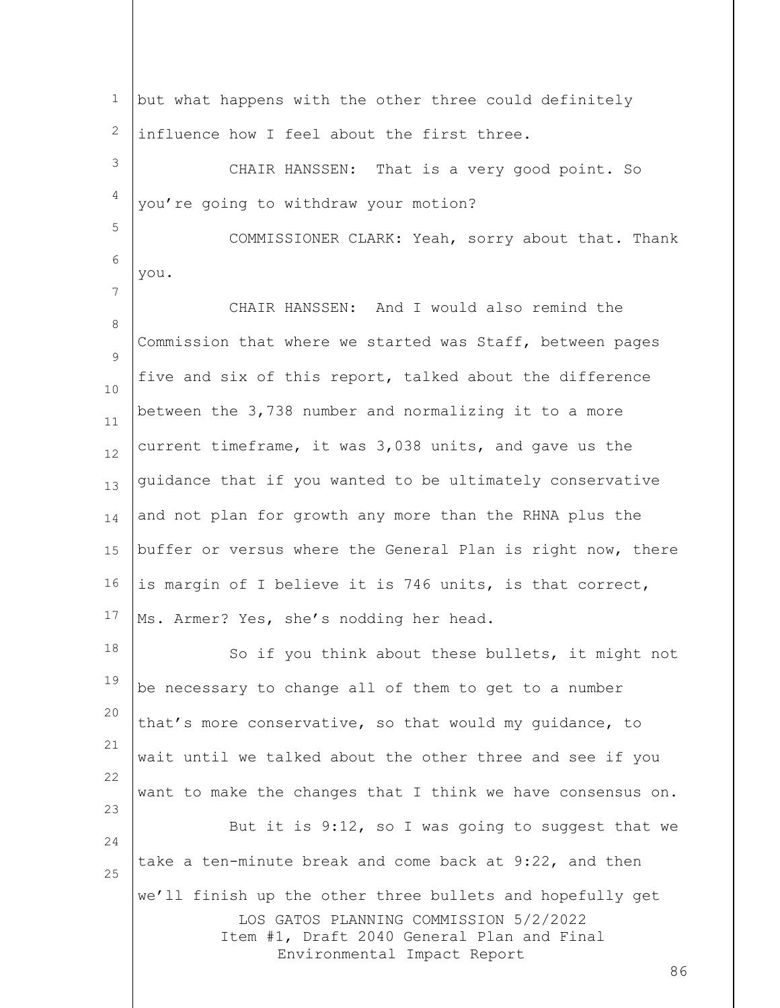LOS GATOS PLANNING COMMISSION 5/2/2022 Item #1, Draft 2040 General Plan and Final Environmental Impact Report 86 1 2 3 4 5 6 7 8  $\mathsf{Q}$ 10 11 12 13 14 15 16 17 18 19 20 21 22 23 24 25 but what happens with the other three could definitely influence how I feel about the first three. CHAIR HANSSEN: That is a very good point. So you're going to withdraw your motion? COMMISSIONER CLARK: Yeah, sorry about that. Thank you. CHAIR HANSSEN: And I would also remind the Commission that where we started was Staff, between pages five and six of this report, talked about the difference between the 3,738 number and normalizing it to a more current timeframe, it was 3,038 units, and gave us the guidance that if you wanted to be ultimately conservative and not plan for growth any more than the RHNA plus the buffer or versus where the General Plan is right now, there is margin of I believe it is 746 units, is that correct, Ms. Armer? Yes, she's nodding her head. So if you think about these bullets, it might not be necessary to change all of them to get to a number that's more conservative, so that would my guidance, to wait until we talked about the other three and see if you want to make the changes that I think we have consensus on. But it is 9:12, so I was going to suggest that we take a ten-minute break and come back at 9:22, and then we'll finish up the other three bullets and hopefully get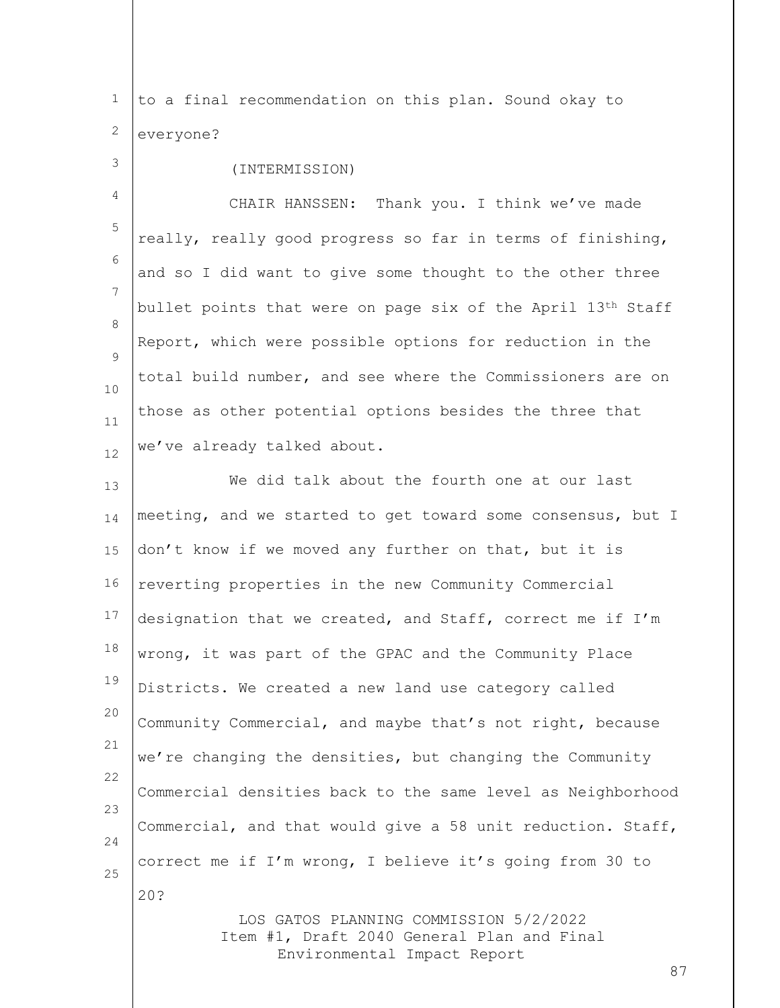1 2 to a final recommendation on this plan. Sound okay to everyone?

3 4 5 6 7 8  $\mathsf{Q}$ 10 11 12 (INTERMISSION) CHAIR HANSSEN: Thank you. I think we've made really, really good progress so far in terms of finishing, and so I did want to give some thought to the other three bullet points that were on page six of the April 13th Staff Report, which were possible options for reduction in the total build number, and see where the Commissioners are on those as other potential options besides the three that we've already talked about.

13 14 15 16 17 18 19 20 21 22 23 24 25 We did talk about the fourth one at our last meeting, and we started to get toward some consensus, but I don't know if we moved any further on that, but it is reverting properties in the new Community Commercial designation that we created, and Staff, correct me if I'm wrong, it was part of the GPAC and the Community Place Districts. We created a new land use category called Community Commercial, and maybe that's not right, because we're changing the densities, but changing the Community Commercial densities back to the same level as Neighborhood Commercial, and that would give a 58 unit reduction. Staff, correct me if I'm wrong, I believe it's going from 30 to 20?

> LOS GATOS PLANNING COMMISSION 5/2/2022 Item #1, Draft 2040 General Plan and Final Environmental Impact Report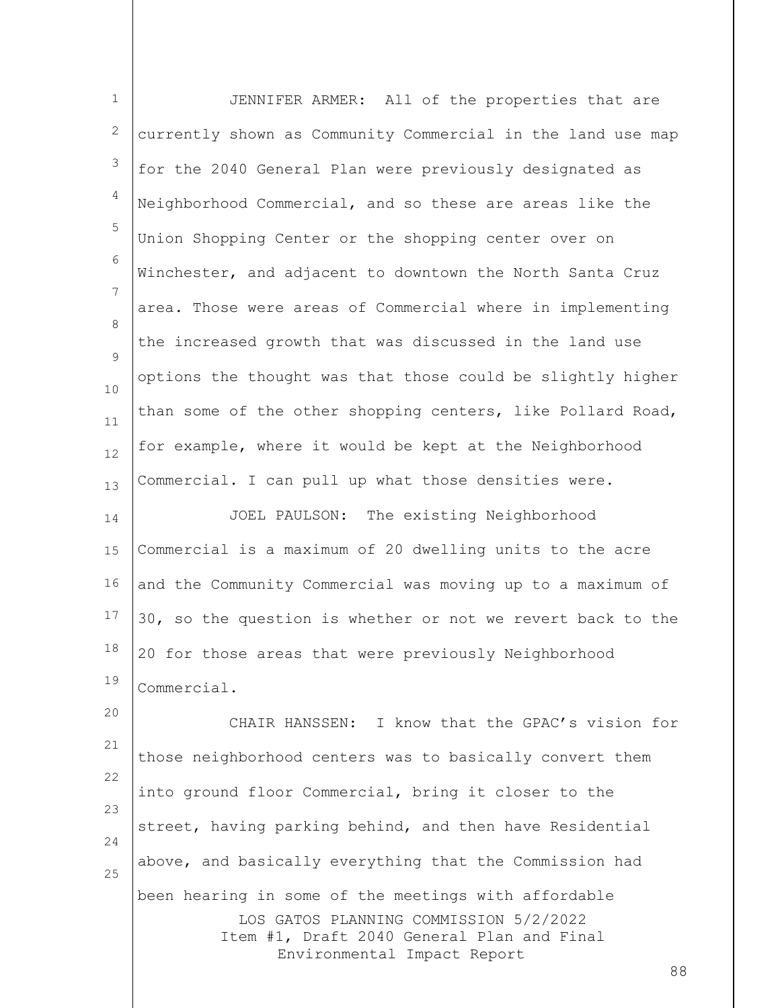| $\mathbf 1$    | JENNIFER ARMER: All of the properties that are                                                                      |
|----------------|---------------------------------------------------------------------------------------------------------------------|
| 2              | currently shown as Community Commercial in the land use map                                                         |
| 3              | for the 2040 General Plan were previously designated as                                                             |
| $\overline{4}$ | Neighborhood Commercial, and so these are areas like the                                                            |
| 5              | Union Shopping Center or the shopping center over on                                                                |
| 6              | Winchester, and adjacent to downtown the North Santa Cruz                                                           |
| 7              | area. Those were areas of Commercial where in implementing                                                          |
| 8<br>9         | the increased growth that was discussed in the land use                                                             |
| 10             | options the thought was that those could be slightly higher                                                         |
| 11             | than some of the other shopping centers, like Pollard Road,                                                         |
| 12             | for example, where it would be kept at the Neighborhood                                                             |
| 13             | Commercial. I can pull up what those densities were.                                                                |
| 14             | JOEL PAULSON: The existing Neighborhood                                                                             |
| 15             | Commercial is a maximum of 20 dwelling units to the acre                                                            |
| 16             | and the Community Commercial was moving up to a maximum of                                                          |
| 17             | 30, so the question is whether or not we revert back to the                                                         |
| 18             | 20 for those areas that were previously Neighborhood                                                                |
| 19             | Commercial.                                                                                                         |
| 20             | CHAIR HANSSEN: I know that the GPAC's vision for                                                                    |
| 21             | those neighborhood centers was to basically convert them                                                            |
| 22<br>23       | into ground floor Commercial, bring it closer to the                                                                |
| 24             | street, having parking behind, and then have Residential                                                            |
| 25             | above, and basically everything that the Commission had                                                             |
|                | been hearing in some of the meetings with affordable                                                                |
|                | LOS GATOS PLANNING COMMISSION 5/2/2022<br>Item #1, Draft 2040 General Plan and Final<br>Environmental Impact Report |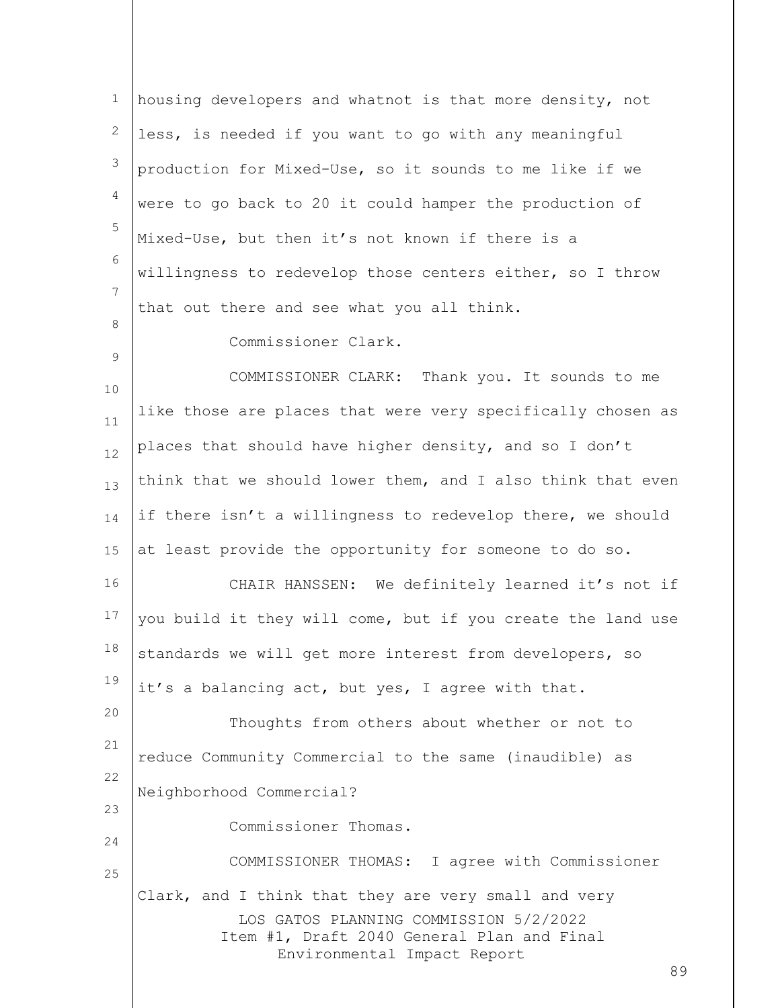LOS GATOS PLANNING COMMISSION 5/2/2022 Item #1, Draft 2040 General Plan and Final Environmental Impact Report 89 1 2 3 4 5 6 7 8 9 10 11 12 13 14 15 16 17 18 19 20 21 22 23 24 25 housing developers and whatnot is that more density, not less, is needed if you want to go with any meaningful production for Mixed-Use, so it sounds to me like if we were to go back to 20 it could hamper the production of Mixed-Use, but then it's not known if there is a willingness to redevelop those centers either, so I throw that out there and see what you all think. Commissioner Clark. COMMISSIONER CLARK: Thank you. It sounds to me like those are places that were very specifically chosen as places that should have higher density, and so I don't think that we should lower them, and I also think that even if there isn't a willingness to redevelop there, we should at least provide the opportunity for someone to do so. CHAIR HANSSEN: We definitely learned it's not if you build it they will come, but if you create the land use standards we will get more interest from developers, so it's a balancing act, but yes, I agree with that. Thoughts from others about whether or not to reduce Community Commercial to the same (inaudible) as Neighborhood Commercial? Commissioner Thomas. COMMISSIONER THOMAS: I agree with Commissioner Clark, and I think that they are very small and very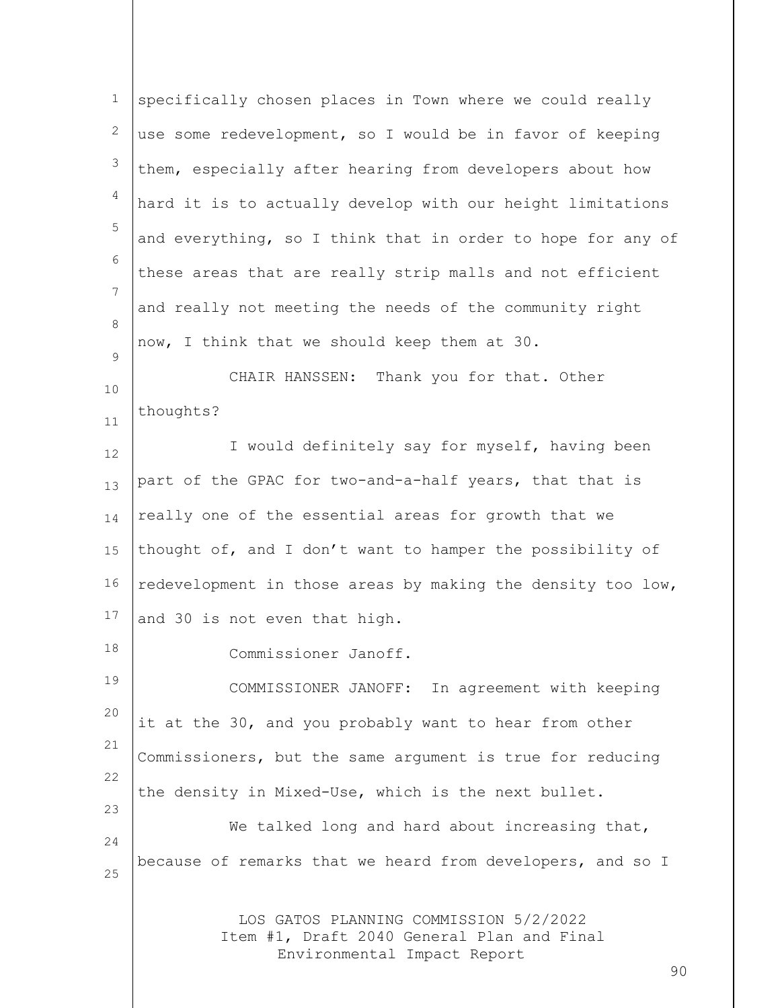| $\mathbf 1$ | specifically chosen places in Town where we could really                                                            |
|-------------|---------------------------------------------------------------------------------------------------------------------|
| 2           | use some redevelopment, so I would be in favor of keeping                                                           |
| 3           | them, especially after hearing from developers about how                                                            |
| 4           | hard it is to actually develop with our height limitations                                                          |
| 5           | and everything, so I think that in order to hope for any of                                                         |
| 6           | these areas that are really strip malls and not efficient                                                           |
| 7           | and really not meeting the needs of the community right                                                             |
| 8           | now, I think that we should keep them at 30.                                                                        |
| 9           | CHAIR HANSSEN: Thank you for that. Other                                                                            |
| 10<br>11    | thoughts?                                                                                                           |
| 12          | I would definitely say for myself, having been                                                                      |
| 13          | part of the GPAC for two-and-a-half years, that that is                                                             |
| 14          | really one of the essential areas for growth that we                                                                |
| 15          | thought of, and I don't want to hamper the possibility of                                                           |
| 16          | redevelopment in those areas by making the density too low,                                                         |
| 17          | and 30 is not even that high.                                                                                       |
| 18          | Commissioner Janoff                                                                                                 |
| 19          | COMMISSIONER JANOFF: In agreement with keeping                                                                      |
| 20          | it at the 30, and you probably want to hear from other                                                              |
| 21          | Commissioners, but the same argument is true for reducing                                                           |
| 22          | the density in Mixed-Use, which is the next bullet.                                                                 |
| 23          | We talked long and hard about increasing that,                                                                      |
| 24          | because of remarks that we heard from developers, and so I                                                          |
| 25          |                                                                                                                     |
|             | LOS GATOS PLANNING COMMISSION 5/2/2022<br>Item #1, Draft 2040 General Plan and Final<br>Environmental Impact Report |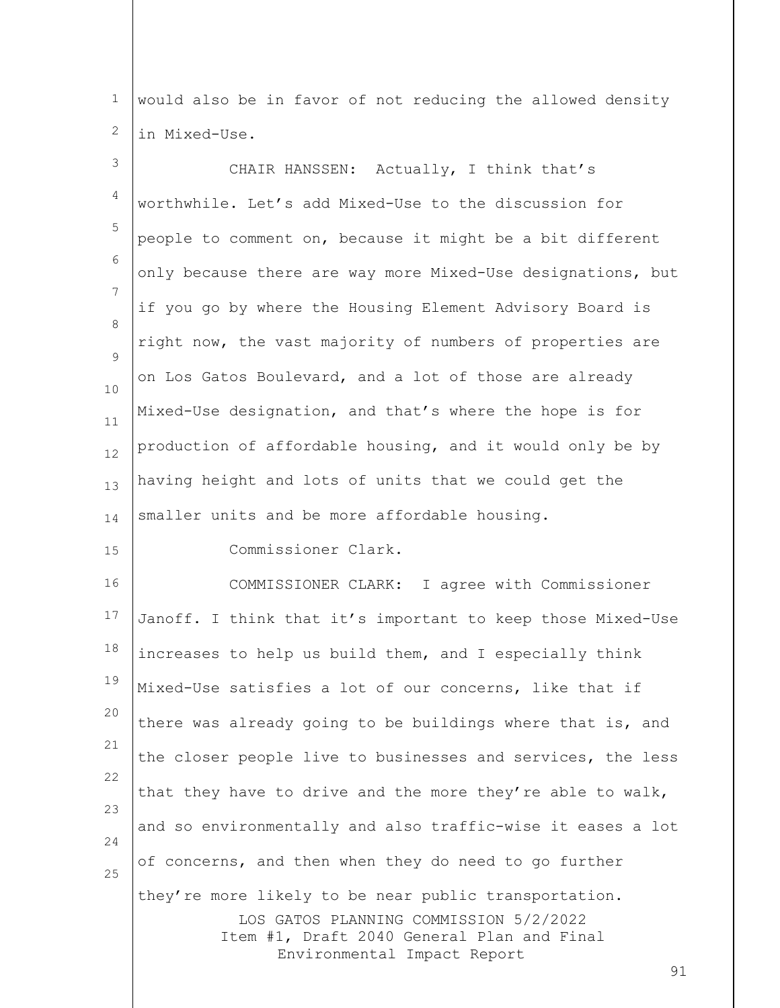1 2 would also be in favor of not reducing the allowed density in Mixed-Use.

3 4 5 6 7 8  $\mathsf{Q}$ 10 11 12 13 14 15 CHAIR HANSSEN: Actually, I think that's worthwhile. Let's add Mixed-Use to the discussion for people to comment on, because it might be a bit different only because there are way more Mixed-Use designations, but if you go by where the Housing Element Advisory Board is right now, the vast majority of numbers of properties are on Los Gatos Boulevard, and a lot of those are already Mixed-Use designation, and that's where the hope is for production of affordable housing, and it would only be by having height and lots of units that we could get the smaller units and be more affordable housing. Commissioner Clark.

LOS GATOS PLANNING COMMISSION 5/2/2022 Item #1, Draft 2040 General Plan and Final Environmental Impact Report 16 17 18 19 20 21 22 23 24 25 COMMISSIONER CLARK: I agree with Commissioner Janoff. I think that it's important to keep those Mixed-Use increases to help us build them, and I especially think Mixed-Use satisfies a lot of our concerns, like that if there was already going to be buildings where that is, and the closer people live to businesses and services, the less that they have to drive and the more they're able to walk, and so environmentally and also traffic-wise it eases a lot of concerns, and then when they do need to go further they're more likely to be near public transportation.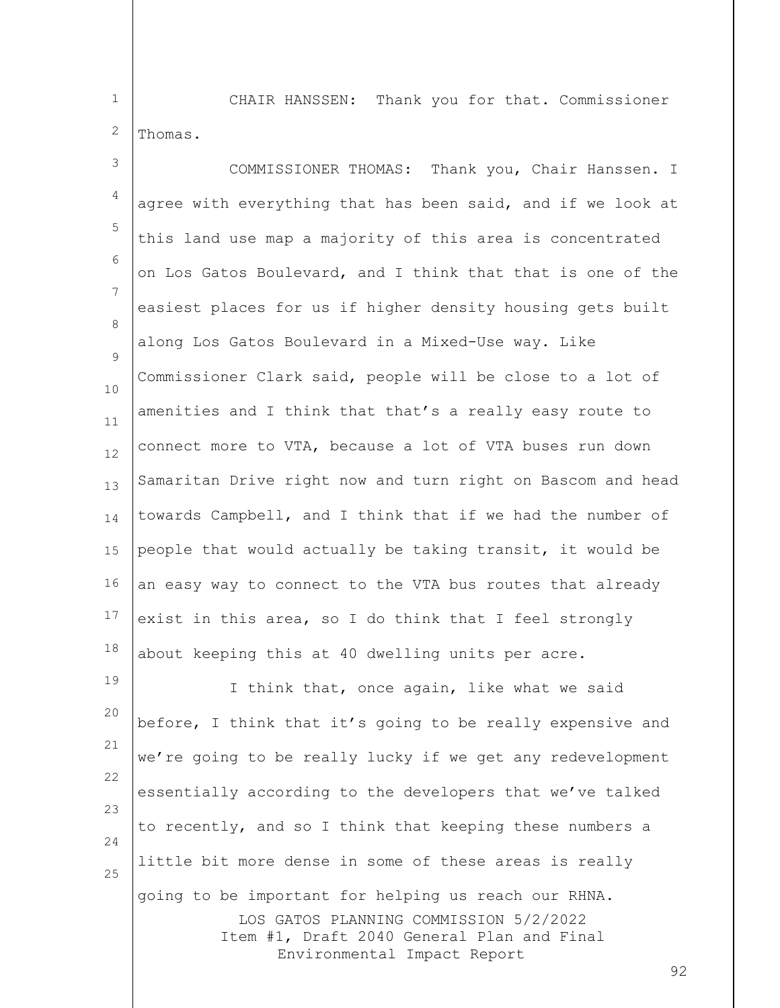1

2

CHAIR HANSSEN: Thank you for that. Commissioner Thomas.

LOS GATOS PLANNING COMMISSION 5/2/2022 Item #1, Draft 2040 General Plan and Final 3 4 5 6 7 8  $\mathsf{Q}$ 10 11 12 13 14 15 16 17 18 19 20 21 22 23 24 25 COMMISSIONER THOMAS: Thank you, Chair Hanssen. I agree with everything that has been said, and if we look at this land use map a majority of this area is concentrated on Los Gatos Boulevard, and I think that that is one of the easiest places for us if higher density housing gets built along Los Gatos Boulevard in a Mixed-Use way. Like Commissioner Clark said, people will be close to a lot of amenities and I think that that's a really easy route to connect more to VTA, because a lot of VTA buses run down Samaritan Drive right now and turn right on Bascom and head towards Campbell, and I think that if we had the number of people that would actually be taking transit, it would be an easy way to connect to the VTA bus routes that already exist in this area, so I do think that I feel strongly about keeping this at 40 dwelling units per acre. I think that, once again, like what we said before, I think that it's going to be really expensive and we're going to be really lucky if we get any redevelopment essentially according to the developers that we've talked to recently, and so I think that keeping these numbers a little bit more dense in some of these areas is really going to be important for helping us reach our RHNA.

Environmental Impact Report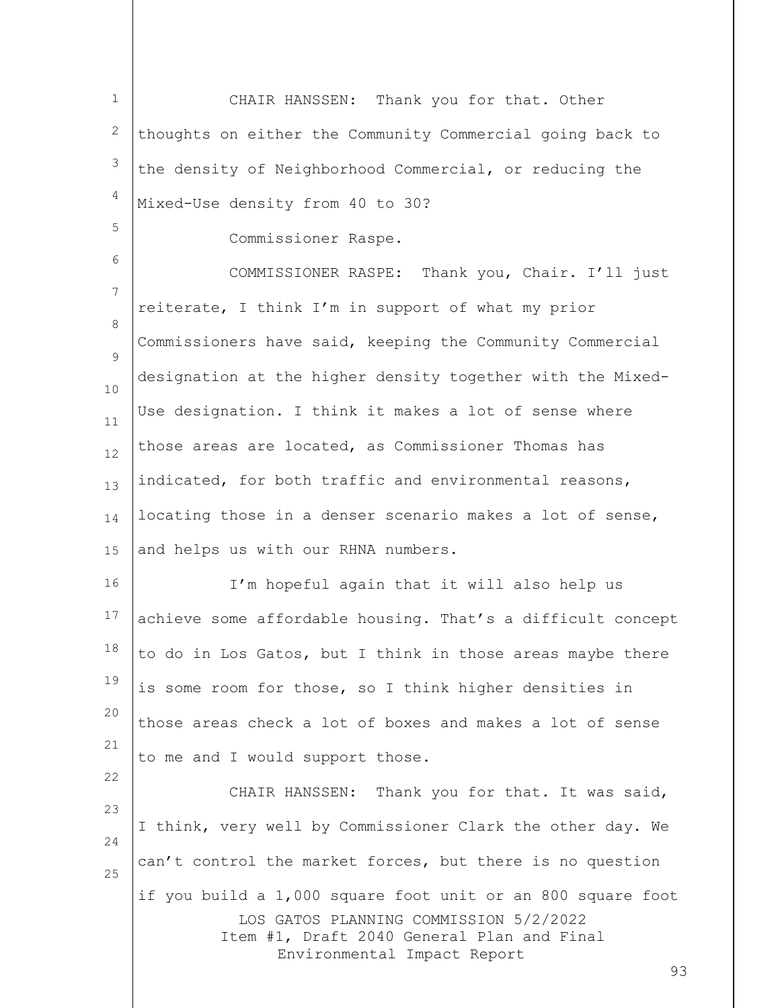LOS GATOS PLANNING COMMISSION 5/2/2022 Item #1, Draft 2040 General Plan and Final Environmental Impact Report 93 1 2 3 4 5 6 7 8  $\mathsf{Q}$ 10 11 12 13 14 15 16 17 18 19 20 21 22 23 24 25 CHAIR HANSSEN: Thank you for that. Other thoughts on either the Community Commercial going back to the density of Neighborhood Commercial, or reducing the Mixed-Use density from 40 to 30? Commissioner Raspe. COMMISSIONER RASPE: Thank you, Chair. I'll just reiterate, I think I'm in support of what my prior Commissioners have said, keeping the Community Commercial designation at the higher density together with the Mixed-Use designation. I think it makes a lot of sense where those areas are located, as Commissioner Thomas has indicated, for both traffic and environmental reasons, locating those in a denser scenario makes a lot of sense, and helps us with our RHNA numbers. I'm hopeful again that it will also help us achieve some affordable housing. That's a difficult concept to do in Los Gatos, but I think in those areas maybe there is some room for those, so I think higher densities in those areas check a lot of boxes and makes a lot of sense to me and I would support those. CHAIR HANSSEN: Thank you for that. It was said, I think, very well by Commissioner Clark the other day. We can't control the market forces, but there is no question if you build a 1,000 square foot unit or an 800 square foot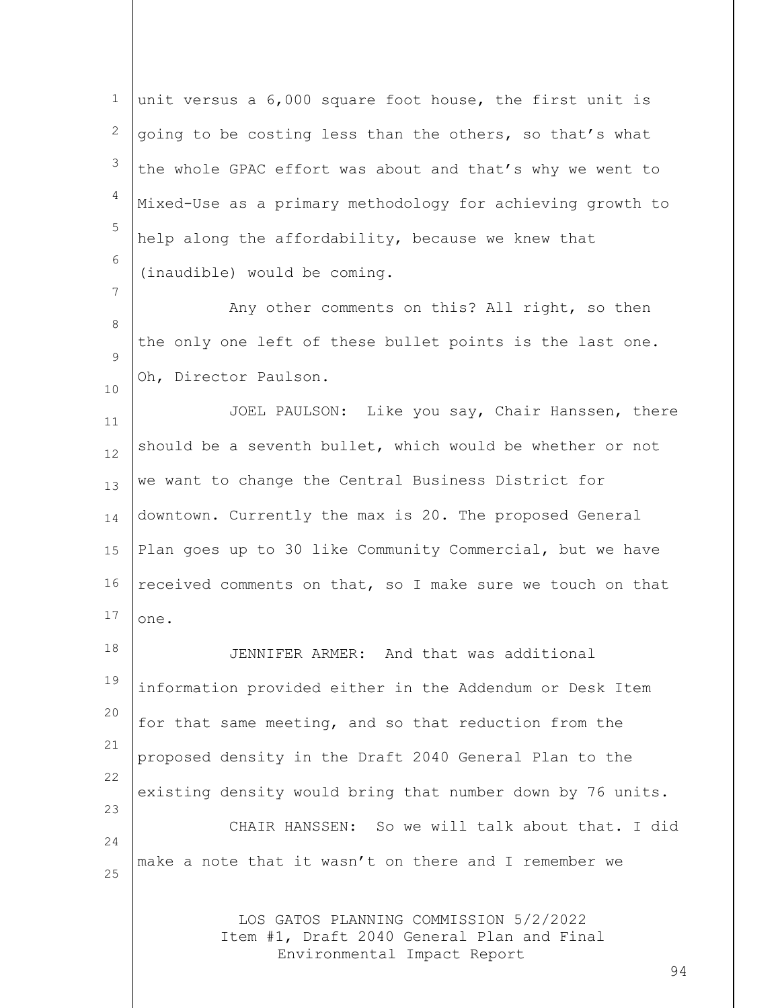1 2 3 4 5 6 7 8  $\mathsf{Q}$ unit versus a 6,000 square foot house, the first unit is going to be costing less than the others, so that's what the whole GPAC effort was about and that's why we went to Mixed-Use as a primary methodology for achieving growth to help along the affordability, because we knew that (inaudible) would be coming. Any other comments on this? All right, so then the only one left of these bullet points is the last one. Oh, Director Paulson.

11 12 13 14 15 16 17 JOEL PAULSON: Like you say, Chair Hanssen, there should be a seventh bullet, which would be whether or not we want to change the Central Business District for downtown. Currently the max is 20. The proposed General Plan goes up to 30 like Community Commercial, but we have received comments on that, so I make sure we touch on that one.

10

18 19 20 21 22 23 24 25 JENNIFER ARMER: And that was additional information provided either in the Addendum or Desk Item for that same meeting, and so that reduction from the proposed density in the Draft 2040 General Plan to the existing density would bring that number down by 76 units. CHAIR HANSSEN: So we will talk about that. I did make a note that it wasn't on there and I remember we

> LOS GATOS PLANNING COMMISSION 5/2/2022 Item #1, Draft 2040 General Plan and Final Environmental Impact Report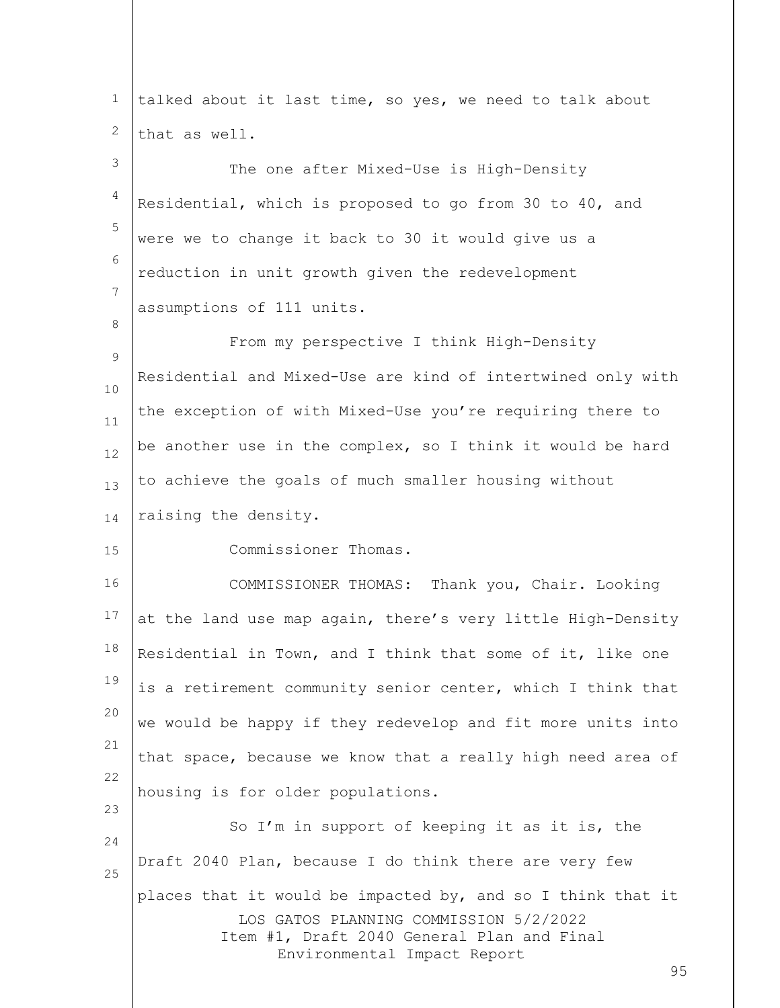| $\mathbf 1$      | talked about it last time, so yes, we need to talk about                                                                                                                                 |
|------------------|------------------------------------------------------------------------------------------------------------------------------------------------------------------------------------------|
| 2                | that as well.                                                                                                                                                                            |
| 3                | The one after Mixed-Use is High-Density                                                                                                                                                  |
| 4                | Residential, which is proposed to go from 30 to 40, and                                                                                                                                  |
| 5                | were we to change it back to 30 it would give us a                                                                                                                                       |
| 6                | reduction in unit growth given the redevelopment                                                                                                                                         |
| 7                | assumptions of 111 units.                                                                                                                                                                |
| 8<br>$\mathsf 9$ | From my perspective I think High-Density                                                                                                                                                 |
| 10               | Residential and Mixed-Use are kind of intertwined only with                                                                                                                              |
| 11               | the exception of with Mixed-Use you're requiring there to                                                                                                                                |
| 12               | be another use in the complex, so I think it would be hard                                                                                                                               |
| 13               | to achieve the goals of much smaller housing without                                                                                                                                     |
| 14               | raising the density.                                                                                                                                                                     |
| 15               | Commissioner Thomas.                                                                                                                                                                     |
| 16               | COMMISSIONER THOMAS: Thank you, Chair. Looking                                                                                                                                           |
| 17               | at the land use map again, there's very little High-Density                                                                                                                              |
| 18               | Residential in Town, and I think that some of it, like one                                                                                                                               |
| 19               | is a retirement community senior center, which I think that                                                                                                                              |
| 20               | we would be happy if they redevelop and fit more units into                                                                                                                              |
| 21<br>22         | that space, because we know that a really high need area of                                                                                                                              |
| 23               | housing is for older populations.                                                                                                                                                        |
| 24               | So I'm in support of keeping it as it is, the                                                                                                                                            |
| 25               | Draft 2040 Plan, because I do think there are very few                                                                                                                                   |
|                  | places that it would be impacted by, and so I think that it<br>LOS GATOS PLANNING COMMISSION 5/2/2022<br>Item #1, Draft 2040 General Plan and Final<br>Environmental Impact Report<br>95 |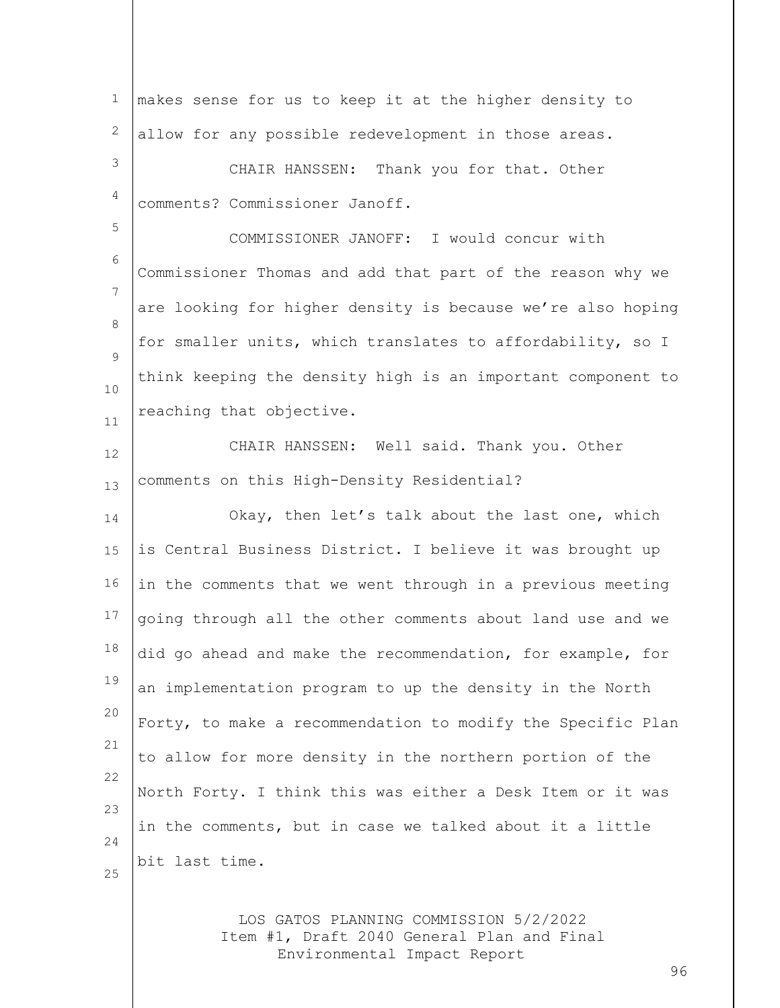| $\mathbf 1$ | makes sense for us to keep it at the higher density to      |
|-------------|-------------------------------------------------------------|
| 2           | allow for any possible redevelopment in those areas.        |
| 3           | CHAIR HANSSEN: Thank you for that. Other                    |
| 4           | comments? Commissioner Janoff.                              |
| 5           | COMMISSIONER JANOFF: I would concur with                    |
| 6           | Commissioner Thomas and add that part of the reason why we  |
| 7           | are looking for higher density is because we're also hoping |
| 8<br>9      | for smaller units, which translates to affordability, so I  |
| 10          | think keeping the density high is an important component to |
| 11          | reaching that objective.                                    |
| 12          | CHAIR HANSSEN: Well said. Thank you. Other                  |
| 13          | comments on this High-Density Residential?                  |
| 14          | Okay, then let's talk about the last one, which             |
| 15          | is Central Business District. I believe it was brought up   |
| 16          | in the comments that we went through in a previous meeting  |
| 17          | going through all the other comments about land use and we  |
| 18          | did go ahead and make the recommendation, for example, for  |
| 19          | an implementation program to up the density in the North    |
| 20          | Forty, to make a recommendation to modify the Specific Plan |
| 21          | to allow for more density in the northern portion of the    |
| 22          | North Forty. I think this was either a Desk Item or it was  |
| 23<br>24    | in the comments, but in case we talked about it a little    |
| 25          | bit last time.                                              |
|             |                                                             |
|             | IOS CATOS DIANNING COMMISSION 5/2/2022                      |

LOS GATOS PLANNING COMMISSION 5/2/2022 Item #1, Draft 2040 General Plan and Final Environmental Impact Report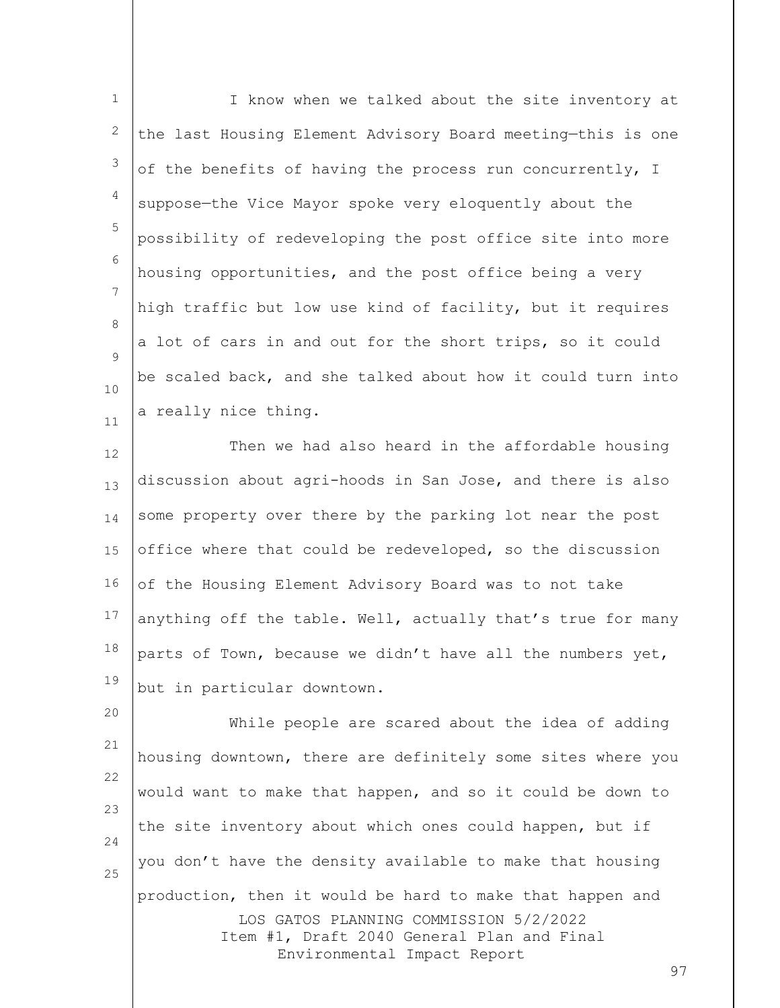1 2 3 4 5 6 7 8 9 10 11 I know when we talked about the site inventory at the last Housing Element Advisory Board meeting—this is one of the benefits of having the process run concurrently, I suppose—the Vice Mayor spoke very eloquently about the possibility of redeveloping the post office site into more housing opportunities, and the post office being a very high traffic but low use kind of facility, but it requires a lot of cars in and out for the short trips, so it could be scaled back, and she talked about how it could turn into a really nice thing.

12 13 14 15 16 17 18 19 Then we had also heard in the affordable housing discussion about agri-hoods in San Jose, and there is also some property over there by the parking lot near the post office where that could be redeveloped, so the discussion of the Housing Element Advisory Board was to not take anything off the table. Well, actually that's true for many parts of Town, because we didn't have all the numbers yet, but in particular downtown.

LOS GATOS PLANNING COMMISSION 5/2/2022 Item #1, Draft 2040 General Plan and Final Environmental Impact Report 20 21 22 23 24 25 While people are scared about the idea of adding housing downtown, there are definitely some sites where you would want to make that happen, and so it could be down to the site inventory about which ones could happen, but if you don't have the density available to make that housing production, then it would be hard to make that happen and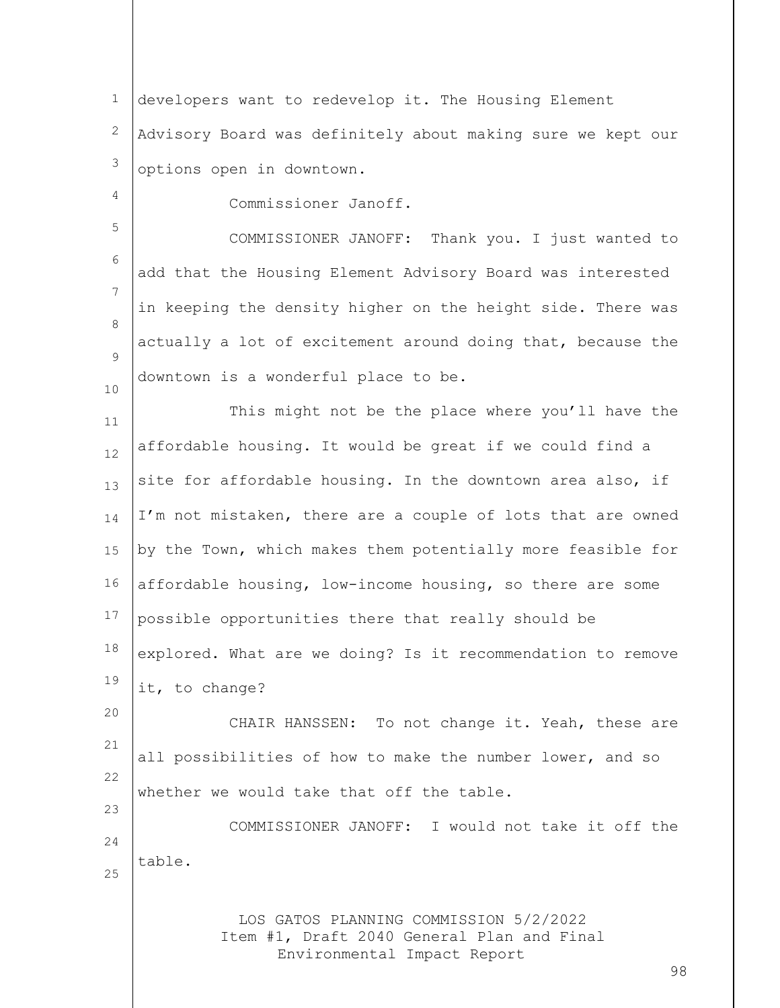1 2 3 developers want to redevelop it. The Housing Element Advisory Board was definitely about making sure we kept our options open in downtown.

Commissioner Janoff.

4

5

23

6 7 8  $\mathsf{Q}$ 10 COMMISSIONER JANOFF: Thank you. I just wanted to add that the Housing Element Advisory Board was interested in keeping the density higher on the height side. There was actually a lot of excitement around doing that, because the downtown is a wonderful place to be.

11 12 13 14 15 16 17 18 19 This might not be the place where you'll have the affordable housing. It would be great if we could find a site for affordable housing. In the downtown area also, if I'm not mistaken, there are a couple of lots that are owned by the Town, which makes them potentially more feasible for affordable housing, low-income housing, so there are some possible opportunities there that really should be explored. What are we doing? Is it recommendation to remove it, to change?

20 21 22 CHAIR HANSSEN: To not change it. Yeah, these are all possibilities of how to make the number lower, and so whether we would take that off the table.

24 25 COMMISSIONER JANOFF: I would not take it off the table.

> LOS GATOS PLANNING COMMISSION 5/2/2022 Item #1, Draft 2040 General Plan and Final Environmental Impact Report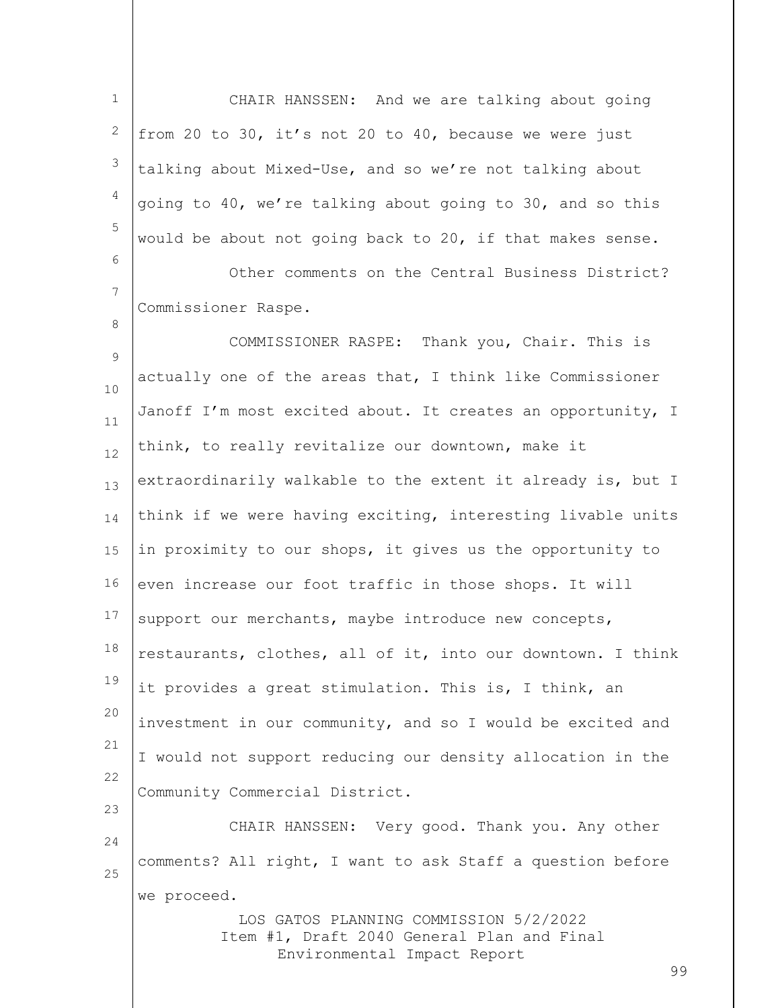1 2 3 4 5 6 7 8  $\mathsf{Q}$ 10 11 12 13 14 15 16 17 18 19 20 21 22 23 24 25 CHAIR HANSSEN: And we are talking about going from 20 to 30, it's not 20 to 40, because we were just talking about Mixed-Use, and so we're not talking about going to 40, we're talking about going to 30, and so this would be about not going back to 20, if that makes sense. Other comments on the Central Business District? Commissioner Raspe. COMMISSIONER RASPE: Thank you, Chair. This is actually one of the areas that, I think like Commissioner Janoff I'm most excited about. It creates an opportunity, I think, to really revitalize our downtown, make it extraordinarily walkable to the extent it already is, but I think if we were having exciting, interesting livable units in proximity to our shops, it gives us the opportunity to even increase our foot traffic in those shops. It will support our merchants, maybe introduce new concepts, restaurants, clothes, all of it, into our downtown. I think it provides a great stimulation. This is, I think, an investment in our community, and so I would be excited and I would not support reducing our density allocation in the Community Commercial District. CHAIR HANSSEN: Very good. Thank you. Any other comments? All right, I want to ask Staff a question before we proceed.

> LOS GATOS PLANNING COMMISSION 5/2/2022 Item #1, Draft 2040 General Plan and Final Environmental Impact Report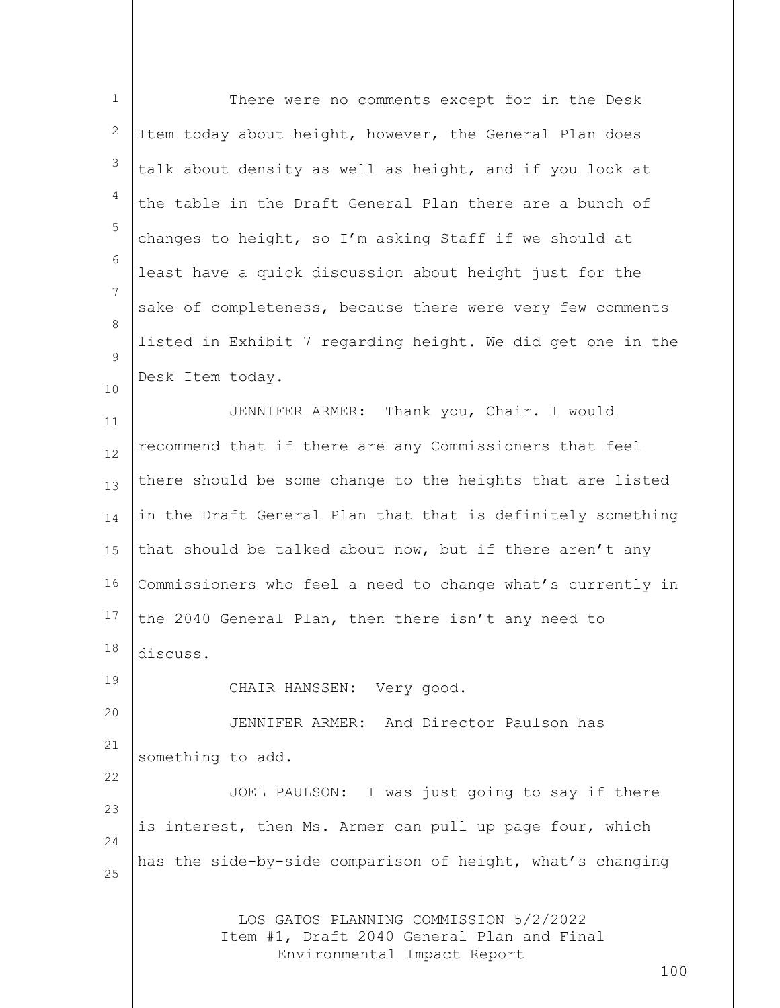| $\mathbf 1$ | There were no comments except for in the Desk                                        |
|-------------|--------------------------------------------------------------------------------------|
| 2           | Item today about height, however, the General Plan does                              |
| 3           | talk about density as well as height, and if you look at                             |
| 4           | the table in the Draft General Plan there are a bunch of                             |
| 5           | changes to height, so I'm asking Staff if we should at                               |
| 6           | least have a quick discussion about height just for the                              |
| 7           | sake of completeness, because there were very few comments                           |
| 8           | listed in Exhibit 7 regarding height. We did get one in the                          |
| 9           | Desk Item today.                                                                     |
| 10<br>11    | JENNIFER ARMER: Thank you, Chair. I would                                            |
| 12          | recommend that if there are any Commissioners that feel                              |
| 13          | there should be some change to the heights that are listed                           |
| 14          | in the Draft General Plan that that is definitely something                          |
| 15          | that should be talked about now, but if there aren't any                             |
| 16          | Commissioners who feel a need to change what's currently in                          |
| 17          | the 2040 General Plan, then there isn't any need to                                  |
| 18          | discuss.                                                                             |
| 19          | CHAIR HANSSEN: Very good.                                                            |
| 20          | JENNIFER ARMER: And Director Paulson has                                             |
| 21          | something to add.                                                                    |
| 22          | JOEL PAULSON: I was just going to say if there                                       |
| 23          | is interest, then Ms. Armer can pull up page four, which                             |
| 24          | has the side-by-side comparison of height, what's changing                           |
| 25          |                                                                                      |
|             | LOS GATOS PLANNING COMMISSION 5/2/2022<br>Item #1, Draft 2040 General Plan and Final |
|             | Environmental Impact Report<br>100                                                   |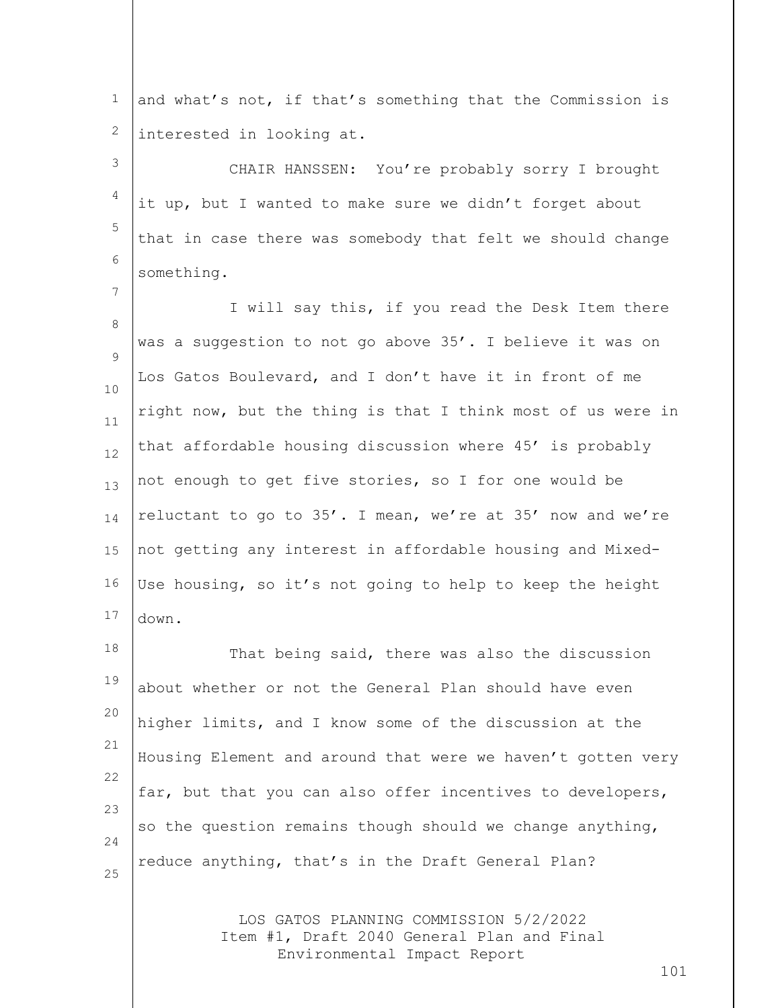1 2 and what's not, if that's something that the Commission is interested in looking at.

3 4 5 6 CHAIR HANSSEN: You're probably sorry I brought it up, but I wanted to make sure we didn't forget about that in case there was somebody that felt we should change something.

7

8  $\mathsf{Q}$ 10 11 12 13 14 15 16 17 I will say this, if you read the Desk Item there was a suggestion to not go above 35'. I believe it was on Los Gatos Boulevard, and I don't have it in front of me right now, but the thing is that I think most of us were in that affordable housing discussion where 45' is probably not enough to get five stories, so I for one would be reluctant to go to 35'. I mean, we're at 35' now and we're not getting any interest in affordable housing and Mixed-Use housing, so it's not going to help to keep the height down.

18 19 20 21 22 23 24 25 That being said, there was also the discussion about whether or not the General Plan should have even higher limits, and I know some of the discussion at the Housing Element and around that were we haven't gotten very far, but that you can also offer incentives to developers, so the question remains though should we change anything, reduce anything, that's in the Draft General Plan?

> LOS GATOS PLANNING COMMISSION 5/2/2022 Item #1, Draft 2040 General Plan and Final Environmental Impact Report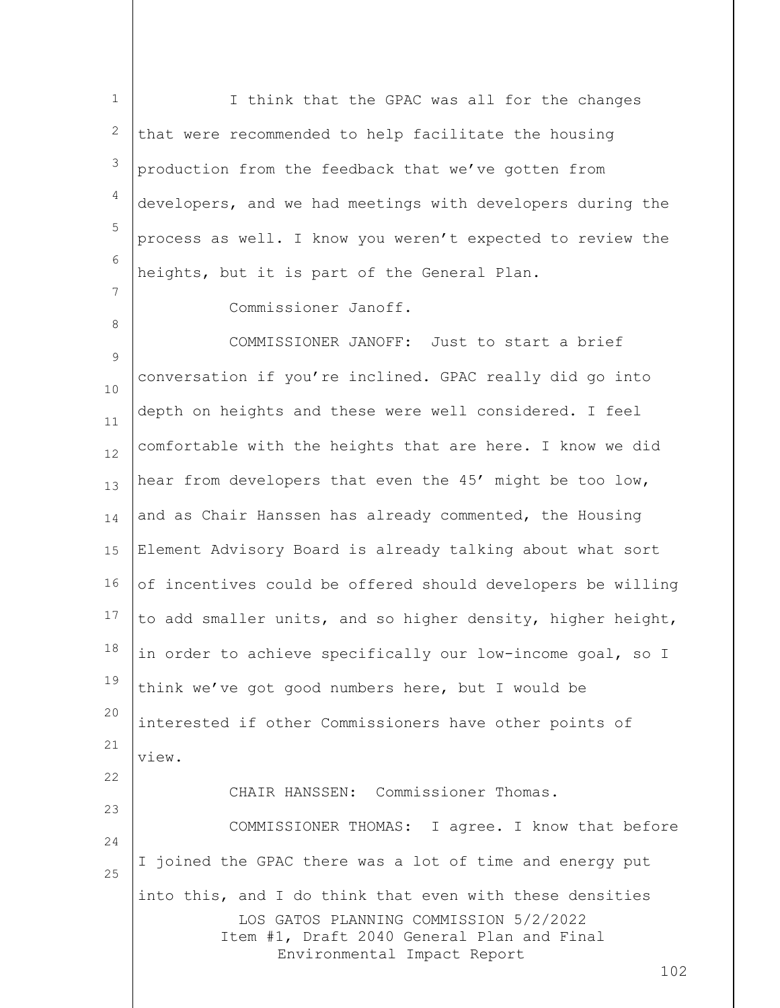1 2 3 4 5 6 7 I think that the GPAC was all for the changes that were recommended to help facilitate the housing production from the feedback that we've gotten from developers, and we had meetings with developers during the process as well. I know you weren't expected to review the heights, but it is part of the General Plan.

8

Commissioner Janoff.

 $\mathsf{Q}$ 10 11 12 13 14 15 16 17 18 19 20 21 22 23 24 25 COMMISSIONER JANOFF: Just to start a brief conversation if you're inclined. GPAC really did go into depth on heights and these were well considered. I feel comfortable with the heights that are here. I know we did hear from developers that even the 45' might be too low, and as Chair Hanssen has already commented, the Housing Element Advisory Board is already talking about what sort of incentives could be offered should developers be willing to add smaller units, and so higher density, higher height, in order to achieve specifically our low-income goal, so I think we've got good numbers here, but I would be interested if other Commissioners have other points of view. CHAIR HANSSEN: Commissioner Thomas. COMMISSIONER THOMAS: I agree. I know that before I joined the GPAC there was a lot of time and energy put into this, and I do think that even with these densities

LOS GATOS PLANNING COMMISSION 5/2/2022 Item #1, Draft 2040 General Plan and Final Environmental Impact Report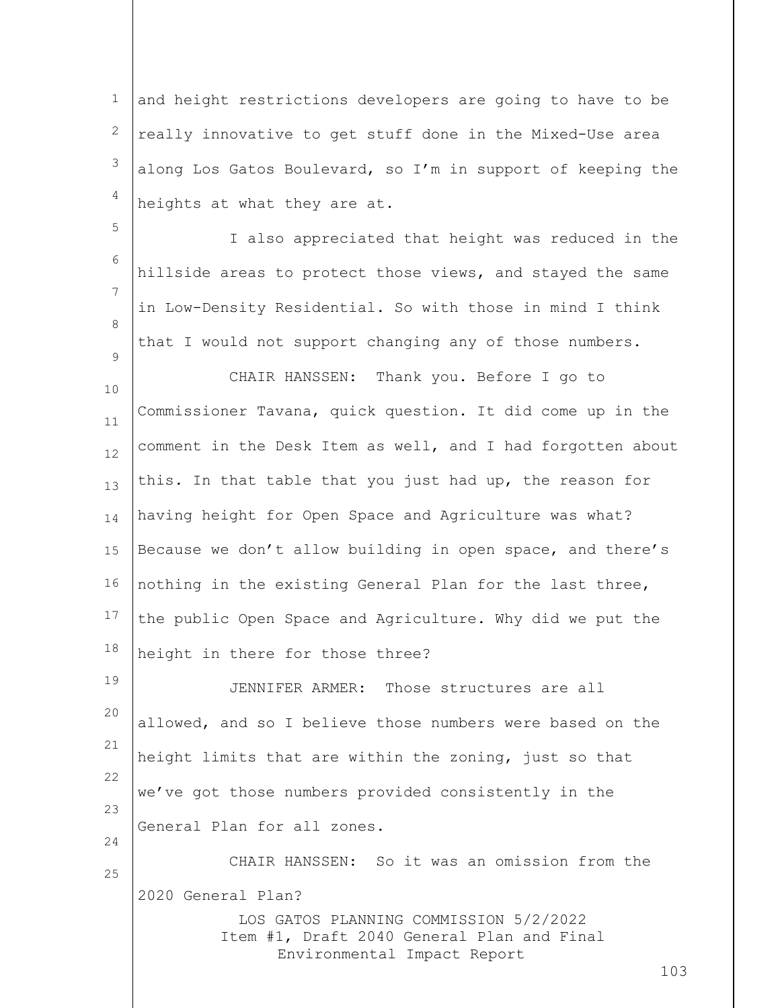1 2 3 4 and height restrictions developers are going to have to be really innovative to get stuff done in the Mixed-Use area along Los Gatos Boulevard, so I'm in support of keeping the heights at what they are at.

5

6 7 8  $\mathsf{Q}$ I also appreciated that height was reduced in the hillside areas to protect those views, and stayed the same in Low-Density Residential. So with those in mind I think that I would not support changing any of those numbers.

10 11 12 13 14 15 16 17 18 CHAIR HANSSEN: Thank you. Before I go to Commissioner Tavana, quick question. It did come up in the comment in the Desk Item as well, and I had forgotten about this. In that table that you just had up, the reason for having height for Open Space and Agriculture was what? Because we don't allow building in open space, and there's nothing in the existing General Plan for the last three, the public Open Space and Agriculture. Why did we put the height in there for those three?

19 20 21 22 23 24 JENNIFER ARMER: Those structures are all allowed, and so I believe those numbers were based on the height limits that are within the zoning, just so that we've got those numbers provided consistently in the General Plan for all zones.

LOS GATOS PLANNING COMMISSION 5/2/2022 25 CHAIR HANSSEN: So it was an omission from the 2020 General Plan?

Item #1, Draft 2040 General Plan and Final Environmental Impact Report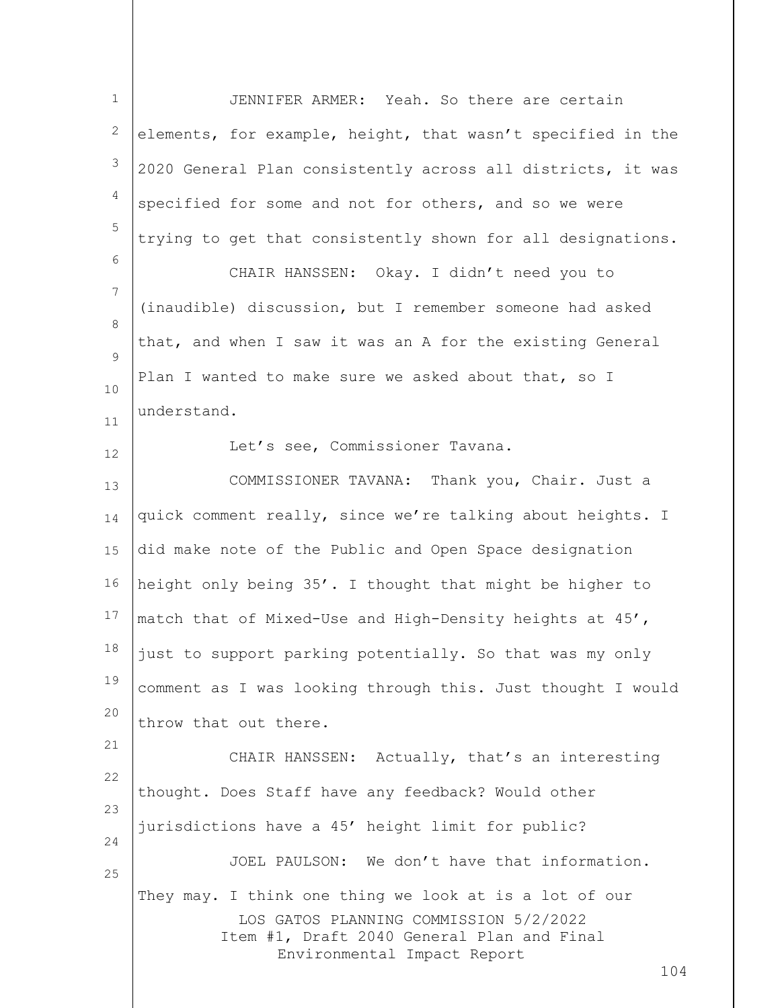| $\mathbf 1$         | JENNIFER ARMER: Yeah. So there are certain                                                                                                                                           |
|---------------------|--------------------------------------------------------------------------------------------------------------------------------------------------------------------------------------|
| $\mathbf{2}$        | elements, for example, height, that wasn't specified in the                                                                                                                          |
| $\mathfrak{Z}$      | 2020 General Plan consistently across all districts, it was                                                                                                                          |
| $\overline{4}$      | specified for some and not for others, and so we were                                                                                                                                |
| 5                   | trying to get that consistently shown for all designations.                                                                                                                          |
| 6                   | CHAIR HANSSEN: Okay. I didn't need you to                                                                                                                                            |
| $7\phantom{.0}$     | (inaudible) discussion, but I remember someone had asked                                                                                                                             |
| 8<br>$\overline{9}$ | that, and when I saw it was an A for the existing General                                                                                                                            |
| $10$                | Plan I wanted to make sure we asked about that, so I                                                                                                                                 |
| 11                  | understand.                                                                                                                                                                          |
| 12                  | Let's see, Commissioner Tavana.                                                                                                                                                      |
| 13                  | COMMISSIONER TAVANA: Thank you, Chair. Just a                                                                                                                                        |
| 14                  | quick comment really, since we're talking about heights. I                                                                                                                           |
| 15                  | did make note of the Public and Open Space designation                                                                                                                               |
| 16                  | height only being 35'. I thought that might be higher to                                                                                                                             |
| 17                  | match that of Mixed-Use and High-Density heights at 45',                                                                                                                             |
| 18                  | just to support parking potentially. So that was my only                                                                                                                             |
| 19                  | comment as I was looking through this. Just thought I would                                                                                                                          |
| 20                  | throw that out there.                                                                                                                                                                |
| 21<br>22            | CHAIR HANSSEN: Actually, that's an interesting                                                                                                                                       |
| 23                  | thought. Does Staff have any feedback? Would other                                                                                                                                   |
| 24                  | jurisdictions have a 45' height limit for public?                                                                                                                                    |
| 25                  | JOEL PAULSON: We don't have that information.                                                                                                                                        |
|                     | They may. I think one thing we look at is a lot of our<br>LOS GATOS PLANNING COMMISSION 5/2/2022<br>Item #1, Draft 2040 General Plan and Final<br>Environmental Impact Report<br>104 |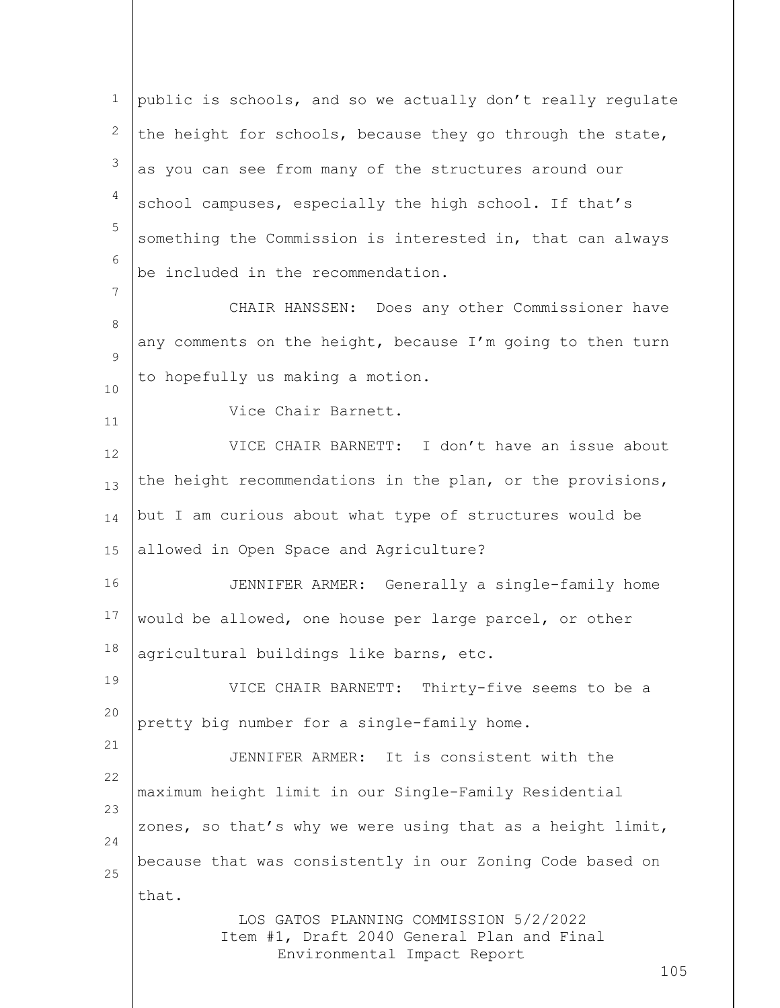LOS GATOS PLANNING COMMISSION 5/2/2022 Item #1, Draft 2040 General Plan and Final Environmental Impact Report 1 2 3 4 5 6 7 8  $\mathsf{Q}$ 10 11 12 13 14 15 16 17 18 19 20 21 22 23 24 25 public is schools, and so we actually don't really regulate the height for schools, because they go through the state, as you can see from many of the structures around our school campuses, especially the high school. If that's something the Commission is interested in, that can always be included in the recommendation. CHAIR HANSSEN: Does any other Commissioner have any comments on the height, because I'm going to then turn to hopefully us making a motion. Vice Chair Barnett. VICE CHAIR BARNETT: I don't have an issue about the height recommendations in the plan, or the provisions, but I am curious about what type of structures would be allowed in Open Space and Agriculture? JENNIFER ARMER: Generally a single-family home would be allowed, one house per large parcel, or other agricultural buildings like barns, etc. VICE CHAIR BARNETT: Thirty-five seems to be a pretty big number for a single-family home. JENNIFER ARMER: It is consistent with the maximum height limit in our Single-Family Residential zones, so that's why we were using that as a height limit, because that was consistently in our Zoning Code based on that.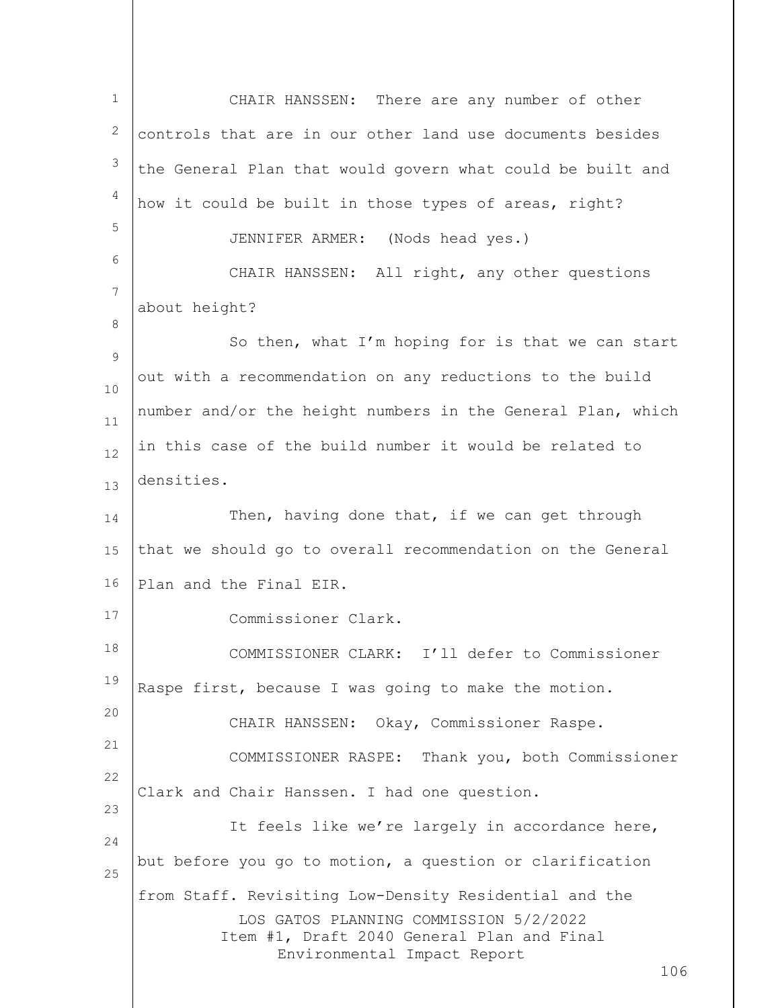LOS GATOS PLANNING COMMISSION 5/2/2022 Item #1, Draft 2040 General Plan and Final Environmental Impact Report 106 1 2 3 4 5 6 7 8 9 10 11 12 13 14 15 16 17 18 19 20 21 22 23 24 25 CHAIR HANSSEN: There are any number of other controls that are in our other land use documents besides the General Plan that would govern what could be built and how it could be built in those types of areas, right? JENNIFER ARMER: (Nods head yes.) CHAIR HANSSEN: All right, any other questions about height? So then, what I'm hoping for is that we can start out with a recommendation on any reductions to the build number and/or the height numbers in the General Plan, which in this case of the build number it would be related to densities. Then, having done that, if we can get through that we should go to overall recommendation on the General Plan and the Final EIR. Commissioner Clark. COMMISSIONER CLARK: I'll defer to Commissioner Raspe first, because I was going to make the motion. CHAIR HANSSEN: Okay, Commissioner Raspe. COMMISSIONER RASPE: Thank you, both Commissioner Clark and Chair Hanssen. I had one question. It feels like we're largely in accordance here, but before you go to motion, a question or clarification from Staff. Revisiting Low-Density Residential and the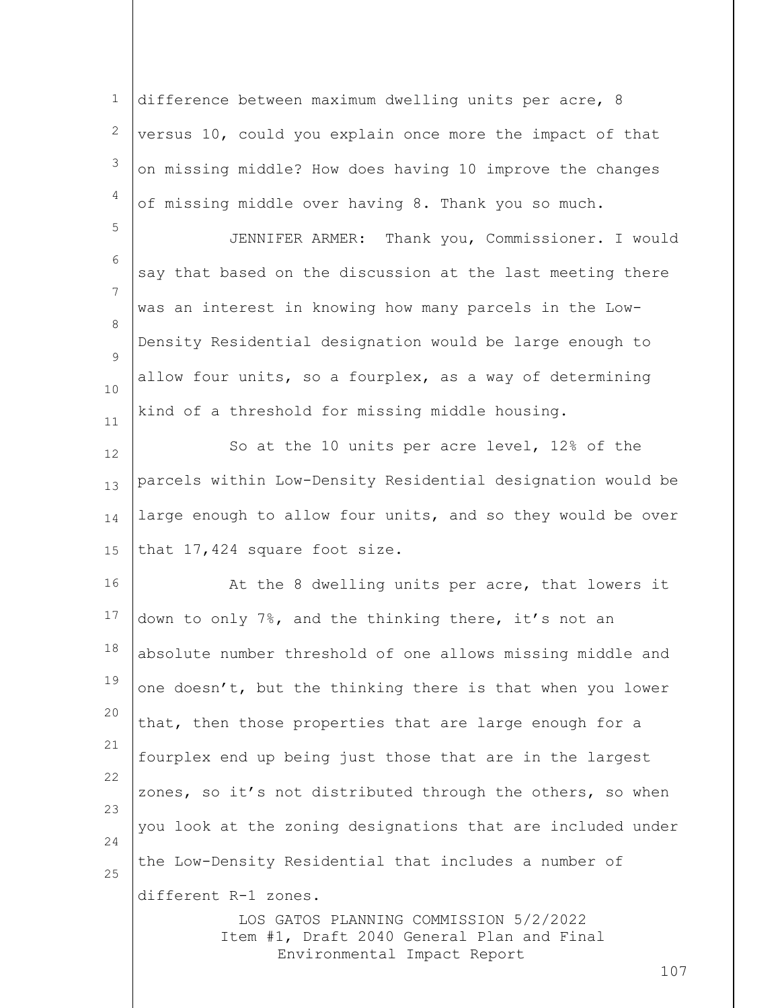1 2 3 4 difference between maximum dwelling units per acre, 8 versus 10, could you explain once more the impact of that on missing middle? How does having 10 improve the changes of missing middle over having 8. Thank you so much.

5

6 7 8  $\mathsf{Q}$ 10 11 JENNIFER ARMER: Thank you, Commissioner. I would say that based on the discussion at the last meeting there was an interest in knowing how many parcels in the Low-Density Residential designation would be large enough to allow four units, so a fourplex, as a way of determining kind of a threshold for missing middle housing.

12 13 14 15 So at the 10 units per acre level, 12% of the parcels within Low-Density Residential designation would be large enough to allow four units, and so they would be over that 17,424 square foot size.

16 17 18 19 20 21 22 23 24 25 At the 8 dwelling units per acre, that lowers it down to only 7%, and the thinking there, it's not an absolute number threshold of one allows missing middle and one doesn't, but the thinking there is that when you lower that, then those properties that are large enough for a fourplex end up being just those that are in the largest zones, so it's not distributed through the others, so when you look at the zoning designations that are included under the Low-Density Residential that includes a number of different R-1 zones.

> LOS GATOS PLANNING COMMISSION 5/2/2022 Item #1, Draft 2040 General Plan and Final Environmental Impact Report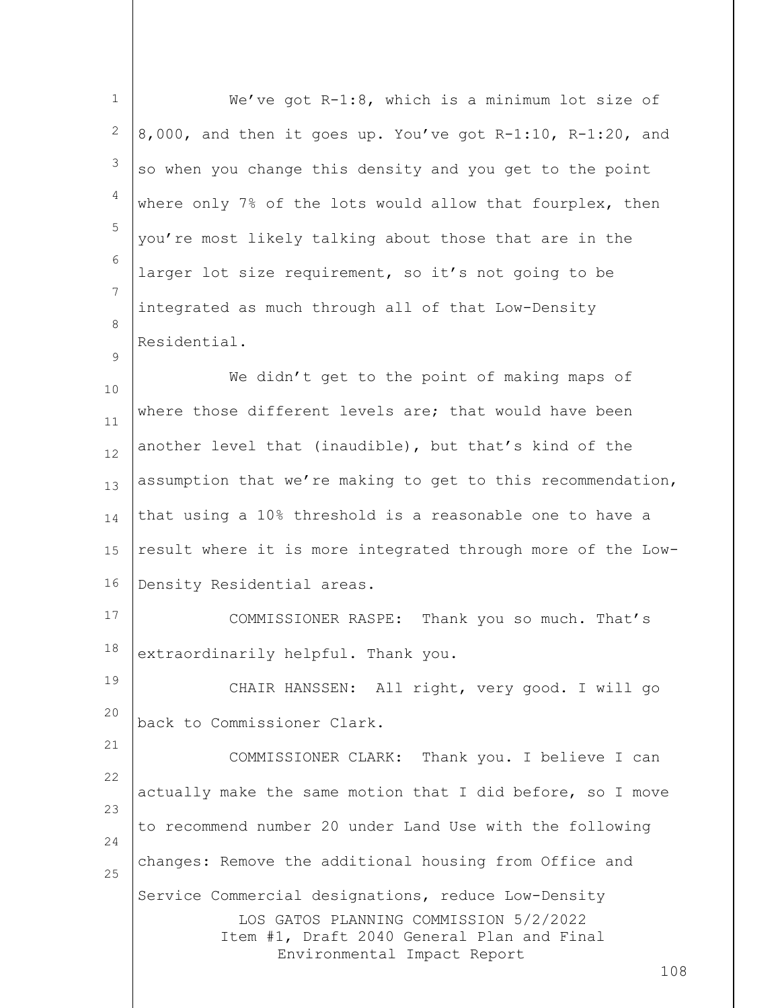| $\mathbf{1}$ | We've got R-1:8, which is a minimum lot size of                                                                                                                                   |
|--------------|-----------------------------------------------------------------------------------------------------------------------------------------------------------------------------------|
| 2            | 8,000, and then it goes up. You've got R-1:10, R-1:20, and                                                                                                                        |
| 3            | so when you change this density and you get to the point                                                                                                                          |
| 4            | where only 7% of the lots would allow that fourplex, then                                                                                                                         |
| 5            | you're most likely talking about those that are in the                                                                                                                            |
| 6            | larger lot size requirement, so it's not going to be                                                                                                                              |
| 7            | integrated as much through all of that Low-Density                                                                                                                                |
| 8<br>9       | Residential.                                                                                                                                                                      |
| 10           | We didn't get to the point of making maps of                                                                                                                                      |
| 11           | where those different levels are; that would have been                                                                                                                            |
| 12           | another level that (inaudible), but that's kind of the                                                                                                                            |
| 13           | assumption that we're making to get to this recommendation,                                                                                                                       |
| 14           | that using a 10% threshold is a reasonable one to have a                                                                                                                          |
| 15           | result where it is more integrated through more of the Low-                                                                                                                       |
| 16           | Density Residential areas.                                                                                                                                                        |
| 17           | COMMISSIONER RASPE:<br>Thank you so much. That's                                                                                                                                  |
| 18           | extraordinarily helpful. Thank you.                                                                                                                                               |
| 19           | CHAIR HANSSEN: All right, very good. I will go                                                                                                                                    |
| 20           | back to Commissioner Clark.                                                                                                                                                       |
| 21<br>22     | COMMISSIONER CLARK: Thank you. I believe I can                                                                                                                                    |
| 23           | actually make the same motion that I did before, so I move                                                                                                                        |
| 24           | to recommend number 20 under Land Use with the following                                                                                                                          |
| 25           | changes: Remove the additional housing from Office and                                                                                                                            |
|              | Service Commercial designations, reduce Low-Density<br>LOS GATOS PLANNING COMMISSION 5/2/2022<br>Item #1, Draft 2040 General Plan and Final<br>Environmental Impact Report<br>108 |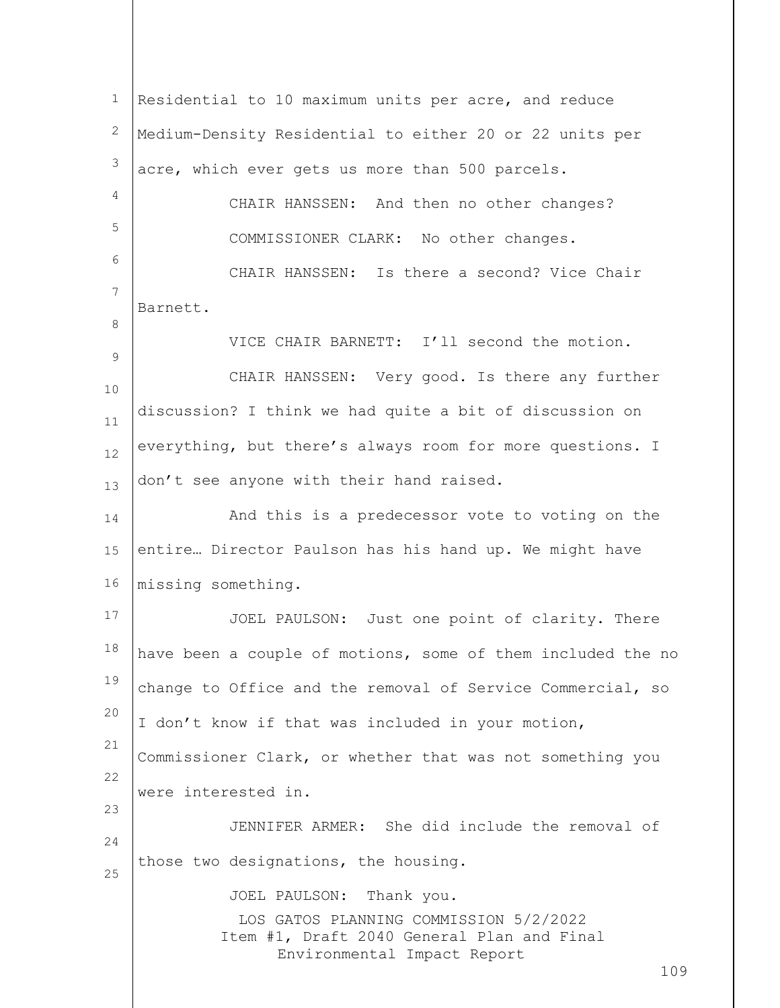LOS GATOS PLANNING COMMISSION 5/2/2022 Item #1, Draft 2040 General Plan and Final Environmental Impact Report 109 1 2 3 4 5 6 7 8 9 10 11 12 13 14 15 16 17 18 19 20 21 22 23 24 25 Residential to 10 maximum units per acre, and reduce Medium-Density Residential to either 20 or 22 units per acre, which ever gets us more than 500 parcels. CHAIR HANSSEN: And then no other changes? COMMISSIONER CLARK: No other changes. CHAIR HANSSEN: Is there a second? Vice Chair Barnett. VICE CHAIR BARNETT: I'll second the motion. CHAIR HANSSEN: Very good. Is there any further discussion? I think we had quite a bit of discussion on everything, but there's always room for more questions. I don't see anyone with their hand raised. And this is a predecessor vote to voting on the entire… Director Paulson has his hand up. We might have missing something. JOEL PAULSON: Just one point of clarity. There have been a couple of motions, some of them included the no change to Office and the removal of Service Commercial, so I don't know if that was included in your motion, Commissioner Clark, or whether that was not something you were interested in. JENNIFER ARMER: She did include the removal of those two designations, the housing. JOEL PAULSON: Thank you.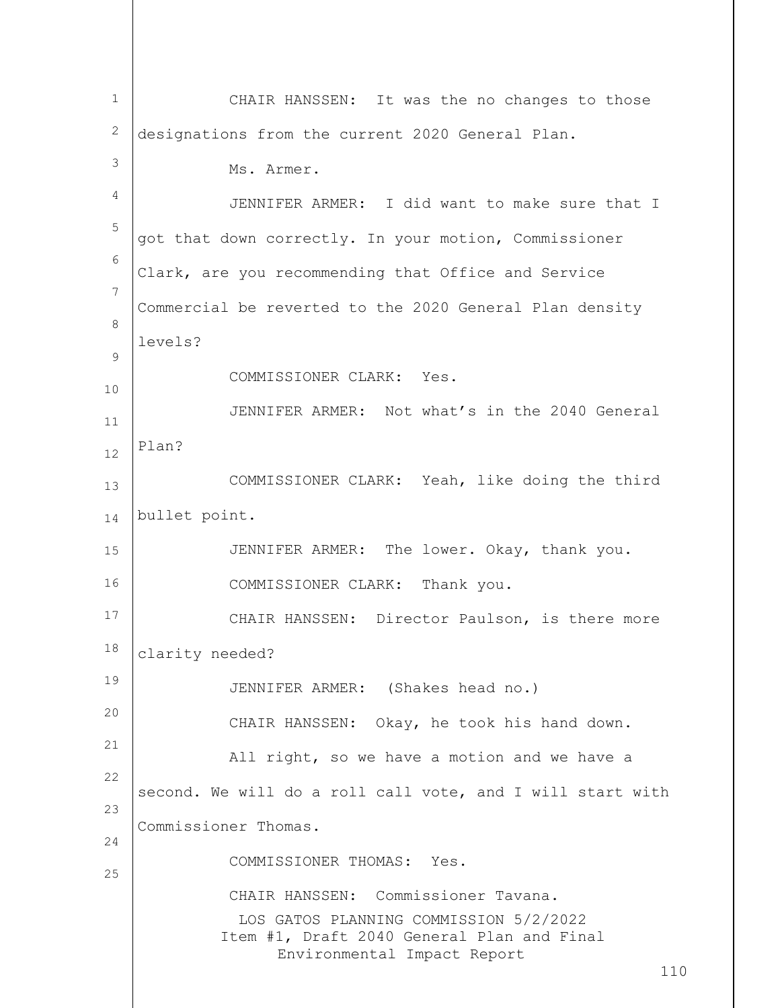LOS GATOS PLANNING COMMISSION 5/2/2022 Item #1, Draft 2040 General Plan and Final Environmental Impact Report 110 1 2 3 4 5 6 7 8 9 10 11 12 13 14 15 16 17 18 19 20 21 22 23 24 25 CHAIR HANSSEN: It was the no changes to those designations from the current 2020 General Plan. Ms. Armer. JENNIFER ARMER: I did want to make sure that I got that down correctly. In your motion, Commissioner Clark, are you recommending that Office and Service Commercial be reverted to the 2020 General Plan density levels? COMMISSIONER CLARK: Yes. JENNIFER ARMER: Not what's in the 2040 General Plan? COMMISSIONER CLARK: Yeah, like doing the third bullet point. JENNIFER ARMER: The lower. Okay, thank you. COMMISSIONER CLARK: Thank you. CHAIR HANSSEN: Director Paulson, is there more clarity needed? JENNIFER ARMER: (Shakes head no.) CHAIR HANSSEN: Okay, he took his hand down. All right, so we have a motion and we have a second. We will do a roll call vote, and I will start with Commissioner Thomas. COMMISSIONER THOMAS: Yes. CHAIR HANSSEN: Commissioner Tavana.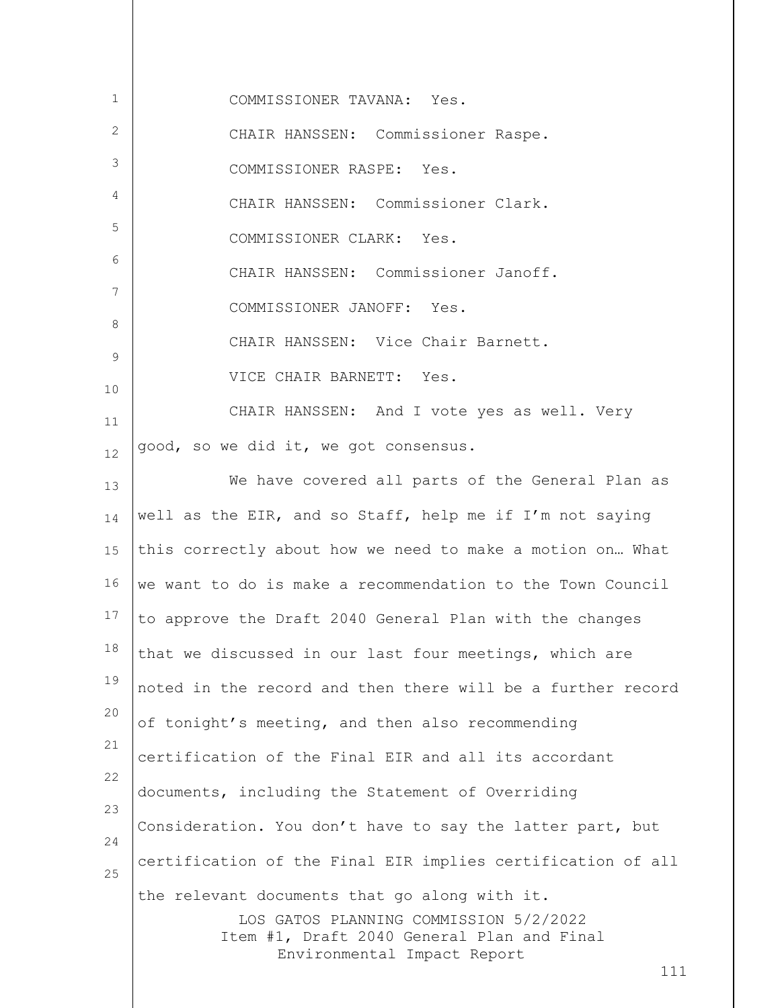| 1        | COMMISSIONER TAVANA: Yes.                                                                                                             |
|----------|---------------------------------------------------------------------------------------------------------------------------------------|
| 2        | CHAIR HANSSEN: Commissioner Raspe.                                                                                                    |
| 3        | COMMISSIONER RASPE: Yes.                                                                                                              |
| 4        | CHAIR HANSSEN: Commissioner Clark.                                                                                                    |
| 5        | COMMISSIONER CLARK: Yes.                                                                                                              |
| 6        | CHAIR HANSSEN: Commissioner Janoff.                                                                                                   |
| 7        | COMMISSIONER JANOFF: Yes.                                                                                                             |
| 8        | CHAIR HANSSEN: Vice Chair Barnett.                                                                                                    |
| 9        | VICE CHAIR BARNETT: Yes.                                                                                                              |
| 10       | CHAIR HANSSEN: And I vote yes as well. Very                                                                                           |
| 11       | good, so we did it, we got consensus.                                                                                                 |
| 12       | We have covered all parts of the General Plan as                                                                                      |
| 13       |                                                                                                                                       |
| 14       | well as the EIR, and so Staff, help me if I'm not saying                                                                              |
| 15       | this correctly about how we need to make a motion on What                                                                             |
| 16       | we want to do is make a recommendation to the Town Council                                                                            |
| 17       | to approve the Draft 2040 General Plan with the changes                                                                               |
| 18<br>19 | that we discussed in our last four meetings, which are                                                                                |
| 20       | noted in the record and then there will be a further record                                                                           |
| 21       | of tonight's meeting, and then also recommending                                                                                      |
| 22       | certification of the Final EIR and all its accordant                                                                                  |
| 23       | documents, including the Statement of Overriding                                                                                      |
| 24       | Consideration. You don't have to say the latter part, but                                                                             |
| 25       | certification of the Final EIR implies certification of all                                                                           |
|          | the relevant documents that go along with it.<br>LOS GATOS PLANNING COMMISSION 5/2/2022<br>Item #1, Draft 2040 General Plan and Final |
|          | Environmental Impact Report<br>111                                                                                                    |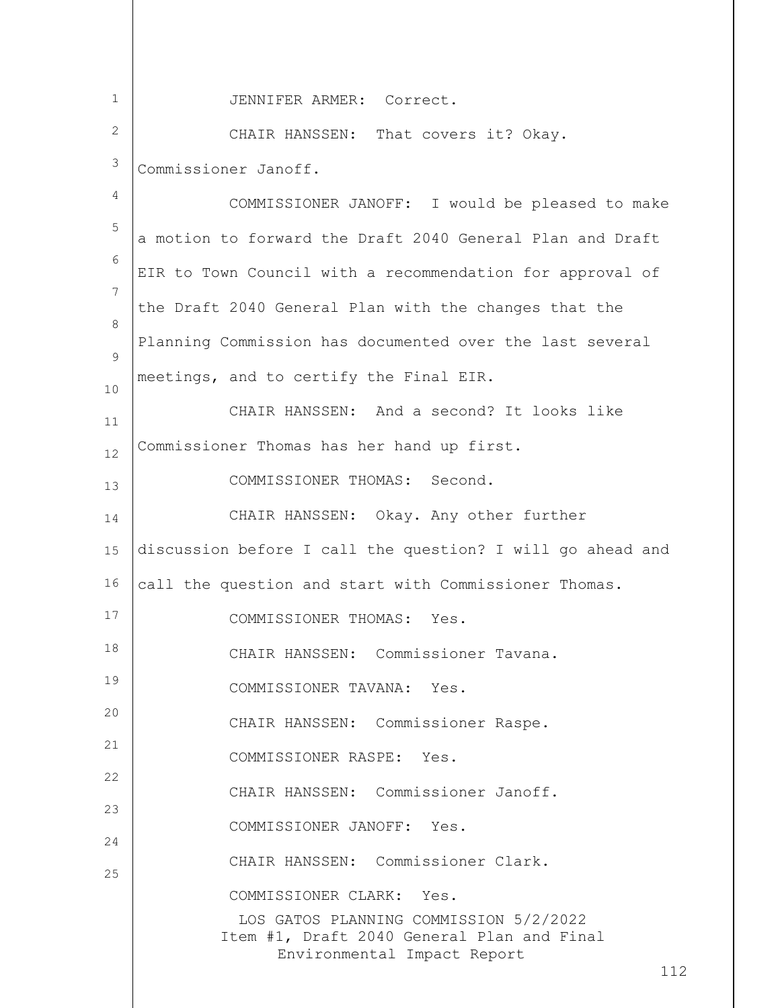LOS GATOS PLANNING COMMISSION 5/2/2022 Item #1, Draft 2040 General Plan and Final Environmental Impact Report 112 1 2 3 4 5 6 7 8  $\mathsf{Q}$ 10 11 12 13 14 15 16 17 18 19 20 21 22 23 24 25 JENNIFER ARMER: Correct. CHAIR HANSSEN: That covers it? Okay. Commissioner Janoff. COMMISSIONER JANOFF: I would be pleased to make a motion to forward the Draft 2040 General Plan and Draft EIR to Town Council with a recommendation for approval of the Draft 2040 General Plan with the changes that the Planning Commission has documented over the last several meetings, and to certify the Final EIR. CHAIR HANSSEN: And a second? It looks like Commissioner Thomas has her hand up first. COMMISSIONER THOMAS: Second. CHAIR HANSSEN: Okay. Any other further discussion before I call the question? I will go ahead and call the question and start with Commissioner Thomas. COMMISSIONER THOMAS: Yes. CHAIR HANSSEN: Commissioner Tavana. COMMISSIONER TAVANA: Yes. CHAIR HANSSEN: Commissioner Raspe. COMMISSIONER RASPE: Yes. CHAIR HANSSEN: Commissioner Janoff. COMMISSIONER JANOFF: Yes. CHAIR HANSSEN: Commissioner Clark. COMMISSIONER CLARK: Yes.